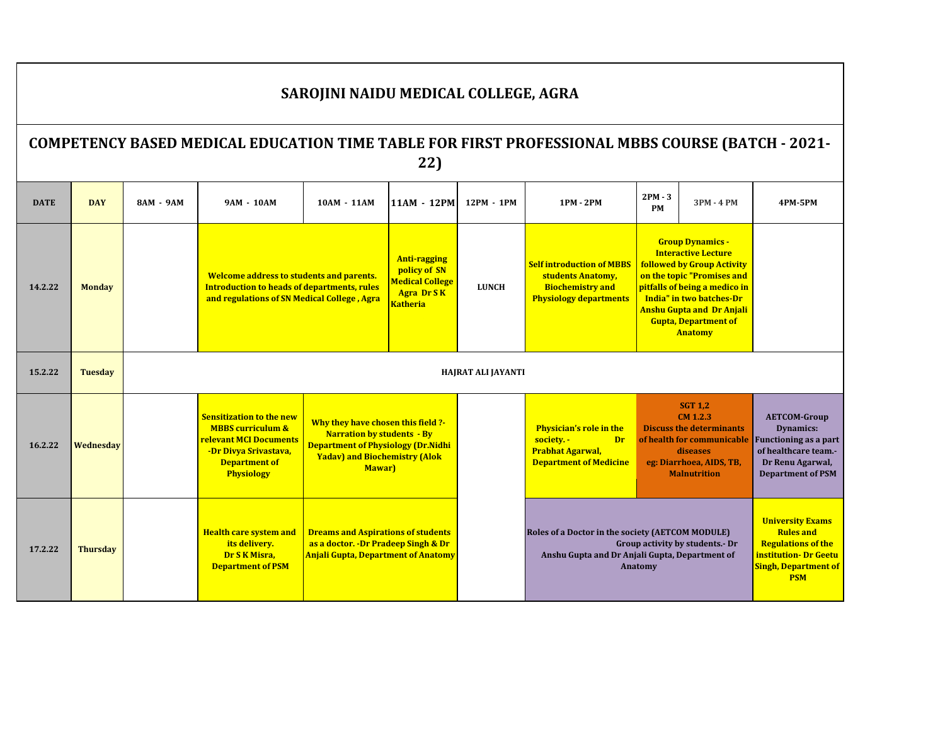|             | SAROJINI NAIDU MEDICAL COLLEGE, AGRA                                                                          |           |                                                                                                                                                             |                                                                                                                                                                        |                                                                                                       |                    |                                                                                                                       |                        |                                                                                                                                                                                                                                                                            |                                                                                                                                                 |  |  |
|-------------|---------------------------------------------------------------------------------------------------------------|-----------|-------------------------------------------------------------------------------------------------------------------------------------------------------------|------------------------------------------------------------------------------------------------------------------------------------------------------------------------|-------------------------------------------------------------------------------------------------------|--------------------|-----------------------------------------------------------------------------------------------------------------------|------------------------|----------------------------------------------------------------------------------------------------------------------------------------------------------------------------------------------------------------------------------------------------------------------------|-------------------------------------------------------------------------------------------------------------------------------------------------|--|--|
|             | <b>COMPETENCY BASED MEDICAL EDUCATION TIME TABLE FOR FIRST PROFESSIONAL MBBS COURSE (BATCH - 2021-</b><br>22) |           |                                                                                                                                                             |                                                                                                                                                                        |                                                                                                       |                    |                                                                                                                       |                        |                                                                                                                                                                                                                                                                            |                                                                                                                                                 |  |  |
| <b>DATE</b> | <b>DAY</b>                                                                                                    | 8AM - 9AM | 9AM - 10AM                                                                                                                                                  | 10AM - 11AM                                                                                                                                                            | 11AM - 12PM                                                                                           | 12PM - 1PM         | 1PM - 2PM                                                                                                             | $2PM - 3$<br><b>PM</b> | 3PM - 4 PM                                                                                                                                                                                                                                                                 | <b>4PM-5PM</b>                                                                                                                                  |  |  |
| 14.2.22     | <b>Monday</b>                                                                                                 |           | Welcome address to students and parents.<br><b>Introduction to heads of departments, rules</b><br>and regulations of SN Medical College, Agra               |                                                                                                                                                                        | <b>Anti-ragging</b><br>policy of SN<br><b>Medical College</b><br><b>Agra Dr SK</b><br><b>Katheria</b> | <b>LUNCH</b>       | <b>Self introduction of MBBS</b><br>students Anatomy,<br><b>Biochemistry and</b><br><b>Physiology departments</b>     |                        | <b>Group Dynamics -</b><br><b>Interactive Lecture</b><br><b>followed by Group Activity</b><br>on the topic "Promises and<br>pitfalls of being a medico in<br>India" in two batches-Dr<br><b>Anshu Gupta and Dr Anjali</b><br><b>Gupta, Department of</b><br><b>Anatomy</b> |                                                                                                                                                 |  |  |
| 15.2.22     | <b>Tuesday</b>                                                                                                |           |                                                                                                                                                             |                                                                                                                                                                        |                                                                                                       | HAJRAT ALI JAYANTI |                                                                                                                       |                        |                                                                                                                                                                                                                                                                            |                                                                                                                                                 |  |  |
| 16.2.22     | Wednesday                                                                                                     |           | <b>Sensitization to the new</b><br><b>MBBS</b> curriculum &<br>relevant MCI Documents<br>-Dr Divya Srivastava,<br><b>Department of</b><br><b>Physiology</b> | Why they have chosen this field ?-<br><b>Narration by students - By</b><br><b>Department of Physiology (Dr.Nidhi</b><br><b>Yadav) and Biochemistry (Alok</b><br>Mawar) |                                                                                                       |                    | <b>Physician's role in the</b><br>society. -<br><b>Dr</b><br><b>Prabhat Agarwal,</b><br><b>Department of Medicine</b> |                        | <b>SGT 1,2</b><br>$CM$ 1.2.3<br><b>Discuss the determinants</b><br>of health for communicable<br>diseases<br>eg: Diarrhoea, AIDS, TB,<br><b>Malnutrition</b>                                                                                                               | <b>AETCOM-Group</b><br><b>Dynamics:</b><br><b>Functioning as a part</b><br>of healthcare team.-<br>Dr Renu Agarwal,<br><b>Department of PSM</b> |  |  |
| 17.2.22     | <b>Thursday</b>                                                                                               |           | <b>Health care system and</b><br>its delivery.<br>Dr S K Misra,<br><b>Department of PSM</b>                                                                 | <b>Dreams and Aspirations of students</b><br>as a doctor. - Dr Pradeep Singh & Dr<br><b>Anjali Gupta, Department of Anatomy</b>                                        |                                                                                                       |                    | Roles of a Doctor in the society (AETCOM MODULE)<br>Anshu Gupta and Dr Anjali Gupta, Department of                    | Anatomy                | Group activity by students. - Dr                                                                                                                                                                                                                                           | <b>University Exams</b><br><b>Rules and</b><br><b>Regulations of the</b><br>institution- Dr Geetu<br><b>Singh, Department of</b><br><b>PSM</b>  |  |  |

 $\Gamma$ 

**L**

┑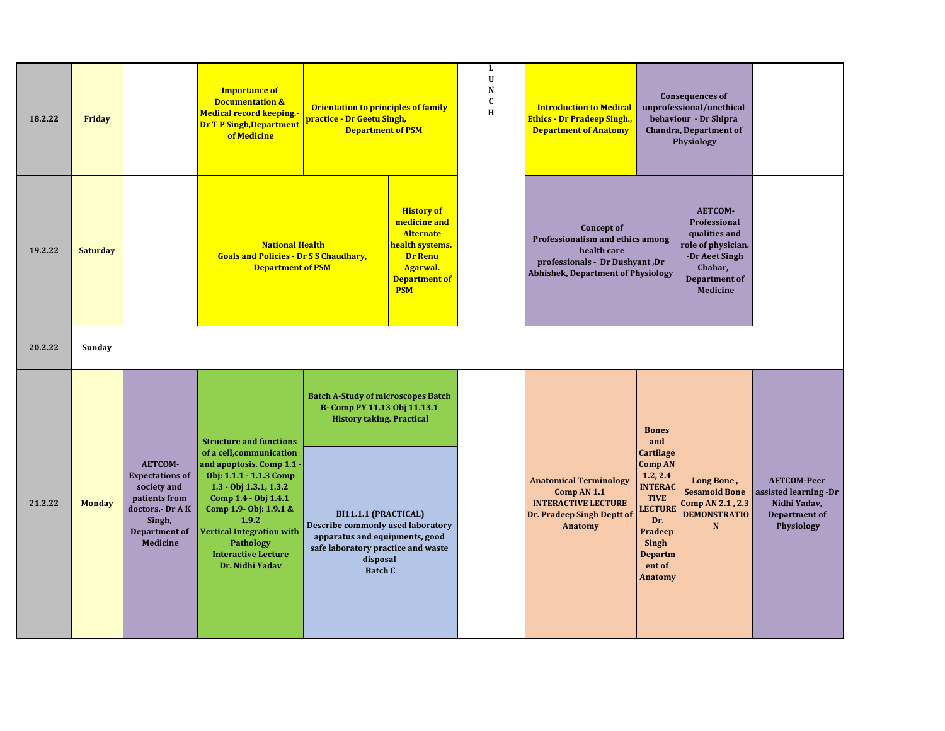| 18.2.22 | Friday          |                                                                                                                                                  | <b>Importance of</b><br><b>Documentation &amp;</b><br>Medical record keeping.-<br><b>Dr T P Singh, Department</b><br>of Medicine                                                                                                                                                                                      | <b>Orientation to principles of family</b><br>practice - Dr Geetu Singh,<br><b>Department of PSM</b>                                                                                                                                                                             |                                                                                                                                                     | L<br>U<br>${\bf N}$<br>$\mathbf C$<br>H | <b>Introduction to Medical</b><br><mark>Ethics - Dr Pradeep Singh.,</mark><br><b>Department of Anatomy</b>                                           |                                                                                                                                                                                            | <b>Consequences of</b><br>unprofessional/unethical<br>behaviour - Dr Shipra<br><b>Chandra, Department of</b><br><b>Physiology</b>     |                                                                                                   |
|---------|-----------------|--------------------------------------------------------------------------------------------------------------------------------------------------|-----------------------------------------------------------------------------------------------------------------------------------------------------------------------------------------------------------------------------------------------------------------------------------------------------------------------|----------------------------------------------------------------------------------------------------------------------------------------------------------------------------------------------------------------------------------------------------------------------------------|-----------------------------------------------------------------------------------------------------------------------------------------------------|-----------------------------------------|------------------------------------------------------------------------------------------------------------------------------------------------------|--------------------------------------------------------------------------------------------------------------------------------------------------------------------------------------------|---------------------------------------------------------------------------------------------------------------------------------------|---------------------------------------------------------------------------------------------------|
| 19.2.22 | <b>Saturday</b> |                                                                                                                                                  | <b>National Health</b><br><b>Goals and Policies - Dr S S Chaudhary,</b><br><b>Department of PSM</b>                                                                                                                                                                                                                   |                                                                                                                                                                                                                                                                                  | <b>History of</b><br>medicine and<br><b>Alternate</b><br>health systems.<br><b>Dr Renu</b><br><b>Agarwal.</b><br><b>Department of</b><br><b>PSM</b> |                                         | <b>Concept of</b><br>Professionalism and ethics among<br>health care<br>professionals - Dr Dushyant, Dr<br><b>Abhishek, Department of Physiology</b> |                                                                                                                                                                                            | AETCOM-<br>Professional<br>qualities and<br>ole of physician.<br>-Dr Aeet Singh<br>Chahar,<br><b>Department of</b><br><b>Medicine</b> |                                                                                                   |
| 20.2.22 | Sunday          |                                                                                                                                                  |                                                                                                                                                                                                                                                                                                                       |                                                                                                                                                                                                                                                                                  |                                                                                                                                                     |                                         |                                                                                                                                                      |                                                                                                                                                                                            |                                                                                                                                       |                                                                                                   |
| 21.2.22 | <b>Monday</b>   | <b>AETCOM-</b><br><b>Expectations of</b><br>society and<br>patients from<br>doctors.- Dr AK<br>Singh,<br><b>Department of</b><br><b>Medicine</b> | <b>Structure and functions</b><br>of a cell, communication<br>and apoptosis. Comp 1.1 -<br>Obj: 1.1.1 - 1.1.3 Comp<br>$1.3 - 0$ bj $1.3.1, 1.3.2$<br>Comp 1.4 - Obj 1.4.1<br>Comp 1.9- Obj: 1.9.1 &<br>1.9.2<br><b>Vertical Integration with</b><br><b>Pathology</b><br><b>Interactive Lecture</b><br>Dr. Nidhi Yadav | <b>Batch A-Study of microscopes Batch</b><br>B- Comp PY 11.13 Obj 11.13.1<br><b>History taking. Practical</b><br>BI11.1.1 (PRACTICAL)<br>Describe commonly used laboratory<br>apparatus and equipments, good<br>safe laboratory practice and waste<br>disposal<br><b>Batch C</b> |                                                                                                                                                     |                                         | <b>Anatomical Terminology</b><br>Comp AN 1.1<br><b>INTERACTIVE LECTURE</b><br>Dr. Pradeep Singh Deptt of<br>Anatomy                                  | <b>Bones</b><br>and<br>Cartilage<br><b>Comp AN</b><br>1.2, 2.4<br><b>INTERAC</b><br><b>TIVE</b><br><b>LECTURE</b><br>Dr.<br>Pradeep<br>Singh<br><b>Departm</b><br>ent of<br><b>Anatomy</b> | Long Bone,<br><b>Sesamoid Bone</b><br>Comp AN 2.1, 2.3<br><b>DEMONSTRATIO</b><br>N                                                    | <b>AETCOM-Peer</b><br>assisted learning -Dr<br>Nidhi Yadav,<br><b>Department of</b><br>Physiology |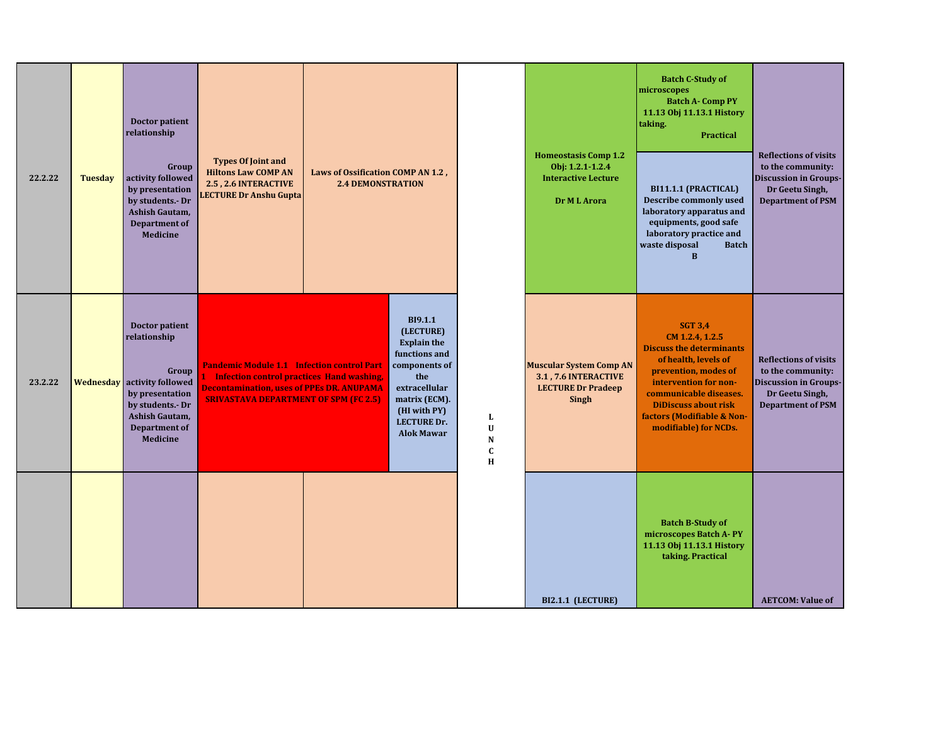| 22.2.22 | <b>Tuesday</b> | Doctor patient<br>relationship<br>Group<br>activity followed<br>by presentation<br>by students.- Dr<br>Ashish Gautam,<br><b>Department of</b><br><b>Medicine</b>                         | <b>Types Of Joint and</b><br><b>Hiltons Law COMP AN</b><br>2.5, 2.6 INTERACTIVE<br>LECTURE Dr Anshu Gupta                                                                                                 | <b>Laws of Ossification COMP AN 1.2,</b><br><b>2.4 DEMONSTRATION</b>                                                                                                                    |                                  | <b>Homeostasis Comp 1.2</b><br>Obj: 1.2.1-1.2.4<br><b>Interactive Lecture</b><br>Dr M L Arora       | <b>Batch C-Study of</b><br>microscopes<br><b>Batch A- Comp PY</b><br>11.13 Obj 11.13.1 History<br>taking.<br><b>Practical</b><br>BI11.1.1 (PRACTICAL)<br>Describe commonly used<br>laboratory apparatus and<br>equipments, good safe<br>laboratory practice and<br>waste disposal<br><b>Batch</b><br>$\bf{B}$ | <b>Reflections of visits</b><br>to the community:<br><b>Discussion in Groups-</b><br>Dr Geetu Singh,<br><b>Department of PSM</b> |
|---------|----------------|------------------------------------------------------------------------------------------------------------------------------------------------------------------------------------------|-----------------------------------------------------------------------------------------------------------------------------------------------------------------------------------------------------------|-----------------------------------------------------------------------------------------------------------------------------------------------------------------------------------------|----------------------------------|-----------------------------------------------------------------------------------------------------|---------------------------------------------------------------------------------------------------------------------------------------------------------------------------------------------------------------------------------------------------------------------------------------------------------------|----------------------------------------------------------------------------------------------------------------------------------|
| 23.2.22 |                | <b>Doctor patient</b><br>relationship<br>Group<br><b>Wednesday</b> activity followed<br>by presentation<br>by students.- Dr<br>Ashish Gautam,<br><b>Department of</b><br><b>Medicine</b> | <b>Pandemic Module 1.1 Infection control Part</b><br><b>Infection control practices Hand washing,</b><br><b>Decontamination, uses of PPEs DR. ANUPAMA</b><br><b>SRIVASTAVA DEPARTMENT OF SPM (FC 2.5)</b> | <b>BI9.1.1</b><br>(LECTURE)<br><b>Explain the</b><br>functions and<br>components of<br>the<br>extracellular<br>matrix (ECM).<br>(HI with PY)<br><b>LECTURE Dr.</b><br><b>Alok Mawar</b> | L<br>U<br>N<br>$\mathbf{C}$<br>H | <b>Muscular System Comp AN</b><br>3.1, 7.6 INTERACTIVE<br><b>LECTURE Dr Pradeep</b><br><b>Singh</b> | <b>SGT 3,4</b><br>CM 1.2.4, 1.2.5<br><b>Discuss the determinants</b><br>of health, levels of<br>prevention, modes of<br>intervention for non-<br>communicable diseases.<br><b>DiDiscuss about risk</b><br>factors (Modifiable & Non-<br>modifiable) for NCDs.                                                 | <b>Reflections of visits</b><br>to the community:<br><b>Discussion in Groups-</b><br>Dr Geetu Singh,<br><b>Department of PSM</b> |
|         |                |                                                                                                                                                                                          |                                                                                                                                                                                                           |                                                                                                                                                                                         |                                  | BI2.1.1 (LECTURE)                                                                                   | <b>Batch B-Study of</b><br>microscopes Batch A-PY<br>11.13 Obj 11.13.1 History<br>taking. Practical                                                                                                                                                                                                           | <b>AETCOM: Value of</b>                                                                                                          |

**Nervous System COMP** 

**Explain Fundamental** 

**integrity, honesty**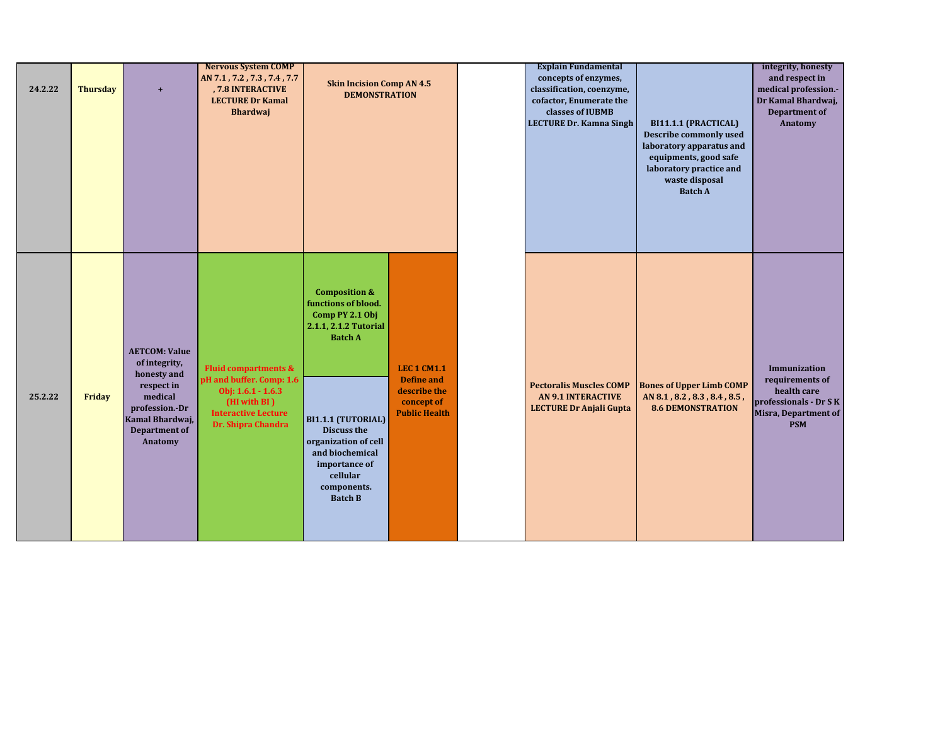| 24.2.22 | <b>Thursday</b> | $\ddot{}$                                                                                                                                             | <b>Nervous System COMP</b><br>AN 7.1, 7.2, 7.3, 7.4, 7.7<br>, 7.8 INTERACTIVE<br><b>LECTURE Dr Kamal</b><br><b>Bhardwaj</b>                             | <b>Skin Incision Comp AN 4.5</b><br><b>DEMONSTRATION</b>                                                                                                                                                                                                           |                                                                                               | <b>Explain Fundamental</b><br>concepts of enzymes,<br>classification, coenzyme,<br>cofactor, Enumerate the<br>classes of IUBMB<br><b>LECTURE Dr. Kamna Singh</b> | BI11.1.1 (PRACTICAL)<br><b>Describe commonly used</b><br>laboratory apparatus and<br>equipments, good safe<br>laboratory practice and<br>waste disposal<br><b>Batch A</b> | integrity, honesty<br>and respect in<br>medical profession.-<br>Dr Kamal Bhardwaj,<br><b>Department of</b><br>Anatomy |
|---------|-----------------|-------------------------------------------------------------------------------------------------------------------------------------------------------|---------------------------------------------------------------------------------------------------------------------------------------------------------|--------------------------------------------------------------------------------------------------------------------------------------------------------------------------------------------------------------------------------------------------------------------|-----------------------------------------------------------------------------------------------|------------------------------------------------------------------------------------------------------------------------------------------------------------------|---------------------------------------------------------------------------------------------------------------------------------------------------------------------------|-----------------------------------------------------------------------------------------------------------------------|
| 25.2.22 | Friday          | <b>AETCOM: Value</b><br>of integrity,<br>honesty and<br>respect in<br>medical<br>profession.-Dr<br>Kamal Bhardwaj,<br><b>Department of</b><br>Anatomy | <b>Fluid compartments &amp;</b><br>pH and buffer. Comp: 1.6<br>Obj: $1.6.1 - 1.6.3$<br>(HI with BI)<br><b>Interactive Lecture</b><br>Dr. Shipra Chandra | <b>Composition &amp;</b><br>functions of blood.<br>Comp PY 2.1 Obj<br>2.1.1, 2.1.2 Tutorial<br><b>Batch A</b><br>BI1.1.1 (TUTORIAL)<br><b>Discuss the</b><br>organization of cell<br>and biochemical<br>importance of<br>cellular<br>components.<br><b>Batch B</b> | <b>LEC 1 CM1.1</b><br><b>Define and</b><br>describe the<br>concept of<br><b>Public Health</b> | <b>Pectoralis Muscles COMP</b><br><b>AN 9.1 INTERACTIVE</b><br><b>LECTURE Dr Anjali Gupta</b>                                                                    | <b>Bones of Upper Limb COMP</b><br>AN 8.1, 8.2, 8.3, 8.4, 8.5,<br><b>8.6 DEMONSTRATION</b>                                                                                | Immunization<br>requirements of<br>health care<br>professionals - Dr S K<br><b>Misra, Department of</b><br><b>PSM</b> |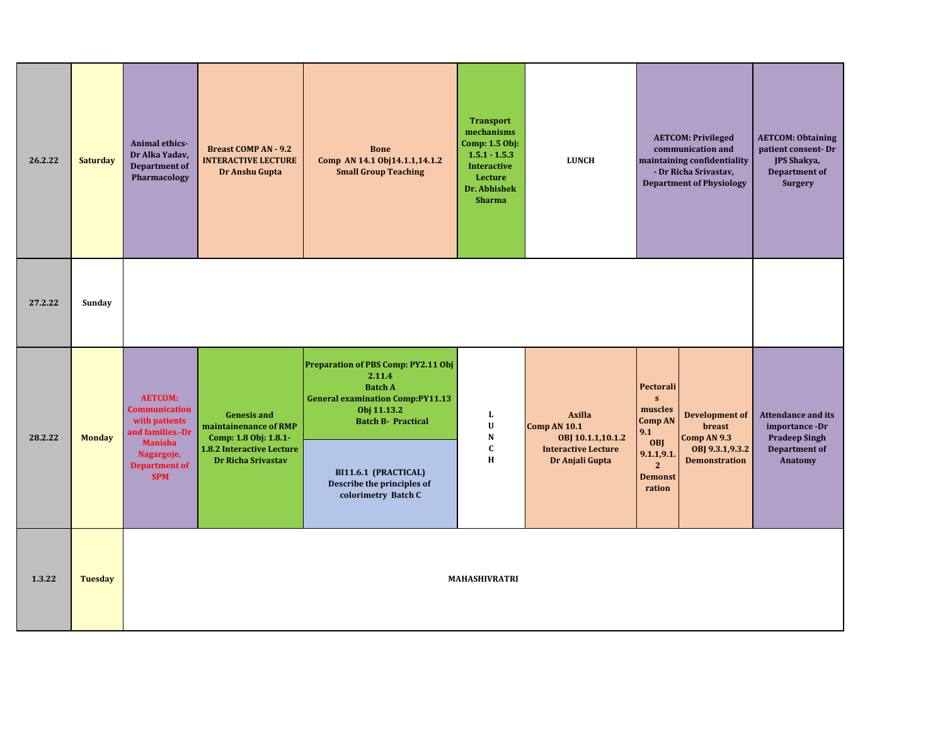| 26.2.22 | <b>Saturday</b> | Animal ethics-<br>Dr Alka Yadav,<br><b>Department of</b><br>Pharmacology                                                                          | <b>Breast COMP AN - 9.2</b><br><b>INTERACTIVE LECTURE</b><br>Dr Anshu Gupta                                                           | <b>Bone</b><br>Comp AN 14.1 Obj14.1.1,14.1.2<br><b>Small Group Teaching</b>                                                                                                                                                         | <b>Transport</b><br>mechanisms<br>Comp: 1.5 Obj:<br>$1.5.1 - 1.5.3$<br><b>Interactive</b><br>Lecture<br>Dr. Abhishek<br><b>Sharma</b> | <b>LUNCH</b>                                                                                               | <b>AETCOM: Privileged</b><br>communication and<br>maintaining confidentiality<br>- Dr Richa Srivastav,<br><b>Department of Physiology</b>                                                                                     | <b>AETCOM: Obtaining</b><br>patient consent-Dr<br>JPS Shakya,<br><b>Department of</b><br><b>Surgery</b> |
|---------|-----------------|---------------------------------------------------------------------------------------------------------------------------------------------------|---------------------------------------------------------------------------------------------------------------------------------------|-------------------------------------------------------------------------------------------------------------------------------------------------------------------------------------------------------------------------------------|---------------------------------------------------------------------------------------------------------------------------------------|------------------------------------------------------------------------------------------------------------|-------------------------------------------------------------------------------------------------------------------------------------------------------------------------------------------------------------------------------|---------------------------------------------------------------------------------------------------------|
| 27.2.22 | Sunday          |                                                                                                                                                   |                                                                                                                                       |                                                                                                                                                                                                                                     |                                                                                                                                       |                                                                                                            |                                                                                                                                                                                                                               |                                                                                                         |
| 28.2.22 | <b>Monday</b>   | <b>AETCOM:</b><br><b>Communication</b><br>with patients<br>and families.-Dr<br><b>Manisha</b><br>Nagargoje,<br><b>Department of</b><br><b>SPM</b> | <b>Genesis and</b><br>maintainenance of RMP<br>Comp: 1.8 Obj: 1.8.1-<br><b>1.8.2 Interactive Lecture</b><br><b>Dr Richa Srivastav</b> | Preparation of PBS Comp: PY2.11 Obj<br>2.11.4<br><b>Batch A</b><br><b>General examination Comp:PY11.13</b><br>Obj 11.13.2<br><b>Batch B- Practical</b><br>BI11.6.1 (PRACTICAL)<br>Describe the principles of<br>colorimetry Batch C | L<br>$\mathbf U$<br>${\bf N}$<br>$\mathbf{C}$<br>H                                                                                    | <b>Axilla</b><br><b>Comp AN 10.1</b><br>OBJ 10.1.1,10.1.2<br><b>Interactive Lecture</b><br>Dr Anjali Gupta | Pectorali<br>$\mathbf{s}$<br>muscles<br><b>Development of</b><br><b>Comp AN</b><br>breast<br>9.1<br>Comp AN 9.3<br>OBJ<br>OBJ 9.3.1, 9.3.2<br>9.1.1, 9.1.<br><b>Demonstration</b><br>$\mathbf{2}$<br><b>Demonst</b><br>ration | <b>Attendance and its</b><br>importance -Dr<br><b>Pradeep Singh</b><br><b>Department of</b><br>Anatomy  |
| 1.3.22  | <b>Tuesday</b>  |                                                                                                                                                   |                                                                                                                                       |                                                                                                                                                                                                                                     | <b>MAHASHIVRATRI</b>                                                                                                                  |                                                                                                            |                                                                                                                                                                                                                               |                                                                                                         |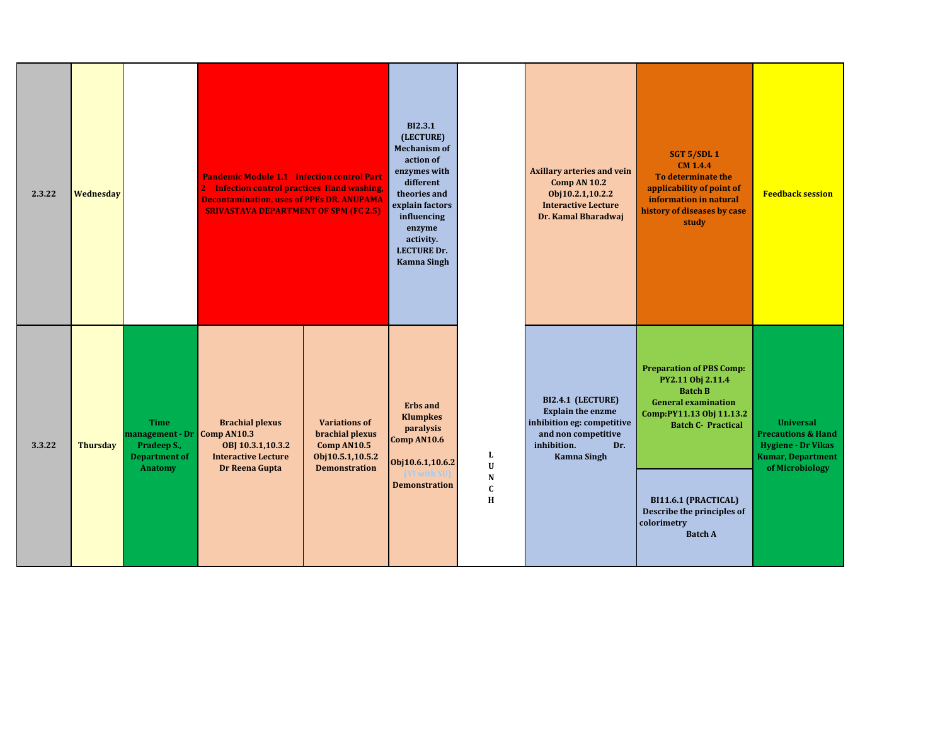| 2.3.22 | Wednesday       |                                                                                                     | <b>Pandemic Module 1.1 Infection control Part</b><br>2 Infection control practices Hand washing,<br><b>Decontamination, uses of PPEs DR. ANUPAMA</b><br><b>SRIVASTAVA DEPARTMENT OF SPM (FC 2.5)</b> |                                                                                                    | <b>BI2.3.1</b><br>(LECTURE)<br><b>Mechanism of</b><br>action of<br>enzymes with<br>different<br>theories and<br>explain factors<br>influencing<br>enzyme<br>activity.<br><b>LECTURE Dr.</b><br><b>Kamna Singh</b> |                                                     | <b>Axillary arteries and vein</b><br><b>Comp AN 10.2</b><br>Obj10.2.1,10.2.2<br><b>Interactive Lecture</b><br>Dr. Kamal Bharadwaj              | SGT 5/SDL 1<br><b>CM 1.4.4</b><br>To determinate the<br>applicability of point of<br>information in natural<br>history of diseases by case<br>study                                                                                                  | <b>Feedback session</b>                                                                                                       |
|--------|-----------------|-----------------------------------------------------------------------------------------------------|------------------------------------------------------------------------------------------------------------------------------------------------------------------------------------------------------|----------------------------------------------------------------------------------------------------|-------------------------------------------------------------------------------------------------------------------------------------------------------------------------------------------------------------------|-----------------------------------------------------|------------------------------------------------------------------------------------------------------------------------------------------------|------------------------------------------------------------------------------------------------------------------------------------------------------------------------------------------------------------------------------------------------------|-------------------------------------------------------------------------------------------------------------------------------|
| 3.3.22 | <b>Thursday</b> | <b>Time</b><br>management - Dr Comp AN10.3<br>Pradeep S.,<br><b>Department of</b><br><b>Anatomy</b> | <b>Brachial plexus</b><br>OBJ 10.3.1,10.3.2<br><b>Interactive Lecture</b><br>Dr Reena Gupta                                                                                                          | <b>Variations of</b><br>brachial plexus<br>Comp AN10.5<br>Obj10.5.1,10.5.2<br><b>Demonstration</b> | <b>Erbs</b> and<br><b>Klumpkes</b><br>paralysis<br>Comp AN10.6<br>Obj10.6.1,10.6.2<br><b>Demonstration</b>                                                                                                        | L<br>$\mathbf{U}$<br>${\bf N}$<br>$\mathbf{C}$<br>H | BI2.4.1 (LECTURE)<br><b>Explain the enzme</b><br>inhibition eg: competitive<br>and non competitive<br>inhibition.<br>Dr.<br><b>Kamna Singh</b> | <b>Preparation of PBS Comp:</b><br>PY2.11 Obj 2.11.4<br><b>Batch B</b><br><b>General examination</b><br>Comp:PY11.13 Obj 11.13.2<br><b>Batch C- Practical</b><br>BI11.6.1 (PRACTICAL)<br>Describe the principles of<br>colorimetry<br><b>Batch A</b> | <b>Universal</b><br><b>Precautions &amp; Hand</b><br><b>Hygiene - Dr Vikas</b><br><b>Kumar, Department</b><br>of Microbiology |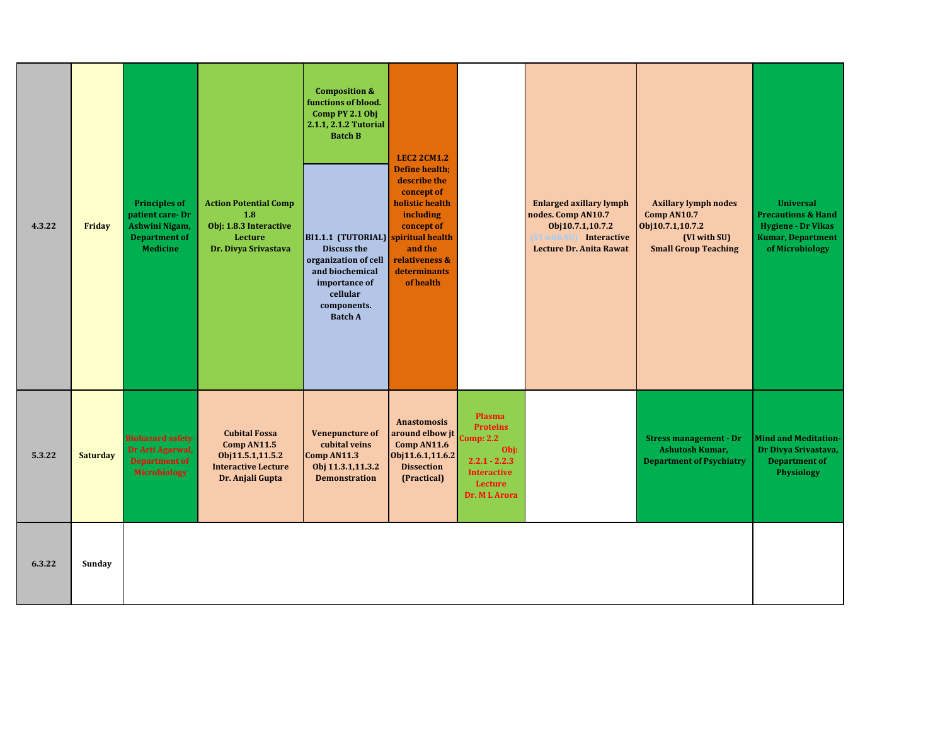| 4.3.22 | Friday          | <b>Principles of</b><br>patient care-Dr<br>Ashwini Nigam,<br><b>Department of</b><br><b>Medicine</b> | <b>Action Potential Comp</b><br>1.8<br>Obj: 1.8.3 Interactive<br>Lecture<br>Dr. Divya Srivastava          | <b>Composition &amp;</b><br>functions of blood.<br>Comp PY 2.1 Obj<br>2.1.1, 2.1.2 Tutorial<br><b>Batch B</b><br>BI1.1.1 (TUTORIAL) spiritual health<br><b>Discuss the</b><br>organization of cell<br>and biochemical<br>importance of<br>cellular<br>components.<br><b>Batch A</b> | <b>LEC2 2CM1.2</b><br><b>Define health:</b><br>describe the<br>concept of<br>holistic health<br>including<br>concept of<br>and the<br>relativeness &<br>determinants<br>of health |                                                                                                                    | <b>Enlarged axillary lymph</b><br>nodes. Comp AN10.7<br>Obj10.7.1,10.7.2<br><b>VI with SU</b><br><b>Interactive</b><br>Lecture Dr. Anita Rawat | <b>Axillary lymph nodes</b><br>Comp AN10.7<br>Obj10.7.1,10.7.2<br>(VI with SU)<br><b>Small Group Teaching</b> | <b>Universal</b><br><b>Precautions &amp; Hand</b><br><b>Hygiene - Dr Vikas</b><br><b>Kumar, Department</b><br>of Microbiology |
|--------|-----------------|------------------------------------------------------------------------------------------------------|-----------------------------------------------------------------------------------------------------------|-------------------------------------------------------------------------------------------------------------------------------------------------------------------------------------------------------------------------------------------------------------------------------------|-----------------------------------------------------------------------------------------------------------------------------------------------------------------------------------|--------------------------------------------------------------------------------------------------------------------|------------------------------------------------------------------------------------------------------------------------------------------------|---------------------------------------------------------------------------------------------------------------|-------------------------------------------------------------------------------------------------------------------------------|
| 5.3.22 | <b>Saturday</b> | <b>Biohazard safety-</b><br>Dr Arti Agarwal,<br><b>Department of</b><br>Microbiology                 | <b>Cubital Fossa</b><br>Comp AN11.5<br>Obj11.5.1,11.5.2<br><b>Interactive Lecture</b><br>Dr. Anjali Gupta | <b>Venepuncture of</b><br>cubital veins<br>Comp AN11.3<br>Obj 11.3.1,11.3.2<br><b>Demonstration</b>                                                                                                                                                                                 | <b>Anastomosis</b><br>around elbow jt<br>Comp AN11.6<br>Obj11.6.1,11.6.2<br><b>Dissection</b><br>(Practical)                                                                      | Plasma<br><b>Proteins</b><br>Comp: 2.2<br>Obj:<br>$2.2.1 - 2.2.3$<br><b>Interactive</b><br>Lecture<br>Dr. ML Arora |                                                                                                                                                | <b>Stress management - Dr</b><br>Ashutosh Kumar,<br><b>Department of Psychiatry</b>                           | <b>Mind and Meditation-</b><br>Dr Divya Srivastava,<br><b>Department of</b><br>Physiology                                     |
| 6.3.22 | Sunday          |                                                                                                      |                                                                                                           |                                                                                                                                                                                                                                                                                     |                                                                                                                                                                                   |                                                                                                                    |                                                                                                                                                |                                                                                                               |                                                                                                                               |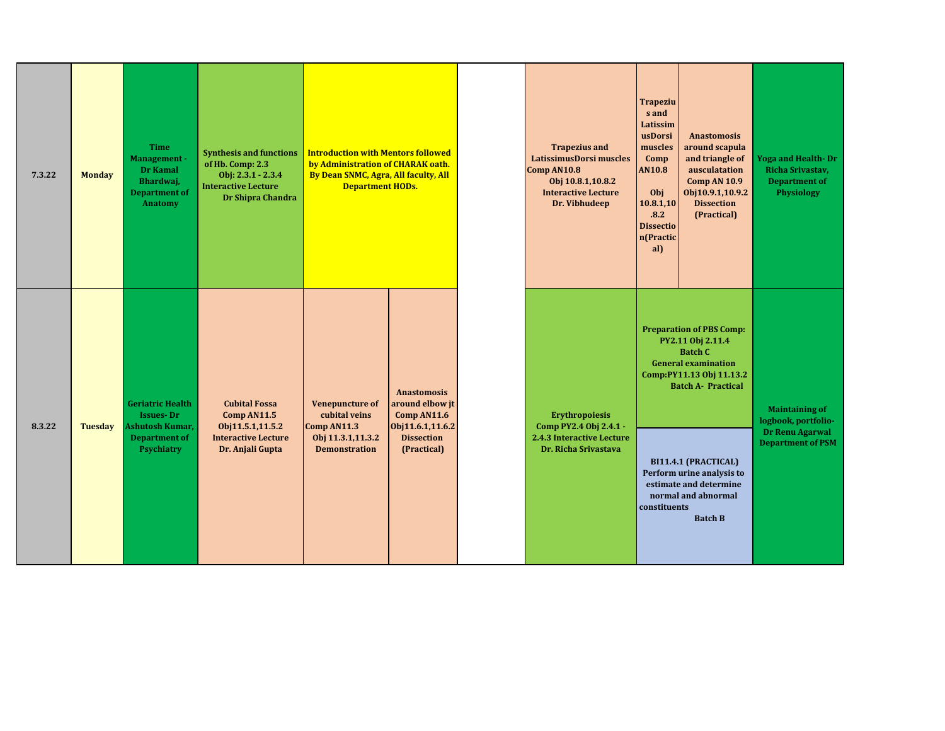| 7.3.22 | <b>Monday</b>  | <b>Time</b><br>Management -<br>Dr Kamal<br>Bhardwaj,<br><b>Department of</b><br><b>Anatomy</b> | <b>Synthesis and functions</b><br>of Hb. Comp: 2.3<br>Obj: 2.3.1 - 2.3.4<br><b>Interactive Lecture</b><br>Dr Shipra Chandra | <b>Introduction with Mentors followed</b><br>by Administration of CHARAK oath.<br>By Dean SNMC, Agra, All faculty, All<br><b>Department HODs.</b> |                                                                          | <b>Trapezius and</b><br>LatissimusDorsi muscles<br>Comp AN10.8<br>Obj 10.8.1,10.8.2<br><b>Interactive Lecture</b><br>Dr. Vibhudeep | <b>Trapeziu</b><br>s and<br>Latissim<br>usDorsi<br>muscles<br>Comp<br><b>AN10.8</b><br>Obj<br>10.8.1,10<br>.8.2<br><b>Dissectio</b><br>n(Practic<br>al) | <b>Anastomosis</b><br>around scapula<br>and triangle of<br>ausculatation<br><b>Comp AN 10.9</b><br>Obj10.9.1,10.9.2<br><b>Dissection</b><br>(Practical)       | <b>Yoga and Health- Dr</b><br>Richa Srivastav,<br><b>Department of</b><br><b>Physiology</b> |
|--------|----------------|------------------------------------------------------------------------------------------------|-----------------------------------------------------------------------------------------------------------------------------|---------------------------------------------------------------------------------------------------------------------------------------------------|--------------------------------------------------------------------------|------------------------------------------------------------------------------------------------------------------------------------|---------------------------------------------------------------------------------------------------------------------------------------------------------|---------------------------------------------------------------------------------------------------------------------------------------------------------------|---------------------------------------------------------------------------------------------|
| 8.3.22 | <b>Tuesday</b> | Geriatric Health<br><b>Issues-Dr</b><br>Ashutosh Kumar,                                        | <b>Cubital Fossa</b><br>Comp AN11.5<br>Obj11.5.1,11.5.2                                                                     | <b>Venepuncture of</b><br>cubital veins<br>Comp AN11.3                                                                                            | <b>Anastomosis</b><br>around elbow jt<br>Comp AN11.6<br>Obj11.6.1,11.6.2 | <b>Erythropoiesis</b><br>Comp PY2.4 Obj 2.4.1 -                                                                                    |                                                                                                                                                         | <b>Preparation of PBS Comp:</b><br>PY2.11 Obj 2.11.4<br><b>Batch C</b><br><b>General examination</b><br>Comp:PY11.13 Obj 11.13.2<br><b>Batch A- Practical</b> | <b>Maintaining of</b><br>logbook, portfolio-                                                |
|        |                | <b>Department of</b><br><b>Psychiatry</b>                                                      | <b>Interactive Lecture</b><br>Dr. Anjali Gupta                                                                              | Obj 11.3.1,11.3.2<br><b>Demonstration</b>                                                                                                         | <b>Dissection</b><br>(Practical)                                         | 2.4.3 Interactive Lecture<br>Dr. Richa Srivastava                                                                                  | constituents                                                                                                                                            | BI11.4.1 (PRACTICAL)<br>Perform urine analysis to<br>estimate and determine<br>normal and abnormal<br><b>Batch B</b>                                          | Dr Renu Agarwal<br><b>Department of PSM</b>                                                 |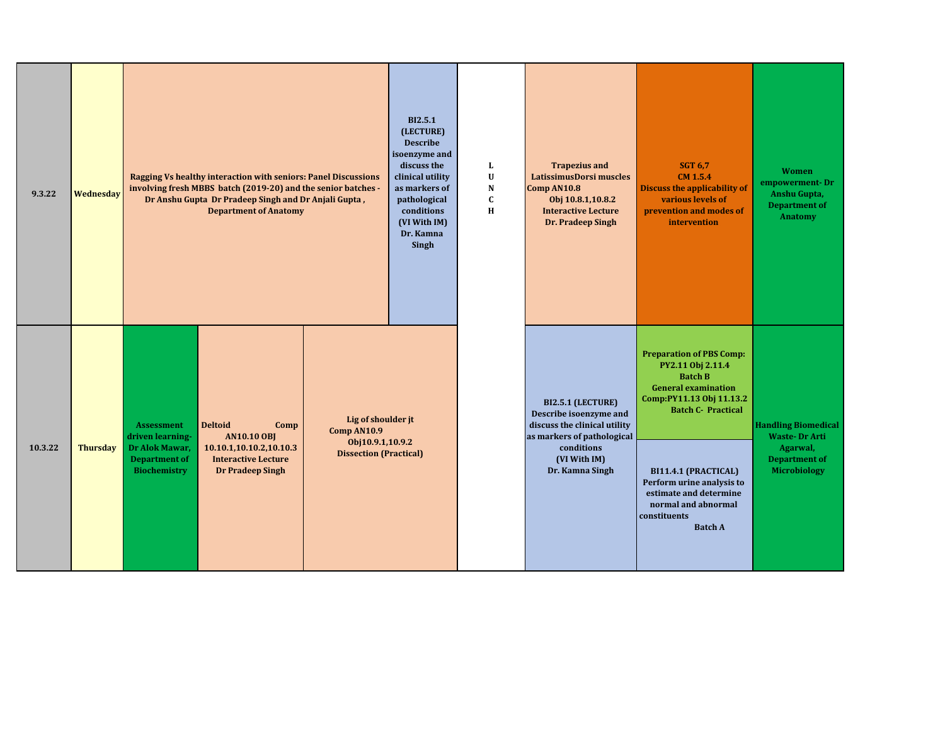| 9.3.22  | Wednesday       | Ragging Vs healthy interaction with seniors: Panel Discussions<br>involving fresh MBBS batch (2019-20) and the senior batches -<br>Dr Anshu Gupta Dr Pradeep Singh and Dr Anjali Gupta,<br><b>Department of Anatomy</b>                    |                                                                                        | <b>BI2.5.1</b><br>(LECTURE)<br><b>Describe</b><br>isoenzyme and<br>discuss the<br>clinical utility<br>as markers of<br>pathological<br>conditions<br>(VI With IM)<br>Dr. Kamna<br>Singh | L<br>$\mathbf U$<br>N<br>$\mathbf c$<br>H | <b>Trapezius and</b><br>LatissimusDorsi muscles<br>Comp AN10.8<br>Obj 10.8.1,10.8.2<br><b>Interactive Lecture</b><br>Dr. Pradeep Singh                     | <b>SGT 6.7</b><br><b>CM 1.5.4</b><br><b>Discuss the applicability of</b><br>various levels of<br>prevention and modes of<br>intervention                                                                                                                                                              | <b>Women</b><br>empowerment-Dr<br>Anshu Gupta,<br><b>Department of</b><br>Anatomy                             |
|---------|-----------------|--------------------------------------------------------------------------------------------------------------------------------------------------------------------------------------------------------------------------------------------|----------------------------------------------------------------------------------------|-----------------------------------------------------------------------------------------------------------------------------------------------------------------------------------------|-------------------------------------------|------------------------------------------------------------------------------------------------------------------------------------------------------------|-------------------------------------------------------------------------------------------------------------------------------------------------------------------------------------------------------------------------------------------------------------------------------------------------------|---------------------------------------------------------------------------------------------------------------|
| 10.3.22 | <b>Thursday</b> | <b>Assessment</b><br><b>Deltoid</b><br>Comp<br><b>AN10.10 OBJ</b><br>driven learning-<br>Dr Alok Mawar,<br>10.10.1,10.10.2,10.10.3<br><b>Department of</b><br><b>Interactive Lecture</b><br><b>Biochemistry</b><br><b>Dr Pradeep Singh</b> | Lig of shoulder jt<br>Comp AN10.9<br>Obj10.9.1,10.9.2<br><b>Dissection (Practical)</b> |                                                                                                                                                                                         |                                           | BI2.5.1 (LECTURE)<br>Describe isoenzyme and<br>discuss the clinical utility<br>as markers of pathological<br>conditions<br>(VI With IM)<br>Dr. Kamna Singh | <b>Preparation of PBS Comp:</b><br>PY2.11 Obj 2.11.4<br><b>Batch B</b><br><b>General examination</b><br>Comp:PY11.13 Obj 11.13.2<br><b>Batch C- Practical</b><br>BI11.4.1 (PRACTICAL)<br>Perform urine analysis to<br>estimate and determine<br>normal and abnormal<br>constituents<br><b>Batch A</b> | <b>Handling Biomedical</b><br><b>Waste-Dr Arti</b><br>Agarwal,<br><b>Department of</b><br><b>Microbiology</b> |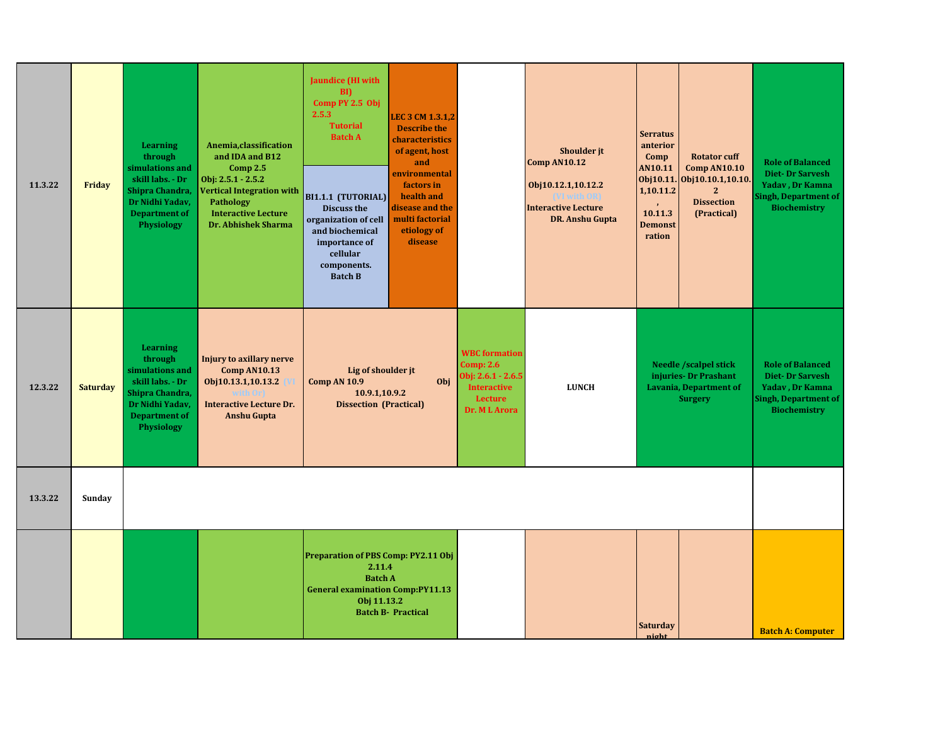| 11.3.22 | Friday          | <b>Learning</b><br>through<br>simulations and<br>skill labs. - Dr<br>Shipra Chandra,<br>Dr Nidhi Yadav,<br><b>Department of</b><br>Physiology | Anemia, classification<br>and IDA and B12<br>Comp $2.5$<br>Obj: 2.5.1 - 2.5.2<br><b>Vertical Integration with</b><br><b>Pathology</b><br><b>Interactive Lecture</b><br><b>Dr. Abhishek Sharma</b> | Jaundice (HI with<br>$\mathbf{B}$<br>Comp PY 2.5 Obj<br>2.5.3<br><b>Tutorial</b><br><b>Batch A</b><br>BI1.1.1 (TUTORIAL)<br>Discuss the<br>organization of cell<br>and biochemical<br>importance of<br>cellular<br>components.<br><b>Batch B</b> | LEC 3 CM 1.3.1,2<br><b>Describe the</b><br>characteristics<br>of agent, host<br>and<br>environmental<br>factors in<br>health and<br>disease and the<br>multi factorial<br>etiology of<br>disease |                                                                                                                    | <b>Shoulder</b> it<br><b>Comp AN10.12</b><br>Obj10.12.1,10.12.2<br><b>Interactive Lecture</b><br><b>DR. Anshu Gupta</b> | <b>Serratus</b><br>anterior<br>Comp<br>AN10.11<br>1,10.11.2<br>$\mathbf{r}$<br>10.11.3<br><b>Demonst</b><br>ration | <b>Rotator cuff</b><br><b>Comp AN10.10</b><br>Obj10.11. Obj10.10.1,10.10.<br>$\overline{2}$<br><b>Dissection</b><br>(Practical) | <b>Role of Balanced</b><br><b>Diet-Dr Sarvesh</b><br>Yadav, Dr Kamna<br><b>Singh, Department of</b><br><b>Biochemistry</b> |
|---------|-----------------|-----------------------------------------------------------------------------------------------------------------------------------------------|---------------------------------------------------------------------------------------------------------------------------------------------------------------------------------------------------|--------------------------------------------------------------------------------------------------------------------------------------------------------------------------------------------------------------------------------------------------|--------------------------------------------------------------------------------------------------------------------------------------------------------------------------------------------------|--------------------------------------------------------------------------------------------------------------------|-------------------------------------------------------------------------------------------------------------------------|--------------------------------------------------------------------------------------------------------------------|---------------------------------------------------------------------------------------------------------------------------------|----------------------------------------------------------------------------------------------------------------------------|
| 12.3.22 | <b>Saturday</b> | <b>Learning</b><br>through<br>simulations and<br>skill labs. - Dr<br>Shipra Chandra,<br>Dr Nidhi Yadav,<br><b>Department of</b><br>Physiology | <b>Injury to axillary nerve</b><br><b>Comp AN10.13</b><br>Obj10.13.1,10.13.2<br>with Orl<br><b>Interactive Lecture Dr.</b><br><b>Anshu Gupta</b>                                                  | Lig of shoulder jt<br>Comp AN 10.9<br>10.9.1,10.9.2<br><b>Dissection (Practical)</b>                                                                                                                                                             | Obj                                                                                                                                                                                              | <b>WBC</b> formation<br>Comp: $2.6$<br>Obj: 2.6.1 - 2.6.5<br><b>Interactive</b><br><b>Lecture</b><br>Dr. M L Arora | <b>LUNCH</b>                                                                                                            |                                                                                                                    | <b>Needle /scalpel stick</b><br>injuries- Dr Prashant<br><b>Lavania, Department of</b><br><b>Surgery</b>                        | <b>Role of Balanced</b><br><b>Diet-Dr Sarvesh</b><br>Yadav, Dr Kamna<br><b>Singh, Department of</b><br><b>Biochemistry</b> |
| 13.3.22 | Sunday          |                                                                                                                                               |                                                                                                                                                                                                   |                                                                                                                                                                                                                                                  |                                                                                                                                                                                                  |                                                                                                                    |                                                                                                                         |                                                                                                                    |                                                                                                                                 |                                                                                                                            |
|         |                 |                                                                                                                                               |                                                                                                                                                                                                   | Preparation of PBS Comp: PY2.11 Obj<br>2.11.4<br><b>Batch A</b><br><b>General examination Comp:PY11.13</b><br>Obj 11.13.2                                                                                                                        | <b>Batch B- Practical</b>                                                                                                                                                                        |                                                                                                                    |                                                                                                                         | <b>Saturday</b>                                                                                                    |                                                                                                                                 | <b>Batch A: Computer</b>                                                                                                   |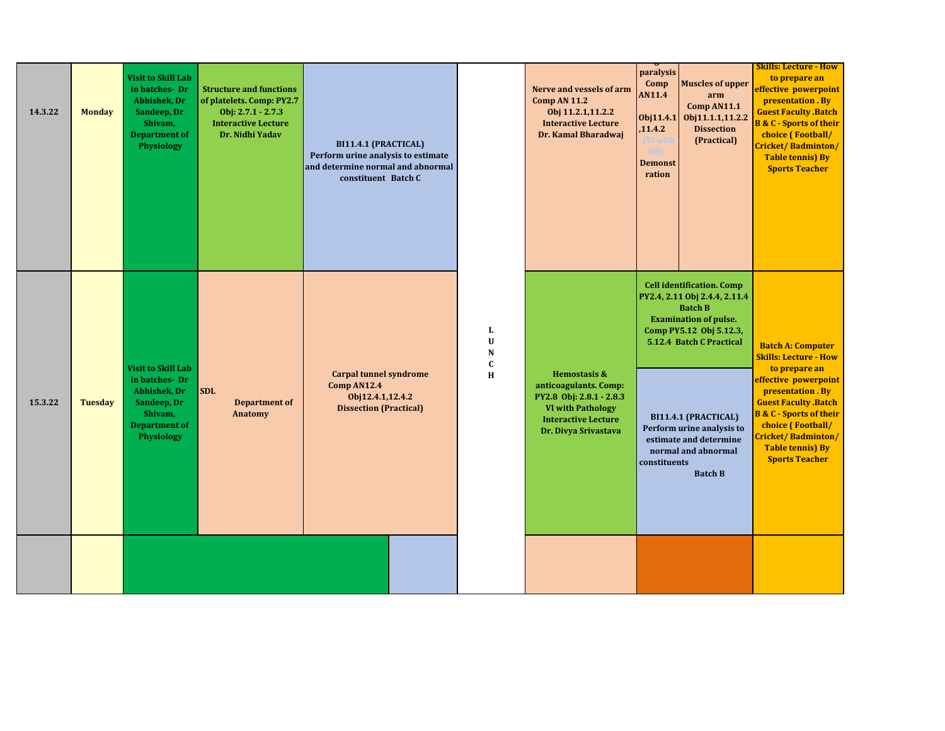| 14.3.22 | <b>Monday</b>  | <b>Visit to Skill Lab</b><br>in batches-Dr<br>Abhishek, Dr<br>Sandeep, Dr<br>Shivam,<br><b>Department of</b><br><b>Physiology</b> | <b>Structure and functions</b><br>of platelets. Comp: PY2.7<br>Obj: $2.7.1 - 2.7.3$<br><b>Interactive Lecture</b><br>Dr. Nidhi Yadav | BI11.4.1 (PRACTICAL)<br>Perform urine analysis to estimate<br>and determine normal and abnormal<br>constituent Batch C |                                       | Nerve and vessels of arm<br><b>Comp AN 11.2</b><br>Obj 11.2.1,11.2.2<br><b>Interactive Lecture</b><br>Dr. Kamal Bharadwaj                                      | paralysis<br><b>Muscles of upper</b><br>Comp<br><b>AN11.4</b><br>arm<br>Comp AN11.1<br>Obj11.1.1,11.2.2<br>0bj11.4.1<br><b>Dissection</b><br>,11.4.2<br>(Practical)<br>VI with<br>OR)<br><b>Demonst</b><br>ration | <b>Skills: Lecture - How</b><br>to prepare an<br>effective powerpoint<br>presentation . By<br><b>Guest Faculty .Batch</b><br><b>B &amp; C - Sports of their</b><br>choice (Football/<br><b>Cricket/Badminton/</b><br><b>Table tennis) By</b><br><b>Sports Teacher</b> |
|---------|----------------|-----------------------------------------------------------------------------------------------------------------------------------|--------------------------------------------------------------------------------------------------------------------------------------|------------------------------------------------------------------------------------------------------------------------|---------------------------------------|----------------------------------------------------------------------------------------------------------------------------------------------------------------|-------------------------------------------------------------------------------------------------------------------------------------------------------------------------------------------------------------------|-----------------------------------------------------------------------------------------------------------------------------------------------------------------------------------------------------------------------------------------------------------------------|
|         |                |                                                                                                                                   |                                                                                                                                      |                                                                                                                        | L<br>$\mathbf{U}$<br>N<br>$\mathbf c$ |                                                                                                                                                                | <b>Cell identification. Comp</b><br>PY2.4, 2.11 Obj 2.4.4, 2.11.4<br><b>Batch B</b><br><b>Examination of pulse.</b><br>Comp PY5.12 Obj 5.12.3,<br>5.12.4 Batch C Practical                                        | <b>Batch A: Computer</b><br><b>Skills: Lecture - How</b>                                                                                                                                                                                                              |
| 15.3.22 | <b>Tuesday</b> | <b>Visit to Skill Lab</b><br>in batches-Dr<br>Abhishek, Dr<br>Sandeep, Dr<br>Shivam,<br><b>Department of</b><br>Physiology        | <b>SDL</b><br><b>Department of</b><br><b>Anatomy</b>                                                                                 | <b>Carpal tunnel syndrome</b><br>Comp AN12.4<br>Obj12.4.1,12.4.2<br><b>Dissection (Practical)</b>                      | H                                     | <b>Hemostasis &amp;</b><br>anticoagulants. Comp:<br>PY2.8 Obj: 2.8.1 - 2.8.3<br><b>VI with Pathology</b><br><b>Interactive Lecture</b><br>Dr. Divya Srivastava | BI11.4.1 (PRACTICAL)<br>Perform urine analysis to<br>estimate and determine<br>normal and abnormal<br>constituents<br><b>Batch B</b>                                                                              | to prepare an<br>effective powerpoint<br>presentation . By<br><b>Guest Faculty .Batch</b><br><b>B &amp; C - Sports of their</b><br>choice (Football/<br>Cricket/Badminton/<br><b>Table tennis) By</b><br><b>Sports Teacher</b>                                        |
|         |                |                                                                                                                                   |                                                                                                                                      |                                                                                                                        |                                       |                                                                                                                                                                |                                                                                                                                                                                                                   |                                                                                                                                                                                                                                                                       |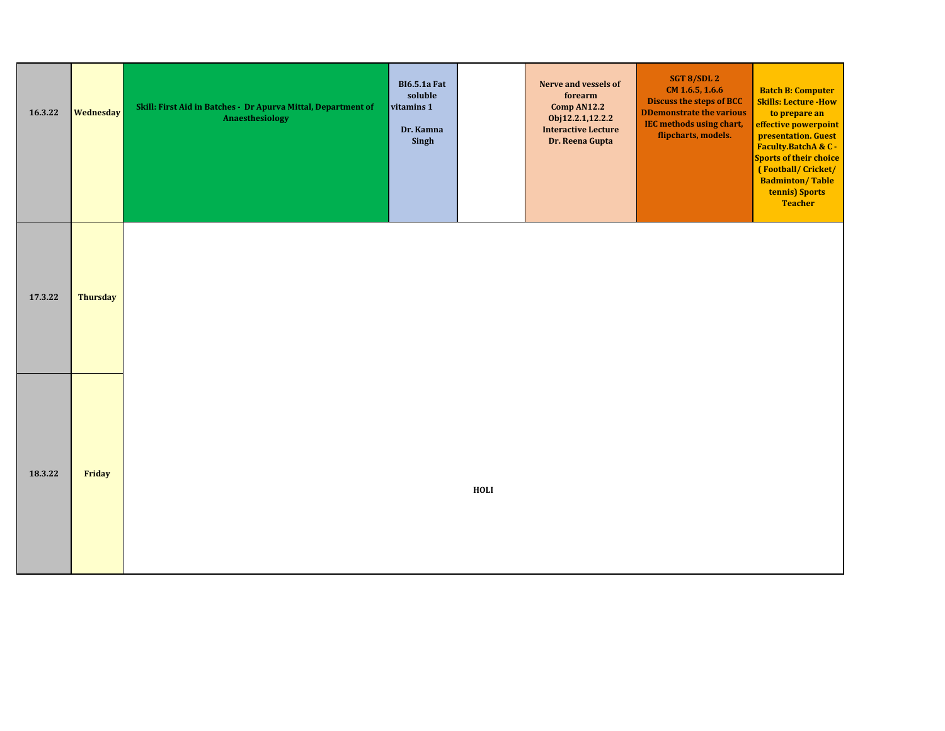| 16.3.22 | <b>Wednesday</b> | Skill: First Aid in Batches - Dr Apurva Mittal, Department of<br>Anaesthesiology | <b>BI6.5.1a Fat</b><br>soluble<br>vitamins 1<br>Dr. Kamna<br>Singh |      | Nerve and vessels of<br>forearm<br>Comp AN12.2<br>Obj12.2.1,12.2.2<br><b>Interactive Lecture</b><br>Dr. Reena Gupta | SGT 8/SDL 2<br>CM 1.6.5, 1.6.6<br>Discuss the steps of BCC<br><b>DDemonstrate the various</b><br><b>IEC methods using chart,</b><br>flipcharts, models. | <b>Batch B: Computer</b><br><b>Skills: Lecture -How</b><br>to prepare an<br>effective powerpoint<br>presentation. Guest<br>Faculty.BatchA & C -<br><b>Sports of their choice</b><br>(Football/Cricket/<br><b>Badminton/Table</b><br>tennis) Sports<br><b>Teacher</b> |
|---------|------------------|----------------------------------------------------------------------------------|--------------------------------------------------------------------|------|---------------------------------------------------------------------------------------------------------------------|---------------------------------------------------------------------------------------------------------------------------------------------------------|----------------------------------------------------------------------------------------------------------------------------------------------------------------------------------------------------------------------------------------------------------------------|
| 17.3.22 | <b>Thursday</b>  |                                                                                  |                                                                    |      |                                                                                                                     |                                                                                                                                                         |                                                                                                                                                                                                                                                                      |
| 18.3.22 | Friday           |                                                                                  |                                                                    | HOLI |                                                                                                                     |                                                                                                                                                         |                                                                                                                                                                                                                                                                      |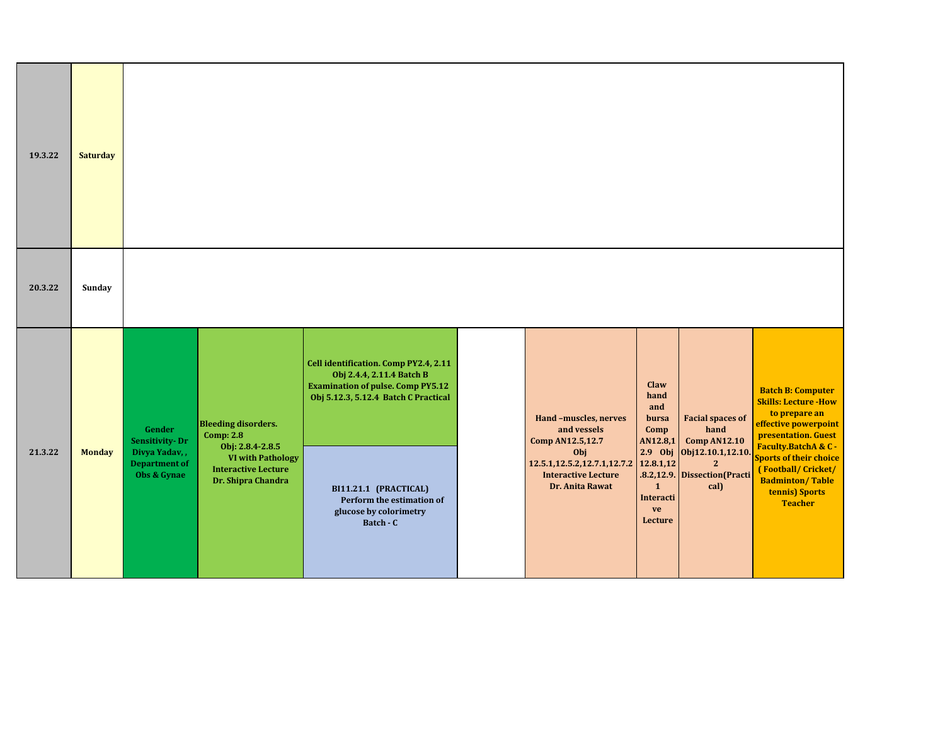| 19.3.22 | <b>Saturday</b> |                                                                                         |                                                                                                                                                    |                                                                                                                                                                                                                                                     |                                                                                                                                                   |                                                                                                             |                                                                                                                                               |                                                                                                                                                                                                                                                                      |
|---------|-----------------|-----------------------------------------------------------------------------------------|----------------------------------------------------------------------------------------------------------------------------------------------------|-----------------------------------------------------------------------------------------------------------------------------------------------------------------------------------------------------------------------------------------------------|---------------------------------------------------------------------------------------------------------------------------------------------------|-------------------------------------------------------------------------------------------------------------|-----------------------------------------------------------------------------------------------------------------------------------------------|----------------------------------------------------------------------------------------------------------------------------------------------------------------------------------------------------------------------------------------------------------------------|
| 20.3.22 | Sunday          |                                                                                         |                                                                                                                                                    |                                                                                                                                                                                                                                                     |                                                                                                                                                   |                                                                                                             |                                                                                                                                               |                                                                                                                                                                                                                                                                      |
| 21.3.22 | <b>Monday</b>   | Gender<br><b>Sensitivity-Dr</b><br>Divya Yadav,,<br><b>Department of</b><br>Obs & Gynae | <b>Bleeding disorders.</b><br><b>Comp: 2.8</b><br>Obj: 2.8.4-2.8.5<br><b>VI with Pathology</b><br><b>Interactive Lecture</b><br>Dr. Shipra Chandra | Cell identification. Comp PY2.4, 2.11<br>Obj 2.4.4, 2.11.4 Batch B<br><b>Examination of pulse. Comp PY5.12</b><br>Obj 5.12.3, 5.12.4 Batch C Practical<br>BI11.21.1 (PRACTICAL)<br>Perform the estimation of<br>glucose by colorimetry<br>Batch - C | Hand-muscles, nerves<br>and vessels<br>Comp AN12.5,12.7<br>Obj<br>12.5.1, 12.5.2, 12.7.1, 12.7.2<br><b>Interactive Lecture</b><br>Dr. Anita Rawat | Claw<br>hand<br>and<br>bursa<br>Comp<br>AN12.8,1<br>12.8.1,12<br>$\mathbf{1}$<br>Interacti<br>ve<br>Lecture | <b>Facial spaces of</b><br>hand<br><b>Comp AN12.10</b><br>2.9 Obj Obj12.10.1,12.10.<br>$\overline{2}$<br>.8.2,12.9. Dissection(Practi<br>cal) | <b>Batch B: Computer</b><br><b>Skills: Lecture -How</b><br>to prepare an<br>effective powerpoint<br>presentation. Guest<br>Faculty.BatchA & C -<br><b>Sports of their choice</b><br>(Football/Cricket/<br><b>Badminton/Table</b><br>tennis) Sports<br><b>Teacher</b> |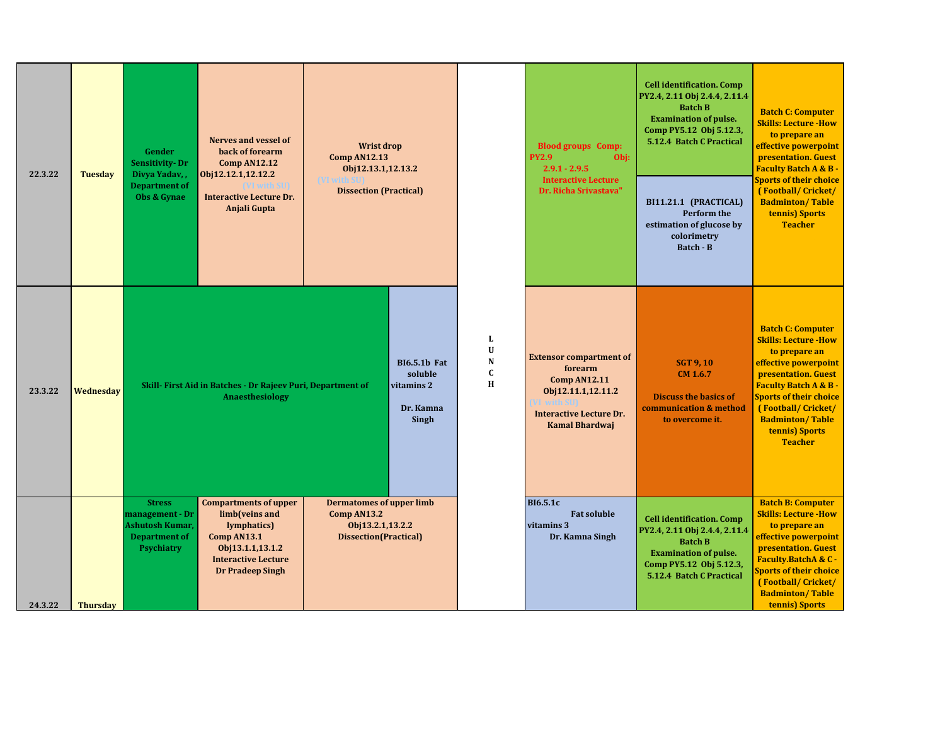| 22.3.22 | <b>Tuesday</b>  | Gender<br><b>Sensitivity-Dr</b><br>Divya Yadav,,<br><b>Department of</b><br>Obs & Gynae                 | <b>Nerves and vessel of</b><br>back of forearm<br><b>Comp AN12.12</b><br>Obj12.12.1,12.12.2<br><b>Interactive Lecture Dr.</b><br>Anjali Gupta             | <b>Wrist drop</b><br><b>Comp AN12.13</b><br>Obj12.13.1,12.13.2<br><b>IVI with SU</b><br><b>Dissection (Practical)</b> |                                                                    |                                 | <b>Blood groups</b> Comp:<br><b>PY2.9</b><br>Obj:<br>$2.9.1 - 2.9.5$<br><b>Interactive Lecture</b><br>Dr. Richa Srivastava"                                            | <b>Cell identification. Comp</b><br>PY2.4, 2.11 Obj 2.4.4, 2.11.4<br><b>Batch B</b><br><b>Examination of pulse.</b><br>Comp PY5.12 Obj 5.12.3,<br>5.12.4 Batch C Practical<br>BI11.21.1 (PRACTICAL)<br>Perform the<br>estimation of glucose by<br>colorimetry<br>Batch - B | <b>Batch C: Computer</b><br><b>Skills: Lecture - How</b><br>to prepare an<br>effective powerpoint<br>presentation. Guest<br><b>Faculty Batch A &amp; B -</b><br><b>Sports of their choice</b><br>(Football/Cricket/<br><b>Badminton/Table</b><br>tennis) Sports<br><b>Teacher</b> |
|---------|-----------------|---------------------------------------------------------------------------------------------------------|-----------------------------------------------------------------------------------------------------------------------------------------------------------|-----------------------------------------------------------------------------------------------------------------------|--------------------------------------------------------------------|---------------------------------|------------------------------------------------------------------------------------------------------------------------------------------------------------------------|----------------------------------------------------------------------------------------------------------------------------------------------------------------------------------------------------------------------------------------------------------------------------|-----------------------------------------------------------------------------------------------------------------------------------------------------------------------------------------------------------------------------------------------------------------------------------|
| 23.3.22 | Wednesday       |                                                                                                         | Skill- First Aid in Batches - Dr Rajeev Puri, Department of<br>Anaesthesiology                                                                            |                                                                                                                       | <b>BI6.5.1b Fat</b><br>soluble<br>vitamins 2<br>Dr. Kamna<br>Singh | L<br>U<br>N<br>$\mathbf C$<br>H | <b>Extensor compartment of</b><br>forearm<br><b>Comp AN12.11</b><br>Obj12.11.1,12.11.2<br><b>T</b> with SUI<br><b>Interactive Lecture Dr.</b><br><b>Kamal Bhardwaj</b> | <b>SGT 9, 10</b><br>$CM$ 1.6.7<br><b>Discuss the basics of</b><br>communication & method<br>to overcome it.                                                                                                                                                                | <b>Batch C: Computer</b><br><b>Skills: Lecture - How</b><br>to prepare an<br>effective powerpoint<br>presentation. Guest<br><b>Faculty Batch A &amp; B-</b><br><b>Sports of their choice</b><br>(Football/Cricket/<br><b>Badminton/Table</b><br>tennis) Sports<br><b>Teacher</b>  |
| 24.3.22 | <b>Thursday</b> | <b>Stress</b><br>management - Dr<br><b>Ashutosh Kumar,</b><br><b>Department of</b><br><b>Psychiatry</b> | <b>Compartments of upper</b><br>limb(veins and<br>lymphatics)<br>Comp AN13.1<br>Obj13.1.1,13.1.2<br><b>Interactive Lecture</b><br><b>Dr Pradeep Singh</b> | <b>Dermatomes of upper limb</b><br>Comp AN13.2<br>Obj13.2.1,13.2.2<br>Dissection(Practical)                           |                                                                    |                                 | <b>BI6.5.1c</b><br><b>Fat soluble</b><br>vitamins 3<br>Dr. Kamna Singh                                                                                                 | <b>Cell identification. Comp</b><br>PY2.4, 2.11 Obj 2.4.4, 2.11.4<br><b>Batch B</b><br><b>Examination of pulse.</b><br>Comp PY5.12 Obj 5.12.3,<br>5.12.4 Batch C Practical                                                                                                 | <b>Batch B: Computer</b><br><b>Skills: Lecture - How</b><br>to prepare an<br>effective powerpoint<br>presentation. Guest<br>Faculty.BatchA & C -<br><b>Sports of their choice</b><br>(Football/Cricket/<br><b>Badminton/Table</b><br>tennis) Sports                               |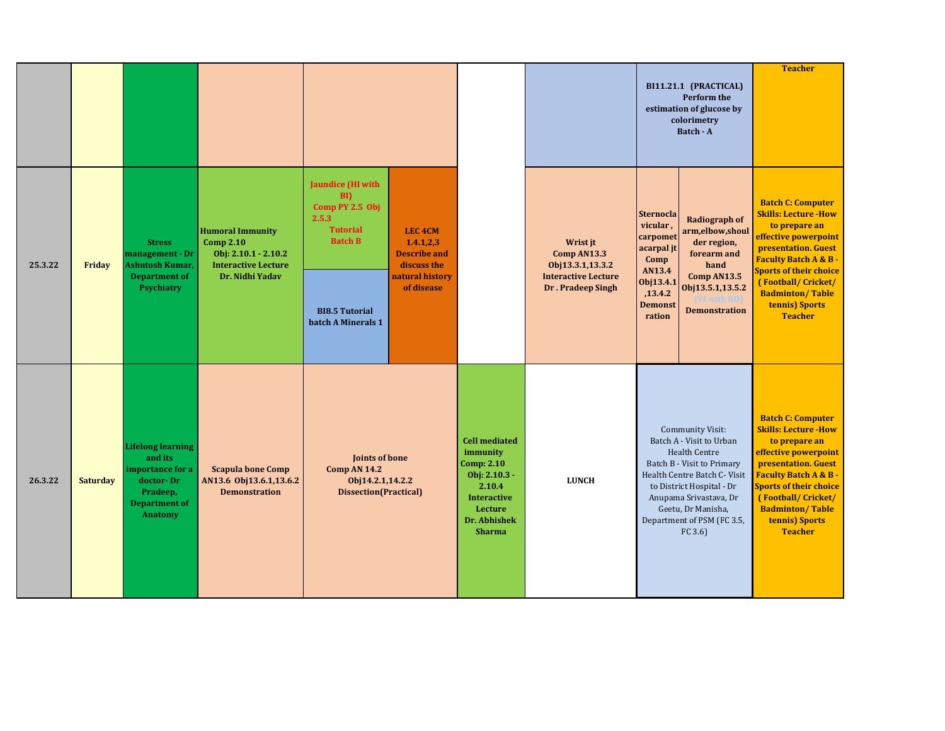|         |                 |                                                                                                                            |                                                                                                                        |                                                                                                                                                          |                                                                                                         |                                                                                                                                               |                                                                                                | BI11.21.1 (PRACTICAL)<br><b>Perform the</b><br>estimation of glucose by<br>colorimetry<br>Batch - A                                                                                                                                                                      | <b>Teacher</b>                                                                                                                                                                                                                                                                  |
|---------|-----------------|----------------------------------------------------------------------------------------------------------------------------|------------------------------------------------------------------------------------------------------------------------|----------------------------------------------------------------------------------------------------------------------------------------------------------|---------------------------------------------------------------------------------------------------------|-----------------------------------------------------------------------------------------------------------------------------------------------|------------------------------------------------------------------------------------------------|--------------------------------------------------------------------------------------------------------------------------------------------------------------------------------------------------------------------------------------------------------------------------|---------------------------------------------------------------------------------------------------------------------------------------------------------------------------------------------------------------------------------------------------------------------------------|
| 25.3.22 | Friday          | <b>Stress</b><br>management - Dr<br><b>Ashutosh Kumar,</b><br><b>Department of</b><br><b>Psychiatry</b>                    | <b>Humoral Immunity</b><br><b>Comp 2.10</b><br>Obj: $2.10.1 - 2.10.2$<br><b>Interactive Lecture</b><br>Dr. Nidhi Yadav | <b>Jaundice</b> (HI with<br>$\mathbf{B}$<br>Comp PY 2.5 Obj<br>2.5.3<br><b>Tutorial</b><br><b>Batch B</b><br><b>BI8.5 Tutorial</b><br>batch A Minerals 1 | LEC <sub>4</sub> CM<br>1.4.1,2,3<br><b>Describe and</b><br>discuss the<br>natural history<br>of disease |                                                                                                                                               | Wrist jt<br>Comp AN13.3<br>Obj13.3.1,13.3.2<br><b>Interactive Lecture</b><br>Dr. Pradeep Singh | <b>Sternocla</b><br><b>Radiograph of</b><br>vicular,<br>arm,elbow,shoul<br>carpomet<br>der region,<br>acarpal jt<br>forearm and<br>Comp<br>hand<br>AN13.4<br>Comp AN13.5<br>Obj13.4.1<br>Obj13.5.1,13.5.2<br>,13.4.2<br><b>Demonst</b><br><b>Demonstration</b><br>ration | <b>Batch C: Computer</b><br><b>Skills: Lecture -How</b><br>to prepare an<br>effective powerpoint<br>presentation. Guest<br><b>Faculty Batch A &amp; B-</b><br><b>Sports of their choice</b><br>(Football/Cricket/<br><b>Badminton/Table</b><br>tennis) Sports<br><b>Teacher</b> |
| 26.3.22 | <b>Saturday</b> | <b>Lifelong learning</b><br>and its<br>importance for a<br>doctor-Dr<br>Pradeep,<br><b>Department of</b><br><b>Anatomy</b> | <b>Scapula bone Comp</b><br>AN13.6 Obj13.6.1,13.6.2<br><b>Demonstration</b>                                            | Joints of bone<br><b>Comp AN 14.2</b><br>Obj14.2.1,14.2.2<br><b>Dissection(Practical)</b>                                                                |                                                                                                         | <b>Cell mediated</b><br>immunity<br>Comp: 2.10<br>Obj: $2.10.3 -$<br>2.10.4<br><b>Interactive</b><br>Lecture<br>Dr. Abhishek<br><b>Sharma</b> | <b>LUNCH</b>                                                                                   | <b>Community Visit:</b><br>Batch A - Visit to Urban<br><b>Health Centre</b><br>Batch B - Visit to Primary<br>Health Centre Batch C- Visit<br>to District Hospital - Dr<br>Anupama Srivastava, Dr<br>Geetu, Dr Manisha,<br>Department of PSM (FC 3.5,<br>FC 3.6           | <b>Batch C: Computer</b><br><b>Skills: Lecture -How</b><br>to prepare an<br>effective powerpoint<br>presentation. Guest<br><b>Faculty Batch A &amp; B</b><br><b>Sports of their choice</b><br>(Football/Cricket/<br><b>Badminton/Table</b><br>tennis) Sports<br><b>Teacher</b>  |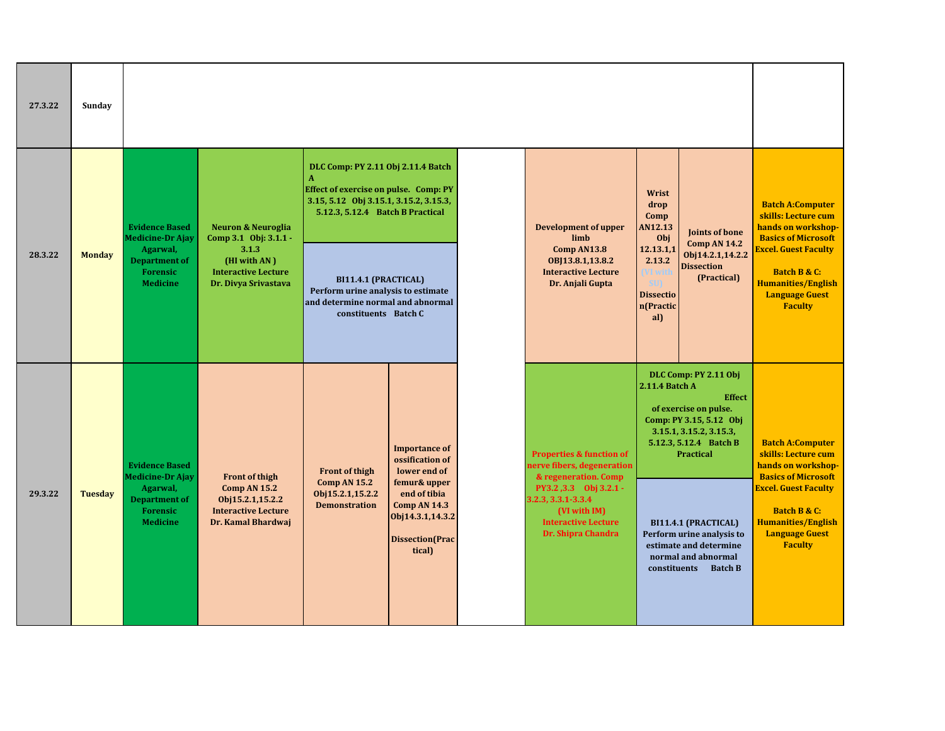| 27.3.22 | Sunday         |                                                                        |                                                                                             |                                                                                                                                                                                                                                                                                                             |                                                                                                      |                                     |                                                                                                                 |                                                      |                                                                                                                                                                     |                                                                                                                     |
|---------|----------------|------------------------------------------------------------------------|---------------------------------------------------------------------------------------------|-------------------------------------------------------------------------------------------------------------------------------------------------------------------------------------------------------------------------------------------------------------------------------------------------------------|------------------------------------------------------------------------------------------------------|-------------------------------------|-----------------------------------------------------------------------------------------------------------------|------------------------------------------------------|---------------------------------------------------------------------------------------------------------------------------------------------------------------------|---------------------------------------------------------------------------------------------------------------------|
|         |                | <b>Evidence Based</b><br><b>Medicine-Dr Ajay</b>                       | <b>Neuron &amp; Neuroglia</b><br>Comp 3.1 Obj: 3.1.1 -                                      | DLC Comp: PY 2.11 Obj 2.11.4 Batch<br>$\mathbf{A}$<br><b>Effect of exercise on pulse. Comp: PY</b><br>3.15, 5.12 Obj 3.15.1, 3.15.2, 3.15.3,<br>5.12.3, 5.12.4 Batch B Practical<br>BI11.4.1 (PRACTICAL)<br>Perform urine analysis to estimate<br>and determine normal and abnormal<br>constituents Batch C |                                                                                                      | <b>Development of upper</b><br>limb |                                                                                                                 | Wrist<br>drop<br>Comp<br>AN12.13<br>Obj<br>12.13.1,1 | Joints of bone                                                                                                                                                      | <b>Batch A:Computer</b><br>skills: Lecture cum<br>hands on workshop-<br><b>Basics of Microsoft</b>                  |
| 28.3.22 | <b>Monday</b>  | Agarwal,<br><b>Department of</b><br><b>Forensic</b><br><b>Medicine</b> | 3.1.3<br>(HI with AN)<br><b>Interactive Lecture</b><br>Dr. Divya Srivastava                 |                                                                                                                                                                                                                                                                                                             |                                                                                                      |                                     | Comp AN13.8<br>OBJ13.8.1,13.8.2<br><b>Interactive Lecture</b><br>Dr. Anjali Gupta                               |                                                      | <b>Comp AN 14.2</b><br>Obj14.2.1,14.2.2<br><b>Dissection</b><br>(Practical)<br>n(Practic                                                                            | <b>Excel. Guest Faculty</b><br>Batch B & C:<br><b>Humanities/English</b><br><b>Language Guest</b><br><b>Faculty</b> |
|         |                | <b>Evidence Based</b><br><b>Medicine-Dr Ajay</b>                       | <b>Front of thigh</b>                                                                       | <b>Front of thigh</b>                                                                                                                                                                                                                                                                                       | <b>Importance of</b><br>ossification of<br>lower end of                                              |                                     | <b>Properties &amp; function of</b><br>nerve fibers, degeneration<br>& regeneration. Comp                       | 2.11.4 Batch A                                       | DLC Comp: PY 2.11 Obj<br><b>Effect</b><br>of exercise on pulse.<br>Comp: PY 3.15, 5.12 Obj<br>3.15.1, 3.15.2, 3.15.3,<br>5.12.3, 5.12.4 Batch B<br><b>Practical</b> | <b>Batch A:Computer</b><br>skills: Lecture cum<br>hands on workshop-<br><b>Basics of Microsoft</b>                  |
| 29.3.22 | <b>Tuesday</b> | Agarwal,<br><b>Department of</b><br><b>Forensic</b><br><b>Medicine</b> | <b>Comp AN 15.2</b><br>Obj15.2.1,15.2.2<br><b>Interactive Lecture</b><br>Dr. Kamal Bhardwaj | Comp AN 15.2<br>Obj15.2.1,15.2.2<br><b>Demonstration</b>                                                                                                                                                                                                                                                    | femur& upper<br>end of tibia<br><b>Comp AN 14.3</b><br>Obj14.3.1,14.3.2<br>Dissection(Prac<br>tical) |                                     | PY3.2,3.3 Obj 3.2.1 -<br>3.2.3, 3.3.1-3.3.4<br>(VI with IM)<br><b>Interactive Lecture</b><br>Dr. Shipra Chandra |                                                      | BI11.4.1 (PRACTICAL)<br>Perform urine analysis to<br>estimate and determine<br>normal and abnormal<br>constituents Batch B                                          | <b>Excel. Guest Faculty</b><br>Batch B & C:<br><b>Humanities/English</b><br><b>Language Guest</b><br><b>Faculty</b> |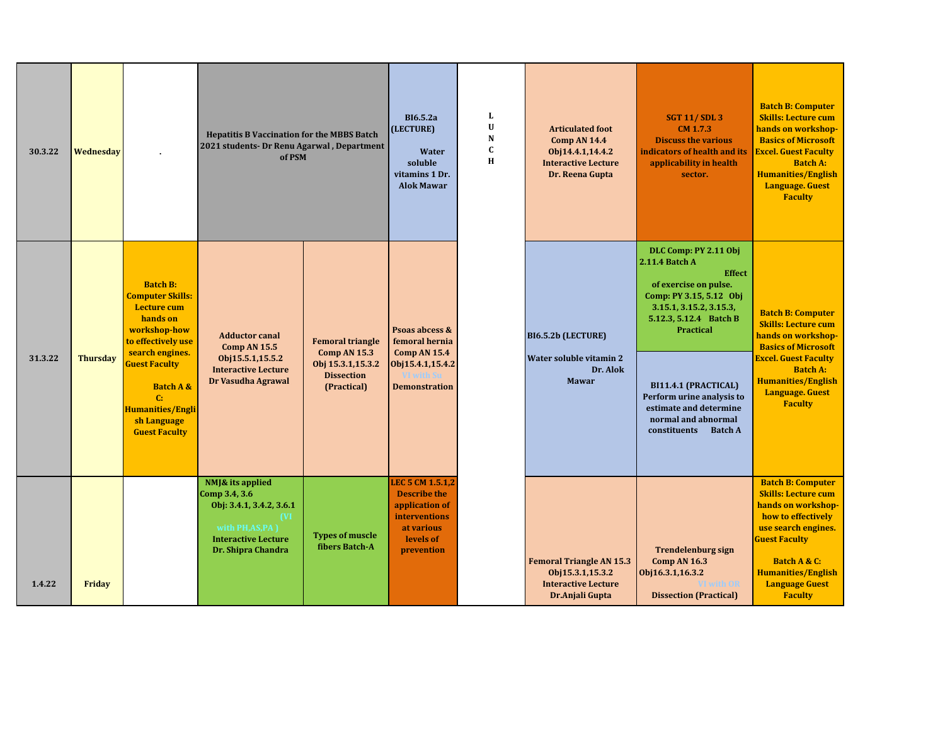| 30.3.22 | Wednesdav       |                                                                                                                                                                                                                                                               | <b>Hepatitis B Vaccination for the MBBS Batch</b><br>2021 students- Dr Renu Agarwal, Department<br>of PSM                                  |                                                                                                  | <b>BI6.5.2a</b><br>(LECTURE)<br>Water<br>soluble<br>vitamins 1 Dr.<br><b>Alok Mawar</b>                                    | L<br>U<br>N<br>$\mathbf{C}$<br>H | <b>Articulated foot</b><br><b>Comp AN 14.4</b><br>Obj14.4.1,14.4.2<br><b>Interactive Lecture</b><br>Dr. Reena Gupta | <b>SGT 11/SDL3</b><br>CM 1.7.3<br><b>Discuss the various</b><br>indicators of health and its<br>applicability in health<br>sector.                                                                                                                                                                                  | <b>Batch B: Computer</b><br><b>Skills: Lecture cum</b><br>hands on workshop-<br><b>Basics of Microsoft</b><br><b>Excel. Guest Faculty</b><br><b>Batch A:</b><br><b>Humanities/English</b><br><b>Language. Guest</b><br><b>Faculty</b>     |
|---------|-----------------|---------------------------------------------------------------------------------------------------------------------------------------------------------------------------------------------------------------------------------------------------------------|--------------------------------------------------------------------------------------------------------------------------------------------|--------------------------------------------------------------------------------------------------|----------------------------------------------------------------------------------------------------------------------------|----------------------------------|---------------------------------------------------------------------------------------------------------------------|---------------------------------------------------------------------------------------------------------------------------------------------------------------------------------------------------------------------------------------------------------------------------------------------------------------------|-------------------------------------------------------------------------------------------------------------------------------------------------------------------------------------------------------------------------------------------|
| 31.3.22 | <b>Thursday</b> | <b>Batch B:</b><br><b>Computer Skills:</b><br><b>Lecture cum</b><br>hands on<br>workshop-how<br>to effectively use<br>search engines.<br><b>Guest Faculty</b><br><b>Batch A &amp;</b><br>C:<br><b>Humanities/Engli</b><br>sh Language<br><b>Guest Faculty</b> | <b>Adductor canal</b><br><b>Comp AN 15.5</b><br>Obj15.5.1,15.5.2<br><b>Interactive Lecture</b><br>Dr Vasudha Agrawal                       | <b>Femoral triangle</b><br>Comp AN 15.3<br>Obj 15.3.1,15.3.2<br><b>Dissection</b><br>(Practical) | Psoas abcess &<br>femoral hernia<br><b>Comp AN 15.4</b><br>Obj15.4.1,15.4.2<br><b>Demonstration</b>                        |                                  | BI6.5.2b (LECTURE)<br>Water soluble vitamin 2<br>Dr. Alok<br><b>Mawar</b>                                           | DLC Comp: PY 2.11 Obj<br>2.11.4 Batch A<br><b>Effect</b><br>of exercise on pulse.<br>Comp: PY 3.15, 5.12 Obj<br>3.15.1, 3.15.2, 3.15.3,<br>5.12.3, 5.12.4 Batch B<br><b>Practical</b><br>BI11.4.1 (PRACTICAL)<br>Perform urine analysis to<br>estimate and determine<br>normal and abnormal<br>constituents Batch A | <b>Batch B: Computer</b><br><b>Skills: Lecture cum</b><br>hands on workshop-<br><b>Basics of Microsoft</b><br><b>Excel. Guest Faculty</b><br><b>Batch A:</b><br><b>Humanities/English</b><br><b>Language.</b> Guest<br><b>Faculty</b>     |
| 1.4.22  | Friday          |                                                                                                                                                                                                                                                               | NMJ& its applied<br>Comp 3.4, 3.6<br>Obj: 3.4.1, 3.4.2, 3.6.1<br>(VI<br>with PH,AS,PA)<br><b>Interactive Lecture</b><br>Dr. Shipra Chandra | <b>Types of muscle</b><br>fibers Batch-A                                                         | LEC 5 CM 1.5.1,2<br><b>Describe the</b><br>application of<br><b>interventions</b><br>at various<br>levels of<br>prevention |                                  | <b>Femoral Triangle AN 15.3</b><br>Obj15.3.1,15.3.2<br><b>Interactive Lecture</b><br>Dr.Anjali Gupta                | <b>Trendelenburg sign</b><br><b>Comp AN 16.3</b><br>Obj16.3.1,16.3.2<br><b>Twith OR</b><br><b>Dissection (Practical)</b>                                                                                                                                                                                            | <b>Batch B: Computer</b><br><b>Skills: Lecture cum</b><br>hands on workshop-<br>how to effectively<br>use search engines.<br><b>Guest Faculty</b><br>Batch A & C:<br><b>Humanities/English</b><br><b>Language Guest</b><br><b>Faculty</b> |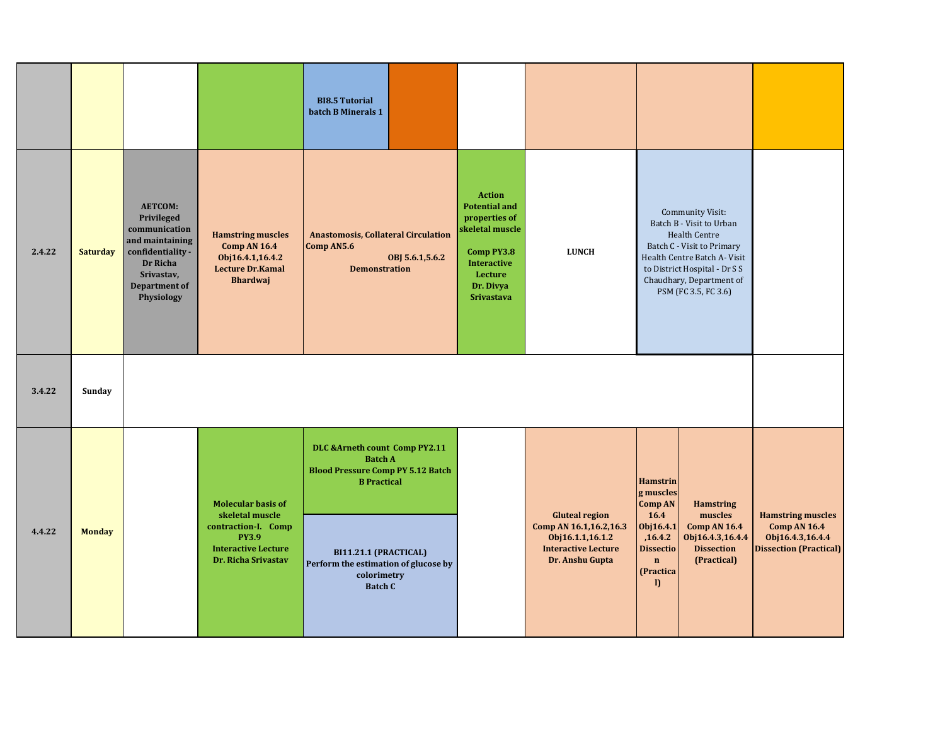|        |                 |                                                                                                                                                |                                                                                                                                          | <b>BI8.5 Tutorial</b><br>batch B Minerals 1                                                                                                                                                                          |                                                                                                                                                            |                                                                                                                      |                                                                                                                                                                                                                                                               |                                                                                                      |
|--------|-----------------|------------------------------------------------------------------------------------------------------------------------------------------------|------------------------------------------------------------------------------------------------------------------------------------------|----------------------------------------------------------------------------------------------------------------------------------------------------------------------------------------------------------------------|------------------------------------------------------------------------------------------------------------------------------------------------------------|----------------------------------------------------------------------------------------------------------------------|---------------------------------------------------------------------------------------------------------------------------------------------------------------------------------------------------------------------------------------------------------------|------------------------------------------------------------------------------------------------------|
| 2.4.22 | <b>Saturday</b> | <b>AETCOM:</b><br>Privileged<br>communication<br>and maintaining<br>confidentiality -<br>Dr Richa<br>Srivastav,<br>Department of<br>Physiology | <b>Hamstring muscles</b><br><b>Comp AN 16.4</b><br>Obj16.4.1,16.4.2<br><b>Lecture Dr.Kamal</b><br><b>Bhardwaj</b>                        | <b>Anastomosis, Collateral Circulation</b><br>Comp AN5.6<br>OBJ 5.6.1, 5.6.2<br><b>Demonstration</b>                                                                                                                 | <b>Action</b><br><b>Potential and</b><br>properties of<br>skeletal muscle<br>Comp PY3.8<br><b>Interactive</b><br>Lecture<br>Dr. Divya<br><b>Srivastava</b> | <b>LUNCH</b>                                                                                                         | Community Visit:<br>Batch B - Visit to Urban<br><b>Health Centre</b><br>Batch C - Visit to Primary<br>Health Centre Batch A- Visit<br>to District Hospital - Dr S S<br>Chaudhary, Department of<br>PSM (FC 3.5, FC 3.6)                                       |                                                                                                      |
| 3.4.22 | Sunday          |                                                                                                                                                |                                                                                                                                          |                                                                                                                                                                                                                      |                                                                                                                                                            |                                                                                                                      |                                                                                                                                                                                                                                                               |                                                                                                      |
| 4.4.22 | <b>Monday</b>   |                                                                                                                                                | <b>Molecular basis of</b><br>skeletal muscle<br>contraction-I. Comp<br><b>PY3.9</b><br><b>Interactive Lecture</b><br>Dr. Richa Srivastav | DLC & Arneth count Comp PY2.11<br><b>Batch A</b><br><b>Blood Pressure Comp PY 5.12 Batch</b><br><b>B</b> Practical<br>BI11.21.1 (PRACTICAL)<br>Perform the estimation of glucose by<br>colorimetry<br><b>Batch C</b> |                                                                                                                                                            | <b>Gluteal region</b><br>Comp AN 16.1,16.2,16.3<br>Obj16.1.1,16.1.2<br><b>Interactive Lecture</b><br>Dr. Anshu Gupta | <b>Hamstrin</b><br>g muscles<br><b>Comp AN</b><br><b>Hamstring</b><br>16.4<br>muscles<br>Obj16.4.1<br><b>Comp AN 16.4</b><br>,16.4.2<br>Obj16.4.3,16.4.4<br><b>Dissectio</b><br><b>Dissection</b><br>(Practical)<br>$\mathbf{n}$<br>(Practica<br>$\mathbf{D}$ | <b>Hamstring muscles</b><br><b>Comp AN 16.4</b><br>Obj16.4.3,16.4.4<br><b>Dissection (Practical)</b> |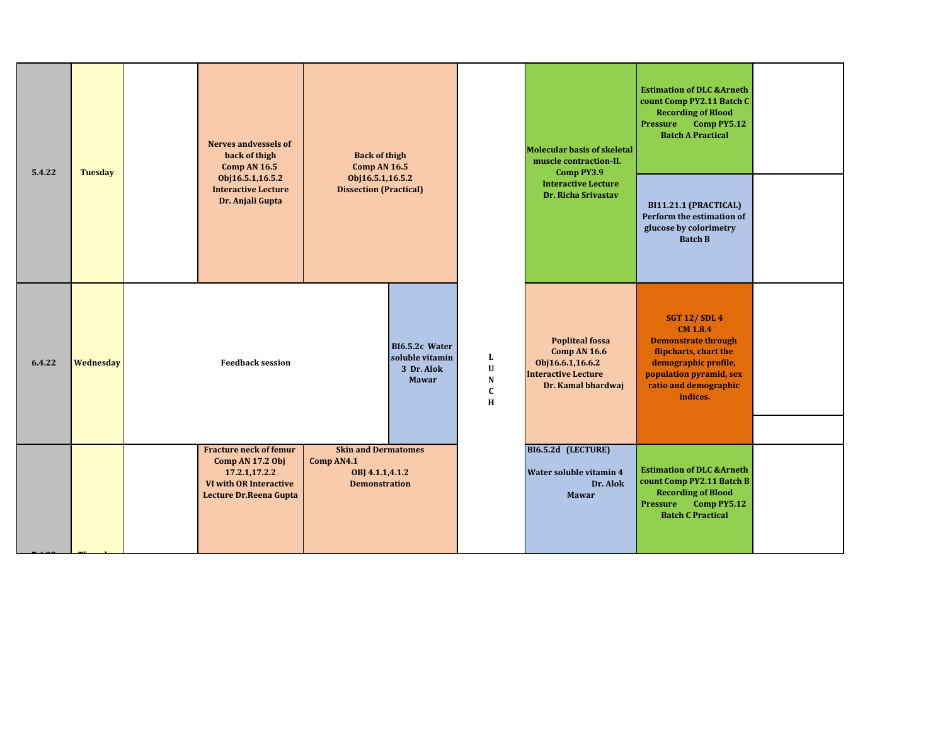| 5.4.22 | <b>Tuesday</b> | Nerves andvessels of<br>back of thigh<br><b>Comp AN 16.5</b>                                                                  | <b>Back of thigh</b><br><b>Comp AN 16.5</b><br>Obj16.5.1,16.5.2                     |                                                                 |                                                   | <b>Molecular basis of skeletal</b><br>muscle contraction-II.<br>Comp PY3.9                                            | <b>Estimation of DLC &amp;Arneth</b><br>count Comp PY2.11 Batch C<br><b>Recording of Blood</b><br>$Comp$ PY5.12<br>Pressure<br><b>Batch A Practical</b>                               |  |
|--------|----------------|-------------------------------------------------------------------------------------------------------------------------------|-------------------------------------------------------------------------------------|-----------------------------------------------------------------|---------------------------------------------------|-----------------------------------------------------------------------------------------------------------------------|---------------------------------------------------------------------------------------------------------------------------------------------------------------------------------------|--|
|        |                | Obj16.5.1,16.5.2<br><b>Interactive Lecture</b><br>Dr. Anjali Gupta                                                            | <b>Dissection (Practical)</b>                                                       |                                                                 |                                                   | <b>Interactive Lecture</b><br>Dr. Richa Srivastav                                                                     | BI11.21.1 (PRACTICAL)<br>Perform the estimation of<br>glucose by colorimetry<br><b>Batch B</b>                                                                                        |  |
| 6.4.22 | Wednesday      | <b>Feedback session</b>                                                                                                       |                                                                                     | BI6.5.2c Water<br>soluble vitamin<br>3 Dr. Alok<br><b>Mawar</b> | L<br>$\mathbf U$<br>${\bf N}$<br>$\mathbf C$<br>H | <b>Popliteal fossa</b><br><b>Comp AN 16.6</b><br>Obj16.6.1,16.6.2<br><b>Interactive Lecture</b><br>Dr. Kamal bhardwaj | <b>SGT 12/SDL 4</b><br><b>CM 1.8.4</b><br><b>Demonstrate through</b><br>flipcharts, chart the<br>demographic profile,<br>population pyramid, sex<br>ratio and demographic<br>indices. |  |
|        |                | <b>Fracture neck of femur</b><br>Comp AN 17.2 Obj<br>17.2.1,17.2.2<br><b>VI with OR Interactive</b><br>Lecture Dr.Reena Gupta | <b>Skin and Dermatomes</b><br>Comp AN4.1<br>OBJ 4.1.1,4.1.2<br><b>Demonstration</b> |                                                                 |                                                   | BI6.5.2d (LECTURE)<br>Water soluble vitamin 4<br>Dr. Alok<br><b>Mawar</b>                                             | <b>Estimation of DLC &amp;Arneth</b><br>count Comp PY2.11 Batch B<br><b>Recording of Blood</b><br>Comp PY5.12<br>Pressure<br><b>Batch C Practical</b>                                 |  |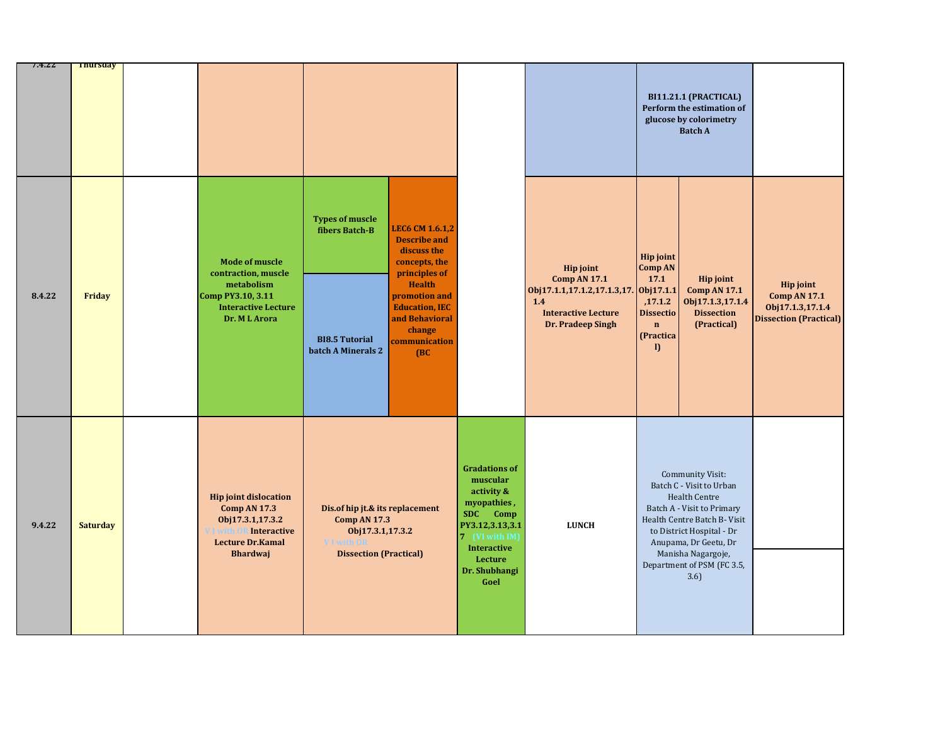| 7.4.ZZ | <b>Inursaay</b> |                                                                                                                                      |                                                                                                                                  |                                                                                                                                                                                                                |                                                                                                                                                                          |                                                                                                                                            |                                                                                                                        | BI11.21.1 (PRACTICAL)<br>Perform the estimation of<br>glucose by colorimetry<br><b>Batch A</b>                                                                                                                                                |                                                                                              |
|--------|-----------------|--------------------------------------------------------------------------------------------------------------------------------------|----------------------------------------------------------------------------------------------------------------------------------|----------------------------------------------------------------------------------------------------------------------------------------------------------------------------------------------------------------|--------------------------------------------------------------------------------------------------------------------------------------------------------------------------|--------------------------------------------------------------------------------------------------------------------------------------------|------------------------------------------------------------------------------------------------------------------------|-----------------------------------------------------------------------------------------------------------------------------------------------------------------------------------------------------------------------------------------------|----------------------------------------------------------------------------------------------|
| 8.4.22 | Friday          | <b>Mode of muscle</b><br>contraction, muscle<br>metabolism<br>Comp PY3.10, 3.11<br><b>Interactive Lecture</b><br>Dr. ML Arora        | <b>Types of muscle</b><br>fibers Batch-B<br><b>BI8.5 Tutorial</b><br>batch A Minerals 2                                          | <b>LEC6 CM 1.6.1,2</b><br><b>Describe and</b><br>discuss the<br>concepts, the<br>principles of<br><b>Health</b><br>promotion and<br><b>Education, IEC</b><br>and Behavioral<br>change<br>communication<br>(BC) |                                                                                                                                                                          | <b>Hip joint</b><br><b>Comp AN 17.1</b><br>Obj17.1.1,17.1.2,17.1.3,17. Obj17.1.1<br>1.4<br><b>Interactive Lecture</b><br>Dr. Pradeep Singh | <b>Hip joint</b><br><b>Comp AN</b><br>17.1<br>,17.1.2<br><b>Dissectio</b><br>$\mathbf{n}$<br>(Practica<br>$\mathbf{D}$ | Hip joint<br><b>Comp AN 17.1</b><br>Obj17.1.3,17.1.4<br><b>Dissection</b><br>(Practical)                                                                                                                                                      | <b>Hip joint</b><br><b>Comp AN 17.1</b><br>Obj17.1.3,17.1.4<br><b>Dissection (Practical)</b> |
| 9.4.22 | <b>Saturday</b> | <b>Hip joint dislocation</b><br><b>Comp AN 17.3</b><br>Obj17.3.1,17.3.2<br>Interactive<br><b>Lecture Dr.Kamal</b><br><b>Bhardwaj</b> | Dis.of hip jt.& its replacement<br><b>Comp AN 17.3</b><br>Obj17.3.1,17.3.2<br><b>VI</b> with OR<br><b>Dissection (Practical)</b> |                                                                                                                                                                                                                | <b>Gradations of</b><br>muscular<br>activity &<br>myopathies,<br>SDC Comp<br>PY3.12,3.13,3.1<br>7 (VI with IM)<br><b>Interactive</b><br>Lecture<br>Dr. Shubhangi<br>Goel | <b>LUNCH</b>                                                                                                                               |                                                                                                                        | Community Visit:<br>Batch C - Visit to Urban<br>Health Centre<br>Batch A - Visit to Primary<br>Health Centre Batch B- Visit<br>to District Hospital - Dr<br>Anupama, Dr Geetu, Dr<br>Manisha Nagargoje,<br>Department of PSM (FC 3.5,<br>3.6) |                                                                                              |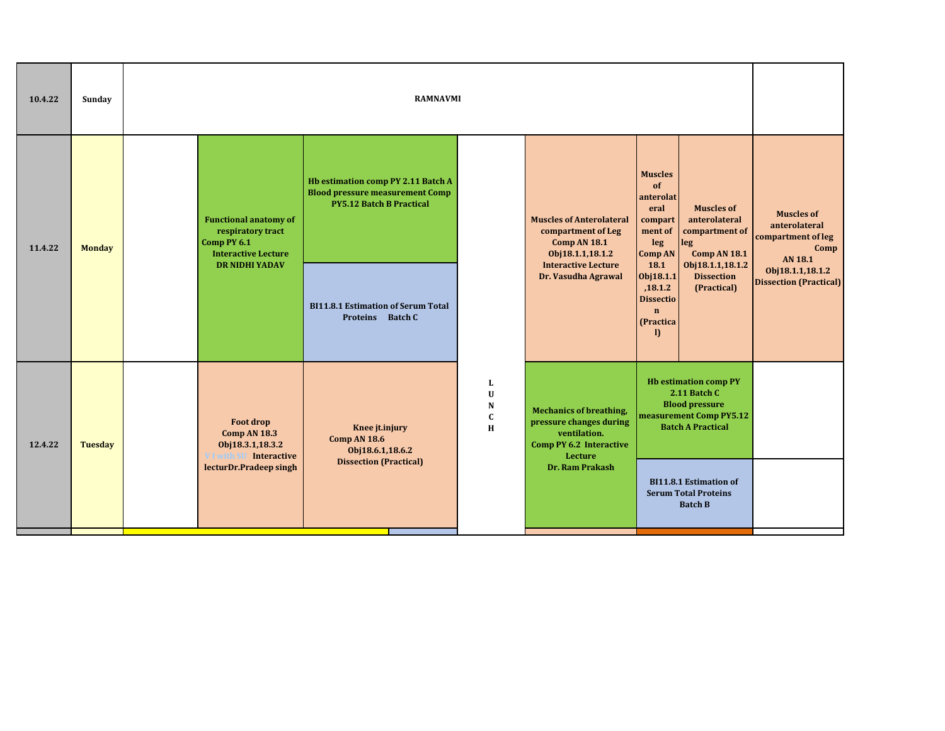| 10.4.22 | Sunday                                                                                                                                                  |                                                                                                | <b>RAMNAVMI</b>                                                                                                        |                                                                                                                 |                                                                                                                              |                                                                                                                                                                                          |                                                                             |  |  |  |  |
|---------|---------------------------------------------------------------------------------------------------------------------------------------------------------|------------------------------------------------------------------------------------------------|------------------------------------------------------------------------------------------------------------------------|-----------------------------------------------------------------------------------------------------------------|------------------------------------------------------------------------------------------------------------------------------|------------------------------------------------------------------------------------------------------------------------------------------------------------------------------------------|-----------------------------------------------------------------------------|--|--|--|--|
| 11.4.22 | <b>Monday</b>                                                                                                                                           | <b>Functional anatomy of</b><br>respiratory tract<br>Comp PY 6.1<br><b>Interactive Lecture</b> | <b>Hb estimation comp PY 2.11 Batch A</b><br><b>Blood pressure measurement Comp</b><br><b>PY5.12 Batch B Practical</b> |                                                                                                                 | <b>Muscles of Anterolateral</b><br>compartment of Leg<br><b>Comp AN 18.1</b><br>Obj18.1.1,18.1.2                             | <b>Muscles</b><br>of<br>anterolat<br><b>Muscles of</b><br>eral<br>anterolateral<br>compart<br>ment of<br>compartment of<br>leg<br>$\left  \right $ leg<br>Comp AN 18.1<br><b>Comp AN</b> | <b>Muscles of</b><br>anterolateral<br>compartment of leg<br>Comp<br>AN 18.1 |  |  |  |  |
|         |                                                                                                                                                         | <b>DR NIDHI YADAV</b>                                                                          | <b>BI11.8.1 Estimation of Serum Total</b><br>Proteins Batch C                                                          |                                                                                                                 | <b>Interactive Lecture</b><br>Dr. Vasudha Agrawal                                                                            | Obj18.1.1,18.1.2<br>18.1<br><b>Dissection</b><br>Obj18.1.1<br>,18.1.2<br>(Practical)<br><b>Dissectio</b><br>$\mathbf n$<br>(Practica<br>$\mathbf{D}$                                     | Obj18.1.1,18.1.2<br><b>Dissection (Practical)</b>                           |  |  |  |  |
| 12.4.22 | Foot drop<br>Knee jt.injury<br>Comp AN 18.3<br><b>Comp AN 18.6</b><br><b>Tuesday</b><br>Obj18.3.1,18.3.2<br>Obj18.6.1,18.6.2<br>V I with SU Interactive |                                                                                                | L<br>U<br>N<br>$\mathbf{C}$<br>H                                                                                       | <b>Mechanics of breathing,</b><br>pressure changes during<br>ventilation.<br>Comp PY 6.2 Interactive<br>Lecture | <b>Hb estimation comp PY</b><br>2.11 Batch C<br><b>Blood pressure</b><br>measurement Comp PY5.12<br><b>Batch A Practical</b> |                                                                                                                                                                                          |                                                                             |  |  |  |  |
|         |                                                                                                                                                         | lecturDr.Pradeep singh                                                                         | <b>Dissection (Practical)</b>                                                                                          |                                                                                                                 | Dr. Ram Prakash                                                                                                              | <b>BI11.8.1 Estimation of</b><br><b>Serum Total Proteins</b><br><b>Batch B</b>                                                                                                           |                                                                             |  |  |  |  |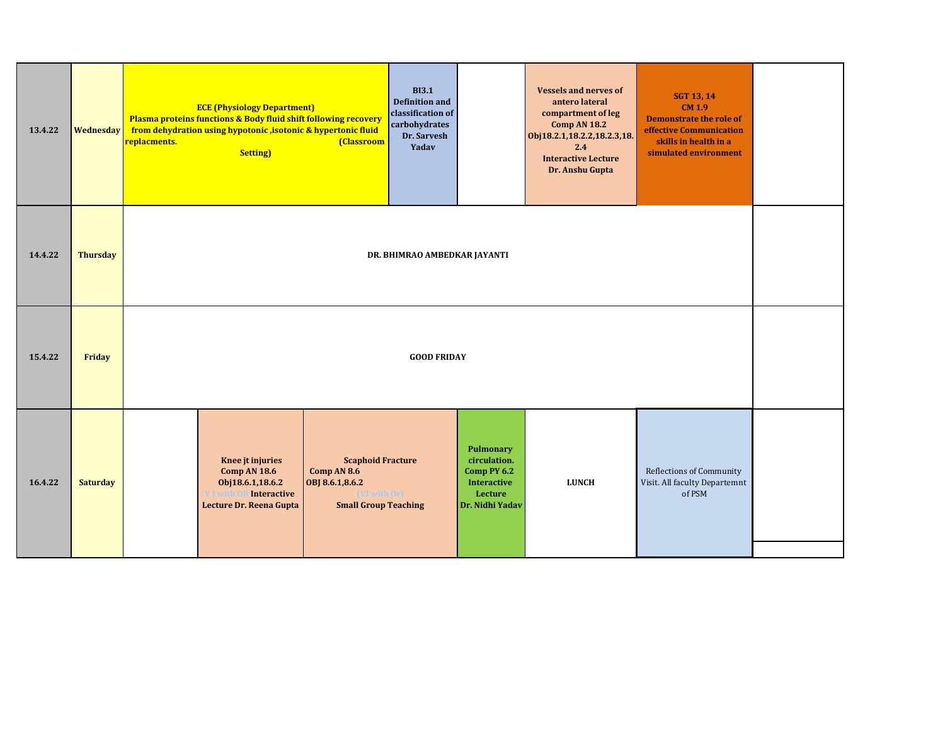| 13.4.22 | <b>Wednesday</b> | <b>BI3.1</b><br><b>Vessels and nerves of</b><br><b>SGT 13, 14</b><br><b>Definition and</b><br>antero lateral<br><b>CM 1.9</b><br><b>ECE (Physiology Department)</b><br>classification of<br>compartment of leg<br>Plasma proteins functions & Body fluid shift following recovery<br><b>Demonstrate the role of</b><br>carbohydrates<br><b>Comp AN 18.2</b><br>from dehydration using hypotonic, isotonic & hypertonic fluid<br>effective Communication<br>Dr. Sarvesh<br>Obj18.2.1,18.2.2,18.2.3,18.<br>skills in health in a<br>replacments.<br>(Classroom<br>Yadav<br>2.4<br><b>Setting</b> )<br>simulated environment<br><b>Interactive Lecture</b><br>Dr. Anshu Gupta |  |  |  |  |  |  |  |  |
|---------|------------------|----------------------------------------------------------------------------------------------------------------------------------------------------------------------------------------------------------------------------------------------------------------------------------------------------------------------------------------------------------------------------------------------------------------------------------------------------------------------------------------------------------------------------------------------------------------------------------------------------------------------------------------------------------------------------|--|--|--|--|--|--|--|--|
| 14.4.22 | <b>Thursday</b>  | DR. BHIMRAO AMBEDKAR JAYANTI                                                                                                                                                                                                                                                                                                                                                                                                                                                                                                                                                                                                                                               |  |  |  |  |  |  |  |  |
| 15.4.22 | Friday           | <b>GOOD FRIDAY</b>                                                                                                                                                                                                                                                                                                                                                                                                                                                                                                                                                                                                                                                         |  |  |  |  |  |  |  |  |
| 16.4.22 | <b>Saturday</b>  | <b>Pulmonary</b><br>Knee jt injuries<br><b>Scaphoid Fracture</b><br>circulation.<br>Reflections of Community<br>Comp AN 8.6<br>Comp PY 6.2<br>Comp AN 18.6<br><b>LUNCH</b><br>Obj18.6.1,18.6.2<br>OBJ 8.6.1,8.6.2<br><b>Interactive</b><br>Visit. All faculty Departemnt<br>Interactive<br>VI with Orl<br>Lecture<br>of PSM<br>V I with (<br>Lecture Dr. Reena Gupta<br><b>Small Group Teaching</b><br>Dr. Nidhi Yadav                                                                                                                                                                                                                                                     |  |  |  |  |  |  |  |  |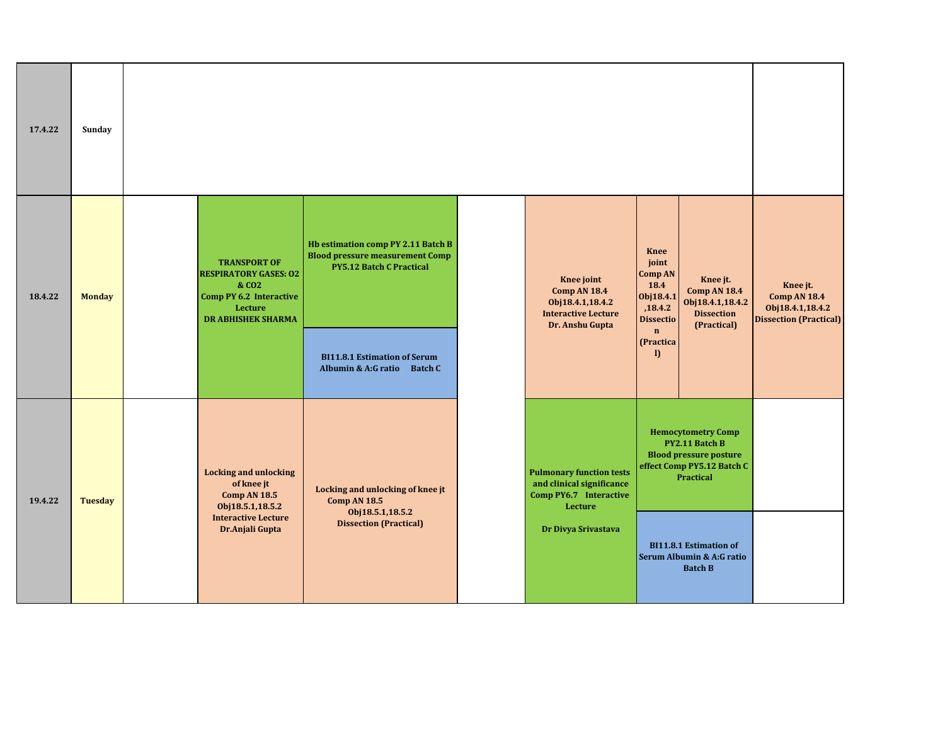| 17.4.22 | Sunday                                                                                                                           |                                                                   |                                                                                                                                             |                                                                                                                 |                                                                                                                                |                                                                                                     |                                                                                         |                                                                                      |
|---------|----------------------------------------------------------------------------------------------------------------------------------|-------------------------------------------------------------------|---------------------------------------------------------------------------------------------------------------------------------------------|-----------------------------------------------------------------------------------------------------------------|--------------------------------------------------------------------------------------------------------------------------------|-----------------------------------------------------------------------------------------------------|-----------------------------------------------------------------------------------------|--------------------------------------------------------------------------------------|
| 18.4.22 | <b>Monday</b>                                                                                                                    |                                                                   | <b>TRANSPORT OF</b><br><b>RESPIRATORY GASES: 02</b><br>& CO <sub>2</sub><br>Comp PY 6.2 Interactive<br>Lecture<br><b>DR ABHISHEK SHARMA</b> | Hb estimation comp PY 2.11 Batch B<br><b>Blood pressure measurement Comp</b><br><b>PY5.12 Batch C Practical</b> | Knee joint<br><b>Comp AN 18.4</b><br>Obj18.4.1,18.4.2<br><b>Interactive Lecture</b><br>Dr. Anshu Gupta                         | <b>Knee</b><br>joint<br>Comp AN<br>18.4<br>Obj18.4.1<br>,18.4.2<br><b>Dissectio</b><br>$\mathbf{n}$ | Knee jt.<br><b>Comp AN 18.4</b><br>Obj18.4.1,18.4.2<br><b>Dissection</b><br>(Practical) | Knee jt.<br><b>Comp AN 18.4</b><br>Obj18.4.1,18.4.2<br><b>Dissection (Practical)</b> |
|         |                                                                                                                                  |                                                                   | <b>BI11.8.1 Estimation of Serum</b><br>Albumin & A:G ratio Batch C                                                                          |                                                                                                                 | (Practica<br>$\mathbf{D}$                                                                                                      |                                                                                                     |                                                                                         |                                                                                      |
| 19.4.22 | <b>Locking and unlocking</b><br>of knee jt<br>Locking and unlocking of knee jt<br>Comp AN 18.5<br>Comp AN 18.5<br><b>Tuesday</b> |                                                                   | <b>Pulmonary function tests</b><br>and clinical significance<br>Comp PY6.7 Interactive<br>Lecture                                           |                                                                                                                 | <b>Hemocytometry Comp</b><br>PY2.11 Batch B<br><b>Blood pressure posture</b><br>effect Comp PY5.12 Batch C<br><b>Practical</b> |                                                                                                     |                                                                                         |                                                                                      |
|         |                                                                                                                                  | Obj18.5.1,18.5.2<br><b>Interactive Lecture</b><br>Dr.Anjali Gupta |                                                                                                                                             | Obj18.5.1,18.5.2<br><b>Dissection (Practical)</b>                                                               | Dr Divya Srivastava                                                                                                            |                                                                                                     | <b>BI11.8.1 Estimation of</b><br>Serum Albumin & A:G ratio<br><b>Batch B</b>            |                                                                                      |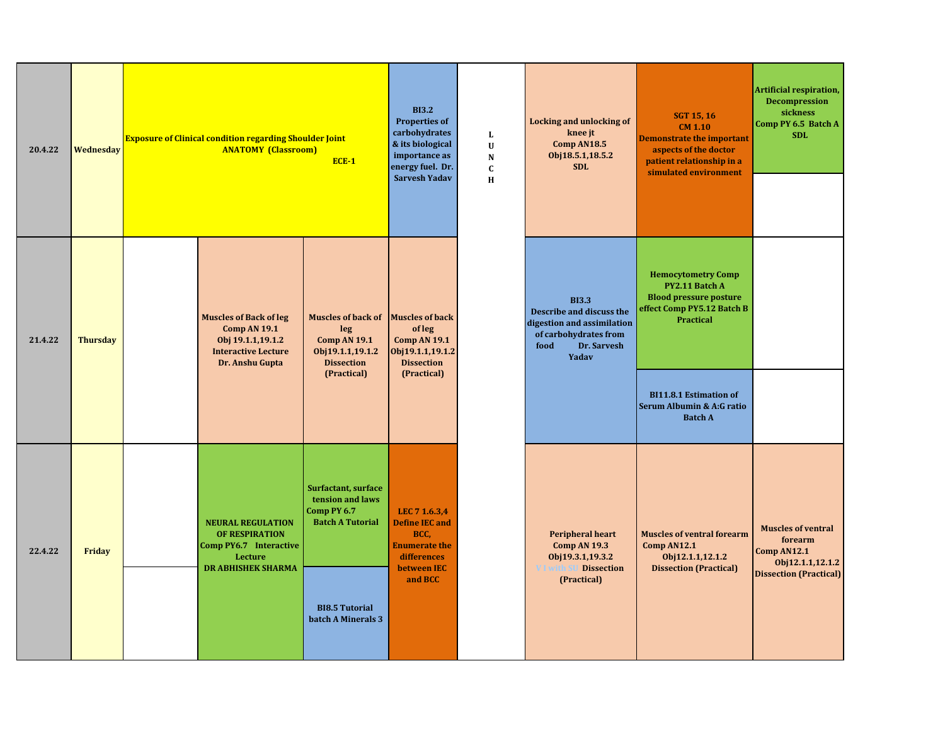| 20.4.22 | <b>Wednesday</b> | <b>Exposure of Clinical condition regarding Shoulder Joint</b><br><b>ANATOMY (Classroom)</b><br>$ECE-1$             |                                                                                                                                         |                                                                                                                 | $\mathbf{L}$<br>$\mathbf U$<br>N<br>$\mathbf c$<br>H | <b>Locking and unlocking of</b><br>knee jt<br>Comp AN18.5<br>Obj18.5.1,18.5.2<br><b>SDL</b>                                     | <b>SGT 15, 16</b><br><b>CM 1.10</b><br><b>Demonstrate the important</b><br>aspects of the doctor<br>patient relationship in a<br>simulated environment | Artificial respiration,<br><b>Decompression</b><br>sickness<br>Comp PY 6.5 Batch A<br><b>SDL</b>         |
|---------|------------------|---------------------------------------------------------------------------------------------------------------------|-----------------------------------------------------------------------------------------------------------------------------------------|-----------------------------------------------------------------------------------------------------------------|------------------------------------------------------|---------------------------------------------------------------------------------------------------------------------------------|--------------------------------------------------------------------------------------------------------------------------------------------------------|----------------------------------------------------------------------------------------------------------|
| 21.4.22 | <b>Thursday</b>  | <b>Muscles of Back of leg</b><br>Comp AN 19.1<br>Obj 19.1.1,19.1.2<br><b>Interactive Lecture</b><br>Dr. Anshu Gupta | <b>Muscles of back of</b><br>leg<br><b>Comp AN 19.1</b><br>Obj19.1.1,19.1.2<br><b>Dissection</b><br>(Practical)                         | <b>Muscles of back</b><br>of leg<br><b>Comp AN 19.1</b><br>Obj19.1.1,19.1.2<br><b>Dissection</b><br>(Practical) |                                                      | <b>BI3.3</b><br>Describe and discuss the<br>digestion and assimilation<br>of carbohydrates from<br>food<br>Dr. Sarvesh<br>Yadav | <b>Hemocytometry Comp</b><br>PY2.11 Batch A<br><b>Blood pressure posture</b><br>effect Comp PY5.12 Batch B<br><b>Practical</b>                         |                                                                                                          |
|         |                  |                                                                                                                     |                                                                                                                                         |                                                                                                                 |                                                      |                                                                                                                                 | <b>BI11.8.1 Estimation of</b><br>Serum Albumin & A:G ratio<br><b>Batch A</b>                                                                           |                                                                                                          |
| 22.4.22 | Friday           | <b>NEURAL REGULATION</b><br>OF RESPIRATION<br>Comp PY6.7 Interactive<br>Lecture<br><b>DR ABHISHEK SHARMA</b>        | <b>Surfactant, surface</b><br>tension and laws<br>Comp PY 6.7<br><b>Batch A Tutorial</b><br><b>BI8.5 Tutorial</b><br>batch A Minerals 3 | LEC 7 1.6.3,4<br><b>Define IEC and</b><br>BCC.<br><b>Enumerate the</b><br>differences<br>between IEC<br>and BCC |                                                      | <b>Peripheral heart</b><br><b>Comp AN 19.3</b><br>Obj19.3.1,19.3.2<br><b>Dissection</b><br><b>VI</b> with S<br>(Practical)      | <b>Muscles of ventral forearm</b><br>Comp AN12.1<br>Obj12.1.1,12.1.2<br><b>Dissection (Practical)</b>                                                  | <b>Muscles of ventral</b><br>forearm<br>Comp AN12.1<br>Obj12.1.1,12.1.2<br><b>Dissection (Practical)</b> |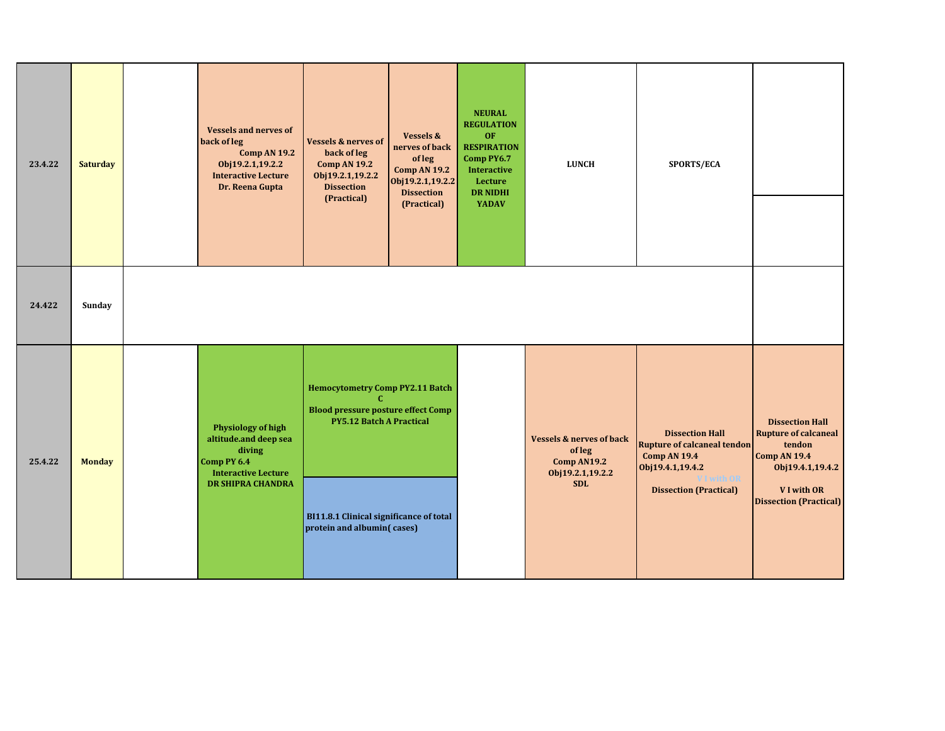| 23.4.22 | <b>Saturday</b> | <b>Vessels and nerves of</b><br>back of leg<br><b>Comp AN 19.2</b><br>Obj19.2.1,19.2.2<br><b>Interactive Lecture</b><br>Dr. Reena Gupta | <b>Vessels &amp; nerves of</b><br>back of leg<br><b>Comp AN 19.2</b><br>Obj19.2.1,19.2.2<br><b>Dissection</b><br>(Practical)                                                                          | <b>Vessels &amp;</b><br>nerves of back<br>of leg<br><b>Comp AN 19.2</b><br>Obj19.2.1,19.2.2<br><b>Dissection</b><br>(Practical) | <b>NEURAL</b><br><b>REGULATION</b><br>OF<br><b>RESPIRATION</b><br>Comp PY6.7<br><b>Interactive</b><br>Lecture<br><b>DR NIDHI</b><br>YADAV | <b>LUNCH</b>                                                                                  | SPORTS/ECA                                                                                                                                                    |                                                                                                                                                           |
|---------|-----------------|-----------------------------------------------------------------------------------------------------------------------------------------|-------------------------------------------------------------------------------------------------------------------------------------------------------------------------------------------------------|---------------------------------------------------------------------------------------------------------------------------------|-------------------------------------------------------------------------------------------------------------------------------------------|-----------------------------------------------------------------------------------------------|---------------------------------------------------------------------------------------------------------------------------------------------------------------|-----------------------------------------------------------------------------------------------------------------------------------------------------------|
| 24.422  | Sunday          |                                                                                                                                         |                                                                                                                                                                                                       |                                                                                                                                 |                                                                                                                                           |                                                                                               |                                                                                                                                                               |                                                                                                                                                           |
| 25.4.22 | <b>Monday</b>   | <b>Physiology of high</b><br>altitude.and deep sea<br>diving<br>Comp PY 6.4<br><b>Interactive Lecture</b><br><b>DR SHIPRA CHANDRA</b>   | <b>Hemocytometry Comp PY2.11 Batch</b><br>C.<br><b>Blood pressure posture effect Comp</b><br><b>PY5.12 Batch A Practical</b><br>BI11.8.1 Clinical significance of total<br>protein and albumin(cases) |                                                                                                                                 |                                                                                                                                           | <b>Vessels &amp; nerves of back</b><br>ofleg<br>Comp AN19.2<br>Obj19.2.1,19.2.2<br><b>SDL</b> | <b>Dissection Hall</b><br><b>Rupture of calcaneal tendon</b><br><b>Comp AN 19.4</b><br>Obj19.4.1,19.4.2<br><b>VI</b> with OR<br><b>Dissection (Practical)</b> | <b>Dissection Hall</b><br><b>Rupture of calcaneal</b><br>tendon<br><b>Comp AN 19.4</b><br>Obj19.4.1,19.4.2<br>VI with OR<br><b>Dissection (Practical)</b> |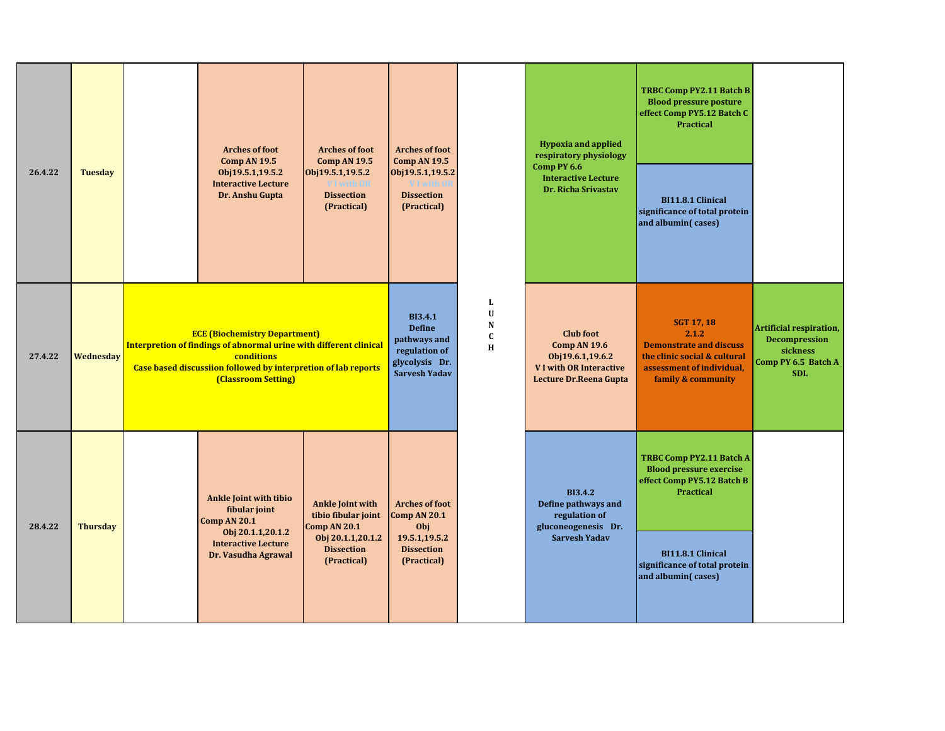| 26.4.22 | <b>Tuesday</b>  | <b>Arches of foot</b><br><b>Comp AN 19.5</b><br>Obj19.5.1,19.5.2<br><b>Interactive Lecture</b><br>Dr. Anshu Gupta                                                                                                 | <b>Arches of foot</b><br><b>Comp AN 19.5</b><br>Obj19.5.1,19.5.2<br><b>VI</b> with OR<br><b>Dissection</b><br>(Practical) | <b>Arches of foot</b><br><b>Comp AN 19.5</b><br>Obj19.5.1,19.5.2<br>VI with 0<br><b>Dissection</b><br>(Practical) |                                                              | <b>Hypoxia and applied</b><br>respiratory physiology<br>Comp PY 6.6<br><b>Interactive Lecture</b><br>Dr. Richa Srivastav | <b>TRBC Comp PY2.11 Batch B</b><br><b>Blood pressure posture</b><br>effect Comp PY5.12 Batch C<br><b>Practical</b><br>BI11.8.1 Clinical<br>significance of total protein<br>and albumin(cases) |                                                                                                  |
|---------|-----------------|-------------------------------------------------------------------------------------------------------------------------------------------------------------------------------------------------------------------|---------------------------------------------------------------------------------------------------------------------------|-------------------------------------------------------------------------------------------------------------------|--------------------------------------------------------------|--------------------------------------------------------------------------------------------------------------------------|------------------------------------------------------------------------------------------------------------------------------------------------------------------------------------------------|--------------------------------------------------------------------------------------------------|
| 27.4.22 | Wednesday       | <b>ECE (Biochemistry Department)</b><br>Interpretion of findings of abnormal urine with different clinical<br>conditions<br>Case based discussiion followed by interpretion of lab reports<br>(Classroom Setting) |                                                                                                                           | <b>BI3.4.1</b><br><b>Define</b><br>pathways and<br>regulation of<br>glycolysis Dr.<br><b>Sarvesh Yadav</b>        | $\mathbf{L}$<br>$\mathbf U$<br>${\bf N}$<br>$\mathbf c$<br>H | <b>Club</b> foot<br>Comp AN 19.6<br>Obj19.6.1,19.6.2<br><b>VI with OR Interactive</b><br>Lecture Dr.Reena Gupta          | <b>SGT 17, 18</b><br>2.1.2<br><b>Demonstrate and discuss</b><br>the clinic social & cultural<br>assessment of individual,<br>family & community                                                | Artificial respiration,<br><b>Decompression</b><br>sickness<br>Comp PY 6.5 Batch A<br><b>SDL</b> |
| 28.4.22 | <b>Thursday</b> | <b>Ankle Joint with tibio</b><br>fibular joint<br><b>Comp AN 20.1</b><br>Obj 20.1.1,20.1.2<br><b>Interactive Lecture</b><br>Dr. Vasudha Agrawal                                                                   | <b>Ankle Joint with</b><br>tibio fibular joint<br>Comp AN 20.1<br>Obj 20.1.1,20.1.2<br><b>Dissection</b><br>(Practical)   | <b>Arches of foot</b><br>Comp AN 20.1<br>Obj<br>19.5.1,19.5.2<br><b>Dissection</b><br>(Practical)                 |                                                              | <b>BI3.4.2</b><br>Define pathways and<br>regulation of<br>gluconeogenesis Dr.<br><b>Sarvesh Yadav</b>                    | TRBC Comp PY2.11 Batch A<br><b>Blood pressure exercise</b><br>effect Comp PY5.12 Batch B<br>Practical<br>BI11.8.1 Clinical<br>significance of total protein<br>and albumin(cases)              |                                                                                                  |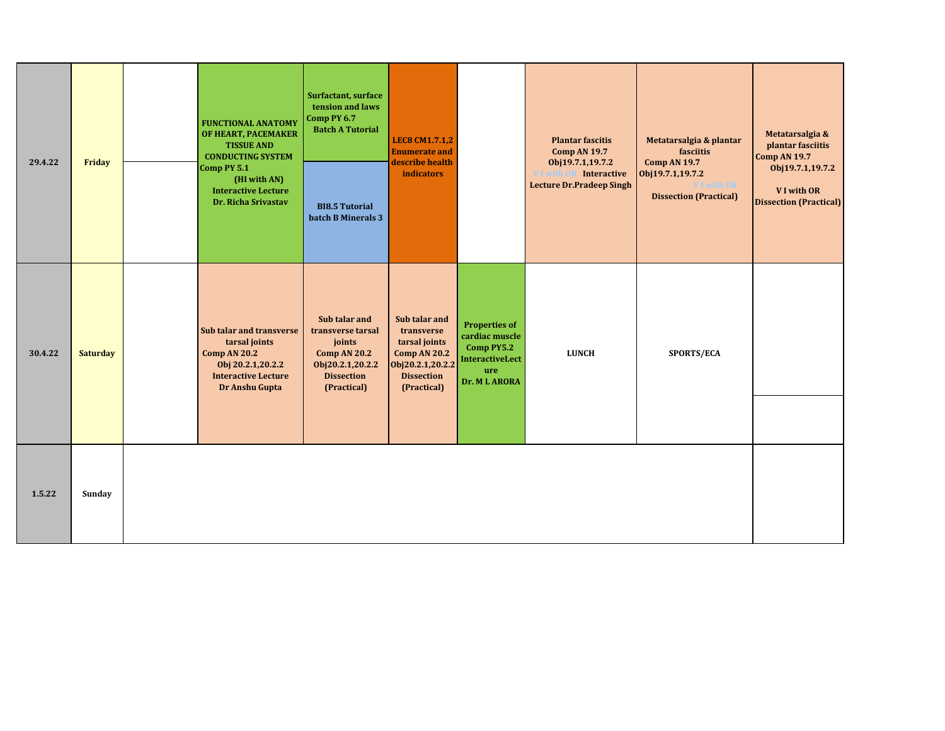| 29.4.22 | Friday          | <b>FUNCTIONAL ANATOMY</b><br>OF HEART, PACEMAKER<br><b>TISSUE AND</b><br><b>CONDUCTING SYSTEM</b><br>Comp PY 5.1<br>(HI with AN)<br><b>Interactive Lecture</b><br>Dr. Richa Srivastav | Surfactant, surface<br>tension and laws<br>Comp PY 6.7<br><b>Batch A Tutorial</b><br><b>BI8.5 Tutorial</b><br>batch B Minerals 3 | <b>LEC8 CM1.7.1,2</b><br><b>Enumerate and</b><br>describe health<br><b>indicators</b>                                       |                                                                                                       | <b>Plantar fascitis</b><br><b>Comp AN 19.7</b><br>Obj19.7.1,19.7.2<br><b>Interactive</b><br><b>Lecture Dr.Pradeep Singh</b> | Metatarsalgia & plantar<br>fasciitis<br><b>Comp AN 19.7</b><br>Obj19.7.1,19.7.2<br><b>I</b> with OR<br><b>Dissection (Practical)</b> | Metatarsalgia &<br>plantar fasciitis<br><b>Comp AN 19.7</b><br>Obj19.7.1,19.7.2<br>V I with OR<br><b>Dissection (Practical)</b> |
|---------|-----------------|---------------------------------------------------------------------------------------------------------------------------------------------------------------------------------------|----------------------------------------------------------------------------------------------------------------------------------|-----------------------------------------------------------------------------------------------------------------------------|-------------------------------------------------------------------------------------------------------|-----------------------------------------------------------------------------------------------------------------------------|--------------------------------------------------------------------------------------------------------------------------------------|---------------------------------------------------------------------------------------------------------------------------------|
| 30.4.22 | <b>Saturday</b> | Sub talar and transverse<br>tarsal joints<br><b>Comp AN 20.2</b><br>Obj 20.2.1,20.2.2<br><b>Interactive Lecture</b><br>Dr Anshu Gupta                                                 | Sub talar and<br>transverse tarsal<br>joints<br><b>Comp AN 20.2</b><br>Obj20.2.1,20.2.2<br><b>Dissection</b><br>(Practical)      | Sub talar and<br>transverse<br>tarsal joints<br><b>Comp AN 20.2</b><br>Obj20.2.1,20.2.2<br><b>Dissection</b><br>(Practical) | <b>Properties of</b><br>cardiac muscle<br>Comp PY5.2<br><b>InteractiveLect</b><br>ure<br>Dr. ML ARORA | <b>LUNCH</b>                                                                                                                | <b>SPORTS/ECA</b>                                                                                                                    |                                                                                                                                 |
| 1.5.22  | Sunday          |                                                                                                                                                                                       |                                                                                                                                  |                                                                                                                             |                                                                                                       |                                                                                                                             |                                                                                                                                      |                                                                                                                                 |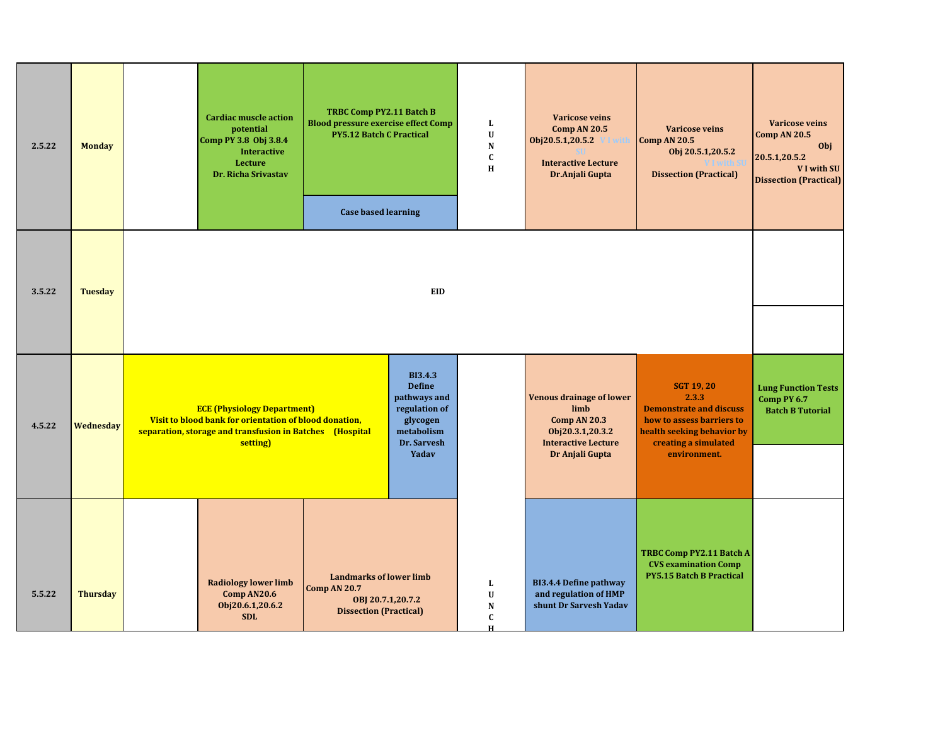| 2.5.22 | <b>Monday</b>   | <b>Cardiac muscle action</b><br>potential<br>Comp PY 3.8 Obj 3.8.4<br><b>Interactive</b><br>Lecture<br>Dr. Richa Srivastav | TRBC Comp PY2.11 Batch B<br><b>Blood pressure exercise effect Comp</b><br><b>PY5.12 Batch C Practical</b><br><b>Case based learning</b>                                                                                                                                        |     | L<br>$\mathbf U$<br>N<br>$\mathbf c$<br>H | <b>Varicose veins</b><br>Comp AN 20.5<br>Obj20.5.1,20.5.2<br><b>Interactive Lecture</b><br>Dr.Anjali Gupta                   | <b>Varicose veins</b><br><b>Comp AN 20.5</b><br>Obj 20.5.1,20.5.2<br><b>Dissection (Practical)</b>                                                              | <b>Varicose veins</b><br>Comp AN 20.5<br>Obj<br>20.5.1,20.5.2<br>V I with SU<br><b>Dissection (Practical)</b> |
|--------|-----------------|----------------------------------------------------------------------------------------------------------------------------|--------------------------------------------------------------------------------------------------------------------------------------------------------------------------------------------------------------------------------------------------------------------------------|-----|-------------------------------------------|------------------------------------------------------------------------------------------------------------------------------|-----------------------------------------------------------------------------------------------------------------------------------------------------------------|---------------------------------------------------------------------------------------------------------------|
| 3.5.22 | <b>Tuesday</b>  |                                                                                                                            |                                                                                                                                                                                                                                                                                | EID |                                           |                                                                                                                              |                                                                                                                                                                 |                                                                                                               |
| 4.5.22 | Wednesday       | setting)                                                                                                                   | <b>BI3.4.3</b><br><b>Define</b><br>pathways and<br>regulation of<br><b>ECE (Physiology Department)</b><br>Visit to blood bank for orientation of blood donation,<br>glycogen<br>separation, storage and transfusion in Batches (Hospital<br>metabolism<br>Dr. Sarvesh<br>Yadav |     |                                           | <b>Venous drainage of lower</b><br>limb<br>Comp AN 20.3<br>Obj20.3.1,20.3.2<br><b>Interactive Lecture</b><br>Dr Anjali Gupta | <b>SGT 19, 20</b><br>2.3.3<br><b>Demonstrate and discuss</b><br>how to assess barriers to<br>health seeking behavior by<br>creating a simulated<br>environment. | <b>Lung Function Tests</b><br>Comp PY 6.7<br><b>Batch B Tutorial</b>                                          |
| 5.5.22 | <b>Thursday</b> | <b>Radiology lower limb</b><br>Comp AN20.6<br>Obj20.6.1,20.6.2<br><b>SDL</b>                                               | <b>Landmarks of lower limb</b><br><b>Comp AN 20.7</b><br>OBJ 20.7.1,20.7.2<br><b>Dissection (Practical)</b>                                                                                                                                                                    |     | L<br>$\mathbf U$<br>N<br>$\mathbf C$<br>н | <b>BI3.4.4 Define pathway</b><br>and regulation of HMP<br>shunt Dr Sarvesh Yadav                                             | <b>TRBC Comp PY2.11 Batch A</b><br><b>CVS</b> examination Comp<br><b>PY5.15 Batch B Practical</b>                                                               |                                                                                                               |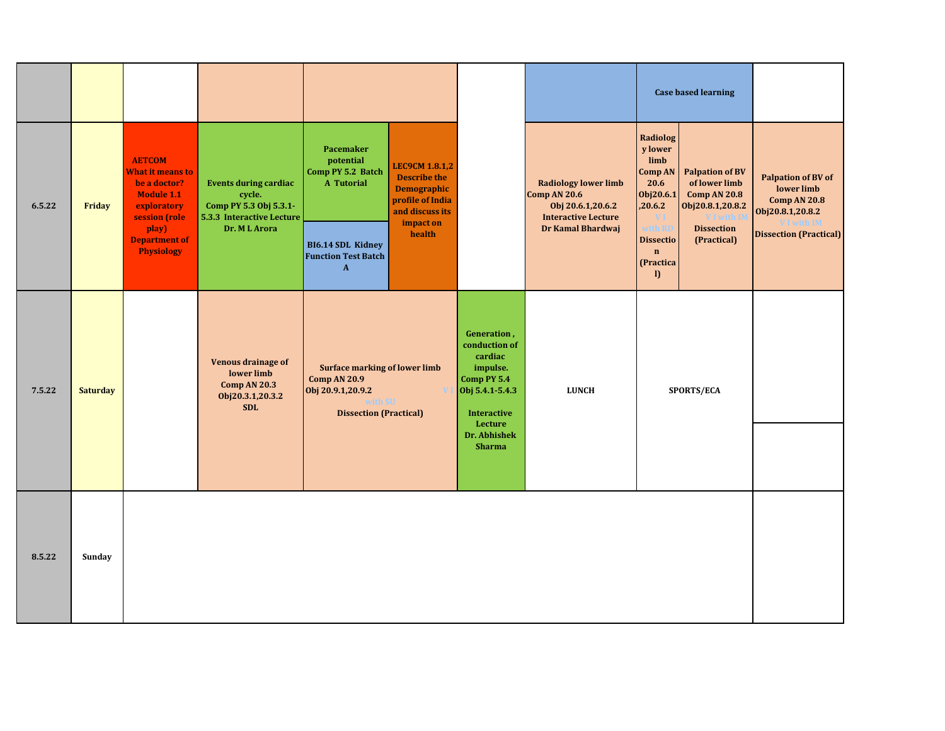|        |                 |                                                                                                        |                                                                                               |                                                                                                                              |                                                                                                           |                                                                                                                        |                                                                                                |                                                                          | <b>Case based learning</b>                                                         |                                                                                    |
|--------|-----------------|--------------------------------------------------------------------------------------------------------|-----------------------------------------------------------------------------------------------|------------------------------------------------------------------------------------------------------------------------------|-----------------------------------------------------------------------------------------------------------|------------------------------------------------------------------------------------------------------------------------|------------------------------------------------------------------------------------------------|--------------------------------------------------------------------------|------------------------------------------------------------------------------------|------------------------------------------------------------------------------------|
| 6.5.22 | Friday          | <b>AETCOM</b><br>What it means to<br>be a doctor?<br><b>Module 1.1</b><br>exploratory<br>session (role | <b>Events during cardiac</b><br>cycle.<br>Comp PY 5.3 Obj 5.3.1-<br>5.3.3 Interactive Lecture | Pacemaker<br>potential<br>Comp PY 5.2 Batch<br>A Tutorial                                                                    | <b>LEC9CM 1.8.1,2</b><br><b>Describe the</b><br><b>Demographic</b><br>profile of India<br>and discuss its |                                                                                                                        | <b>Radiology lower limb</b><br>Comp AN 20.6<br>Obj 20.6.1,20.6.2<br><b>Interactive Lecture</b> | Radiolog<br>y lower<br>limb<br>Comp AN<br>20.6<br>Obj20.6.1<br>,20.6.2   | <b>Palpation of BV</b><br>of lower limb<br><b>Comp AN 20.8</b><br>Obj20.8.1,20.8.2 | <b>Palpation of BV of</b><br>lower limb<br><b>Comp AN 20.8</b><br>Obj20.8.1,20.8.2 |
|        |                 | play)<br><b>Department of</b><br><b>Physiology</b>                                                     | Dr. ML Arora                                                                                  | <b>BI6.14 SDL Kidney</b><br><b>Function Test Batch</b><br>$\mathbf{A}$                                                       | impact on<br>health                                                                                       |                                                                                                                        | Dr Kamal Bhardwaj                                                                              | with RD<br><b>Dissectio</b><br>$\mathbf{n}$<br>(Practica<br>$\mathbf{D}$ | <b>Dissection</b><br>(Practical)                                                   | <b>Dissection (Practical)</b>                                                      |
| 7.5.22 | <b>Saturday</b> |                                                                                                        | Venous drainage of<br>lower limb<br>Comp AN 20.3<br>Obj20.3.1,20.3.2<br><b>SDL</b>            | <b>Surface marking of lower limb</b><br><b>Comp AN 20.9</b><br>Obj 20.9.1,20.9.2<br>vith SU<br><b>Dissection (Practical)</b> |                                                                                                           | Generation,<br>conduction of<br>cardiac<br>impulse.<br>Comp PY 5.4<br>Obj 5.4.1-5.4.3<br><b>Interactive</b><br>Lecture | <b>LUNCH</b>                                                                                   |                                                                          | SPORTS/ECA                                                                         |                                                                                    |
|        |                 |                                                                                                        |                                                                                               |                                                                                                                              |                                                                                                           | Dr. Abhishek<br><b>Sharma</b>                                                                                          |                                                                                                |                                                                          |                                                                                    |                                                                                    |
| 8.5.22 | Sunday          |                                                                                                        |                                                                                               |                                                                                                                              |                                                                                                           |                                                                                                                        |                                                                                                |                                                                          |                                                                                    |                                                                                    |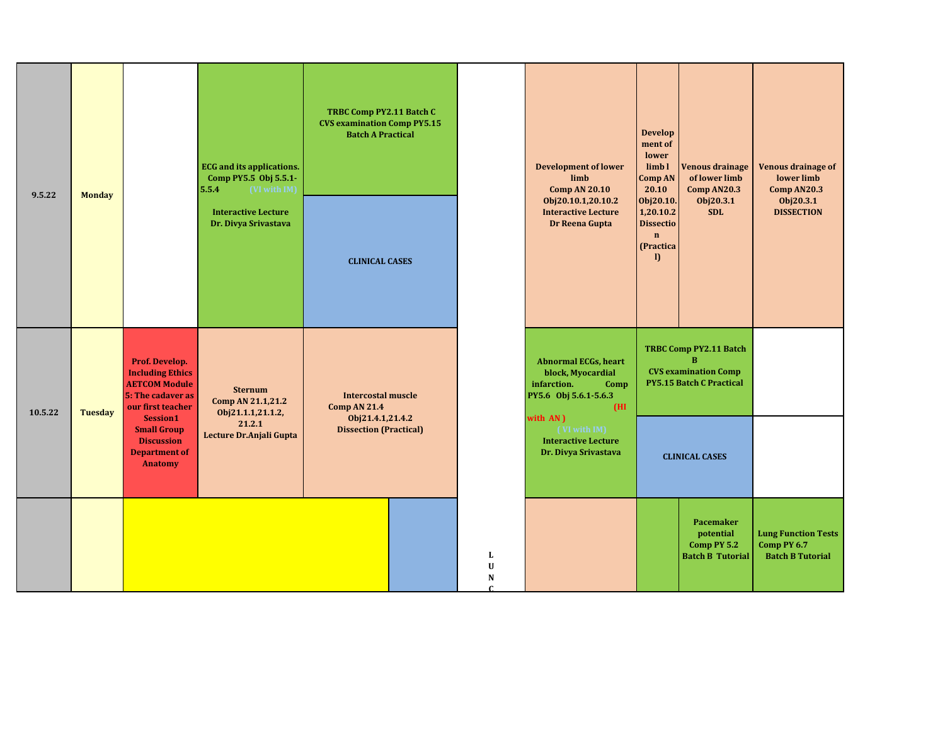|         |                                                                                                                               | <b>ECG</b> and its applications.<br>Comp PY5.5 Obj 5.5.1-<br>5.5.4<br>(VI with IM)            |                                                          |                                                                      | TRBC Comp PY2.11 Batch C<br><b>CVS examination Comp PY5.15</b><br><b>Batch A Practical</b> |                       | <b>Development of lower</b><br>limb<br><b>Comp AN 20.10</b>                                                          | <b>Develop</b><br>ment of<br>lower<br>limb1<br>Comp AN<br>20.10                        | <b>Venous drainage</b><br>of lower limb<br>Comp AN20.3                                               | <b>Venous drainage of</b><br>lower limb<br>Comp AN20.3               |
|---------|-------------------------------------------------------------------------------------------------------------------------------|-----------------------------------------------------------------------------------------------|----------------------------------------------------------|----------------------------------------------------------------------|--------------------------------------------------------------------------------------------|-----------------------|----------------------------------------------------------------------------------------------------------------------|----------------------------------------------------------------------------------------|------------------------------------------------------------------------------------------------------|----------------------------------------------------------------------|
| 9.5.22  | <b>Monday</b>                                                                                                                 |                                                                                               | <b>Interactive Lecture</b><br>Dr. Divya Srivastava       | <b>CLINICAL CASES</b>                                                |                                                                                            |                       | Obj20.10.1,20.10.2<br><b>Interactive Lecture</b><br>Dr Reena Gupta                                                   | Obj20.10.<br>1,20.10.2<br><b>Dissectio</b><br>$\mathbf n$<br>(Practica<br>$\mathbf{D}$ | Obj20.3.1<br><b>SDL</b>                                                                              | Obj20.3.1<br><b>DISSECTION</b>                                       |
| 10.5.22 | Prof. Develop.<br><b>Including Ethics</b><br><b>AETCOM Module</b><br>5: The cadaver as<br>our first teacher<br><b>Tuesday</b> |                                                                                               | <b>Sternum</b><br>Comp AN 21.1,21.2<br>Obj21.1.1,21.1.2, | <b>Intercostal muscle</b><br><b>Comp AN 21.4</b><br>Obj21.4.1,21.4.2 |                                                                                            |                       | <b>Abnormal ECGs, heart</b><br>block, Myocardial<br>infarction.<br>Comp<br>PY5.6 Obj 5.6.1-5.6.3<br>(HI)<br>with AN) |                                                                                        | TRBC Comp PY2.11 Batch<br>$\bf{B}$<br><b>CVS</b> examination Comp<br><b>PY5.15 Batch C Practical</b> |                                                                      |
|         |                                                                                                                               | Session1<br><b>Small Group</b><br><b>Discussion</b><br><b>Department of</b><br><b>Anatomy</b> | 21.2.1<br>Lecture Dr.Anjali Gupta                        | <b>Dissection (Practical)</b>                                        |                                                                                            |                       | (VI with IM)<br><b>Interactive Lecture</b><br>Dr. Divya Srivastava                                                   |                                                                                        | <b>CLINICAL CASES</b>                                                                                |                                                                      |
|         |                                                                                                                               |                                                                                               |                                                          |                                                                      |                                                                                            | L<br>$\mathbf U$<br>N |                                                                                                                      |                                                                                        | Pacemaker<br>potential<br>Comp PY 5.2<br><b>Batch B Tutorial</b>                                     | <b>Lung Function Tests</b><br>Comp PY 6.7<br><b>Batch B Tutorial</b> |

**BI6.1 Discuss**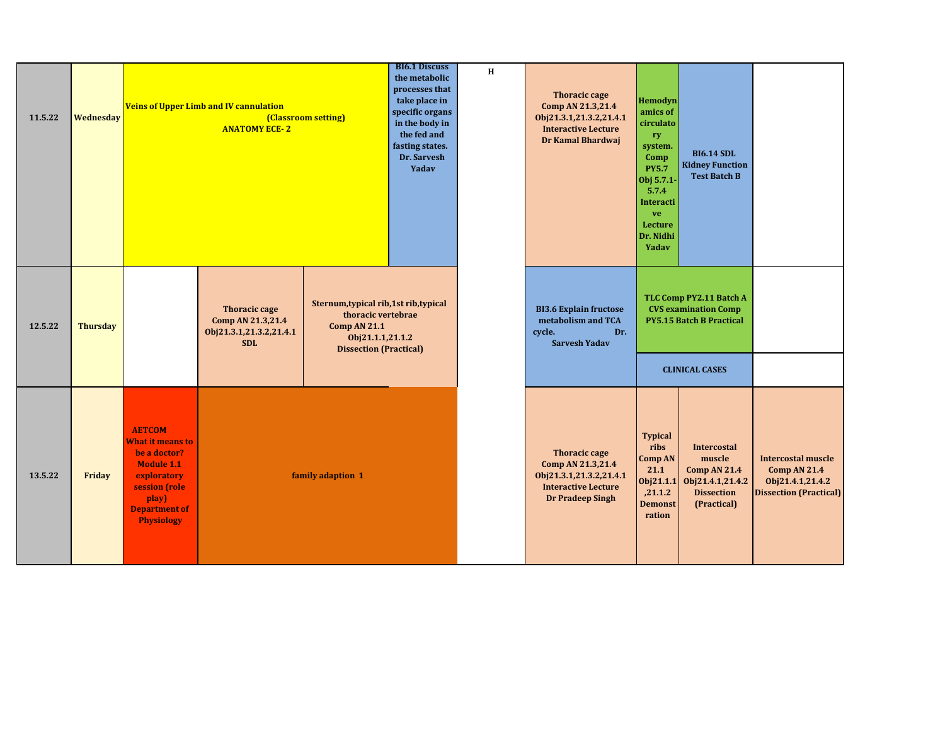| 11.5.22 | Wednesday       |                                                                                                                                                                     | <b>Veins of Upper Limb and IV cannulation</b><br><b>ANATOMY ECE-2</b>              | (Classroom setting)                                                                                                                      | <b>BI6.1 Discuss</b><br>the metabolic<br>processes that<br>take place in<br>specific organs<br>in the body in<br>the fed and<br>fasting states.<br>Dr. Sarvesh<br>Yadav | H | <b>Thoracic cage</b><br>Comp AN 21.3,21.4<br>Obj21.3.1,21.3.2,21.4.1<br><b>Interactive Lecture</b><br>Dr Kamal Bhardwaj       | Hemodyn<br>amics of<br>circulato<br>ry<br>system.<br>Comp<br><b>PY5.7</b><br>Obj 5.7.1-<br>5.7.4<br>Interacti<br>ve<br>Lecture<br>Dr. Nidhi<br>Yadav | <b>BI6.14 SDL</b><br><b>Kidney Function</b><br><b>Test Batch B</b>                                                 |                                                                                                       |
|---------|-----------------|---------------------------------------------------------------------------------------------------------------------------------------------------------------------|------------------------------------------------------------------------------------|------------------------------------------------------------------------------------------------------------------------------------------|-------------------------------------------------------------------------------------------------------------------------------------------------------------------------|---|-------------------------------------------------------------------------------------------------------------------------------|------------------------------------------------------------------------------------------------------------------------------------------------------|--------------------------------------------------------------------------------------------------------------------|-------------------------------------------------------------------------------------------------------|
| 12.5.22 | <b>Thursday</b> |                                                                                                                                                                     | <b>Thoracic cage</b><br>Comp AN 21.3,21.4<br>Obj21.3.1,21.3.2,21.4.1<br><b>SDL</b> | Sternum, typical rib, 1st rib, typical<br>thoracic vertebrae<br><b>Comp AN 21.1</b><br>Obj21.1.1,21.1.2<br><b>Dissection (Practical)</b> |                                                                                                                                                                         |   | <b>BI3.6 Explain fructose</b><br>metabolism and TCA<br>cycle.<br>Dr.<br><b>Sarvesh Yadav</b>                                  |                                                                                                                                                      | TLC Comp PY2.11 Batch A<br><b>CVS</b> examination Comp<br><b>PY5.15 Batch B Practical</b><br><b>CLINICAL CASES</b> |                                                                                                       |
| 13.5.22 | Friday          | <b>AETCOM</b><br><b>What it means to</b><br>be a doctor?<br><b>Module 1.1</b><br>exploratory<br>session (role<br>play)<br><b>Department of</b><br><b>Physiology</b> |                                                                                    | family adaption 1                                                                                                                        |                                                                                                                                                                         |   | <b>Thoracic cage</b><br>Comp AN 21.3,21.4<br>Obj21.3.1,21.3.2,21.4.1<br><b>Interactive Lecture</b><br><b>Dr Pradeep Singh</b> | <b>Typical</b><br>ribs<br><b>Comp AN</b><br>21.1<br>0bj21.1.1<br>,21.1.2<br><b>Demonst</b><br>ration                                                 | <b>Intercostal</b><br>muscle<br><b>Comp AN 21.4</b><br>Obj21.4.1,21.4.2<br><b>Dissection</b><br>(Practical)        | <b>Intercostal muscle</b><br><b>Comp AN 21.4</b><br>Obj21.4.1,21.4.2<br><b>Dissection (Practical)</b> |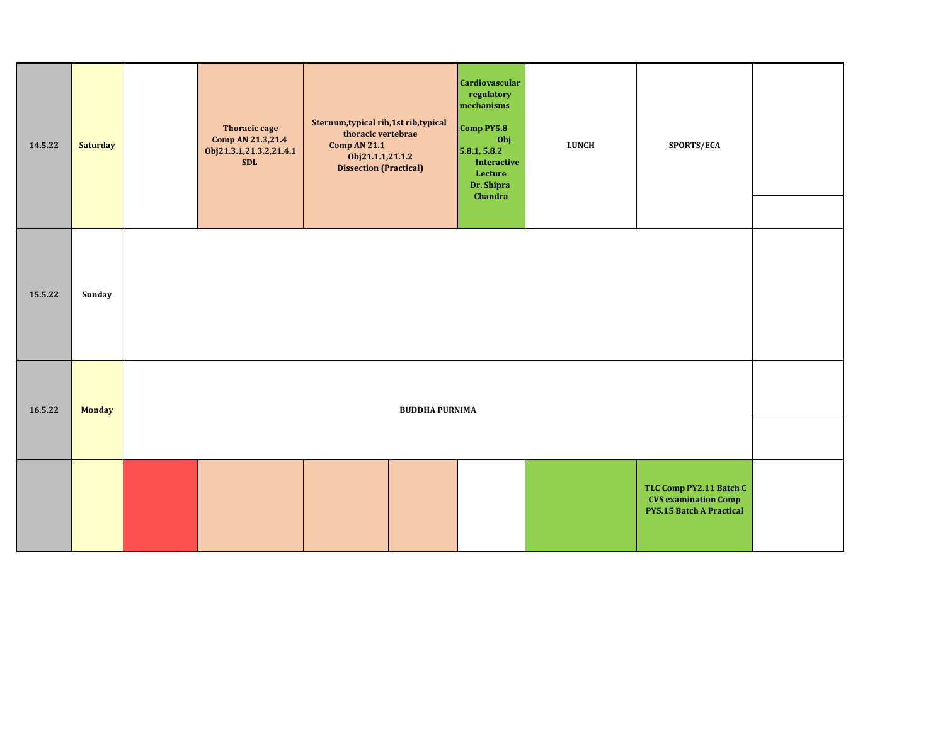| 14.5.22 | <b>Saturday</b> | <b>Thoracic cage</b><br>Comp AN 21.3,21.4<br>Obj21.3.1,21.3.2,21.4.1<br><b>SDL</b> | Sternum, typical rib, 1st rib, typical<br>thoracic vertebrae<br><b>Comp AN 21.1</b><br>Obj21.1.1,21.1.2<br><b>Dissection (Practical)</b> | <b>Cardiovascular</b><br>regulatory<br>mechanisms<br>Comp PY5.8<br>Obj<br>5.8.1, 5.8.2<br>Interactive<br>Lecture<br>Dr. Shipra<br>Chandra | LUNCH | SPORTS/ECA                                                                                |  |
|---------|-----------------|------------------------------------------------------------------------------------|------------------------------------------------------------------------------------------------------------------------------------------|-------------------------------------------------------------------------------------------------------------------------------------------|-------|-------------------------------------------------------------------------------------------|--|
|         |                 |                                                                                    |                                                                                                                                          |                                                                                                                                           |       |                                                                                           |  |
| 15.5.22 | Sunday          |                                                                                    |                                                                                                                                          |                                                                                                                                           |       |                                                                                           |  |
| 16.5.22 | <b>Monday</b>   |                                                                                    | <b>BUDDHA PURNIMA</b>                                                                                                                    |                                                                                                                                           |       |                                                                                           |  |
|         |                 |                                                                                    |                                                                                                                                          |                                                                                                                                           |       |                                                                                           |  |
|         |                 |                                                                                    |                                                                                                                                          |                                                                                                                                           |       | TLC Comp PY2.11 Batch C<br><b>CVS</b> examination Comp<br><b>PY5.15 Batch A Practical</b> |  |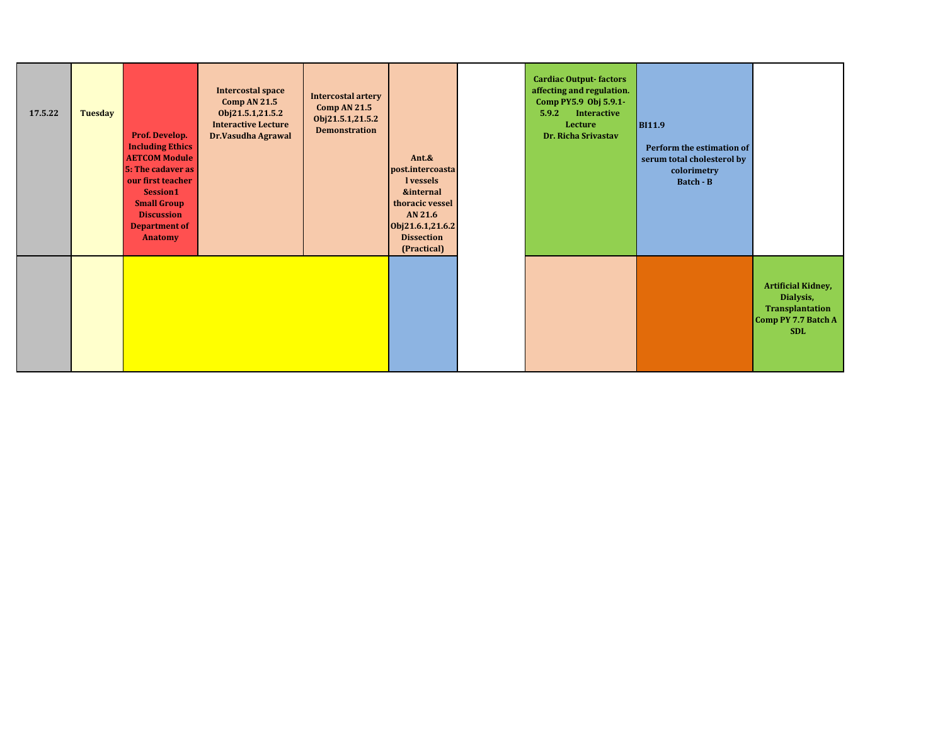| 17.5.22 | <b>Tuesday</b> | Prof. Develop.<br><b>Including Ethics</b><br><b>AETCOM Module</b><br>5: The cadaver as<br>our first teacher<br>Session1<br><b>Small Group</b><br><b>Discussion</b><br><b>Department of</b><br>Anatomy | <b>Intercostal space</b><br><b>Comp AN 21.5</b><br>Obj21.5.1,21.5.2<br><b>Interactive Lecture</b><br>Dr.Vasudha Agrawal | <b>Intercostal artery</b><br>Comp AN 21.5<br>Obj21.5.1,21.5.2<br><b>Demonstration</b> | Ant.&<br>post.intercoasta<br>l vessels<br><b>&amp;internal</b><br>thoracic vessel<br>AN 21.6<br>Obj21.6.1,21.6.2<br><b>Dissection</b><br>(Practical) | <b>Cardiac Output-factors</b><br>affecting and regulation.<br>Comp PY5.9 Obj 5.9.1-<br><b>Interactive</b><br>5.9.2<br>Lecture<br>Dr. Richa Srivastav | <b>BI11.9</b><br>Perform the estimation of<br>serum total cholesterol by<br>colorimetry<br>Batch - B |                                                                                                |
|---------|----------------|-------------------------------------------------------------------------------------------------------------------------------------------------------------------------------------------------------|-------------------------------------------------------------------------------------------------------------------------|---------------------------------------------------------------------------------------|------------------------------------------------------------------------------------------------------------------------------------------------------|------------------------------------------------------------------------------------------------------------------------------------------------------|------------------------------------------------------------------------------------------------------|------------------------------------------------------------------------------------------------|
|         |                |                                                                                                                                                                                                       |                                                                                                                         |                                                                                       |                                                                                                                                                      |                                                                                                                                                      |                                                                                                      | <b>Artificial Kidney,</b><br>Dialysis,<br>Transplantation<br>Comp PY 7.7 Batch A<br><b>SDL</b> |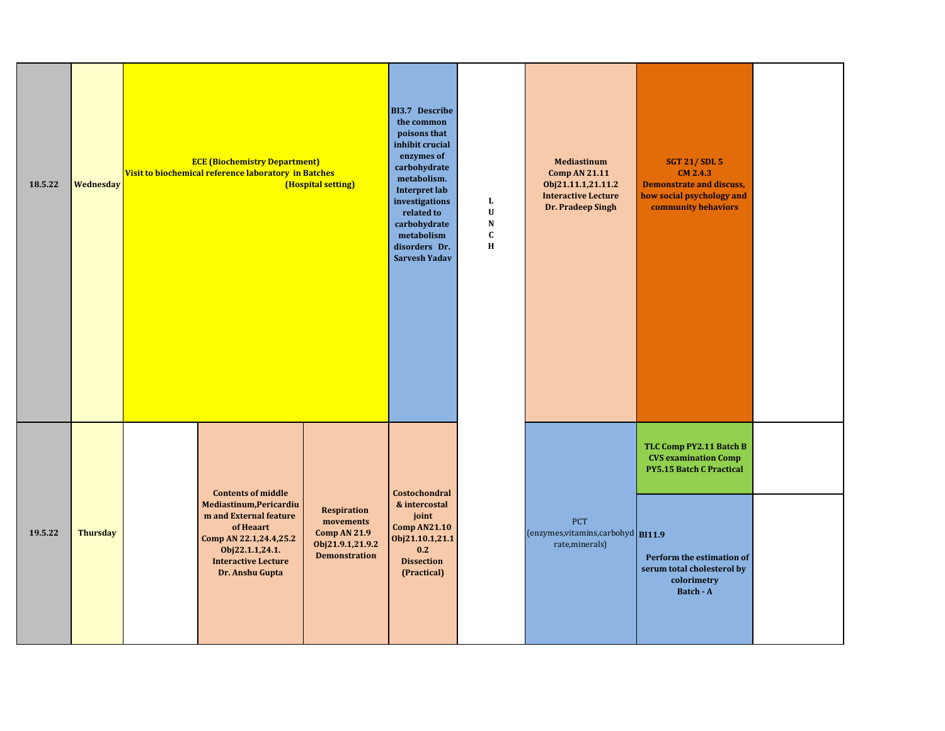| 18.5.22 | Wednesday       | <b>ECE (Biochemistry Department)</b><br>Visit to biochemical reference laboratory in Batches                                                                                              | (Hospital setting)                                                                                 | <b>BI3.7 Describe</b><br>the common<br>poisons that<br>inhibit crucial<br>enzymes of<br>carbohydrate<br>metabolism.<br><b>Interpret lab</b><br>investigations<br>related to<br>carbohydrate<br>metabolism<br>disorders Dr.<br><b>Sarvesh Yadav</b> | L<br>$\ensuremath{\mathbf{U}}$<br>${\bf N}$<br>$\mathbf{C}$<br>$\mathbf H$ | <b>Mediastinum</b><br><b>Comp AN 21.11</b><br>Obj21.11.1,21.11.2<br><b>Interactive Lecture</b><br>Dr. Pradeep Singh | <b>SGT 21/SDL 5</b><br><b>CM 2.4.3</b><br><b>Demonstrate and discuss,</b><br>how social psychology and<br>community behaviors                                                    |  |
|---------|-----------------|-------------------------------------------------------------------------------------------------------------------------------------------------------------------------------------------|----------------------------------------------------------------------------------------------------|----------------------------------------------------------------------------------------------------------------------------------------------------------------------------------------------------------------------------------------------------|----------------------------------------------------------------------------|---------------------------------------------------------------------------------------------------------------------|----------------------------------------------------------------------------------------------------------------------------------------------------------------------------------|--|
| 19.5.22 | <b>Thursday</b> | <b>Contents of middle</b><br>Mediastinum, Pericardiu<br>m and External feature<br>of Heaart<br>Comp AN 22.1,24.4,25.2<br>Obj22.1.1,24.1.<br><b>Interactive Lecture</b><br>Dr. Anshu Gupta | <b>Respiration</b><br>movements<br><b>Comp AN 21.9</b><br>Obj21.9.1,21.9.2<br><b>Demonstration</b> | Costochondral<br>& intercostal<br>joint<br><b>Comp AN21.10</b><br>Obj21.10.1,21.1<br>0.2<br><b>Dissection</b><br>(Practical)                                                                                                                       |                                                                            | <b>PCT</b><br>(enzymes, vitamins, carbohyd BI11.9<br>rate, minerals)                                                | TLC Comp PY2.11 Batch B<br><b>CVS examination Comp</b><br><b>PY5.15 Batch C Practical</b><br>Perform the estimation of<br>serum total cholesterol by<br>colorimetry<br>Batch - A |  |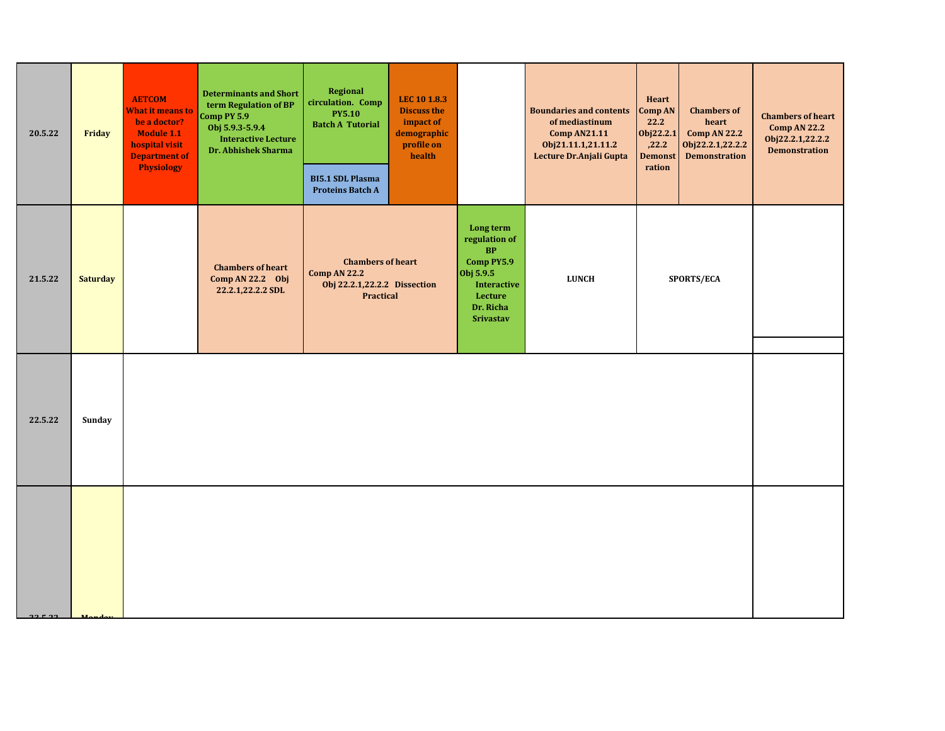| 20.5.22 | Friday          | <b>AETCOM</b><br><b>What it means to</b><br>be a doctor?<br><b>Module 1.1</b><br>hospital visit<br><b>Department of</b><br><b>Physiology</b> | <b>Determinants and Short</b><br>term Regulation of BP<br>Comp PY 5.9<br>Obj 5.9.3-5.9.4<br><b>Interactive Lecture</b><br>Dr. Abhishek Sharma | <b>Regional</b><br>circulation. Comp<br><b>PY5.10</b><br><b>Batch A Tutorial</b><br><b>BI5.1 SDL Plasma</b><br><b>Proteins Batch A</b> | LEC 10 1.8.3<br><b>Discuss the</b><br>impact of<br>demographic<br>profile on<br>health |                                                                                                                               | <b>Boundaries and contents</b><br>of mediastinum<br><b>Comp AN21.11</b><br>Obj21.11.1,21.11.2<br>Lecture Dr.Anjali Gupta | Heart<br>Comp AN<br>22.2<br>Obj22.2.1<br>,22.2<br><b>Demonst</b><br>ration | <b>Chambers of</b><br>heart<br><b>Comp AN 22.2</b><br>Obj22.2.1,22.2.2<br><b>Demonstration</b> | <b>Chambers of heart</b><br><b>Comp AN 22.2</b><br>Obj22.2.1,22.2.2<br><b>Demonstration</b> |
|---------|-----------------|----------------------------------------------------------------------------------------------------------------------------------------------|-----------------------------------------------------------------------------------------------------------------------------------------------|----------------------------------------------------------------------------------------------------------------------------------------|----------------------------------------------------------------------------------------|-------------------------------------------------------------------------------------------------------------------------------|--------------------------------------------------------------------------------------------------------------------------|----------------------------------------------------------------------------|------------------------------------------------------------------------------------------------|---------------------------------------------------------------------------------------------|
| 21.5.22 | <b>Saturday</b> |                                                                                                                                              | <b>Chambers of heart</b><br>Comp AN 22.2 Obj<br>22.2.1,22.2.2 SDL                                                                             | <b>Chambers of heart</b><br><b>Comp AN 22.2</b><br>Obj 22.2.1,22.2.2 Dissection<br><b>Practical</b>                                    |                                                                                        | Long term<br>regulation of<br>BP<br>Comp PY5.9<br>Obj 5.9.5<br><b>Interactive</b><br>Lecture<br>Dr. Richa<br><b>Srivastav</b> | <b>LUNCH</b>                                                                                                             |                                                                            | <b>SPORTS/ECA</b>                                                                              |                                                                                             |
| 22.5.22 | Sunday          |                                                                                                                                              |                                                                                                                                               |                                                                                                                                        |                                                                                        |                                                                                                                               |                                                                                                                          |                                                                            |                                                                                                |                                                                                             |
|         |                 |                                                                                                                                              |                                                                                                                                               |                                                                                                                                        |                                                                                        |                                                                                                                               |                                                                                                                          |                                                                            |                                                                                                |                                                                                             |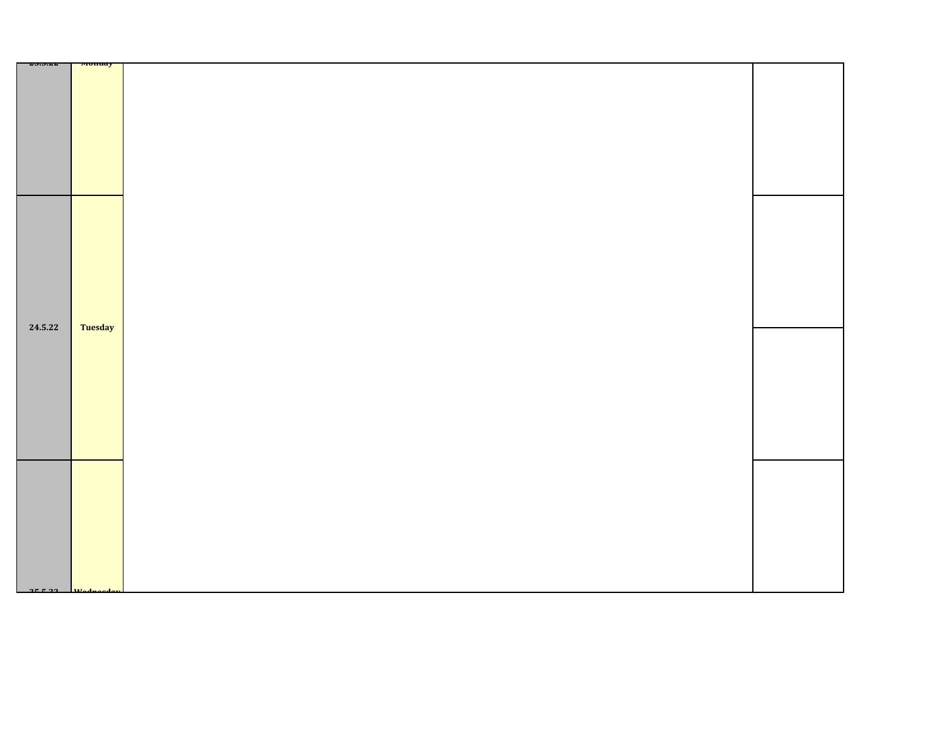| 63.J.LL   | <b>Monuay</b>  |  |
|-----------|----------------|--|
|           |                |  |
|           |                |  |
|           |                |  |
|           |                |  |
|           |                |  |
|           |                |  |
|           |                |  |
|           |                |  |
|           |                |  |
|           |                |  |
|           |                |  |
|           |                |  |
|           |                |  |
|           |                |  |
|           |                |  |
|           |                |  |
|           |                |  |
|           |                |  |
|           |                |  |
|           |                |  |
|           |                |  |
|           |                |  |
|           |                |  |
|           |                |  |
|           |                |  |
|           |                |  |
|           |                |  |
|           |                |  |
|           |                |  |
|           |                |  |
|           |                |  |
|           |                |  |
| 24.5.22   | <b>Tuesday</b> |  |
|           |                |  |
|           |                |  |
|           |                |  |
|           |                |  |
|           |                |  |
|           |                |  |
|           |                |  |
|           |                |  |
|           |                |  |
|           |                |  |
|           |                |  |
|           |                |  |
|           |                |  |
|           |                |  |
|           |                |  |
|           |                |  |
|           |                |  |
|           |                |  |
|           |                |  |
|           |                |  |
|           |                |  |
|           |                |  |
|           |                |  |
|           |                |  |
|           |                |  |
|           |                |  |
|           |                |  |
|           |                |  |
|           |                |  |
|           |                |  |
|           |                |  |
|           |                |  |
| $2F = 22$ |                |  |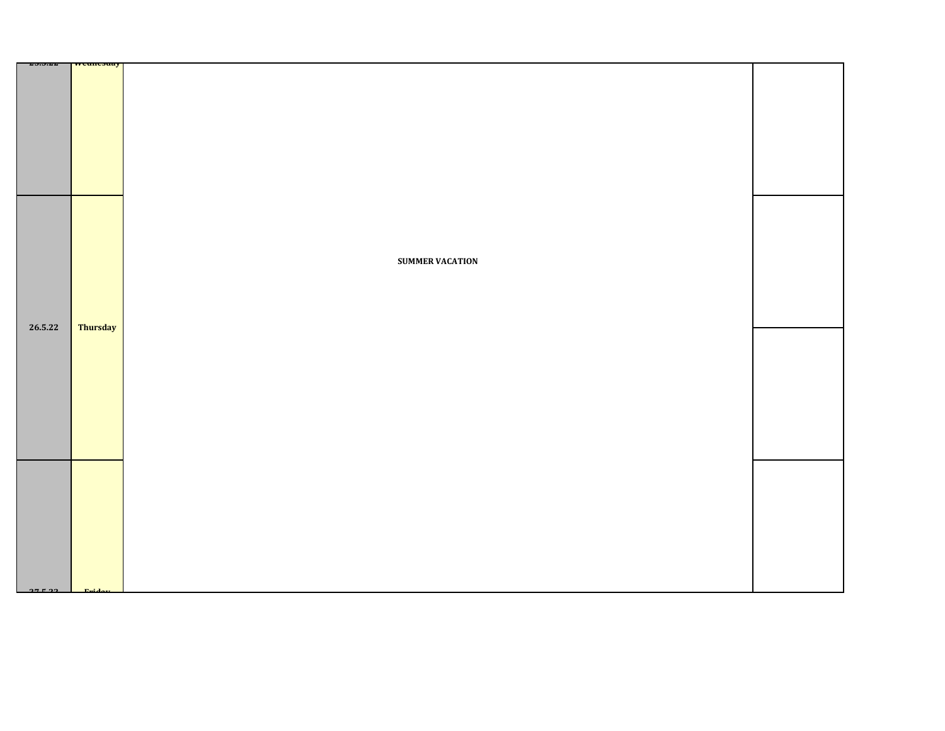| 43.J.LL | <u>wcuncsuay</u> |                        |  |
|---------|------------------|------------------------|--|
|         |                  |                        |  |
|         |                  |                        |  |
|         |                  |                        |  |
|         |                  |                        |  |
|         |                  |                        |  |
|         |                  |                        |  |
|         |                  |                        |  |
|         |                  |                        |  |
|         |                  |                        |  |
|         |                  |                        |  |
|         |                  |                        |  |
|         |                  |                        |  |
|         |                  |                        |  |
|         |                  |                        |  |
|         |                  |                        |  |
|         |                  | <b>SUMMER VACATION</b> |  |
|         |                  |                        |  |
|         |                  |                        |  |
|         |                  |                        |  |
|         |                  |                        |  |
| 26.5.22 | <b>Thursday</b>  |                        |  |
|         |                  |                        |  |
|         |                  |                        |  |
|         |                  |                        |  |
|         |                  |                        |  |
|         |                  |                        |  |
|         |                  |                        |  |
|         |                  |                        |  |
|         |                  |                        |  |
|         |                  |                        |  |
|         |                  |                        |  |
|         |                  |                        |  |
|         |                  |                        |  |
|         |                  |                        |  |
|         |                  |                        |  |
|         |                  |                        |  |
|         |                  |                        |  |
|         |                  |                        |  |
|         |                  |                        |  |
|         |                  |                        |  |
|         |                  |                        |  |
| 27522   |                  |                        |  |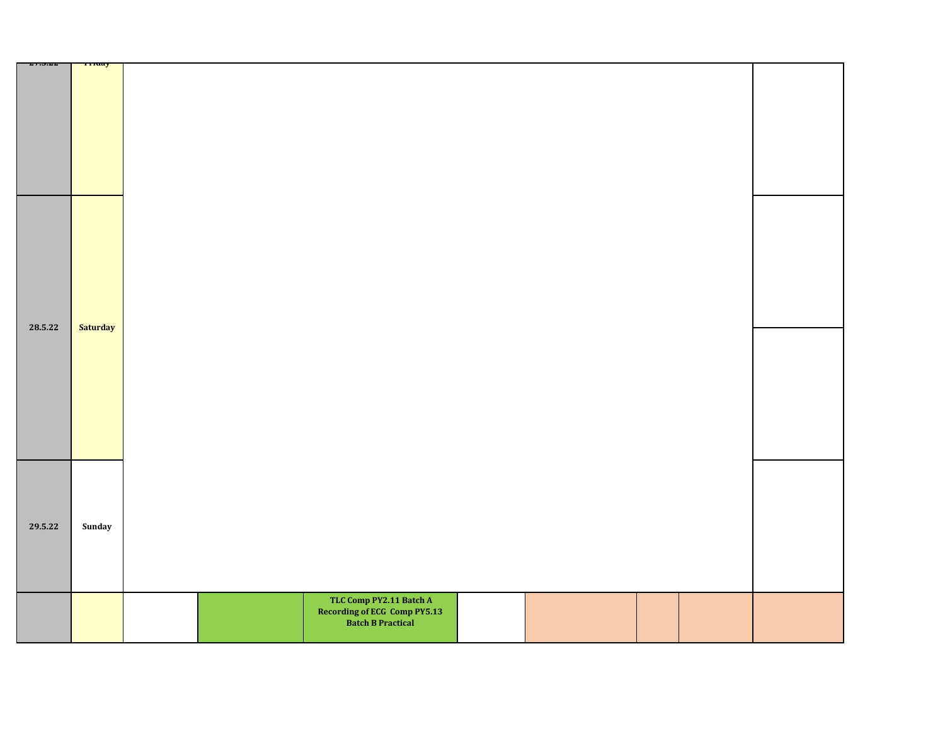|         | TITUAY   |                                                                              |  |
|---------|----------|------------------------------------------------------------------------------|--|
| 47.3.44 |          |                                                                              |  |
| 28.5.22 | Saturday |                                                                              |  |
| 29.5.22 | Sunday   |                                                                              |  |
|         |          | TLC Comp PY2.11 Batch A<br>Recording of ECG Comp PY5.13<br>Batch B Practical |  |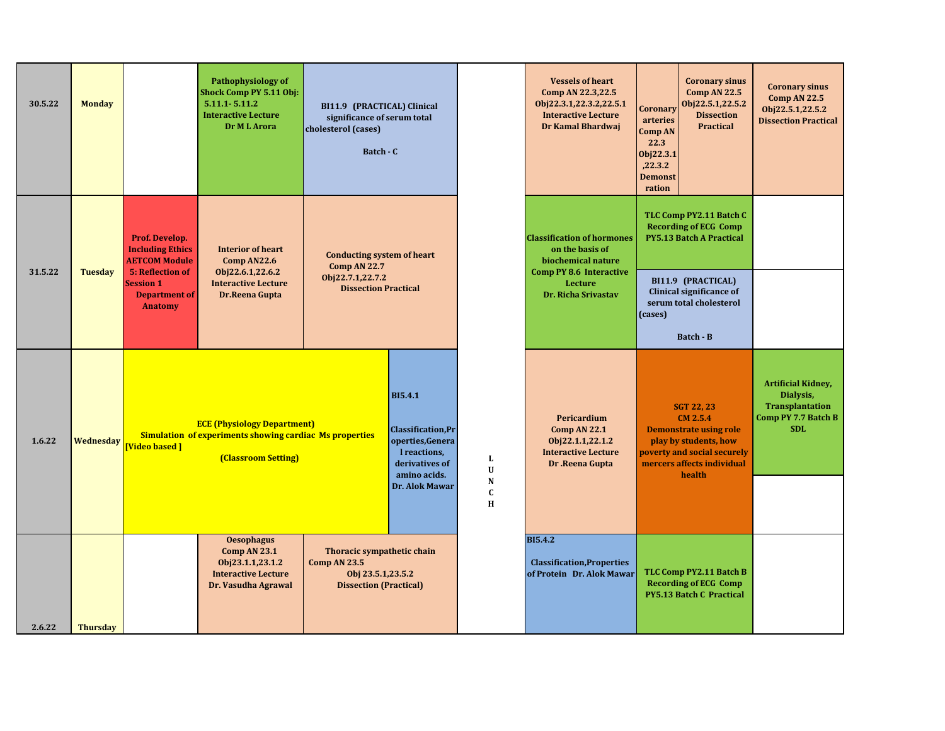| 30.5.22 | <b>Monday</b>   |                                                                                              | <b>Pathophysiology of</b><br>Shock Comp PY 5.11 Obj:<br>$5.11.1 - 5.11.2$<br><b>Interactive Lecture</b><br>Dr M L Arora     | BI11.9 (PRACTICAL) Clinical<br>significance of serum total<br>cholesterol (cases)<br>Batch - C   |                                                                                                                                            |                                                     | <b>Vessels of heart</b><br>Comp AN 22.3,22.5<br>Obj22.3.1,22.3.2,22.5.1<br><b>Interactive Lecture</b><br>Dr Kamal Bhardwaj | Coronary<br>arteries<br><b>Comp AN</b><br>22.3<br>Obj22.3.1<br>,22.3.2<br><b>Demonst</b><br>ration                                                             | <b>Coronary sinus</b><br><b>Comp AN 22.5</b><br>Obj22.5.1,22.5.2<br><b>Dissection</b><br><b>Practical</b> | <b>Coronary sinus</b><br><b>Comp AN 22.5</b><br>Obj22.5.1,22.5.2<br><b>Dissection Practical</b>       |
|---------|-----------------|----------------------------------------------------------------------------------------------|-----------------------------------------------------------------------------------------------------------------------------|--------------------------------------------------------------------------------------------------|--------------------------------------------------------------------------------------------------------------------------------------------|-----------------------------------------------------|----------------------------------------------------------------------------------------------------------------------------|----------------------------------------------------------------------------------------------------------------------------------------------------------------|-----------------------------------------------------------------------------------------------------------|-------------------------------------------------------------------------------------------------------|
| 31.5.22 | <b>Tuesday</b>  | Prof. Develop.<br><b>Including Ethics</b><br><b>AETCOM Module</b><br><b>5: Reflection of</b> | <b>Interior of heart</b><br>Comp AN22.6<br>Obj22.6.1,22.6.2                                                                 | <b>Conducting system of heart</b><br><b>Comp AN 22.7</b>                                         |                                                                                                                                            |                                                     | <b>Classification of hormones</b><br>on the basis of<br>biochemical nature<br><b>Comp PY 8.6 Interactive</b>               | TLC Comp PY2.11 Batch C<br><b>Recording of ECG Comp</b><br><b>PY5.13 Batch A Practical</b>                                                                     |                                                                                                           |                                                                                                       |
|         |                 | <b>Session 1</b><br><b>Department of</b><br><b>Anatomy</b>                                   | <b>Interactive Lecture</b><br>Dr.Reena Gupta                                                                                | Obj22.7.1,22.7.2<br><b>Dissection Practical</b>                                                  |                                                                                                                                            |                                                     | Lecture<br>Dr. Richa Srivastav                                                                                             | BI11.9 (PRACTICAL)<br>Clinical significance of<br>serum total cholesterol<br>(cases)<br><b>Batch - B</b>                                                       |                                                                                                           |                                                                                                       |
| 1.6.22  | Wednesday       | <b>Video based 1</b>                                                                         | <b>ECE (Physiology Department)</b><br><b>Simulation of experiments showing cardiac Ms properties</b><br>(Classroom Setting) |                                                                                                  | <b>BI5.4.1</b><br><b>Classification, Pr</b><br>operties, Genera<br>I reactions,<br>derivatives of<br>amino acids.<br><b>Dr. Alok Mawar</b> | L<br>$\mathbf{U}$<br>${\bf N}$<br>$\mathbf{C}$<br>H | Pericardium<br>Comp AN 22.1<br>Obj22.1.1,22.1.2<br><b>Interactive Lecture</b><br>Dr .Reena Gupta                           | <b>SGT 22, 23</b><br>CM 2.5.4<br><b>Demonstrate using role</b><br>play by students, how<br>poverty and social securely<br>mercers affects individual<br>health |                                                                                                           | <b>Artificial Kidney,</b><br>Dialysis,<br><b>Transplantation</b><br>Comp PY 7.7 Batch B<br><b>SDL</b> |
| 2.6.22  | <b>Thursday</b> |                                                                                              | <b>Oesophagus</b><br>Comp AN 23.1<br>Obj23.1.1,23.1.2<br><b>Interactive Lecture</b><br>Dr. Vasudha Agrawal                  | Thoracic sympathetic chain<br>Comp AN 23.5<br>Obj 23.5.1,23.5.2<br><b>Dissection (Practical)</b> |                                                                                                                                            |                                                     | <b>BI5.4.2</b><br><b>Classification, Properties</b><br>of Protein Dr. Alok Mawar                                           | TLC Comp PY2.11 Batch B<br><b>Recording of ECG Comp</b><br><b>PY5.13 Batch C Practical</b>                                                                     |                                                                                                           |                                                                                                       |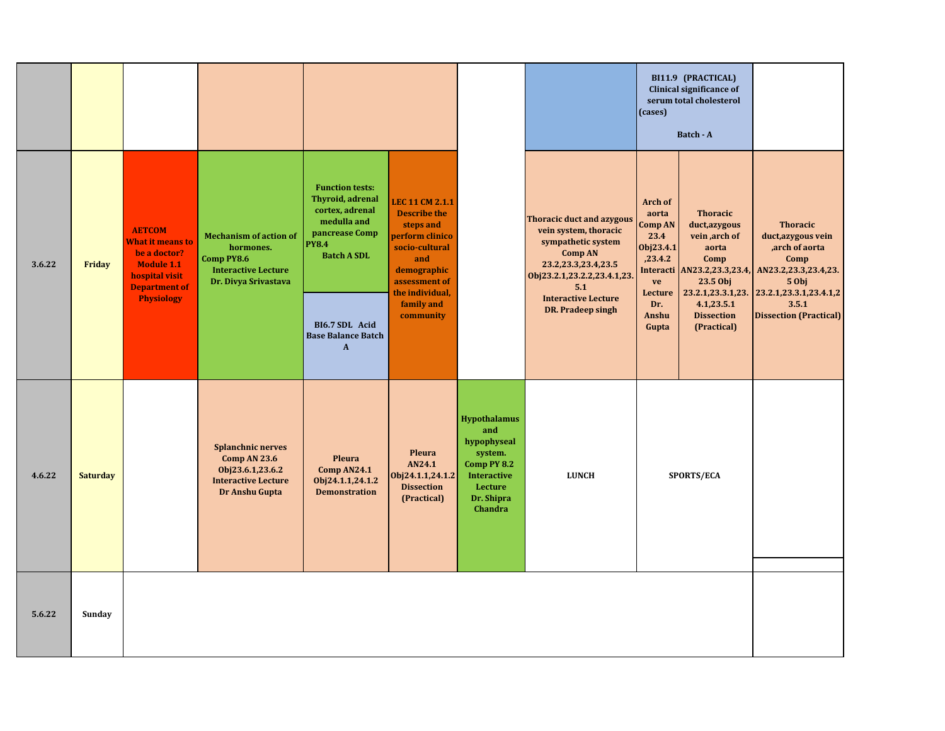|        |                 |                                                                                                                                                                                                                                                         |                                                                                                                                      |                                                                                                                                                           |                                                                                                                                                                                              |                                                                                                                               |                                                                              | (cases)                                                                        | BI11.9 (PRACTICAL)<br><b>Clinical significance of</b><br>serum total cholesterol<br>Batch - A                                                                            |                                        |
|--------|-----------------|---------------------------------------------------------------------------------------------------------------------------------------------------------------------------------------------------------------------------------------------------------|--------------------------------------------------------------------------------------------------------------------------------------|-----------------------------------------------------------------------------------------------------------------------------------------------------------|----------------------------------------------------------------------------------------------------------------------------------------------------------------------------------------------|-------------------------------------------------------------------------------------------------------------------------------|------------------------------------------------------------------------------|--------------------------------------------------------------------------------|--------------------------------------------------------------------------------------------------------------------------------------------------------------------------|----------------------------------------|
| 3.6.22 | Friday          | <b>AETCOM</b><br><b>Mechanism of action of</b><br>What it means to<br>hormones.<br>be a doctor?<br>Comp PY8.6<br><b>Module 1.1</b><br><b>Interactive Lecture</b><br>hospital visit<br>Dr. Divya Srivastava<br><b>Department of</b><br><b>Physiology</b> | <b>Function tests:</b><br>Thyroid, adrenal<br>cortex, adrenal<br>medulla and<br>pancrease Comp<br><b>PY8.4</b><br><b>Batch A SDL</b> | <b>LEC 11 CM 2.1.1</b><br><b>Describe the</b><br>steps and<br>perform clinico<br>socio-cultural<br>and<br>demographic<br>assessment of<br>the individual, | <b>Thoracic duct and azygous</b><br>vein system, thoracic<br>sympathetic system<br><b>Comp AN</b><br>23.2,23.3,23.4,23.5<br>Obj23.2.1,23.2.2,23.4.1,23.<br>5.1<br><b>Interactive Lecture</b> |                                                                                                                               | Arch of<br>aorta<br>Comp AN<br>23.4<br>Obj23.4.1<br>,23.4.2<br>ve<br>Lecture | <b>Thoracic</b><br>duct, azygous<br>vein ,arch of<br>aorta<br>Comp<br>23.5 Obj | <b>Thoracic</b><br>duct, azygous vein<br>,arch of aorta<br>Comp<br>Interacti AN23.2,23.3,23.4, AN23.2,23.3,23.4,23.<br>5 Obj<br>23.2.1,23.3.1,23. 23.2.1,23.3.1,23.4.1,2 |                                        |
|        |                 |                                                                                                                                                                                                                                                         |                                                                                                                                      | BI6.7 SDL Acid<br><b>Base Balance Batch</b><br>$\mathbf{A}$                                                                                               | family and<br>community                                                                                                                                                                      |                                                                                                                               | DR. Pradeep singh                                                            | Dr.<br>Anshu<br>Gupta                                                          | 4.1,23.5.1<br><b>Dissection</b><br>(Practical)                                                                                                                           | 3.5.1<br><b>Dissection (Practical)</b> |
| 4.6.22 | <b>Saturday</b> |                                                                                                                                                                                                                                                         | <b>Splanchnic nerves</b><br>Comp AN 23.6<br>Obj23.6.1,23.6.2<br><b>Interactive Lecture</b><br>Dr Anshu Gupta                         | <b>Pleura</b><br>Comp AN24.1<br>Obj24.1.1,24.1.2<br><b>Demonstration</b>                                                                                  | Pleura<br>AN24.1<br>Obj24.1.1,24.1.2<br><b>Dissection</b><br>(Practical)                                                                                                                     | <b>Hypothalamus</b><br>and<br>hypophyseal<br>system.<br>Comp PY 8.2<br><b>Interactive</b><br>Lecture<br>Dr. Shipra<br>Chandra | <b>LUNCH</b>                                                                 |                                                                                | <b>SPORTS/ECA</b>                                                                                                                                                        |                                        |
| 5.6.22 | Sunday          |                                                                                                                                                                                                                                                         |                                                                                                                                      |                                                                                                                                                           |                                                                                                                                                                                              |                                                                                                                               |                                                                              |                                                                                |                                                                                                                                                                          |                                        |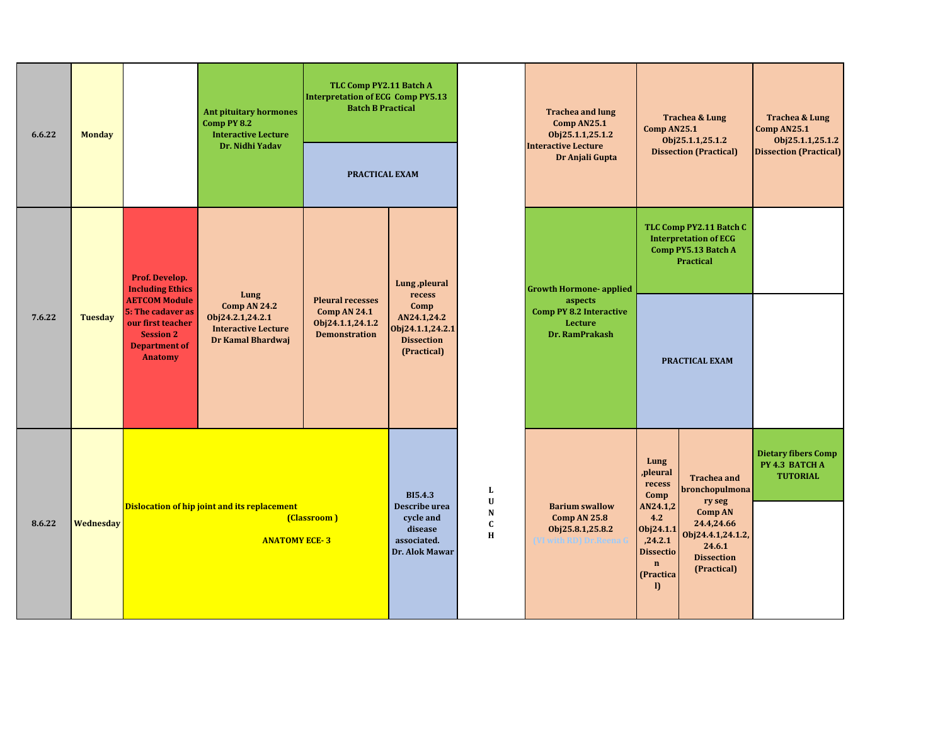| 6.6.22 | <b>Monday</b>  |                                                                                                                              | <b>Ant pituitary hormones</b><br>Comp PY 8.2<br><b>Interactive Lecture</b>                 | TLC Comp PY2.11 Batch A<br><b>Interpretation of ECG Comp PY5.13</b><br><b>Batch B Practical</b> |                                                                                          |                                                    | <b>Trachea and lung</b><br>Comp AN25.1<br>Obj25.1.1,25.1.2                                 | Trachea & Lung<br>Comp AN25.1<br>Obj25.1.1,25.1.2<br><b>Dissection (Practical)</b>                                                             |                                                                                                                                                   | <b>Trachea &amp; Lung</b><br>Comp AN25.1<br>Obj25.1.1,25.1.2    |
|--------|----------------|------------------------------------------------------------------------------------------------------------------------------|--------------------------------------------------------------------------------------------|-------------------------------------------------------------------------------------------------|------------------------------------------------------------------------------------------|----------------------------------------------------|--------------------------------------------------------------------------------------------|------------------------------------------------------------------------------------------------------------------------------------------------|---------------------------------------------------------------------------------------------------------------------------------------------------|-----------------------------------------------------------------|
|        |                |                                                                                                                              | Dr. Nidhi Yadav                                                                            | PRACTICAL EXAM                                                                                  |                                                                                          |                                                    | <b>Interactive Lecture</b><br>Dr Anjali Gupta                                              |                                                                                                                                                |                                                                                                                                                   | <b>Dissection (Practical)</b>                                   |
|        |                | Prof. Develop.<br><b>Including Ethics</b>                                                                                    | Lung                                                                                       |                                                                                                 | Lung, pleural<br>recess                                                                  |                                                    | <b>Growth Hormone- applied</b>                                                             |                                                                                                                                                | TLC Comp PY2.11 Batch C<br><b>Interpretation of ECG</b><br>Comp PY5.13 Batch A<br><b>Practical</b>                                                |                                                                 |
| 7.6.22 | <b>Tuesday</b> | <b>AETCOM Module</b><br>5: The cadaver as<br>our first teacher<br><b>Session 2</b><br><b>Department of</b><br><b>Anatomy</b> | <b>Comp AN 24.2</b><br>Obj24.2.1,24.2.1<br><b>Interactive Lecture</b><br>Dr Kamal Bhardwaj | <b>Pleural recesses</b><br><b>Comp AN 24.1</b><br>Obj24.1.1,24.1.2<br><b>Demonstration</b>      | Comp<br>AN24.1,24.2<br>Obj24.1.1,24.2.1<br><b>Dissection</b><br>(Practical)              |                                                    | aspects<br><b>Comp PY 8.2 Interactive</b><br><b>Lecture</b><br>Dr. RamPrakash              |                                                                                                                                                | PRACTICAL EXAM                                                                                                                                    |                                                                 |
| 8.6.22 | Wednesday      | Dislocation of hip joint and its replacement<br>(Classroom)<br><b>ANATOMY ECE-3</b>                                          |                                                                                            |                                                                                                 | <b>BI5.4.3</b><br>Describe urea<br>cycle and<br>disease<br>associated.<br>Dr. Alok Mawar | L<br>$\mathbf U$<br>${\bf N}$<br>$\mathbf{C}$<br>H | <b>Barium swallow</b><br><b>Comp AN 25.8</b><br>Obj25.8.1,25.8.2<br>VI with RD) Dr Reena ( | Lung<br>,pleural<br>recess<br>Comp<br>AN24.1,2<br>4.2<br>Obj24.1.1<br>,24.2.1<br><b>Dissectio</b><br>$\mathbf{n}$<br>(Practica<br>$\mathbf{D}$ | <b>Trachea</b> and<br>bronchopulmona<br>ry seg<br><b>Comp AN</b><br>24.4,24.66<br>Obj24.4.1,24.1.2,<br>24.6.1<br><b>Dissection</b><br>(Practical) | <b>Dietary fibers Comp</b><br>PY 4.3 BATCH A<br><b>TUTORIAL</b> |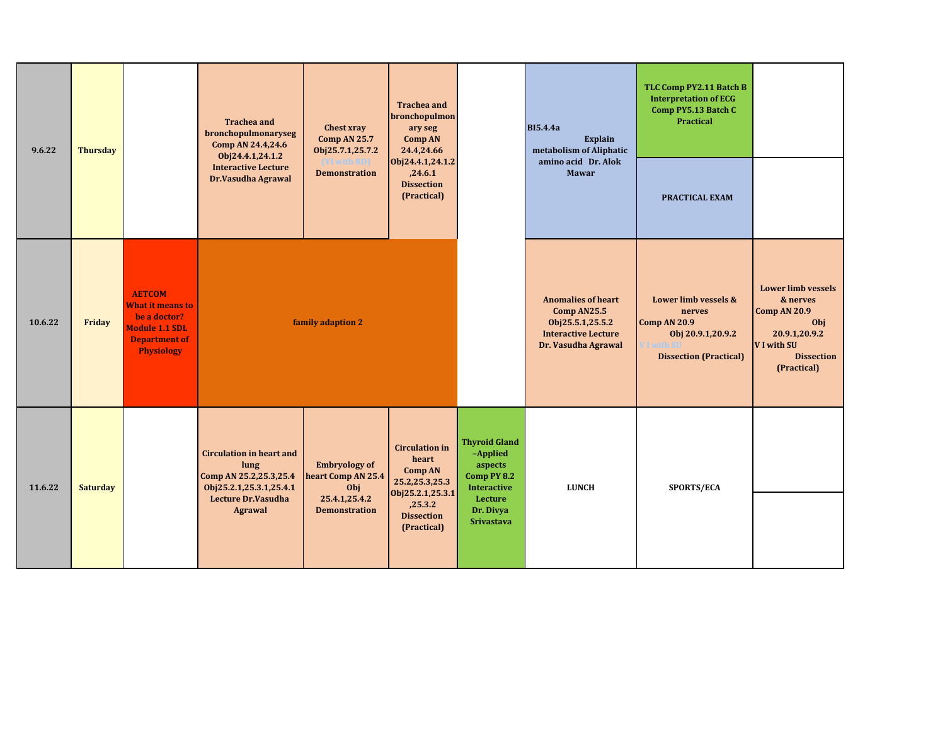| 9.6.22  | <b>Thursday</b> |                                                                                                                                | <b>Trachea and</b><br>bronchopulmonaryseg<br>Comp AN 24.4,24.6<br>Obj24.4.1,24.1.2           | <b>Chest xray</b><br><b>Comp AN 25.7</b><br>Obj25.7.1,25.7.2 | <b>Trachea and</b><br>bronchopulmon<br>ary seg<br><b>Comp AN</b><br>24.4,24.66                         |                                                                                  | <b>BI5.4.4a</b><br>Explain<br>metabolism of Aliphatic                                                             | TLC Comp PY2.11 Batch B<br><b>Interpretation of ECG</b><br>Comp PY5.13 Batch C<br>Practical                 |                                                                                                                                         |
|---------|-----------------|--------------------------------------------------------------------------------------------------------------------------------|----------------------------------------------------------------------------------------------|--------------------------------------------------------------|--------------------------------------------------------------------------------------------------------|----------------------------------------------------------------------------------|-------------------------------------------------------------------------------------------------------------------|-------------------------------------------------------------------------------------------------------------|-----------------------------------------------------------------------------------------------------------------------------------------|
|         |                 |                                                                                                                                | <b>Interactive Lecture</b><br>Dr.Vasudha Agrawal                                             | <b><i>NI</i></b> with RDI<br><b>Demonstration</b>            | amino acid Dr. Alok<br>Obj24.4.1,24.1.2<br><b>Mawar</b><br>,24.6.1<br><b>Dissection</b><br>(Practical) |                                                                                  | PRACTICAL EXAM                                                                                                    |                                                                                                             |                                                                                                                                         |
| 10.6.22 | Friday          | <b>AETCOM</b><br><b>What it means to</b><br>be a doctor?<br><b>Module 1.1 SDL</b><br><b>Department of</b><br><b>Physiology</b> |                                                                                              | family adaption 2                                            |                                                                                                        |                                                                                  | <b>Anomalies of heart</b><br>Comp AN25.5<br>Obj25.5.1,25.5.2<br><b>Interactive Lecture</b><br>Dr. Vasudha Agrawal | Lower limb vessels &<br>nerves<br><b>Comp AN 20.9</b><br>Obj 20.9.1,20.9.2<br><b>Dissection (Practical)</b> | <b>Lower limb vessels</b><br>& nerves<br><b>Comp AN 20.9</b><br>Obj<br>20.9.1,20.9.2<br>V I with SU<br><b>Dissection</b><br>(Practical) |
| 11.6.22 | <b>Saturday</b> |                                                                                                                                | <b>Circulation in heart and</b><br>lung<br>Comp AN 25.2,25.3,25.4<br>Obj25.2.1,25.3.1,25.4.1 | <b>Embryology of</b><br>heart Comp AN 25.4<br>Obj            | <b>Circulation</b> in<br>heart<br><b>Comp AN</b><br>25.2,25.3,25.3                                     | <b>Thyroid Gland</b><br>-Applied<br>aspects<br>Comp PY 8.2<br><b>Interactive</b> | <b>LUNCH</b>                                                                                                      | SPORTS/ECA                                                                                                  |                                                                                                                                         |
|         |                 |                                                                                                                                | <b>Lecture Dr.Vasudha</b><br><b>Agrawal</b>                                                  | 25.4.1,25.4.2<br><b>Demonstration</b>                        | Obj25.2.1,25.3.1<br>,25.3.2<br><b>Dissection</b><br>(Practical)                                        | Lecture<br>Dr. Divya<br>Srivastava                                               |                                                                                                                   |                                                                                                             |                                                                                                                                         |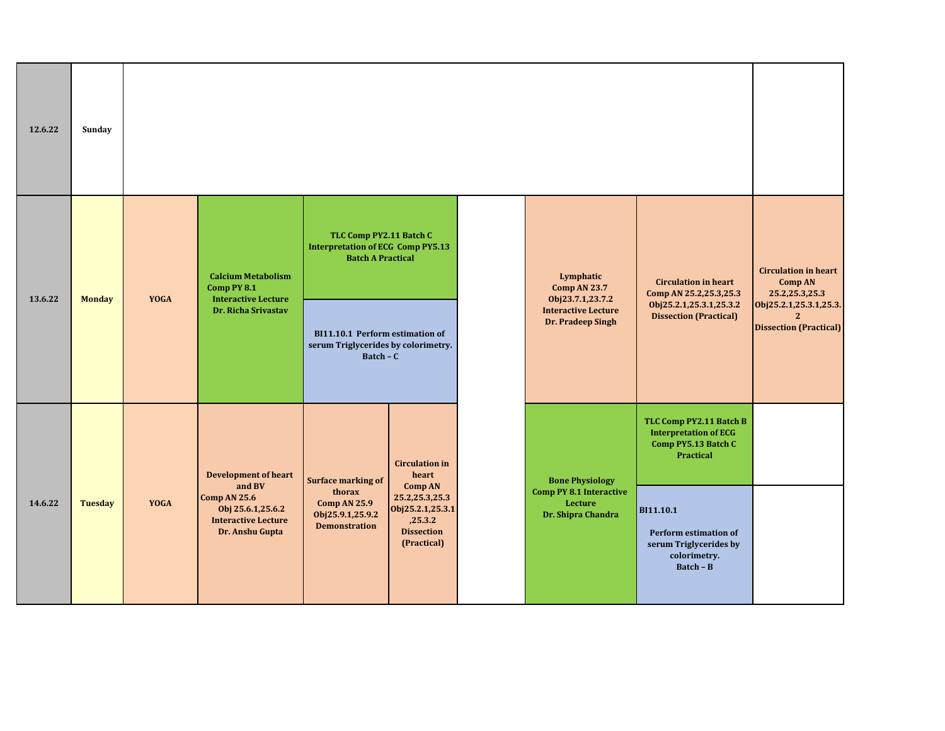| 12.6.22 | Sunday         |                                                                                                                    |                                                                                                                                                                                  |                                                                                                 |                                                                 |                                                                                                  |                                                                                             |                                                                   |
|---------|----------------|--------------------------------------------------------------------------------------------------------------------|----------------------------------------------------------------------------------------------------------------------------------------------------------------------------------|-------------------------------------------------------------------------------------------------|-----------------------------------------------------------------|--------------------------------------------------------------------------------------------------|---------------------------------------------------------------------------------------------|-------------------------------------------------------------------|
|         | <b>Monday</b>  | <b>YOGA</b>                                                                                                        | <b>Calcium Metabolism</b><br>Comp PY 8.1<br><b>Interactive Lecture</b>                                                                                                           | TLC Comp PY2.11 Batch C<br><b>Interpretation of ECG Comp PY5.13</b><br><b>Batch A Practical</b> |                                                                 | Lymphatic<br><b>Comp AN 23.7</b><br>Obj23.7.1,23.7.2                                             | <b>Circulation in heart</b><br>Comp AN 25.2,25.3,25.3                                       | <b>Circulation in heart</b><br><b>Comp AN</b><br>25.2, 25.3, 25.3 |
| 13.6.22 |                |                                                                                                                    | Dr. Richa Srivastav                                                                                                                                                              | BI11.10.1 Perform estimation of<br>serum Triglycerides by colorimetry.<br>$Batch - C$           |                                                                 | <b>Interactive Lecture</b><br>Dr. Pradeep Singh                                                  | Obj25.2.1,25.3.1,25.3.2<br><b>Dissection (Practical)</b>                                    | Obj25.2.1,25.3.1,25.3.<br><b>Dissection (Practical)</b>           |
|         |                |                                                                                                                    | <b>Development of heart</b>                                                                                                                                                      | <b>Surface marking of</b>                                                                       | <b>Circulation in</b><br>heart                                  | <b>Bone Physiology</b>                                                                           | TLC Comp PY2.11 Batch B<br><b>Interpretation of ECG</b><br>Comp PY5.13 Batch C<br>Practical |                                                                   |
| 14.6.22 | <b>Tuesday</b> | and BV<br><b>Comp AN 25.6</b><br><b>YOGA</b><br>Obj 25.6.1,25.6.2<br><b>Interactive Lecture</b><br>Dr. Anshu Gupta | <b>Comp AN</b><br>thorax<br>25.2,25.3,25.3<br><b>Comp AN 25.9</b><br>Obj25.2.1,25.3.1<br>Obj25.9.1,25.9.2<br>,25.3.2<br><b>Demonstration</b><br><b>Dissection</b><br>(Practical) |                                                                                                 | <b>Comp PY 8.1 Interactive</b><br>Lecture<br>Dr. Shipra Chandra | BI11.10.1<br><b>Perform estimation of</b><br>serum Triglycerides by<br>colorimetry.<br>Batch - B |                                                                                             |                                                                   |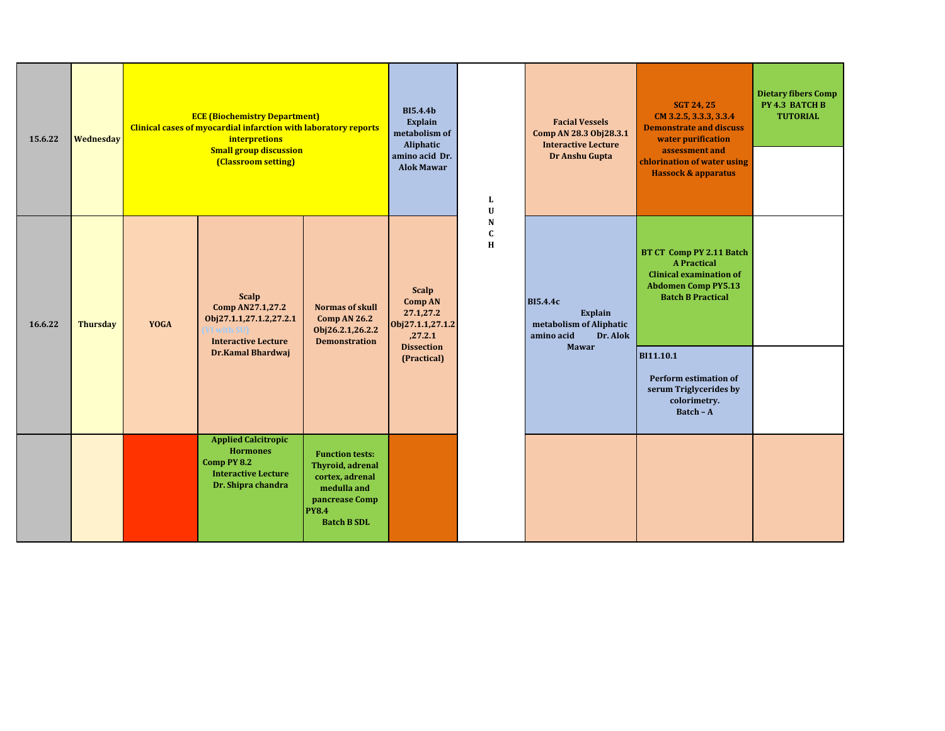| 15.6.22 | Wednesday       | <b>ECE (Biochemistry Department)</b><br><b>Clinical cases of myocardial infarction with laboratory reports</b><br>interpretions<br><b>Small group discussion</b><br>(Classroom setting) |                                                                                                                  |                                                                                                                                      | <b>BI5.4.4b</b><br>Explain<br>metabolism of<br>Aliphatic<br>amino acid Dr.<br><b>Alok Mawar</b>                | L<br>$\mathbf U$      | <b>Facial Vessels</b><br>Comp AN 28.3 Obj28.3.1<br><b>Interactive Lecture</b><br>Dr Anshu Gupta | <b>SGT 24, 25</b><br>CM 3.2.5, 3.3.3, 3.3.4<br><b>Demonstrate and discuss</b><br>water purification<br>assessment and<br>chlorination of water using<br><b>Hassock &amp; apparatus</b>                     | <b>Dietary fibers Comp</b><br>PY 4.3 BATCH B<br><b>TUTORIAL</b> |
|---------|-----------------|-----------------------------------------------------------------------------------------------------------------------------------------------------------------------------------------|------------------------------------------------------------------------------------------------------------------|--------------------------------------------------------------------------------------------------------------------------------------|----------------------------------------------------------------------------------------------------------------|-----------------------|-------------------------------------------------------------------------------------------------|------------------------------------------------------------------------------------------------------------------------------------------------------------------------------------------------------------|-----------------------------------------------------------------|
| 16.6.22 | <b>Thursday</b> | YOGA                                                                                                                                                                                    | <b>Scalp</b><br>Comp AN27.1,27.2<br>Obj27.1.1,27.1.2,27.2.1<br><b>Interactive Lecture</b><br>Dr.Kamal Bhardwaj   | <b>Normas of skull</b><br>Comp AN 26.2<br>Obj26.2.1,26.2.2<br><b>Demonstration</b>                                                   | <b>Scalp</b><br><b>Comp AN</b><br>27.1,27.2<br>Obj27.1.1,27.1.2<br>,27.2.1<br><b>Dissection</b><br>(Practical) | N<br>$\mathbf C$<br>H | <b>BI5.4.4c</b><br>Explain<br>metabolism of Aliphatic<br>Dr. Alok<br>amino acid<br><b>Mawar</b> | BT CT Comp PY 2.11 Batch<br><b>A Practical</b><br><b>Clinical examination of</b><br><b>Abdomen Comp PY5.13</b><br><b>Batch B Practical</b><br>BI11.10.1<br>Perform estimation of<br>serum Triglycerides by |                                                                 |
|         |                 |                                                                                                                                                                                         | <b>Applied Calcitropic</b><br><b>Hormones</b><br>Comp PY 8.2<br><b>Interactive Lecture</b><br>Dr. Shipra chandra | <b>Function tests:</b><br>Thyroid, adrenal<br>cortex, adrenal<br>medulla and<br>pancrease Comp<br><b>PY8.4</b><br><b>Batch B SDL</b> |                                                                                                                |                       |                                                                                                 | colorimetry.<br>Batch - A                                                                                                                                                                                  |                                                                 |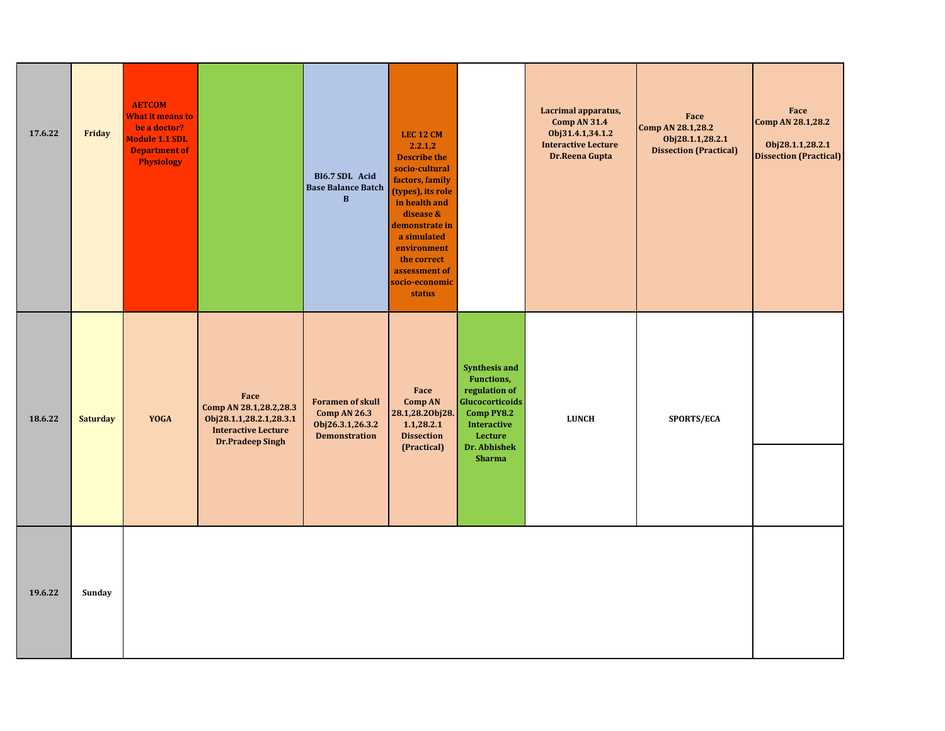| 17.6.22 | Friday          | <b>AETCOM</b><br><b>What it means to</b><br>be a doctor?<br><b>Module 1.1 SDL</b><br><b>Department of</b><br><b>Physiology</b> |                                                                                                                    | BI6.7 SDL Acid<br><b>Base Balance Batch</b><br>$\bf{B}$                                    | <b>LEC 12 CM</b><br>2.2.1,2<br><b>Describe the</b><br>socio-cultural<br>factors, family<br>(types), its role<br>in health and<br>disease &<br>demonstrate in<br>a simulated<br>environment<br>the correct<br>assessment of<br>socio-economic<br><b>status</b> |                                                                                                                                                               | Lacrimal apparatus,<br><b>Comp AN 31.4</b><br>Obj31.4.1,34.1.2<br><b>Interactive Lecture</b><br>Dr.Reena Gupta | Face<br>Comp AN 28.1,28.2<br>Obj28.1.1,28.2.1<br><b>Dissection (Practical)</b> | Face<br>Comp AN 28.1,28.2<br>Obj28.1.1,28.2.1<br><b>Dissection (Practical)</b> |
|---------|-----------------|--------------------------------------------------------------------------------------------------------------------------------|--------------------------------------------------------------------------------------------------------------------|--------------------------------------------------------------------------------------------|---------------------------------------------------------------------------------------------------------------------------------------------------------------------------------------------------------------------------------------------------------------|---------------------------------------------------------------------------------------------------------------------------------------------------------------|----------------------------------------------------------------------------------------------------------------|--------------------------------------------------------------------------------|--------------------------------------------------------------------------------|
| 18.6.22 | <b>Saturday</b> | <b>YOGA</b>                                                                                                                    | Face<br>Comp AN 28.1,28.2,28.3<br>Obj28.1.1,28.2.1,28.3.1<br><b>Interactive Lecture</b><br><b>Dr.Pradeep Singh</b> | <b>Foramen of skull</b><br><b>Comp AN 26.3</b><br>Obj26.3.1,26.3.2<br><b>Demonstration</b> | Face<br>Comp AN<br>28.1,28.20bj28.<br>1.1,28.2.1<br><b>Dissection</b><br>(Practical)                                                                                                                                                                          | <b>Synthesis and</b><br><b>Functions,</b><br>regulation of<br>Glucocorticoids<br>Comp PY8.2<br><b>Interactive</b><br>Lecture<br>Dr. Abhishek<br><b>Sharma</b> | <b>LUNCH</b>                                                                                                   | SPORTS/ECA                                                                     |                                                                                |
| 19.6.22 | Sunday          |                                                                                                                                |                                                                                                                    |                                                                                            |                                                                                                                                                                                                                                                               |                                                                                                                                                               |                                                                                                                |                                                                                |                                                                                |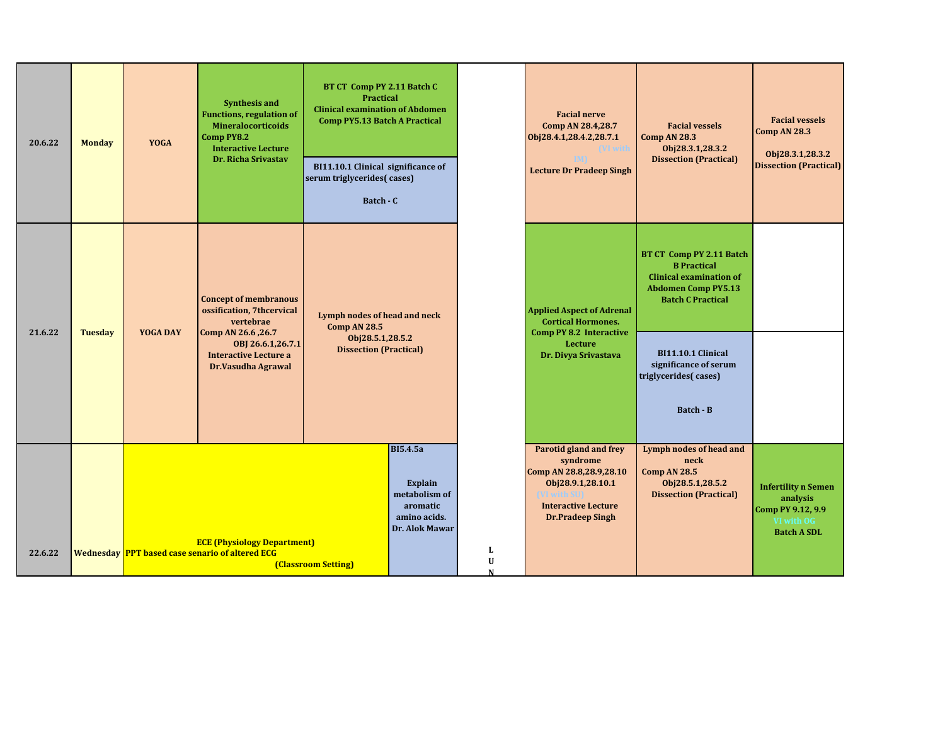| 20.6.22 | <b>Monday</b> | <b>YOGA</b>                                                                                                                        | <b>Synthesis and</b><br><b>Functions, regulation of</b><br><b>Mineralocorticoids</b><br>Comp PY8.2<br><b>Interactive Lecture</b><br>Dr. Richa Srivastav | BT CT Comp PY 2.11 Batch C<br><b>Practical</b><br><b>Clinical examination of Abdomen</b><br><b>Comp PY5.13 Batch A Practical</b><br>BI11.10.1 Clinical significance of<br>serum triglycerides(cases)<br>Batch - C |                                                                                           |             | <b>Facial nerve</b><br>Comp AN 28.4,28.7<br>Obj28.4.1,28.4.2,28.7.1<br>VI with<br><b>Lecture Dr Pradeep Singh</b>                                                         | <b>Facial vessels</b><br><b>Comp AN 28.3</b><br>Obj28.3.1,28.3.2<br><b>Dissection (Practical)</b>                                          | <b>Facial vessels</b><br>Comp AN 28.3<br>Obj28.3.1,28.3.2<br><b>Dissection (Practical)</b>      |
|---------|---------------|------------------------------------------------------------------------------------------------------------------------------------|---------------------------------------------------------------------------------------------------------------------------------------------------------|-------------------------------------------------------------------------------------------------------------------------------------------------------------------------------------------------------------------|-------------------------------------------------------------------------------------------|-------------|---------------------------------------------------------------------------------------------------------------------------------------------------------------------------|--------------------------------------------------------------------------------------------------------------------------------------------|-------------------------------------------------------------------------------------------------|
|         |               |                                                                                                                                    | <b>Concept of membranous</b><br>ossification, 7thcervical<br>vertebrae                                                                                  | Lymph nodes of head and neck<br><b>Comp AN 28.5</b>                                                                                                                                                               |                                                                                           |             | <b>Applied Aspect of Adrenal</b><br><b>Cortical Hormones.</b>                                                                                                             | BT CT Comp PY 2.11 Batch<br><b>B</b> Practical<br><b>Clinical examination of</b><br><b>Abdomen Comp PY5.13</b><br><b>Batch C Practical</b> |                                                                                                 |
| 21.6.22 |               | <b>YOGA DAY</b><br>Comp AN 26.6, 26.7<br><b>Tuesday</b><br>OBJ 26.6.1,26.7.1<br><b>Interactive Lecture a</b><br>Dr.Vasudha Agrawal |                                                                                                                                                         | Obj28.5.1,28.5.2<br><b>Dissection (Practical)</b>                                                                                                                                                                 |                                                                                           |             | <b>Comp PY 8.2 Interactive</b><br>Lecture<br>Dr. Divya Srivastava                                                                                                         | <b>BI11.10.1 Clinical</b><br>significance of serum<br>triglycerides(cases)<br><b>Batch - B</b>                                             |                                                                                                 |
| 22.6.22 |               | <b>ECE (Physiology Department)</b><br><b>Wednesday PPT based case senario of altered ECG</b><br><b>(Classroom Setting)</b>         |                                                                                                                                                         |                                                                                                                                                                                                                   | <b>BI5.4.5a</b><br>Explain<br>metabolism of<br>aromatic<br>amino acids.<br>Dr. Alok Mawar | L<br>U<br>N | <b>Parotid gland and frey</b><br>syndrome<br>Comp AN 28.8,28.9,28.10<br>Obj28.9.1,28.10.1<br><b>IVI with SID</b><br><b>Interactive Lecture</b><br><b>Dr.Pradeep Singh</b> | Lymph nodes of head and<br>neck<br><b>Comp AN 28.5</b><br>Obj28.5.1,28.5.2<br><b>Dissection (Practical)</b>                                | <b>Infertility n Semen</b><br>analysis<br>Comp PY 9.12, 9.9<br>VI with OG<br><b>Batch A SDL</b> |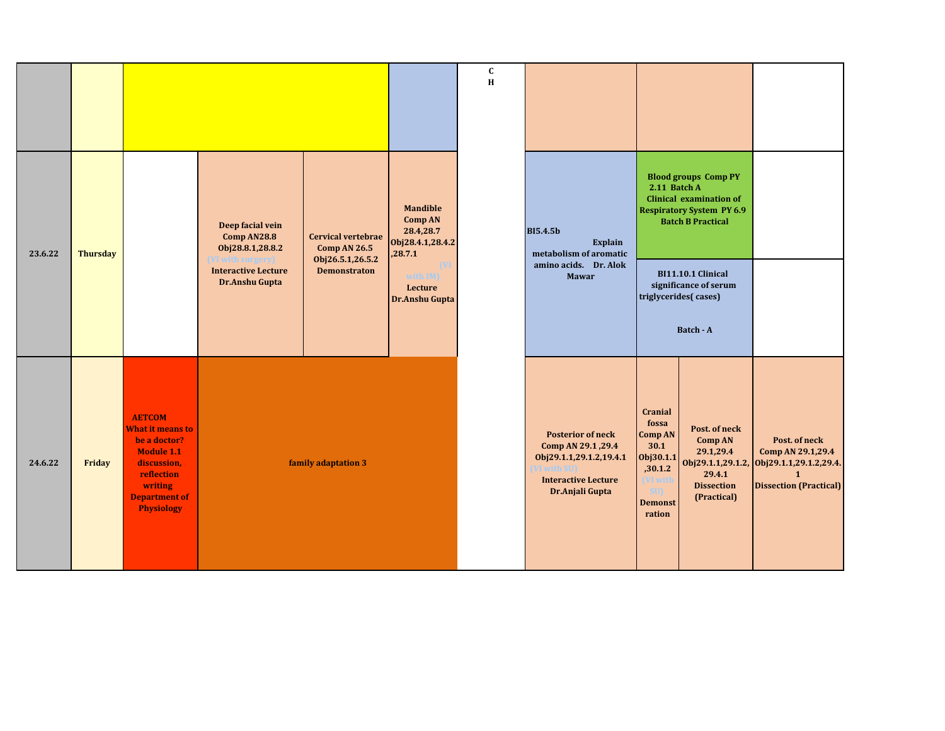|         |                 |                                                                                                                                                                    |                                                                         |                                                                      |                                                                               | $\mathbf c$<br>H |                                                                                                                            |                                                                                                                                     |                                                                                                                               |                                                                                               |
|---------|-----------------|--------------------------------------------------------------------------------------------------------------------------------------------------------------------|-------------------------------------------------------------------------|----------------------------------------------------------------------|-------------------------------------------------------------------------------|------------------|----------------------------------------------------------------------------------------------------------------------------|-------------------------------------------------------------------------------------------------------------------------------------|-------------------------------------------------------------------------------------------------------------------------------|-----------------------------------------------------------------------------------------------|
| 23.6.22 | <b>Thursday</b> |                                                                                                                                                                    | Deep facial vein<br>Comp AN28.8<br>Obj28.8.1,28.8.2<br>VI with surgery) | <b>Cervical vertebrae</b><br><b>Comp AN 26.5</b><br>Obj26.5.1,26.5.2 | <b>Mandible</b><br><b>Comp AN</b><br>28.4,28.7<br>Obj28.4.1,28.4.2<br>,28.7.1 |                  | <b>BI5.4.5b</b><br><b>Explain</b><br>metabolism of aromatic                                                                | 2.11 Batch A                                                                                                                        | <b>Blood groups Comp PY</b><br><b>Clinical examination of</b><br><b>Respiratory System PY 6.9</b><br><b>Batch B Practical</b> |                                                                                               |
|         |                 |                                                                                                                                                                    | <b>Interactive Lecture</b><br>Dr.Anshu Gupta                            | <b>Demonstraton</b>                                                  | with IM)<br>Lecture<br>Dr.Anshu Gupta                                         |                  | amino acids. Dr. Alok<br>Mawar                                                                                             |                                                                                                                                     | <b>BI11.10.1 Clinical</b><br>significance of serum<br>triglycerides(cases)<br>Batch - A                                       |                                                                                               |
| 24.6.22 | Friday          | <b>AETCOM</b><br><b>What it means to</b><br>be a doctor?<br><b>Module 1.1</b><br>discussion,<br>reflection<br>writing<br><b>Department of</b><br><b>Physiology</b> |                                                                         | family adaptation 3                                                  |                                                                               |                  | <b>Posterior of neck</b><br>Comp AN 29.1, 29.4<br>Obj29.1.1,29.1.2,19.4.1<br><b>Interactive Lecture</b><br>Dr.Anjali Gupta | <b>Cranial</b><br>fossa<br>Comp AN<br>30.1<br>Obj30.1.1<br>,30.1.2<br><b>VI</b> witl<br>SU <sub>1</sub><br><b>Demonst</b><br>ration | Post. of neck<br><b>Comp AN</b><br>29.1,29.4<br>Obj29.1.1,29.1.2,<br>29.4.1<br><b>Dissection</b><br>(Practical)               | Post. of neck<br>Comp AN 29.1,29.4<br>Obj29.1.1,29.1.2,29.4.<br><b>Dissection (Practical)</b> |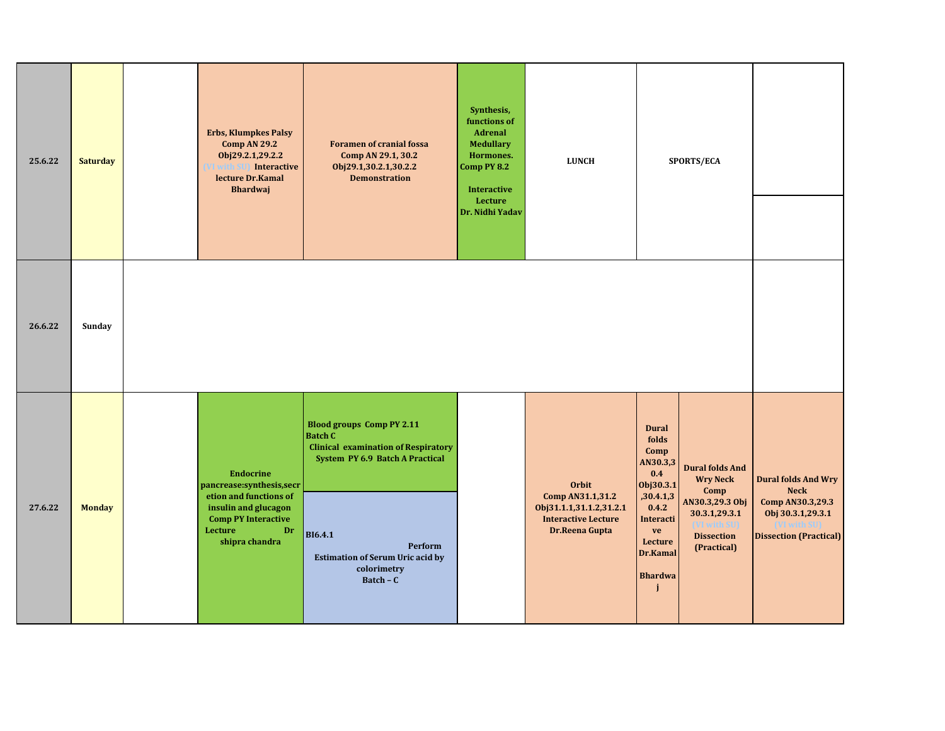| 25.6.22 | <b>Saturday</b> | <b>Erbs, Klumpkes Palsy</b><br><b>Comp AN 29.2</b><br>Obj29.2.1,29.2.2<br><b>Interactive</b><br>lecture Dr.Kamal<br><b>Bhardwaj</b>                             | <b>Foramen of cranial fossa</b><br>Comp AN 29.1, 30.2<br>Obj29.1,30.2.1,30.2.2<br><b>Demonstration</b>                                                                                                                                  | Synthesis,<br>functions of<br>Adrenal<br><b>Medullary</b><br>Hormones.<br>Comp PY 8.2<br><b>Interactive</b><br>Lecture<br>Dr. Nidhi Yadav | <b>LUNCH</b>                                                                                                | SPORTS/ECA                                                                                                                                                                                                                                                                   |                                                                                                                     |
|---------|-----------------|-----------------------------------------------------------------------------------------------------------------------------------------------------------------|-----------------------------------------------------------------------------------------------------------------------------------------------------------------------------------------------------------------------------------------|-------------------------------------------------------------------------------------------------------------------------------------------|-------------------------------------------------------------------------------------------------------------|------------------------------------------------------------------------------------------------------------------------------------------------------------------------------------------------------------------------------------------------------------------------------|---------------------------------------------------------------------------------------------------------------------|
| 26.6.22 | Sunday          |                                                                                                                                                                 |                                                                                                                                                                                                                                         |                                                                                                                                           |                                                                                                             |                                                                                                                                                                                                                                                                              |                                                                                                                     |
| 27.6.22 | <b>Monday</b>   | <b>Endocrine</b><br>pancrease:synthesis,secr<br>etion and functions of<br>insulin and glucagon<br><b>Comp PY Interactive</b><br>Lecture<br>Dr<br>shipra chandra | <b>Blood groups Comp PY 2.11</b><br><b>Batch C</b><br><b>Clinical examination of Respiratory</b><br>System PY 6.9 Batch A Practical<br><b>BI6.4.1</b><br>Perform<br><b>Estimation of Serum Uric acid by</b><br>colorimetry<br>Batch - C |                                                                                                                                           | <b>Orbit</b><br>Comp AN31.1,31.2<br>0bj31.1.1,31.1.2,31.2.1<br><b>Interactive Lecture</b><br>Dr.Reena Gupta | <b>Dural</b><br>folds<br>Comp<br>AN30.3,3<br><b>Dural folds And</b><br>0.4<br><b>Wry Neck</b><br>Obj30.3.1<br>Comp<br>,30.4.1,3<br>AN30.3,29.3 Obj<br>0.4.2<br>30.3.1,29.3.1<br>Interacti<br>ve<br><b>Dissection</b><br>Lecture<br>(Practical)<br>Dr.Kamal<br><b>Bhardwa</b> | <b>Dural folds And Wry</b><br><b>Neck</b><br>Comp AN30.3,29.3<br>Obj 30.3.1,29.3.1<br><b>Dissection (Practical)</b> |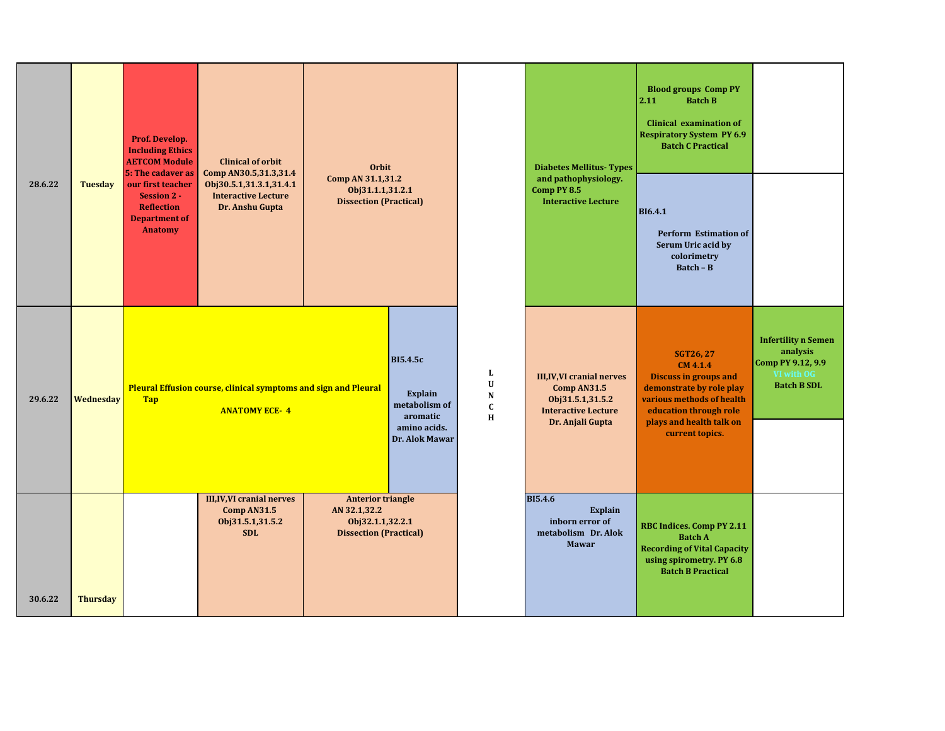|         |                 | Prof. Develop.<br><b>Including Ethics</b><br><b>AETCOM Module</b><br>5: The cadaver as                 | <b>Clinical of orbit</b><br>Comp AN30.5,31.3,31.4                                              | <b>Orbit</b><br>Comp AN 31.1,31.2                                                             |                                                                                           |                                                   | <b>Diabetes Mellitus-Types</b>                                                                                        | <b>Blood groups Comp PY</b><br><b>Batch B</b><br>2.11<br><b>Clinical examination of</b><br><b>Respiratory System PY 6.9</b><br><b>Batch C Practical</b>                                        |                                                                                                 |
|---------|-----------------|--------------------------------------------------------------------------------------------------------|------------------------------------------------------------------------------------------------|-----------------------------------------------------------------------------------------------|-------------------------------------------------------------------------------------------|---------------------------------------------------|-----------------------------------------------------------------------------------------------------------------------|------------------------------------------------------------------------------------------------------------------------------------------------------------------------------------------------|-------------------------------------------------------------------------------------------------|
| 28.6.22 | <b>Tuesday</b>  | our first teacher<br><b>Session 2 -</b><br><b>Reflection</b><br><b>Department of</b><br><b>Anatomy</b> | Obj30.5.1,31.3.1,31.4.1<br><b>Interactive Lecture</b><br>Dr. Anshu Gupta                       | Obj31.1.1,31.2.1<br><b>Dissection (Practical)</b>                                             |                                                                                           |                                                   | and pathophysiology.<br>Comp PY 8.5<br><b>Interactive Lecture</b>                                                     | <b>BI6.4.1</b><br><b>Perform Estimation of</b><br>Serum Uric acid by<br>colorimetry<br>$Batch - B$                                                                                             |                                                                                                 |
| 29.6.22 | Wednesday       | <b>Tap</b>                                                                                             | <b>Pleural Effusion course, clinical symptoms and sign and Pleural</b><br><b>ANATOMY ECE-4</b> |                                                                                               | <b>BI5.4.5c</b><br>Explain<br>metabolism of<br>aromatic<br>amino acids.<br>Dr. Alok Mawar | L<br>$\mathbf U$<br>${\bf N}$<br>$\mathbf C$<br>H | <b>III,IV, VI cranial nerves</b><br>Comp AN31.5<br>Obj31.5.1,31.5.2<br><b>Interactive Lecture</b><br>Dr. Anjali Gupta | <b>SGT26, 27</b><br>CM 4.1.4<br><b>Discuss in groups and</b><br>demonstrate by role play<br>various methods of health<br>education through role<br>plays and health talk on<br>current topics. | <b>Infertility n Semen</b><br>analysis<br>Comp PY 9.12, 9.9<br>VI with OG<br><b>Batch B SDL</b> |
| 30.6.22 | <b>Thursday</b> |                                                                                                        | <b>III, IV, VI cranial nerves</b><br>Comp AN31.5<br>Obj31.5.1,31.5.2<br><b>SDL</b>             | <b>Anterior triangle</b><br>AN 32.1,32.2<br>Obj32.1.1,32.2.1<br><b>Dissection (Practical)</b> |                                                                                           |                                                   | <b>BI5.4.6</b><br><b>Explain</b><br>inborn error of<br>metabolism Dr. Alok<br><b>Mawar</b>                            | <b>RBC Indices. Comp PY 2.11</b><br><b>Batch A</b><br><b>Recording of Vital Capacity</b><br>using spirometry. PY 6.8<br><b>Batch B Practical</b>                                               |                                                                                                 |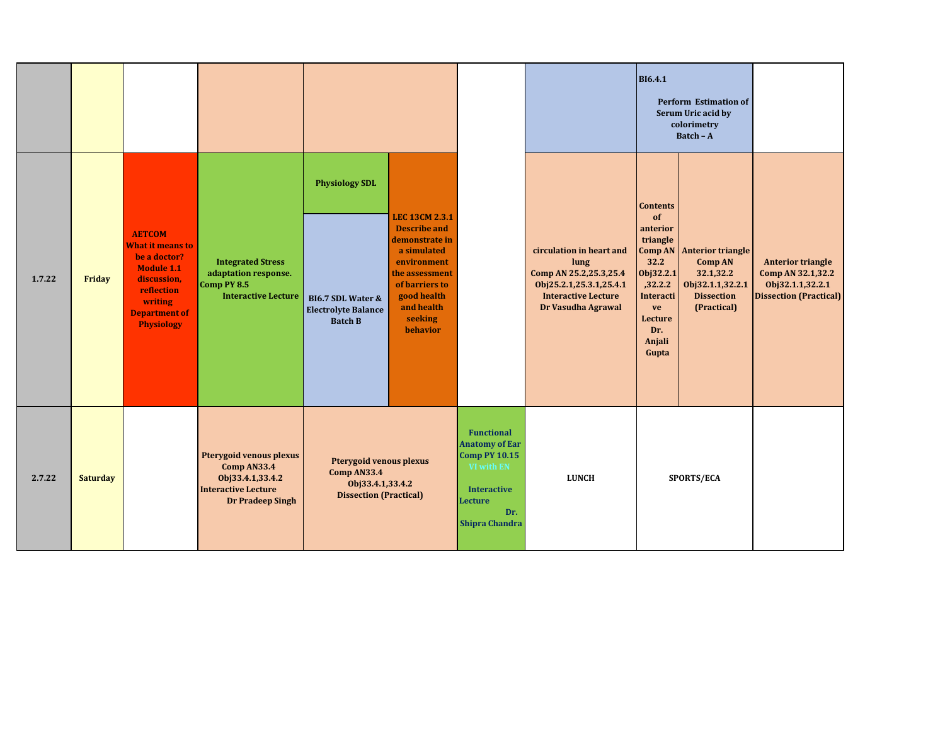|        |                 |                                                                                                                                                                    |                                                                                                                            |                                                                                                       |                                                                                                                                                                                      |                                                                                                                                                   |                                                                                                                                           | <b>BI6.4.1</b>                                                                                                                        | <b>Perform Estimation of</b><br>Serum Uric acid by<br>colorimetry<br>Batch - A                                          |                                                                                                    |
|--------|-----------------|--------------------------------------------------------------------------------------------------------------------------------------------------------------------|----------------------------------------------------------------------------------------------------------------------------|-------------------------------------------------------------------------------------------------------|--------------------------------------------------------------------------------------------------------------------------------------------------------------------------------------|---------------------------------------------------------------------------------------------------------------------------------------------------|-------------------------------------------------------------------------------------------------------------------------------------------|---------------------------------------------------------------------------------------------------------------------------------------|-------------------------------------------------------------------------------------------------------------------------|----------------------------------------------------------------------------------------------------|
| 1.7.22 | Friday          | <b>AETCOM</b><br><b>What it means to</b><br>be a doctor?<br><b>Module 1.1</b><br>discussion,<br>reflection<br>writing<br><b>Department of</b><br><b>Physiology</b> | <b>Integrated Stress</b><br>adaptation response.<br>Comp PY 8.5<br><b>Interactive Lecture</b>                              | <b>Physiology SDL</b><br><b>BI6.7 SDL Water &amp;</b><br><b>Electrolyte Balance</b><br><b>Batch B</b> | <b>LEC 13CM 2.3.1</b><br><b>Describe and</b><br>demonstrate in<br>a simulated<br>environment<br>the assessment<br>of barriers to<br>good health<br>and health<br>seeking<br>behavior |                                                                                                                                                   | circulation in heart and<br>lung<br>Comp AN 25.2,25.3,25.4<br>Obj25.2.1,25.3.1,25.4.1<br><b>Interactive Lecture</b><br>Dr Vasudha Agrawal | <b>Contents</b><br>of<br>anterior<br>triangle<br>32.2<br>Obj32.2.1<br>,32.2.2<br>Interacti<br>ve<br>Lecture<br>Dr.<br>Anjali<br>Gupta | <b>Comp AN Anterior triangle</b><br><b>Comp AN</b><br>32.1,32.2<br>Obj32.1.1,32.2.1<br><b>Dissection</b><br>(Practical) | <b>Anterior triangle</b><br>Comp AN 32.1,32.2<br>Obj32.1.1,32.2.1<br><b>Dissection (Practical)</b> |
| 2.7.22 | <b>Saturday</b> |                                                                                                                                                                    | <b>Pterygoid venous plexus</b><br>Comp AN33.4<br>Obj33.4.1,33.4.2<br><b>Interactive Lecture</b><br><b>Dr Pradeep Singh</b> | <b>Pterygoid venous plexus</b><br>Comp AN33.4<br>Obj33.4.1,33.4.2<br><b>Dissection (Practical)</b>    |                                                                                                                                                                                      | <b>Functional</b><br><b>Anatomy of Ear</b><br><b>Comp PY 10.15</b><br>VI with EN<br><b>Interactive</b><br>Lecture<br>Dr.<br><b>Shipra Chandra</b> | <b>LUNCH</b>                                                                                                                              |                                                                                                                                       | SPORTS/ECA                                                                                                              |                                                                                                    |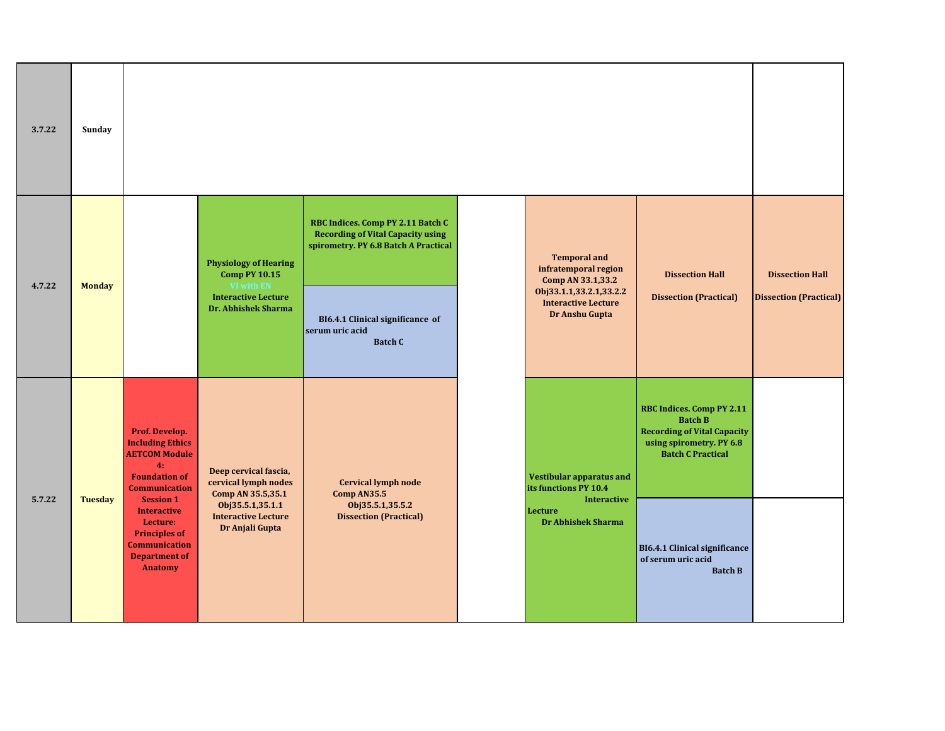| 3.7.22 | Sunday        |                                                                                                                                                                                                                                                                         |                                                                                                                                         |                                                                                                                                                                                                |                                                                                                                                             |                                                                                                                                                                                                                                  |                                                         |
|--------|---------------|-------------------------------------------------------------------------------------------------------------------------------------------------------------------------------------------------------------------------------------------------------------------------|-----------------------------------------------------------------------------------------------------------------------------------------|------------------------------------------------------------------------------------------------------------------------------------------------------------------------------------------------|---------------------------------------------------------------------------------------------------------------------------------------------|----------------------------------------------------------------------------------------------------------------------------------------------------------------------------------------------------------------------------------|---------------------------------------------------------|
| 4.7.22 | <b>Monday</b> |                                                                                                                                                                                                                                                                         | <b>Physiology of Hearing</b><br><b>Comp PY 10.15</b><br>VI with EN<br><b>Interactive Lecture</b><br>Dr. Abhishek Sharma                 | RBC Indices. Comp PY 2.11 Batch C<br><b>Recording of Vital Capacity using</b><br>spirometry. PY 6.8 Batch A Practical<br>BI6.4.1 Clinical significance of<br>serum uric acid<br><b>Batch C</b> | <b>Temporal and</b><br>infratemporal region<br>Comp AN 33.1,33.2<br>Obj33.1.1,33.2.1,33.2.2<br><b>Interactive Lecture</b><br>Dr Anshu Gupta | <b>Dissection Hall</b><br><b>Dissection (Practical)</b>                                                                                                                                                                          | <b>Dissection Hall</b><br><b>Dissection (Practical)</b> |
| 5.7.22 | Tuesday       | Prof. Develop.<br><b>Including Ethics</b><br><b>AETCOM Module</b><br>4:<br><b>Foundation of</b><br><b>Communication</b><br><b>Session 1</b><br><b>Interactive</b><br>Lecture:<br><b>Principles of</b><br><b>Communication</b><br><b>Department of</b><br><b>Anatomy</b> | Deep cervical fascia,<br>cervical lymph nodes<br>Comp AN 35.5,35.1<br>Obj35.5.1,35.1.1<br><b>Interactive Lecture</b><br>Dr Anjali Gupta | <b>Cervical lymph node</b><br>Comp AN35.5<br>Obj35.5.1,35.5.2<br><b>Dissection (Practical)</b>                                                                                                 | Vestibular apparatus and<br>its functions PY 10.4<br><b>Interactive</b><br>Lecture<br><b>Dr Abhishek Sharma</b>                             | <b>RBC Indices. Comp PY 2.11</b><br><b>Batch B</b><br><b>Recording of Vital Capacity</b><br>using spirometry. PY 6.8<br><b>Batch C Practical</b><br><b>BI6.4.1 Clinical significance</b><br>of serum uric acid<br><b>Batch B</b> |                                                         |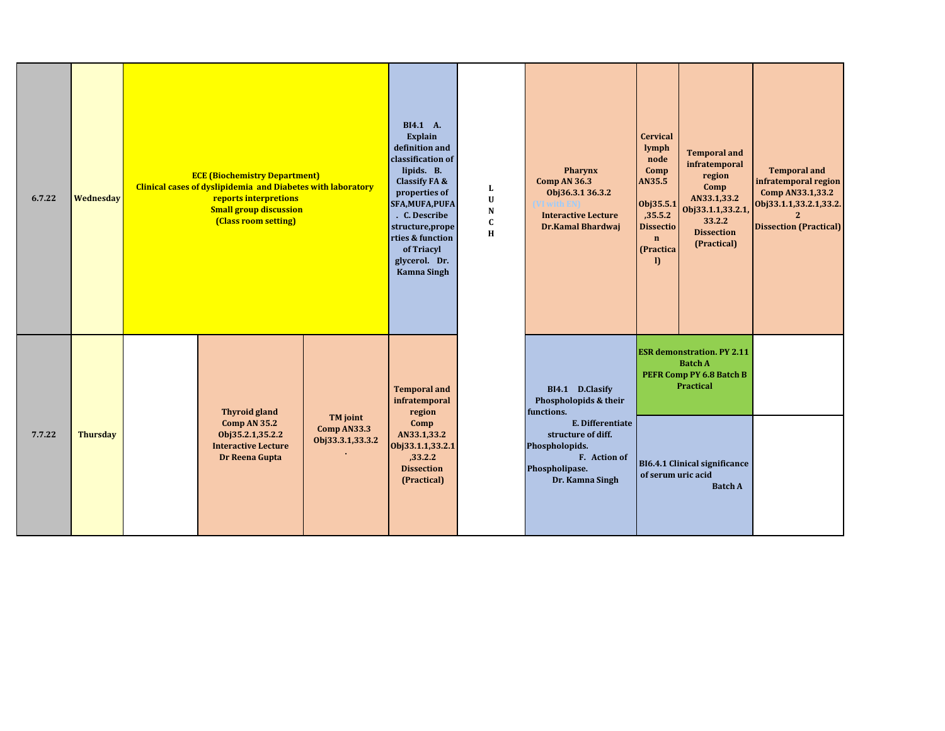| 6.7.22 | Wednesday       | definition and<br>classification of<br><b>ECE (Biochemistry Department)</b><br><b>Clinical cases of dyslipidemia and Diabetes with laboratory</b><br>reports interpretions<br>SFA, MUFA, PUFA<br><b>Small group discussion</b><br>(Class room setting)<br>structure, prope<br>rties & function |                                                    |                                                                                        | L<br>$\mathbf U$<br>N<br>$\mathbf C$<br>$\mathbf H$ | <b>Pharynx</b><br><b>Comp AN 36.3</b><br>Obj36.3.1 36.3.2<br>VI with EN<br><b>Interactive Lecture</b><br><b>Dr.Kamal Bhardwaj</b> | <b>Cervical</b><br>lymph<br>node<br>Comp<br><b>AN35.5</b><br>Obj35.5.1<br>,35.5.2<br><b>Dissectio</b><br>$\mathbf{n}$<br>(Practica<br>I) | <b>Temporal and</b><br>infratemporal<br>region<br>Comp<br>AN33.1,33.2<br>Obj33.1.1,33.2.1<br>33.2.2<br><b>Dissection</b><br>(Practical) | <b>Temporal and</b><br>infratemporal region<br>Comp AN33.1,33.2<br>Obj33.1.1,33.2.1,33.2.<br>$\mathbf{2}$<br><b>Dissection (Practical)</b> |
|--------|-----------------|------------------------------------------------------------------------------------------------------------------------------------------------------------------------------------------------------------------------------------------------------------------------------------------------|----------------------------------------------------|----------------------------------------------------------------------------------------|-----------------------------------------------------|-----------------------------------------------------------------------------------------------------------------------------------|------------------------------------------------------------------------------------------------------------------------------------------|-----------------------------------------------------------------------------------------------------------------------------------------|--------------------------------------------------------------------------------------------------------------------------------------------|
|        |                 | <b>Thyroid gland</b>                                                                                                                                                                                                                                                                           |                                                    | <b>Temporal and</b><br>infratemporal<br>region                                         |                                                     | BI4.1 D.Clasify<br>Phospholopids & their<br>functions.                                                                            |                                                                                                                                          | <b>ESR</b> demonstration. PY 2.11<br><b>Batch A</b><br>PEFR Comp PY 6.8 Batch B<br><b>Practical</b>                                     |                                                                                                                                            |
| 7.7.22 | <b>Thursday</b> | Comp AN 35.2<br>Obj35.2.1,35.2.2<br><b>Interactive Lecture</b><br>Dr Reena Gupta                                                                                                                                                                                                               | <b>TM</b> joint<br>Comp AN33.3<br>Obj33.3.1,33.3.2 | Comp<br>AN33.1,33.2<br>Obj33.1.1,33.2.1<br>,33.2.2<br><b>Dissection</b><br>(Practical) |                                                     | E. Differentiate<br>structure of diff.<br>Phospholopids.<br>F. Action of<br>Phospholipase.<br>Dr. Kamna Singh                     | of serum uric acid                                                                                                                       | BI6.4.1 Clinical significance<br><b>Batch A</b>                                                                                         |                                                                                                                                            |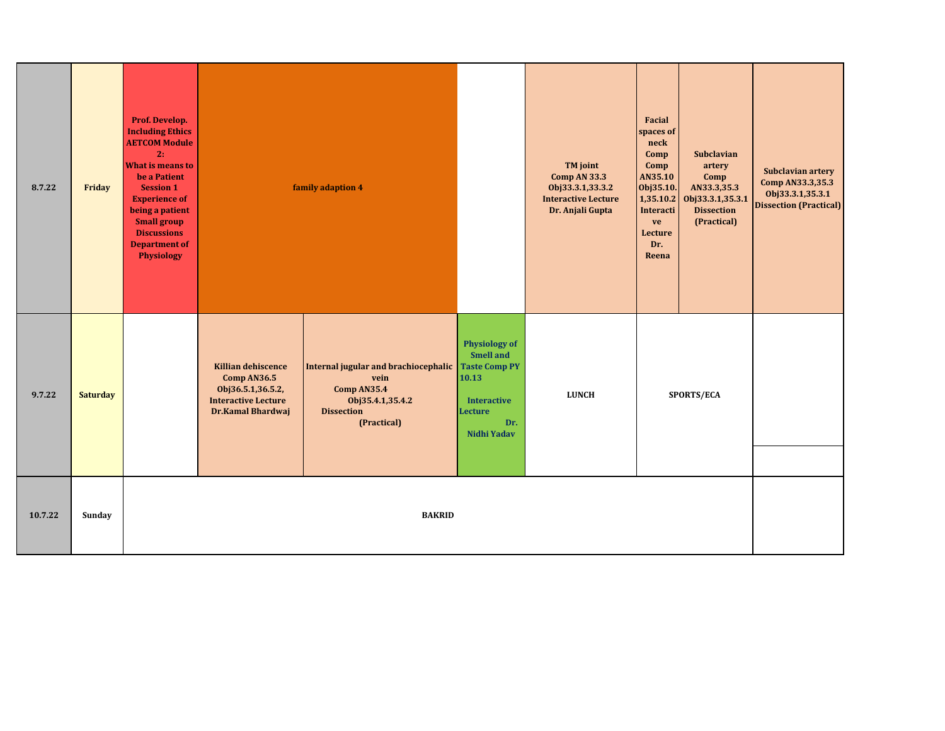| 8.7.22  | Friday          | Prof. Develop.<br><b>Including Ethics</b><br><b>AETCOM Module</b><br>2:<br><b>What is means to</b><br>be a Patient<br><b>Session 1</b><br><b>Experience of</b><br>being a patient<br><b>Small group</b><br><b>Discussions</b><br><b>Department of</b><br>Physiology |                                                                                                                  | family adaption 4                                                                                                   |                                                                                                                                         | TM joint<br>Comp AN 33.3<br>Obj33.3.1,33.3.2<br><b>Interactive Lecture</b><br>Dr. Anjali Gupta | Facial<br>spaces of<br>neck<br>Comp<br>Comp<br>AN35.10<br>Obj35.10.<br>1,35.10.2<br>Interacti<br>ve<br>Lecture<br>Dr.<br>Reena | Subclavian<br>artery<br>Comp<br>AN33.3,35.3<br>Obj33.3.1,35.3.1<br><b>Dissection</b><br>(Practical) | Subclavian artery<br>Comp AN33.3,35.3<br>Obj33.3.1,35.3.1<br><b>Dissection (Practical)</b> |
|---------|-----------------|---------------------------------------------------------------------------------------------------------------------------------------------------------------------------------------------------------------------------------------------------------------------|------------------------------------------------------------------------------------------------------------------|---------------------------------------------------------------------------------------------------------------------|-----------------------------------------------------------------------------------------------------------------------------------------|------------------------------------------------------------------------------------------------|--------------------------------------------------------------------------------------------------------------------------------|-----------------------------------------------------------------------------------------------------|--------------------------------------------------------------------------------------------|
| 9.7.22  | <b>Saturday</b> |                                                                                                                                                                                                                                                                     | <b>Killian dehiscence</b><br>Comp AN36.5<br>Obj36.5.1,36.5.2,<br><b>Interactive Lecture</b><br>Dr.Kamal Bhardwaj | Internal jugular and brachiocephalic<br>vein<br>Comp AN35.4<br>Obj35.4.1,35.4.2<br><b>Dissection</b><br>(Practical) | <b>Physiology of</b><br><b>Smell and</b><br><b>Taste Comp PY</b><br>10.13<br><b>Interactive</b><br><b>Lecture</b><br>Dr.<br>Nidhi Yadav | <b>LUNCH</b>                                                                                   |                                                                                                                                | SPORTS/ECA                                                                                          |                                                                                            |
| 10.7.22 | Sunday          |                                                                                                                                                                                                                                                                     |                                                                                                                  | <b>BAKRID</b>                                                                                                       |                                                                                                                                         |                                                                                                |                                                                                                                                |                                                                                                     |                                                                                            |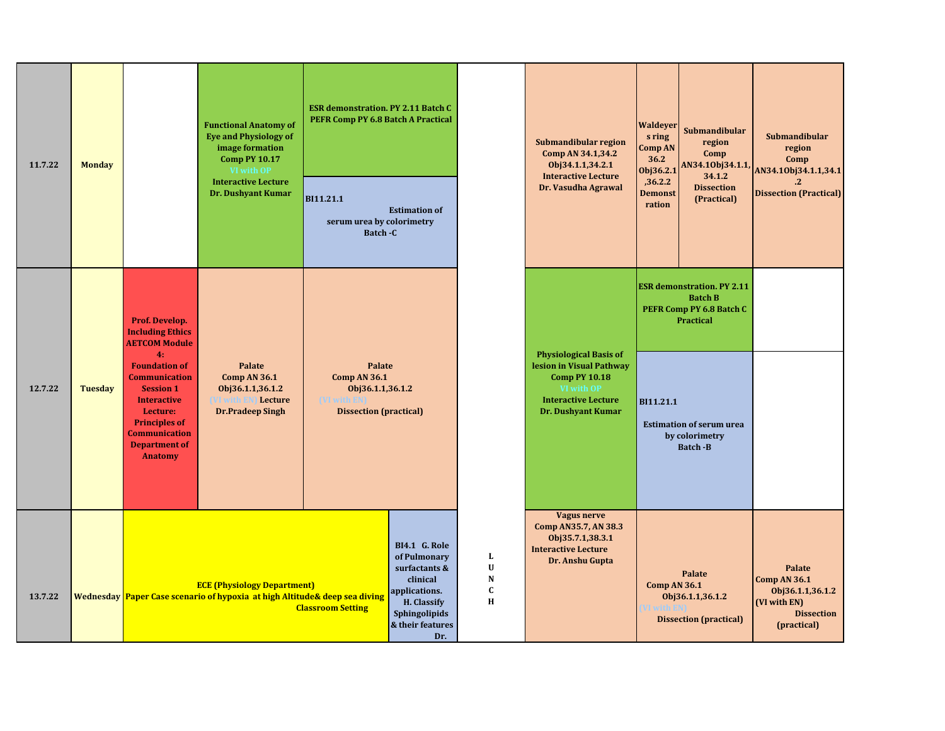| 11.7.22 | <b>Monday</b>  |                                                                                                                                                                                                                                                                         | <b>Functional Anatomy of</b><br><b>Eye and Physiology of</b><br>image formation<br><b>Comp PY 10.17</b><br>VI with OP<br><b>Interactive Lecture</b><br><b>Dr. Dushyant Kumar</b> | <b>ESR demonstration. PY 2.11 Batch C</b><br>PEFR Comp PY 6.8 Batch A Practical<br>BI11.21.1<br>serum urea by colorimetry<br>Batch - C | <b>Estimation of</b>                                                                                                                          |                                                             | Submandibular region<br>Comp AN 34.1,34.2<br>Obj34.1.1,34.2.1<br><b>Interactive Lecture</b><br>Dr. Vasudha Agrawal                                  | Waldeyer<br>s ring<br>Comp AN<br>36.2<br>Obj36.2.1<br>,36.2.2<br><b>Demonst</b><br>ration | Submandibular<br>region<br>Comp<br>AN34.10bj34.1.1,<br>34.1.2<br><b>Dissection</b><br>(Practical)                                                             | Submandibular<br>region<br>Comp<br>AN34.10bj34.1.1,34.1<br>$\cdot$<br><b>Dissection (Practical)</b>   |
|---------|----------------|-------------------------------------------------------------------------------------------------------------------------------------------------------------------------------------------------------------------------------------------------------------------------|----------------------------------------------------------------------------------------------------------------------------------------------------------------------------------|----------------------------------------------------------------------------------------------------------------------------------------|-----------------------------------------------------------------------------------------------------------------------------------------------|-------------------------------------------------------------|-----------------------------------------------------------------------------------------------------------------------------------------------------|-------------------------------------------------------------------------------------------|---------------------------------------------------------------------------------------------------------------------------------------------------------------|-------------------------------------------------------------------------------------------------------|
| 12.7.22 | <b>Tuesday</b> | Prof. Develop.<br><b>Including Ethics</b><br><b>AETCOM Module</b><br>4:<br><b>Foundation of</b><br><b>Communication</b><br><b>Session 1</b><br><b>Interactive</b><br>Lecture:<br><b>Principles of</b><br><b>Communication</b><br><b>Department of</b><br><b>Anatomy</b> | Palate<br>Comp AN 36.1<br>Obj36.1.1,36.1.2<br>Lecture<br><b>Dr.Pradeep Singh</b>                                                                                                 | Palate<br><b>Comp AN 36.1</b><br>Obj36.1.1,36.1.2<br>(VI with El<br><b>Dissection (practical)</b>                                      |                                                                                                                                               |                                                             | <b>Physiological Basis of</b><br>lesion in Visual Pathway<br><b>Comp PY 10.18</b><br>VI with OP<br><b>Interactive Lecture</b><br>Dr. Dushyant Kumar | BI11.21.1                                                                                 | <b>ESR demonstration. PY 2.11</b><br><b>Batch B</b><br>PEFR Comp PY 6.8 Batch C<br>Practical<br><b>Estimation of serum urea</b><br>by colorimetry<br>Batch -B |                                                                                                       |
| 13.7.22 |                |                                                                                                                                                                                                                                                                         | <b>ECE (Physiology Department)</b><br>Wednesday Paper Case scenario of hypoxia at high Altitude& deep sea diving                                                                 | <b>Classroom Setting</b>                                                                                                               | <b>BI4.1 G. Role</b><br>of Pulmonary<br>surfactants &<br>clinical<br>applications.<br>H. Classify<br>Sphingolipids<br>& their features<br>Dr. | L<br>$\mathbf U$<br>${\bf N}$<br>$\mathbf C$<br>$\mathbf H$ | <b>Vagus nerve</b><br>Comp AN35.7, AN 38.3<br>Obj35.7.1,38.3.1<br><b>Interactive Lecture</b><br>Dr. Anshu Gupta                                     | <b>Comp AN 36.1</b>                                                                       | Palate<br>Obj36.1.1,36.1.2<br><b>Dissection (practical)</b>                                                                                                   | <b>Palate</b><br>Comp AN 36.1<br>Obj36.1.1,36.1.2<br>(VI with EN)<br><b>Dissection</b><br>(practical) |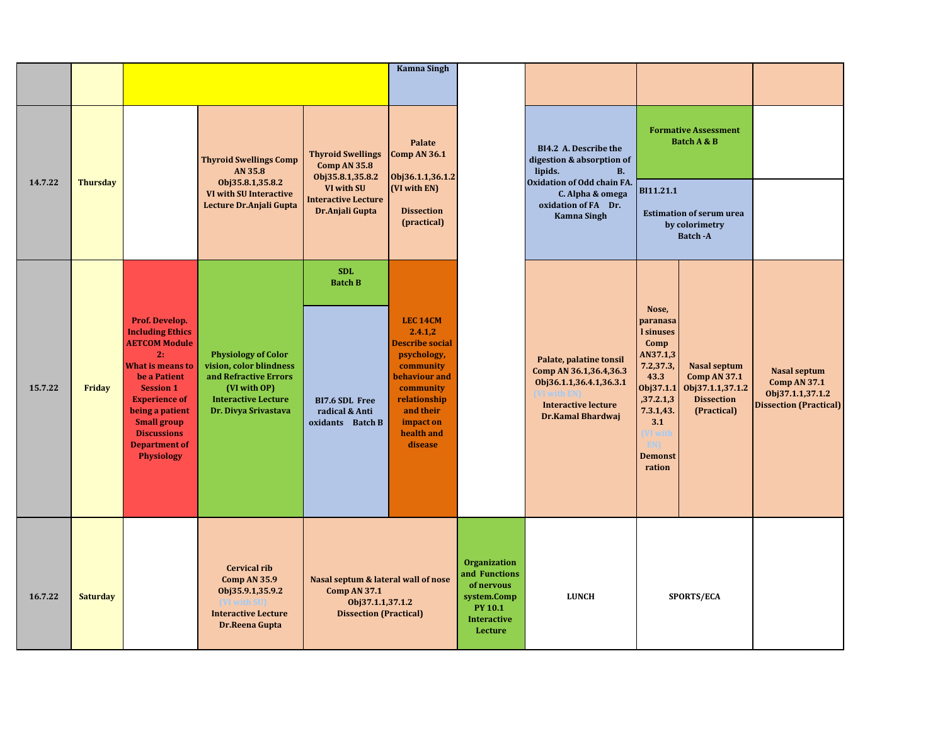|         |                 |                                                                                                                                                                                                                                                                            |                                                                                                                                                      |                                                                                                                 | <b>Kamna Singh</b>                                                                                                                                                                |                                                                                                                      |                                                                                                                                        |                                                                                                                                                                                   |                                                                                                    |                                                                                                 |
|---------|-----------------|----------------------------------------------------------------------------------------------------------------------------------------------------------------------------------------------------------------------------------------------------------------------------|------------------------------------------------------------------------------------------------------------------------------------------------------|-----------------------------------------------------------------------------------------------------------------|-----------------------------------------------------------------------------------------------------------------------------------------------------------------------------------|----------------------------------------------------------------------------------------------------------------------|----------------------------------------------------------------------------------------------------------------------------------------|-----------------------------------------------------------------------------------------------------------------------------------------------------------------------------------|----------------------------------------------------------------------------------------------------|-------------------------------------------------------------------------------------------------|
|         |                 |                                                                                                                                                                                                                                                                            |                                                                                                                                                      |                                                                                                                 |                                                                                                                                                                                   |                                                                                                                      |                                                                                                                                        |                                                                                                                                                                                   |                                                                                                    |                                                                                                 |
|         |                 |                                                                                                                                                                                                                                                                            | <b>Thyroid Swellings Comp</b><br>AN 35.8                                                                                                             | <b>Thyroid Swellings</b><br><b>Comp AN 35.8</b><br>Obj35.8.1,35.8.2                                             | Palate<br>Comp AN 36.1<br>Obj36.1.1,36.1.2                                                                                                                                        |                                                                                                                      | BI4.2 A. Describe the<br>digestion & absorption of<br><b>B.</b><br>lipids.                                                             |                                                                                                                                                                                   | <b>Formative Assessment</b><br>Batch A & B                                                         |                                                                                                 |
| 14.7.22 | <b>Thursday</b> |                                                                                                                                                                                                                                                                            | Obj35.8.1,35.8.2<br><b>VI with SU Interactive</b><br>Lecture Dr.Anjali Gupta                                                                         | VI with SU<br><b>Interactive Lecture</b><br>Dr.Anjali Gupta                                                     | (VI with EN)<br><b>Dissection</b><br>(practical)                                                                                                                                  |                                                                                                                      | Oxidation of Odd chain FA.<br>C. Alpha & omega<br>oxidation of FA Dr.<br><b>Kamna Singh</b>                                            | BI11.21.1                                                                                                                                                                         | <b>Estimation of serum urea</b><br>by colorimetry<br><b>Batch-A</b>                                |                                                                                                 |
| 15.7.22 | Friday          | Prof. Develop.<br><b>Including Ethics</b><br><b>AETCOM Module</b><br>2:<br><b>What is means to</b><br>be a Patient<br><b>Session 1</b><br><b>Experience of</b><br>being a patient<br><b>Small group</b><br><b>Discussions</b><br><b>Department of</b><br><b>Physiology</b> | <b>Physiology of Color</b><br>vision, color blindness<br>and Refractive Errors<br>(VI with OP)<br><b>Interactive Lecture</b><br>Dr. Divya Srivastava | <b>SDL</b><br><b>Batch B</b><br>BI7.6 SDL Free<br>radical & Anti<br>oxidants Batch B                            | <b>LEC 14CM</b><br>2.4.1,2<br><b>Describe social</b><br>psychology,<br>community<br>behaviour and<br>community<br>relationship<br>and their<br>impact on<br>health and<br>disease |                                                                                                                      | Palate, palatine tonsil<br>Comp AN 36.1,36.4,36.3<br>Obj36.1.1,36.4.1,36.3.1<br><b>Interactive lecture</b><br><b>Dr.Kamal Bhardwaj</b> | Nose,<br>paranasa<br><i>l</i> sinuses<br>Comp<br>AN37.1,3<br>7.2,37.3,<br>43.3<br>Obj37.1.1<br>,37.2.1,3<br>7.3.1,43.<br>3.1<br>VI with<br><b>EN)</b><br><b>Demonst</b><br>ration | <b>Nasal septum</b><br><b>Comp AN 37.1</b><br>Obj37.1.1,37.1.2<br><b>Dissection</b><br>(Practical) | <b>Nasal septum</b><br><b>Comp AN 37.1</b><br>Obj37.1.1,37.1.2<br><b>Dissection (Practical)</b> |
| 16.7.22 | <b>Saturday</b> |                                                                                                                                                                                                                                                                            | <b>Cervical rib</b><br>Comp AN 35.9<br>Obj35.9.1,35.9.2<br>VI with S<br><b>Interactive Lecture</b><br>Dr.Reena Gupta                                 | Nasal septum & lateral wall of nose<br><b>Comp AN 37.1</b><br>Obj37.1.1,37.1.2<br><b>Dissection (Practical)</b> |                                                                                                                                                                                   | <b>Organization</b><br>and Functions<br>of nervous<br>system.Comp<br><b>PY 10.1</b><br><b>Interactive</b><br>Lecture | <b>LUNCH</b>                                                                                                                           |                                                                                                                                                                                   | <b>SPORTS/ECA</b>                                                                                  |                                                                                                 |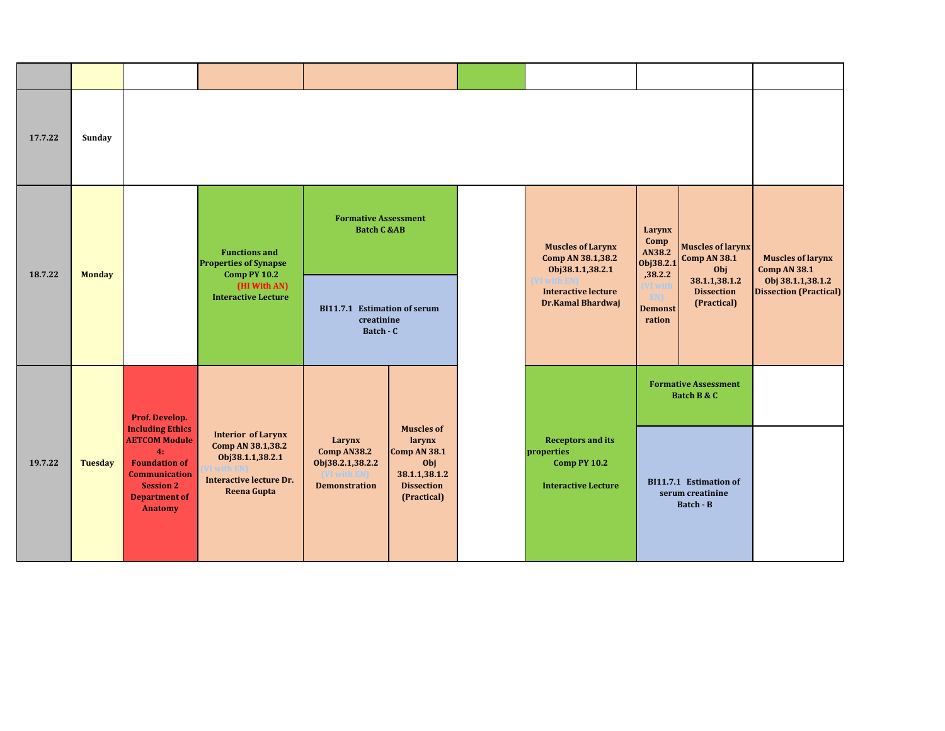| 17.7.22 | Sunday         |                                                                                                                                                                     |                                                                                                                     |                                                                              |                                                                                                                |                                                                                             |                                                   |                                                         |                                                    |
|---------|----------------|---------------------------------------------------------------------------------------------------------------------------------------------------------------------|---------------------------------------------------------------------------------------------------------------------|------------------------------------------------------------------------------|----------------------------------------------------------------------------------------------------------------|---------------------------------------------------------------------------------------------|---------------------------------------------------|---------------------------------------------------------|----------------------------------------------------|
| 18.7.22 | <b>Monday</b>  |                                                                                                                                                                     | <b>Functions and</b><br><b>Properties of Synapse</b><br><b>Comp PY 10.2</b>                                         | <b>Formative Assessment</b><br><b>Batch C &amp;AB</b>                        |                                                                                                                | <b>Muscles of Larynx</b><br>Comp AN 38.1,38.2<br>Obj38.1.1,38.2.1                           | Larynx<br>Comp<br>AN38.2<br>Obj38.2.1<br>,38.2.2  | <b>Muscles of larynx</b><br><b>Comp AN 38.1</b><br>Obj  | <b>Muscles of larynx</b><br><b>Comp AN 38.1</b>    |
|         |                |                                                                                                                                                                     | (HI With AN)<br><b>Interactive Lecture</b>                                                                          | BI11.7.1 Estimation of serum<br>creatinine<br>Batch - C                      |                                                                                                                | <b>Interactive lecture</b><br><b>Dr.Kamal Bhardwaj</b>                                      | VI witl<br><b>EN)</b><br><b>Demonst</b><br>ration | 38.1.1,38.1.2<br><b>Dissection</b><br>(Practical)       | Obj 38.1.1,38.1.2<br><b>Dissection (Practical)</b> |
|         |                | Prof. Develop.                                                                                                                                                      |                                                                                                                     |                                                                              |                                                                                                                |                                                                                             |                                                   | <b>Formative Assessment</b><br>Batch B & C              |                                                    |
| 19.7.22 | <b>Tuesday</b> | <b>Including Ethics</b><br><b>AETCOM Module</b><br>4:<br><b>Foundation of</b><br><b>Communication</b><br><b>Session 2</b><br><b>Department of</b><br><b>Anatomy</b> | <b>Interior of Larynx</b><br>Comp AN 38.1,38.2<br>Obj38.1.1,38.2.1<br><b>Interactive lecture Dr.</b><br>Reena Gupta | Larynx<br>Comp AN38.2<br>Obj38.2.1,38.2.2<br>ith EN)<br><b>Demonstration</b> | <b>Muscles of</b><br>larynx<br><b>Comp AN 38.1</b><br>Obj<br>38.1.1,38.1.2<br><b>Dissection</b><br>(Practical) | <b>Receptors and its</b><br>properties<br><b>Comp PY 10.2</b><br><b>Interactive Lecture</b> |                                                   | BI11.7.1 Estimation of<br>serum creatinine<br>Batch - B |                                                    |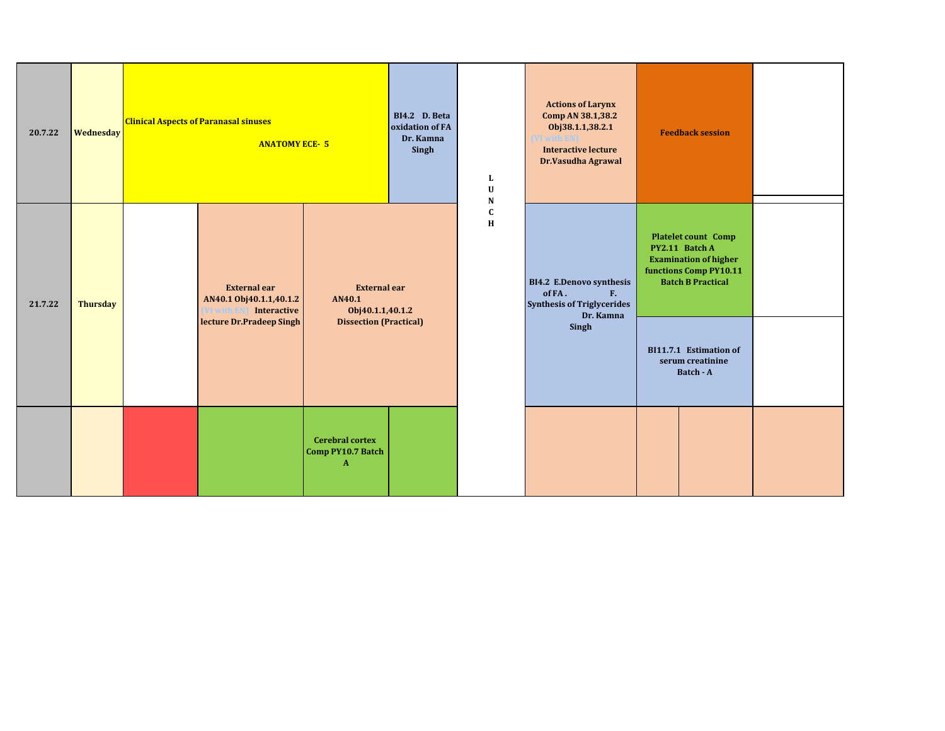| 20.7.22 | <b>Wednesday</b> | <b>Clinical Aspects of Paranasal sinuses</b><br><b>ANATOMY ECE-5</b>         |                                                             | BI4.2 D. Beta<br>oxidation of FA<br>Dr. Kamna<br>Singh | L<br>$\mathbf U$<br>N  | <b>Actions of Larynx</b><br>Comp AN 38.1,38.2<br>Obj38.1.1,38.2.1<br><b>Interactive lecture</b><br>Dr.Vasudha Agrawal | <b>Feedback session</b>                                                                                                            |  |
|---------|------------------|------------------------------------------------------------------------------|-------------------------------------------------------------|--------------------------------------------------------|------------------------|-----------------------------------------------------------------------------------------------------------------------|------------------------------------------------------------------------------------------------------------------------------------|--|
| 21.7.22 | <b>Thursday</b>  | <b>External ear</b><br>AN40.1 Obj40.1.1,40.1.2<br>Interactive<br>/I with EN) | <b>External ear</b><br>AN40.1<br>Obj40.1.1,40.1.2           |                                                        | $\mathbf C$<br>$\bf H$ | <b>BI4.2 E.Denovo synthesis</b><br>of FA.<br>F <sub>r</sub><br><b>Synthesis of Triglycerides</b>                      | <b>Platelet count Comp</b><br>PY2.11 Batch A<br><b>Examination of higher</b><br>functions Comp PY10.11<br><b>Batch B Practical</b> |  |
|         |                  | lecture Dr.Pradeep Singh                                                     | <b>Dissection (Practical)</b>                               |                                                        |                        | Dr. Kamna<br>Singh                                                                                                    | BI11.7.1 Estimation of<br>serum creatinine<br>Batch - A                                                                            |  |
|         |                  |                                                                              | <b>Cerebral cortex</b><br>Comp PY10.7 Batch<br>$\mathbf{A}$ |                                                        |                        |                                                                                                                       |                                                                                                                                    |  |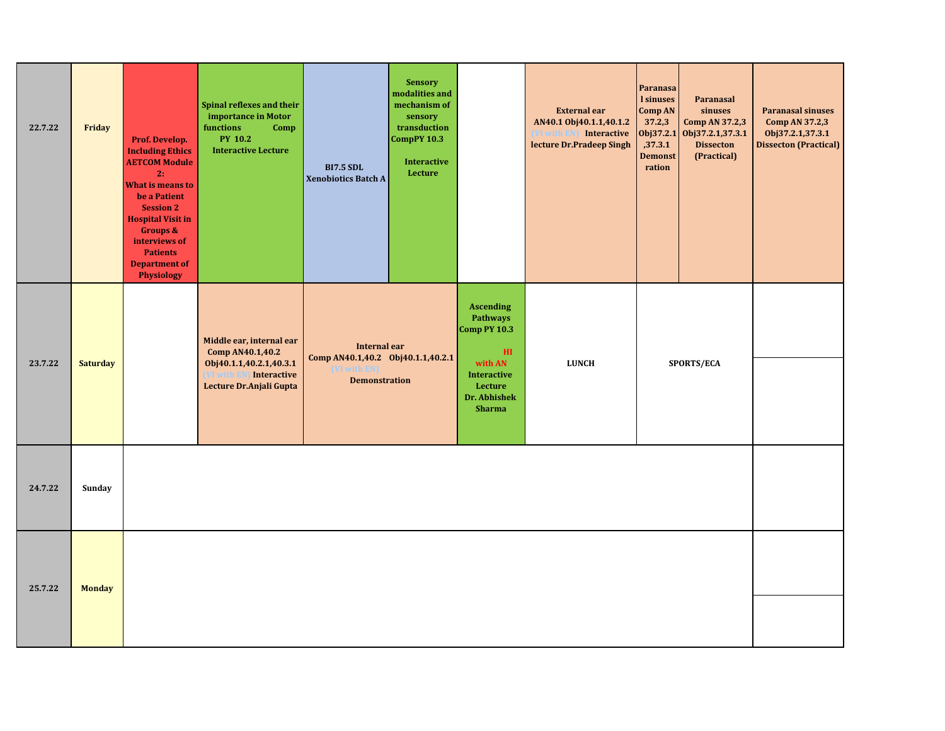| 22.7.22 | Friday          | Prof. Develop.<br><b>Including Ethics</b><br><b>AETCOM Module</b><br>2:<br><b>What is means to</b><br>be a Patient<br><b>Session 2</b><br><b>Hospital Visit in</b><br><b>Groups &amp;</b><br>interviews of<br><b>Patients</b><br><b>Department of</b><br>Physiology | Spinal reflexes and their<br>importance in Motor<br>functions<br>Comp<br><b>PY 10.2</b><br><b>Interactive Lecture</b>          | <b>BI7.5 SDL</b><br><b>Xenobiotics Batch A</b>                            | <b>Sensory</b><br>modalities and<br>mechanism of<br>sensory<br>transduction<br><b>CompPY 10.3</b><br><b>Interactive</b><br>Lecture |                                                                                                                                             | <b>External ear</b><br>AN40.1 Obj40.1.1,40.1.2<br><b>Interactive</b><br>(VI with EN)<br>lecture Dr.Pradeep Singh | Paranasa<br><b>l</b> sinuses<br><b>Comp AN</b><br>37.2,3<br>Obj37.2.1<br>,37.3.1<br><b>Demonst</b><br>ration | Paranasal<br>sinuses<br>Comp AN 37.2,3<br>Obj37.2.1,37.3.1<br><b>Dissecton</b><br>(Practical) | <b>Paranasal sinuses</b><br>Comp AN 37.2,3<br>Obj37.2.1,37.3.1<br><b>Dissecton (Practical)</b> |
|---------|-----------------|---------------------------------------------------------------------------------------------------------------------------------------------------------------------------------------------------------------------------------------------------------------------|--------------------------------------------------------------------------------------------------------------------------------|---------------------------------------------------------------------------|------------------------------------------------------------------------------------------------------------------------------------|---------------------------------------------------------------------------------------------------------------------------------------------|------------------------------------------------------------------------------------------------------------------|--------------------------------------------------------------------------------------------------------------|-----------------------------------------------------------------------------------------------|------------------------------------------------------------------------------------------------|
| 23.7.22 | <b>Saturday</b> |                                                                                                                                                                                                                                                                     | Middle ear, internal ear<br>Comp AN40.1,40.2<br>Obj40.1.1,40.2.1,40.3.1<br>(VI with EN) Interactive<br>Lecture Dr.Anjali Gupta | Internal ear<br>Comp AN40.1,40.2 Obj40.1.1,40.2.1<br><b>Demonstration</b> |                                                                                                                                    | <b>Ascending</b><br>Pathways<br>Comp PY 10.3<br>H <sub>I</sub><br>with AN<br><b>Interactive</b><br>Lecture<br>Dr. Abhishek<br><b>Sharma</b> | <b>LUNCH</b>                                                                                                     |                                                                                                              | SPORTS/ECA                                                                                    |                                                                                                |
| 24.7.22 | Sunday          |                                                                                                                                                                                                                                                                     |                                                                                                                                |                                                                           |                                                                                                                                    |                                                                                                                                             |                                                                                                                  |                                                                                                              |                                                                                               |                                                                                                |
| 25.7.22 | <b>Monday</b>   |                                                                                                                                                                                                                                                                     |                                                                                                                                |                                                                           |                                                                                                                                    |                                                                                                                                             |                                                                                                                  |                                                                                                              |                                                                                               |                                                                                                |
|         |                 |                                                                                                                                                                                                                                                                     |                                                                                                                                |                                                                           |                                                                                                                                    |                                                                                                                                             |                                                                                                                  |                                                                                                              |                                                                                               |                                                                                                |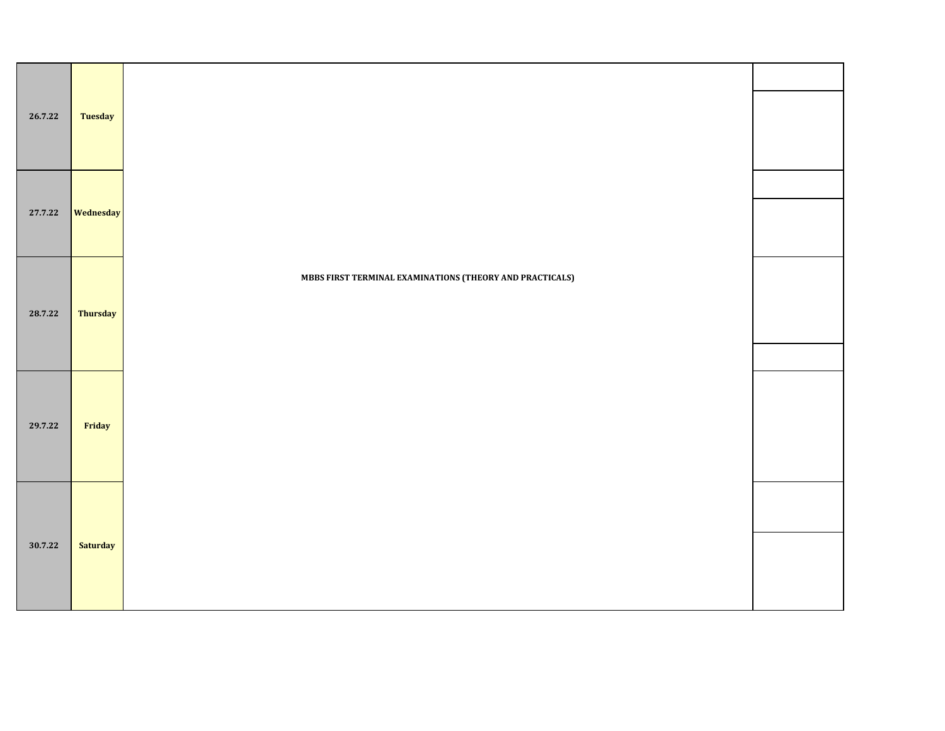| 26.7.22 | <b>Tuesday</b>  |                                                          |  |
|---------|-----------------|----------------------------------------------------------|--|
| 27.7.22 | Wednesday       |                                                          |  |
| 28.7.22 | <b>Thursday</b> | MBBS FIRST TERMINAL EXAMINATIONS (THEORY AND PRACTICALS) |  |
| 29.7.22 | Friday          |                                                          |  |
| 30.7.22 | <b>Saturday</b> |                                                          |  |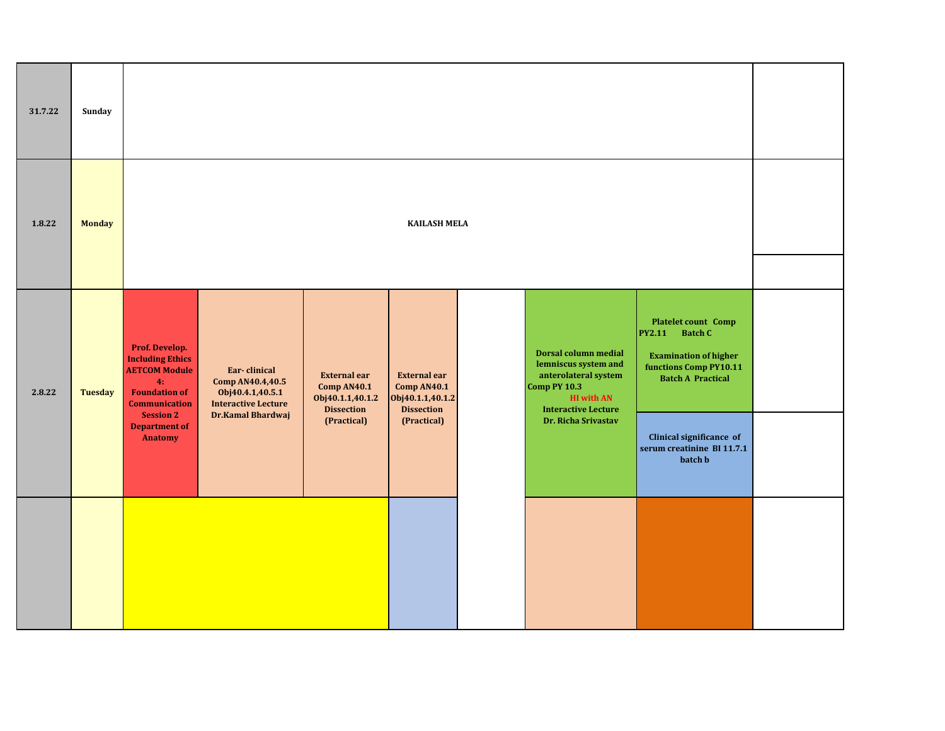| 31.7.22 | Sunday         |                                                                                                                         |                                                                                    |                                                                                    |                                                                                    |                                                                                                                                                |                                                                                                                                              |  |
|---------|----------------|-------------------------------------------------------------------------------------------------------------------------|------------------------------------------------------------------------------------|------------------------------------------------------------------------------------|------------------------------------------------------------------------------------|------------------------------------------------------------------------------------------------------------------------------------------------|----------------------------------------------------------------------------------------------------------------------------------------------|--|
| 1.8.22  | <b>Monday</b>  |                                                                                                                         |                                                                                    |                                                                                    | <b>KAILASH MELA</b>                                                                |                                                                                                                                                |                                                                                                                                              |  |
| 2.8.22  | <b>Tuesday</b> | Prof. Develop.<br><b>Including Ethics</b><br><b>AETCOM Module</b><br>4:<br><b>Foundation of</b><br><b>Communication</b> | Ear-clinical<br>Comp AN40.4,40.5<br>Obj40.4.1,40.5.1<br><b>Interactive Lecture</b> | <b>External ear</b><br><b>Comp AN40.1</b><br>Obj40.1.1,40.1.2<br><b>Dissection</b> | <b>External ear</b><br><b>Comp AN40.1</b><br>Obj40.1.1,40.1.2<br><b>Dissection</b> | Dorsal column medial<br>lemniscus system and<br>anterolateral system<br><b>Comp PY 10.3</b><br><b>HI with AN</b><br><b>Interactive Lecture</b> | <b>Platelet count Comp</b><br>Batch C<br><b>PY2.11</b><br><b>Examination of higher</b><br>functions Comp PY10.11<br><b>Batch A Practical</b> |  |
|         |                | <b>Session 2</b><br><b>Department of</b><br>Anatomy                                                                     | Dr.Kamal Bhardwaj                                                                  | (Practical)                                                                        | (Practical)                                                                        | Dr. Richa Srivastav                                                                                                                            | Clinical significance of<br>serum creatinine BI 11.7.1<br>batch <b>b</b>                                                                     |  |
|         |                |                                                                                                                         |                                                                                    |                                                                                    |                                                                                    |                                                                                                                                                |                                                                                                                                              |  |
|         |                |                                                                                                                         |                                                                                    |                                                                                    |                                                                                    |                                                                                                                                                |                                                                                                                                              |  |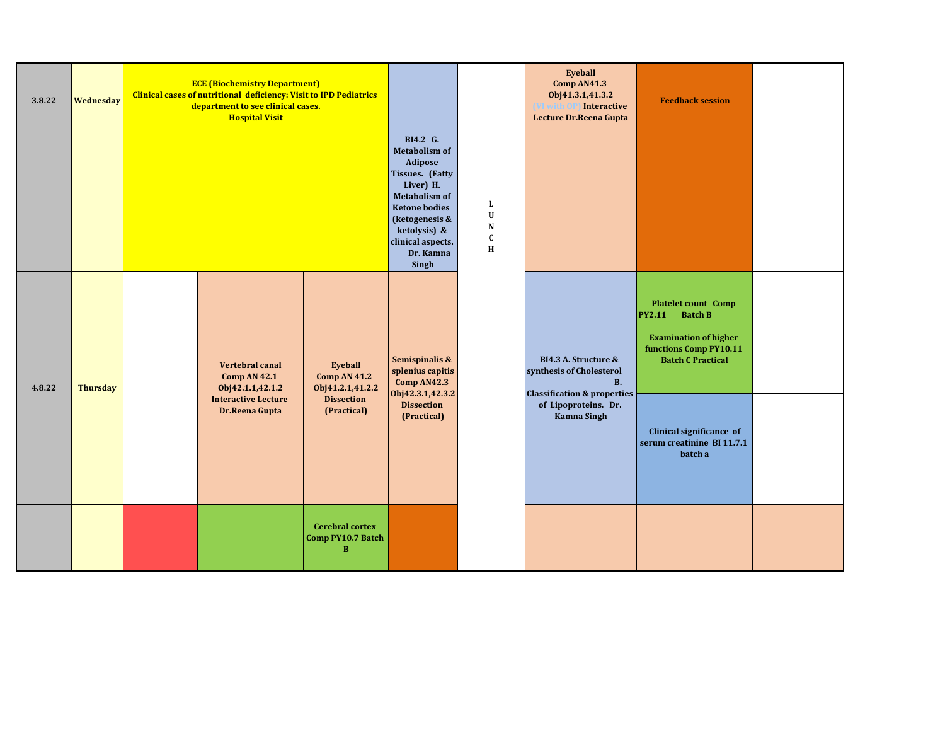| 3.8.22 | Wednesday       | <b>ECE (Biochemistry Department)</b><br><b>Clinical cases of nutritional deficiency: Visit to IPD Pediatrics</b><br>department to see clinical cases.<br><b>Hospital Visit</b> |                                                    |                                                                                                                                                                                                          |                                                             | Eyeball<br>Comp AN41.3<br>Obj41.3.1,41.3.2<br><b>Interactive</b><br>VI with<br>Lecture Dr.Reena Gupta   | <b>Feedback session</b>                                                                                                                      |  |
|--------|-----------------|--------------------------------------------------------------------------------------------------------------------------------------------------------------------------------|----------------------------------------------------|----------------------------------------------------------------------------------------------------------------------------------------------------------------------------------------------------------|-------------------------------------------------------------|---------------------------------------------------------------------------------------------------------|----------------------------------------------------------------------------------------------------------------------------------------------|--|
|        |                 |                                                                                                                                                                                |                                                    | BI4.2 G.<br><b>Metabolism of</b><br>Adipose<br>Tissues. (Fatty<br>Liver) H.<br><b>Metabolism of</b><br><b>Ketone bodies</b><br>(ketogenesis &<br>ketolysis) &<br>clinical aspects.<br>Dr. Kamna<br>Singh | $\mathbf L$<br>$\mathbf U$<br>${\bf N}$<br>$\mathbf C$<br>H |                                                                                                         |                                                                                                                                              |  |
| 4.8.22 | <b>Thursday</b> | <b>Vertebral canal</b><br><b>Comp AN 42.1</b><br>Obj42.1.1,42.1.2                                                                                                              | Eyeball<br><b>Comp AN 41.2</b><br>Obj41.2.1,41.2.2 | Semispinalis &<br>splenius capitis<br>Comp AN42.3                                                                                                                                                        |                                                             | BI4.3 A. Structure &<br>synthesis of Cholesterol<br><b>B.</b><br><b>Classification &amp; properties</b> | <b>Platelet count Comp</b><br><b>Batch B</b><br>PY2.11<br><b>Examination of higher</b><br>functions Comp PY10.11<br><b>Batch C Practical</b> |  |
|        |                 | <b>Interactive Lecture</b><br>Dr.Reena Gupta                                                                                                                                   | <b>Dissection</b><br>(Practical)                   | Obj42.3.1,42.3.2<br><b>Dissection</b><br>(Practical)                                                                                                                                                     |                                                             | of Lipoproteins. Dr.<br><b>Kamna Singh</b>                                                              | Clinical significance of<br>serum creatinine BI 11.7.1<br>batch a                                                                            |  |
|        |                 |                                                                                                                                                                                | <b>Cerebral cortex</b><br>Comp PY10.7 Batch<br>B   |                                                                                                                                                                                                          |                                                             |                                                                                                         |                                                                                                                                              |  |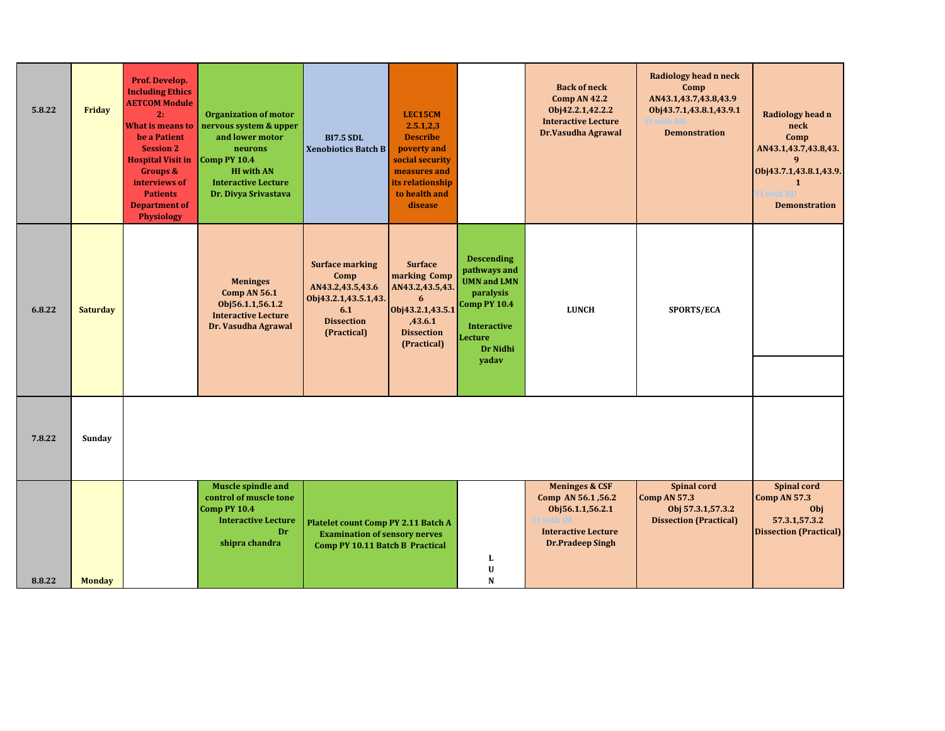| 5.8.22 | Friday          | Prof. Develop.<br><b>Including Ethics</b><br><b>AETCOM Module</b><br>2:<br><b>What is means to</b><br>be a Patient<br><b>Session 2</b><br><b>Hospital Visit in</b><br><b>Groups &amp;</b><br>interviews of<br><b>Patients</b><br><b>Department of</b><br><b>Physiology</b> | <b>Organization of motor</b><br>nervous system & upper<br>and lower motor<br>neurons<br>Comp PY 10.4<br><b>HI</b> with AN<br><b>Interactive Lecture</b><br>Dr. Divya Srivastava | <b>BI7.5 SDL</b><br><b>Xenobiotics Batch B</b>                                                                        | LEC15CM<br>2.5.1, 2.3<br><b>Describe</b><br>poverty and<br>social security<br>measures and<br>its relationship<br>to health and<br>disease |                                                                                                                                            | <b>Back of neck</b><br><b>Comp AN 42.2</b><br>Obj42.2.1,42.2.2<br><b>Interactive Lecture</b><br>Dr.Vasudha Agrawal          | Radiology head n neck<br>Comp<br>AN43.1,43.7,43.8,43.9<br>Obj43.7.1,43.8.1,43.9.1<br><b>Demonstration</b> | Radiology head n<br>neck<br>Comp<br>AN43.1,43.7,43.8,43.<br>9<br>Obj43.7.1,43.8.1,43.9.<br><b>Twith RD</b><br><b>Demonstration</b> |
|--------|-----------------|----------------------------------------------------------------------------------------------------------------------------------------------------------------------------------------------------------------------------------------------------------------------------|---------------------------------------------------------------------------------------------------------------------------------------------------------------------------------|-----------------------------------------------------------------------------------------------------------------------|--------------------------------------------------------------------------------------------------------------------------------------------|--------------------------------------------------------------------------------------------------------------------------------------------|-----------------------------------------------------------------------------------------------------------------------------|-----------------------------------------------------------------------------------------------------------|------------------------------------------------------------------------------------------------------------------------------------|
| 6.8.22 | <b>Saturday</b> |                                                                                                                                                                                                                                                                            | <b>Meninges</b><br><b>Comp AN 56.1</b><br>Obj56.1.1,56.1.2<br><b>Interactive Lecture</b><br>Dr. Vasudha Agrawal                                                                 | <b>Surface marking</b><br>Comp<br>AN43.2,43.5,43.6<br>Obj43.2.1,43.5.1,43.<br>6.1<br><b>Dissection</b><br>(Practical) | <b>Surface</b><br>marking Comp<br>AN43.2,43.5,43.<br>6<br>Obj43.2.1,43.5.1<br>,43.6.1<br><b>Dissection</b><br>(Practical)                  | <b>Descending</b><br>pathways and<br><b>UMN and LMN</b><br>paralysis<br>Comp PY 10.4<br><b>Interactive</b><br>Lecture<br>Dr Nidhi<br>yadav | <b>LUNCH</b>                                                                                                                | SPORTS/ECA                                                                                                |                                                                                                                                    |
| 7.8.22 | Sunday          |                                                                                                                                                                                                                                                                            |                                                                                                                                                                                 |                                                                                                                       |                                                                                                                                            |                                                                                                                                            |                                                                                                                             |                                                                                                           |                                                                                                                                    |
| 8.8.22 | <b>Monday</b>   |                                                                                                                                                                                                                                                                            | Muscle spindle and<br>control of muscle tone<br><b>Comp PY 10.4</b><br><b>Interactive Lecture</b><br>Dr<br>shipra chandra                                                       | <b>Platelet count Comp PY 2.11 Batch A</b><br><b>Examination of sensory nerves</b><br>Comp PY 10.11 Batch B Practical |                                                                                                                                            | L<br>U<br>N                                                                                                                                | <b>Meninges &amp; CSF</b><br>Comp AN 56.1,56.2<br>Obj56.1.1,56.2.1<br><b>Interactive Lecture</b><br><b>Dr.Pradeep Singh</b> | <b>Spinal cord</b><br><b>Comp AN 57.3</b><br>Obj 57.3.1,57.3.2<br><b>Dissection (Practical)</b>           | <b>Spinal cord</b><br><b>Comp AN 57.3</b><br>Obj<br>57.3.1,57.3.2<br><b>Dissection (Practical)</b>                                 |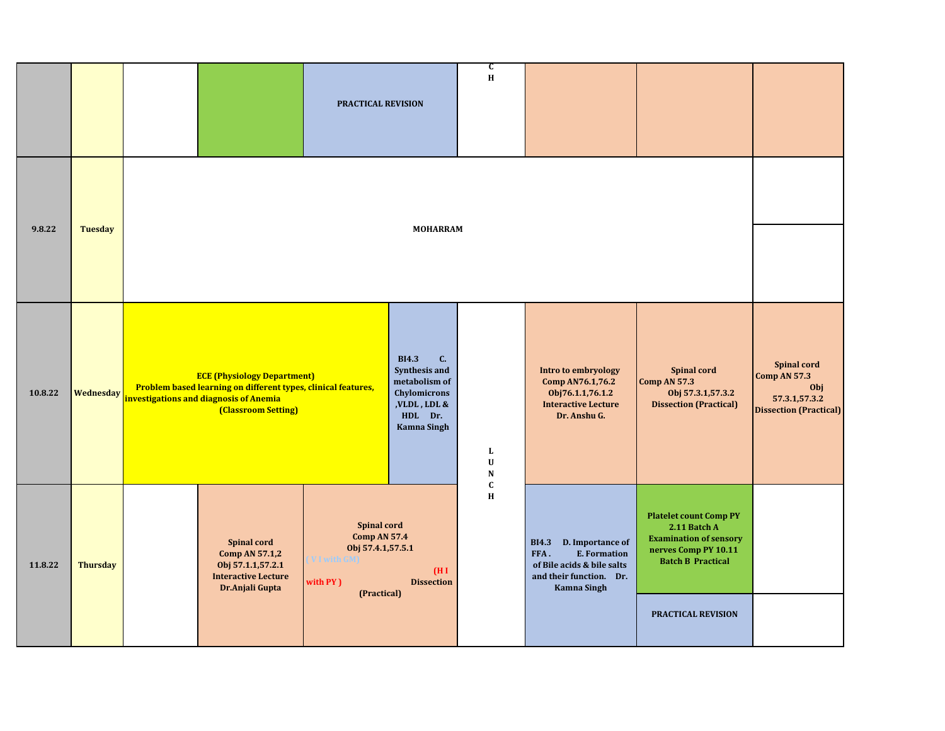|         |                  |                                                                                                                                                                      | <b>PRACTICAL REVISION</b>                                                                                 |                                                                                                                               | C<br>H                        |                                                                                                                                      |                                                                                                                                                          |                                                                                                    |
|---------|------------------|----------------------------------------------------------------------------------------------------------------------------------------------------------------------|-----------------------------------------------------------------------------------------------------------|-------------------------------------------------------------------------------------------------------------------------------|-------------------------------|--------------------------------------------------------------------------------------------------------------------------------------|----------------------------------------------------------------------------------------------------------------------------------------------------------|----------------------------------------------------------------------------------------------------|
| 9.8.22  | <b>Tuesday</b>   |                                                                                                                                                                      |                                                                                                           | <b>MOHARRAM</b>                                                                                                               |                               |                                                                                                                                      |                                                                                                                                                          |                                                                                                    |
| 10.8.22 | <b>Wednesday</b> | <b>ECE (Physiology Department)</b><br>Problem based learning on different types, clinical features,<br>investigations and diagnosis of Anemia<br>(Classroom Setting) |                                                                                                           | <b>BI4.3</b><br>C.<br>Synthesis and<br>metabolism of<br>Chylomicrons<br>,<br>VLDL , LDL $\&$<br>HDL Dr.<br><b>Kamna Singh</b> | L<br>$\mathbf U$<br>${\bf N}$ | Intro to embryology<br>Comp AN76.1,76.2<br>Obj76.1.1,76.1.2<br><b>Interactive Lecture</b><br>Dr. Anshu G.                            | <b>Spinal cord</b><br><b>Comp AN 57.3</b><br>Obj 57.3.1,57.3.2<br><b>Dissection (Practical)</b>                                                          | <b>Spinal cord</b><br><b>Comp AN 57.3</b><br>Obj<br>57.3.1,57.3.2<br><b>Dissection (Practical)</b> |
| 11.8.22 | <b>Thursday</b>  | <b>Spinal cord</b><br>Comp AN 57.1,2<br>Obj 57.1.1,57.2.1<br><b>Interactive Lecture</b><br>Dr.Anjali Gupta                                                           | <b>Spinal cord</b><br><b>Comp AN 57.4</b><br>Obj 57.4.1,57.5.1<br>VI with GM)<br>with PY )<br>(Practical) | (HI)<br><b>Dissection</b>                                                                                                     | $\mathbf{C}$<br>$\bf H$       | BI4.3 D. Importance of<br><b>E. Formation</b><br>FFA.<br>of Bile acids & bile salts<br>and their function. Dr.<br><b>Kamna Singh</b> | <b>Platelet count Comp PY</b><br>2.11 Batch A<br><b>Examination of sensory</b><br>nerves Comp PY 10.11<br><b>Batch B Practical</b><br>PRACTICAL REVISION |                                                                                                    |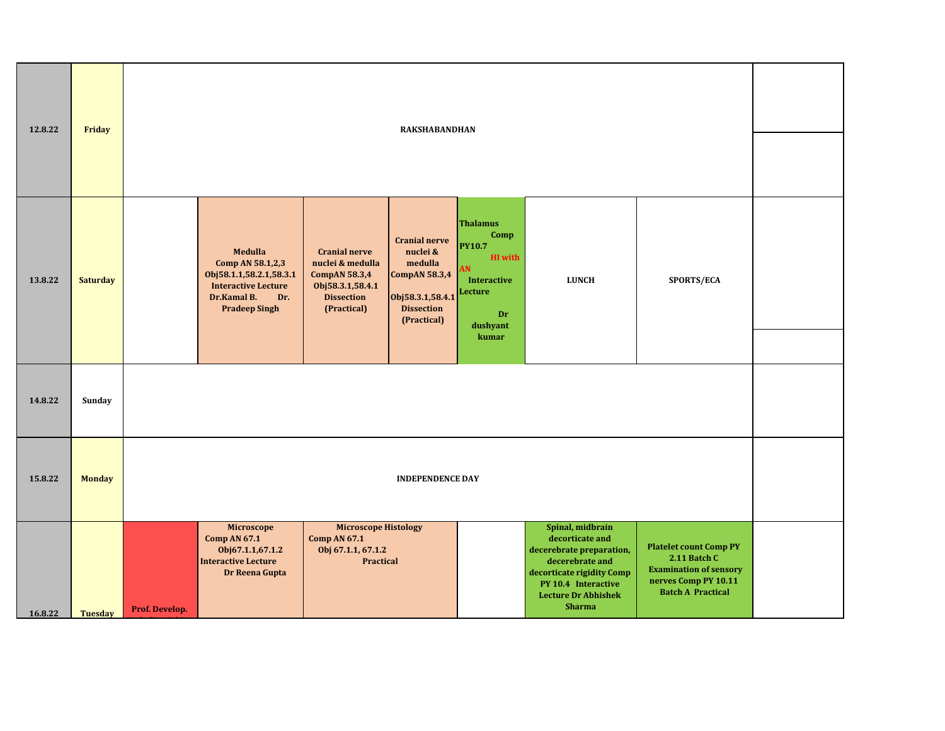| 12.8.22 | Friday          | <b>RAKSHABANDHAN</b>                                                                                                                                                                                                                                                                                                                                                                                                                                                                                                                                               |  |  |  |  |  |  |  |  |
|---------|-----------------|--------------------------------------------------------------------------------------------------------------------------------------------------------------------------------------------------------------------------------------------------------------------------------------------------------------------------------------------------------------------------------------------------------------------------------------------------------------------------------------------------------------------------------------------------------------------|--|--|--|--|--|--|--|--|
| 13.8.22 | <b>Saturday</b> | <b>Thalamus</b><br>Comp<br><b>Cranial nerve</b><br><b>PY10.7</b><br>Medulla<br>nuclei &<br><b>Cranial nerve</b><br><b>HI</b> with<br>Comp AN 58.1,2,3<br>medulla<br>nuclei & medulla<br><b>AN</b><br>Obj58.1.1,58.2.1,58.3.1<br><b>CompAN 58.3,4</b><br><b>CompAN 58.3,4</b><br><b>Interactive</b><br><b>LUNCH</b><br>SPORTS/ECA<br><b>Interactive Lecture</b><br>Obj58.3.1,58.4.1<br>Lecture<br>Dr.Kamal B.<br><b>Dissection</b><br>Obj58.3.1,58.4.1<br>Dr.<br><b>Pradeep Singh</b><br>(Practical)<br><b>Dissection</b><br>Dr<br>(Practical)<br>dushyant<br>kumar |  |  |  |  |  |  |  |  |
| 14.8.22 | Sunday          |                                                                                                                                                                                                                                                                                                                                                                                                                                                                                                                                                                    |  |  |  |  |  |  |  |  |
| 15.8.22 | <b>Monday</b>   | <b>INDEPENDENCE DAY</b>                                                                                                                                                                                                                                                                                                                                                                                                                                                                                                                                            |  |  |  |  |  |  |  |  |
| 16.8.22 | <b>Tuesday</b>  | <b>Microscope Histology</b><br>Spinal, midbrain<br>Microscope<br>decorticate and<br><b>Comp AN 67.1</b><br><b>Comp AN 67.1</b><br><b>Platelet count Comp PY</b><br>Obj67.1.1,67.1.2<br>Obj 67.1.1, 67.1.2<br>decerebrate preparation,<br>2.11 Batch C<br><b>Interactive Lecture</b><br><b>Practical</b><br>decerebrate and<br><b>Examination of sensory</b><br>decorticate rigidity Comp<br>Dr Reena Gupta<br>nerves Comp PY 10.11<br>PY 10.4 Interactive<br><b>Batch A Practical</b><br><b>Lecture Dr Abhishek</b><br><b>Sharma</b><br>Prof. Develop.             |  |  |  |  |  |  |  |  |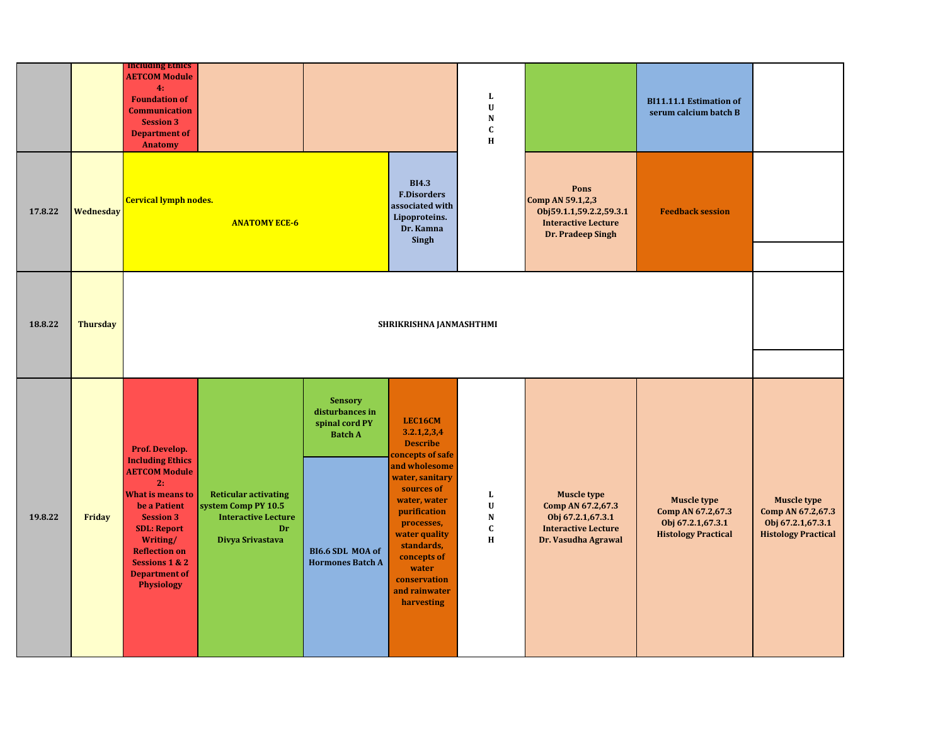|         |                 | <b>Including Ethics</b><br><b>AETCOM Module</b><br>4:<br><b>Foundation of</b><br><b>Communication</b><br><b>Session 3</b><br><b>Department of</b><br><b>Anatomy</b>                                                                                                        |                                                                                                            |                                                                                                                      |                                                                                                                                                                                                                                                                       | L<br>$\mathbf U$<br>${\bf N}$<br>$\mathbf c$<br>$\, {\bf H}$    |                                                                                                                   | <b>BI11.11.1 Estimation of</b><br>serum calcium batch B                                    |                                                                                            |
|---------|-----------------|----------------------------------------------------------------------------------------------------------------------------------------------------------------------------------------------------------------------------------------------------------------------------|------------------------------------------------------------------------------------------------------------|----------------------------------------------------------------------------------------------------------------------|-----------------------------------------------------------------------------------------------------------------------------------------------------------------------------------------------------------------------------------------------------------------------|-----------------------------------------------------------------|-------------------------------------------------------------------------------------------------------------------|--------------------------------------------------------------------------------------------|--------------------------------------------------------------------------------------------|
| 17.8.22 | Wednesday       | <b>Cervical lymph nodes.</b>                                                                                                                                                                                                                                               | <b>ANATOMY ECE-6</b>                                                                                       |                                                                                                                      | <b>BI4.3</b><br><b>F.Disorders</b><br>associated with<br>Lipoproteins.<br>Dr. Kamna<br>Singh                                                                                                                                                                          |                                                                 | Pons<br>Comp AN 59.1,2,3<br>Obj59.1.1,59.2.2,59.3.1<br><b>Interactive Lecture</b><br>Dr. Pradeep Singh            | <b>Feedback session</b>                                                                    |                                                                                            |
| 18.8.22 | <b>Thursday</b> |                                                                                                                                                                                                                                                                            |                                                                                                            |                                                                                                                      | SHRIKRISHNA JANMASHTHMI                                                                                                                                                                                                                                               |                                                                 |                                                                                                                   |                                                                                            |                                                                                            |
| 19.8.22 | Friday          | Prof. Develop.<br><b>Including Ethics</b><br><b>AETCOM Module</b><br>2:<br><b>What is means to</b><br>be a Patient<br><b>Session 3</b><br><b>SDL: Report</b><br>Writing/<br><b>Reflection on</b><br><b>Sessions 1 &amp; 2</b><br><b>Department of</b><br><b>Physiology</b> | <b>Reticular activating</b><br>system Comp PY 10.5<br><b>Interactive Lecture</b><br>Dr<br>Divya Srivastava | <b>Sensory</b><br>disturbances in<br>spinal cord PY<br><b>Batch A</b><br>BI6.6 SDL MOA of<br><b>Hormones Batch A</b> | LEC16CM<br>3.2.1, 2.3, 4<br><b>Describe</b><br>concepts of safe<br>and wholesome<br>water, sanitary<br>sources of<br>water, water<br>purification<br>processes,<br>water quality<br>standards,<br>concepts of<br>water<br>conservation<br>and rainwater<br>harvesting | L<br>$\ensuremath{\mathbf{U}}$<br>${\bf N}$<br>$\mathbf C$<br>H | <b>Muscle type</b><br>Comp AN 67.2,67.3<br>Obj 67.2.1,67.3.1<br><b>Interactive Lecture</b><br>Dr. Vasudha Agrawal | <b>Muscle type</b><br>Comp AN 67.2,67.3<br>Obj 67.2.1,67.3.1<br><b>Histology Practical</b> | <b>Muscle type</b><br>Comp AN 67.2,67.3<br>Obj 67.2.1,67.3.1<br><b>Histology Practical</b> |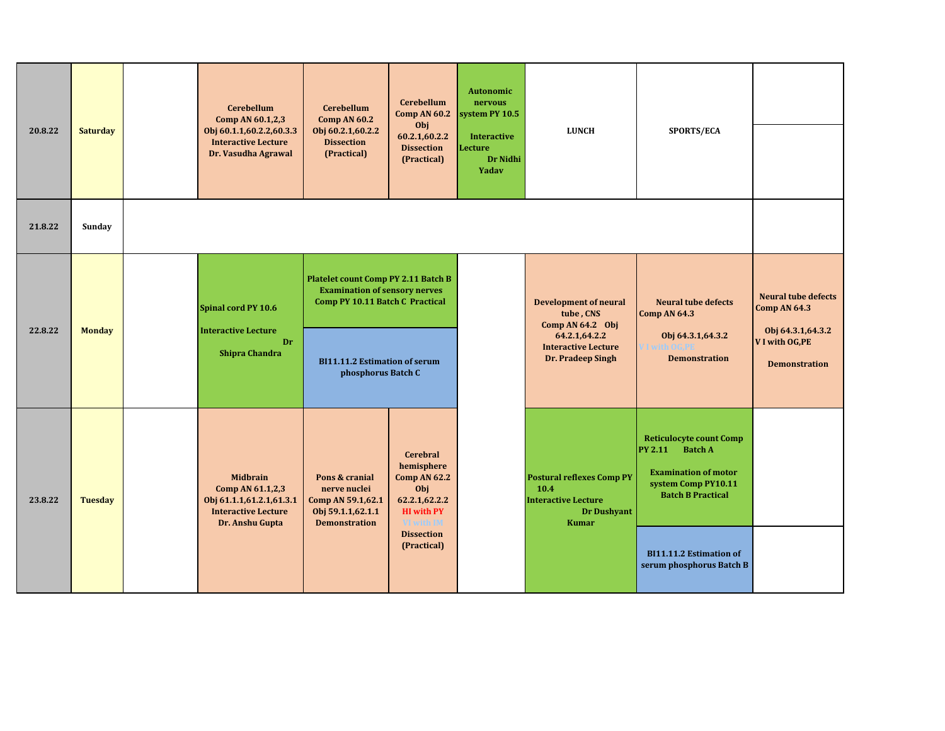| 20.8.22 | <b>Saturday</b> | <b>Cerebellum</b><br>Comp AN 60.1,2,3<br>Obj 60.1.1,60.2.2,60.3.3<br><b>Interactive Lecture</b><br>Dr. Vasudha Agrawal | <b>Cerebellum</b><br><b>Comp AN 60.2</b><br>Obj 60.2.1,60.2.2<br><b>Dissection</b><br>(Practical) | <b>Cerebellum</b><br>Comp AN 60.2<br>Obj<br>60.2.1,60.2.2<br><b>Dissection</b><br>(Practical)                                                                                       | <b>Autonomic</b><br>nervous<br>system PY 10.5<br><b>Interactive</b><br>Lecture<br>Dr Nidhi<br>Yadav | <b>LUNCH</b>                                                                                                                        | SPORTS/ECA                                                                                                                                                                                                         |                                                                                                                   |
|---------|-----------------|------------------------------------------------------------------------------------------------------------------------|---------------------------------------------------------------------------------------------------|-------------------------------------------------------------------------------------------------------------------------------------------------------------------------------------|-----------------------------------------------------------------------------------------------------|-------------------------------------------------------------------------------------------------------------------------------------|--------------------------------------------------------------------------------------------------------------------------------------------------------------------------------------------------------------------|-------------------------------------------------------------------------------------------------------------------|
| 21.8.22 | Sunday          |                                                                                                                        |                                                                                                   |                                                                                                                                                                                     |                                                                                                     |                                                                                                                                     |                                                                                                                                                                                                                    |                                                                                                                   |
| 22.8.22 | <b>Monday</b>   | Spinal cord PY 10.6<br><b>Interactive Lecture</b><br>Dr<br><b>Shipra Chandra</b>                                       |                                                                                                   | <b>Platelet count Comp PY 2.11 Batch B</b><br><b>Examination of sensory nerves</b><br>Comp PY 10.11 Batch C Practical<br><b>BI11.11.2 Estimation of serum</b><br>phosphorus Batch C |                                                                                                     | <b>Development of neural</b><br>tube, CNS<br>Comp AN $64.2$ Obj<br>64.2.1,64.2.2<br><b>Interactive Lecture</b><br>Dr. Pradeep Singh | <b>Neural tube defects</b><br><b>Comp AN 64.3</b><br>Obj 64.3.1,64.3.2<br><b>Demonstration</b>                                                                                                                     | <b>Neural tube defects</b><br><b>Comp AN 64.3</b><br>Obj 64.3.1,64.3.2<br>V I with OG, PE<br><b>Demonstration</b> |
| 23.8.22 | <b>Tuesday</b>  | <b>Midbrain</b><br>Comp AN 61.1,2,3<br>Obj 61.1.1,61.2.1,61.3.1<br><b>Interactive Lecture</b><br>Dr. Anshu Gupta       | Pons & cranial<br>nerve nuclei<br>Comp AN 59.1,62.1<br>Obj 59.1.1,62.1.1<br><b>Demonstration</b>  | <b>Cerebral</b><br>hemisphere<br><b>Comp AN 62.2</b><br>Obj<br>62.2.1,62.2.2<br><b>HI</b> with PY<br>VI with IM<br><b>Dissection</b><br>(Practical)                                 |                                                                                                     | <b>Postural reflexes Comp PY</b><br>10.4<br><b>Interactive Lecture</b><br>Dr Dushyant<br><b>Kumar</b>                               | <b>Reticulocyte count Comp</b><br><b>PY 2.11</b><br><b>Batch A</b><br><b>Examination of motor</b><br>system Comp PY10.11<br><b>Batch B Practical</b><br><b>BI11.11.2 Estimation of</b><br>serum phosphorus Batch B |                                                                                                                   |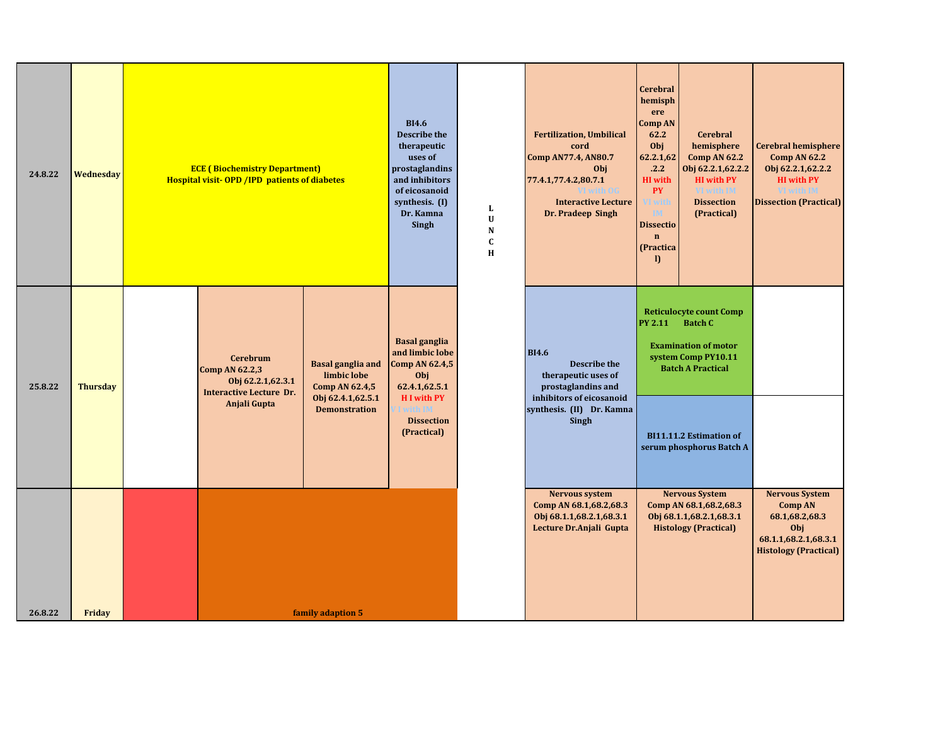| 24.8.22 | <b>Wednesday</b> | <b>ECE (Biochemistry Department)</b><br><b>Hospital visit-OPD / IPD patients of diabetes</b>             |                                                                                | <b>BI4.6</b><br><b>Describe the</b><br>therapeutic<br>uses of<br>prostaglandins<br>and inhibitors<br>of eicosanoid<br>synthesis. (I)<br>Dr. Kamna<br>Singh | L<br>U<br>${\bf N}$<br>$\mathbf C$<br>H | <b>Fertilization, Umbilical</b><br>cord<br><b>Comp AN77.4, AN80.7</b><br>Obj<br>77.4.1,77.4.2,80.7.1<br>VI with OG<br><b>Interactive Lecture</b><br>Dr. Pradeep Singh | <b>Cerebral</b><br>hemisph<br>ere<br><b>Comp AN</b><br>62.2<br>Obj<br>62.2.1,62<br>.2.2<br><b>HI</b> with<br><b>PY</b><br>/I with<br>ĪМ<br><b>Dissectio</b><br>$\mathbf n$<br>(Practica<br>$\mathbf{D}$ | <b>Cerebral</b><br>hemisphere<br><b>Comp AN 62.2</b><br>Obj 62.2.1,62.2.2<br><b>HI</b> with PY<br>VI with IM<br><b>Dissection</b><br>(Practical) | Cerebral hemisphere<br><b>Comp AN 62.2</b><br>Obj 62.2.1, 62.2.2<br><b>HI</b> with PY<br>VI with IM<br><b>Dissection (Practical)</b> |
|---------|------------------|----------------------------------------------------------------------------------------------------------|--------------------------------------------------------------------------------|------------------------------------------------------------------------------------------------------------------------------------------------------------|-----------------------------------------|-----------------------------------------------------------------------------------------------------------------------------------------------------------------------|---------------------------------------------------------------------------------------------------------------------------------------------------------------------------------------------------------|--------------------------------------------------------------------------------------------------------------------------------------------------|--------------------------------------------------------------------------------------------------------------------------------------|
| 25.8.22 | <b>Thursday</b>  | <b>Cerebrum</b><br>Comp AN 62.2,3<br>Obj 62.2.1,62.3.1<br><b>Interactive Lecture Dr.</b><br>Anjali Gupta | <b>Basal ganglia and</b><br>limbic lobe<br>Comp AN 62.4,5<br>Obj 62.4.1,62.5.1 | <b>Basal ganglia</b><br>and limbic lobe<br>Comp AN 62.4,5<br>Obj<br>62.4.1,62.5.1<br><b>HI</b> with PY<br><b>I</b> with IM                                 |                                         | <b>BI4.6</b><br><b>Describe the</b><br>therapeutic uses of<br>prostaglandins and<br>inhibitors of eicosanoid                                                          | <b>PY 2.11</b>                                                                                                                                                                                          | <b>Reticulocyte count Comp</b><br><b>Batch C</b><br><b>Examination of motor</b><br>system Comp PY10.11<br><b>Batch A Practical</b>               |                                                                                                                                      |
|         |                  |                                                                                                          | <b>Demonstration</b>                                                           | <b>Dissection</b><br>(Practical)                                                                                                                           |                                         | synthesis. (II) Dr. Kamna<br>Singh                                                                                                                                    |                                                                                                                                                                                                         | <b>BI11.11.2 Estimation of</b><br>serum phosphorus Batch A                                                                                       |                                                                                                                                      |
|         |                  |                                                                                                          |                                                                                |                                                                                                                                                            |                                         | <b>Nervous system</b><br>Comp AN 68.1, 68.2, 68.3<br>Obj 68.1.1, 68.2.1, 68.3.1<br>Lecture Dr.Anjali Gupta                                                            |                                                                                                                                                                                                         | <b>Nervous System</b><br>Comp AN 68.1, 68.2, 68.3<br>Obj 68.1.1,68.2.1,68.3.1<br><b>Histology (Practical)</b>                                    | <b>Nervous System</b><br><b>Comp AN</b><br>68.1, 68.2, 68.3<br>Obj<br>68.1.1,68.2.1,68.3.1<br><b>Histology (Practical)</b>           |
| 26.8.22 | <b>Friday</b>    |                                                                                                          | family adaption 5                                                              |                                                                                                                                                            |                                         |                                                                                                                                                                       |                                                                                                                                                                                                         |                                                                                                                                                  |                                                                                                                                      |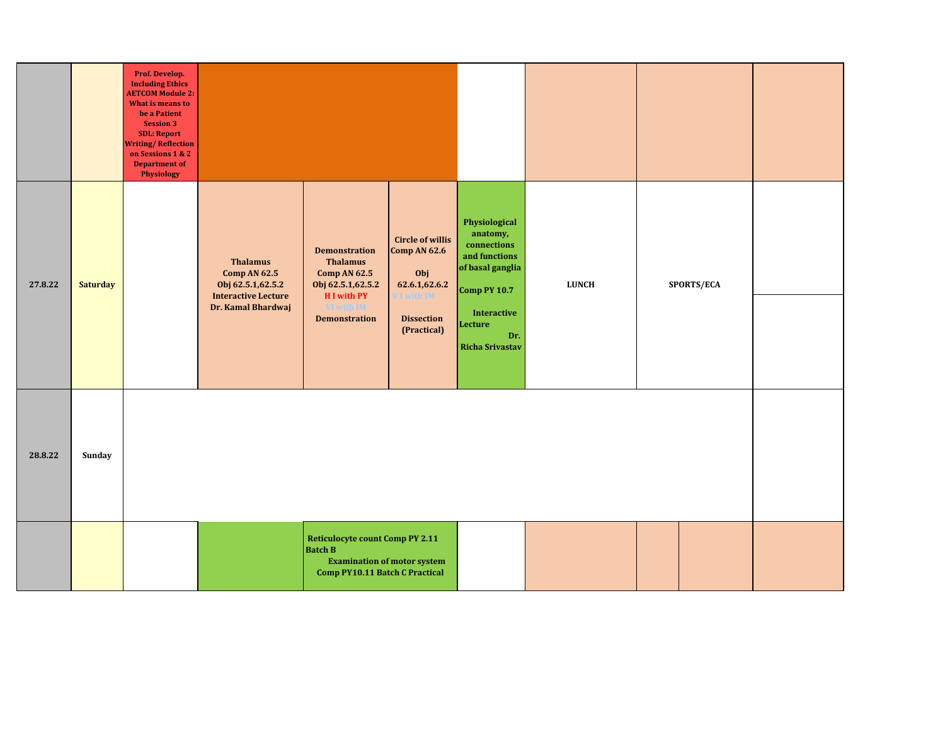|         |                 | Prof. Develop.<br><b>Including Ethics</b><br><b>AETCOM Module 2:</b><br>What is means to<br>be a Patient<br><b>Session 3</b><br><b>SDL: Report</b><br><b>Writing/Reflection</b><br>on Sessions 1 & 2<br>Department of<br><b>Physiology</b> |                                                                                                                  |                                                                                                                                          |                                                                                                                         |                                                                                                                                                                             |              |            |  |
|---------|-----------------|--------------------------------------------------------------------------------------------------------------------------------------------------------------------------------------------------------------------------------------------|------------------------------------------------------------------------------------------------------------------|------------------------------------------------------------------------------------------------------------------------------------------|-------------------------------------------------------------------------------------------------------------------------|-----------------------------------------------------------------------------------------------------------------------------------------------------------------------------|--------------|------------|--|
| 27.8.22 | <b>Saturday</b> |                                                                                                                                                                                                                                            | <b>Thalamus</b><br><b>Comp AN 62.5</b><br>Obj 62.5.1, 62.5.2<br><b>Interactive Lecture</b><br>Dr. Kamal Bhardwaj | <b>Demonstration</b><br><b>Thalamus</b><br><b>Comp AN 62.5</b><br>Obj 62.5.1,62.5.2<br>H I with PY<br>VI with IM<br><b>Demonstration</b> | <b>Circle of willis</b><br><b>Comp AN 62.6</b><br>Obj<br>62.6.1,62.6.2<br>I with IM<br><b>Dissection</b><br>(Practical) | Physiological<br>anatomy,<br>$\,$ connections<br>and functions<br>of basal ganglia<br><b>Comp PY 10.7</b><br><b>Interactive</b><br>Lecture<br>Dr.<br><b>Richa Srivastav</b> | <b>LUNCH</b> | SPORTS/ECA |  |
| 28.8.22 | Sunday          |                                                                                                                                                                                                                                            |                                                                                                                  |                                                                                                                                          |                                                                                                                         |                                                                                                                                                                             |              |            |  |
|         |                 |                                                                                                                                                                                                                                            |                                                                                                                  | <b>Reticulocyte count Comp PY 2.11</b><br><b>Batch B</b><br>Comp PY10.11 Batch C Practical                                               | <b>Examination of motor system</b>                                                                                      |                                                                                                                                                                             |              |            |  |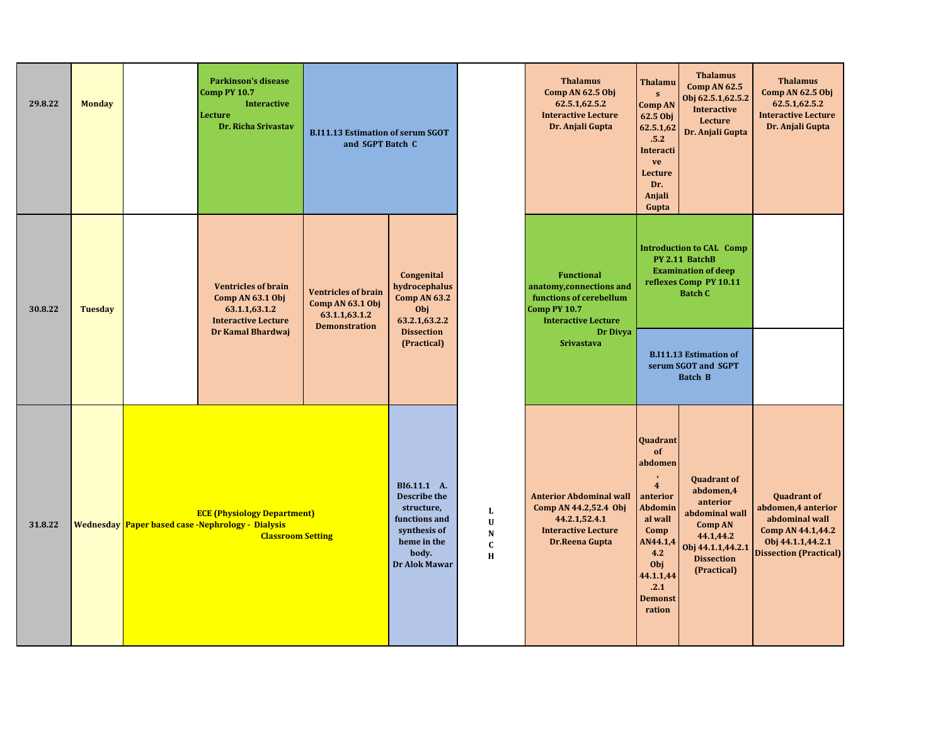| 29.8.22 | <b>Monday</b>  | <b>Parkinson's disease</b><br>Comp PY 10.7<br><b>Interactive</b><br>Lecture<br>Dr. Richa Srivastav                         | <b>B.I11.13 Estimation of serum SGOT</b><br>and SGPT Batch C                            |                                                                                                                            |                                                   | <b>Thalamus</b><br>Comp AN 62.5 Obj<br>62.5.1,62.5.2<br><b>Interactive Lecture</b><br>Dr. Anjali Gupta                   | <b>Thalamu</b><br>${\bf S}$<br><b>Comp AN</b><br>62.5 Obj<br>62.5.1,62<br>.5.2<br>Interacti<br>ve<br>Lecture<br>Dr.<br>Anjali<br>Gupta                                  | <b>Thalamus</b><br><b>Comp AN 62.5</b><br>Obj 62.5.1,62.5.2<br><b>Interactive</b><br>Lecture<br>Dr. Anjali Gupta                                      | <b>Thalamus</b><br>Comp AN 62.5 Obj<br>62.5.1,62.5.2<br><b>Interactive Lecture</b><br>Dr. Anjali Gupta                                 |
|---------|----------------|----------------------------------------------------------------------------------------------------------------------------|-----------------------------------------------------------------------------------------|----------------------------------------------------------------------------------------------------------------------------|---------------------------------------------------|--------------------------------------------------------------------------------------------------------------------------|-------------------------------------------------------------------------------------------------------------------------------------------------------------------------|-------------------------------------------------------------------------------------------------------------------------------------------------------|----------------------------------------------------------------------------------------------------------------------------------------|
| 30.8.22 | <b>Tuesday</b> | <b>Ventricles of brain</b><br>Comp AN 63.1 Obj<br>63.1.1,63.1.2<br><b>Interactive Lecture</b>                              | <b>Ventricles of brain</b><br>Comp AN 63.1 Obj<br>63.1.1,63.1.2<br><b>Demonstration</b> | Congenital<br>hydrocephalus<br><b>Comp AN 63.2</b><br>Obj<br>63.2.1,63.2.2                                                 |                                                   | <b>Functional</b><br>anatomy, connections and<br>functions of cerebellum<br>Comp PY 10.7<br><b>Interactive Lecture</b>   |                                                                                                                                                                         | <b>Introduction to CAL Comp</b><br>PY 2.11 BatchB<br><b>Examination of deep</b><br>reflexes Comp PY 10.11<br><b>Batch C</b>                           |                                                                                                                                        |
|         |                | Dr Kamal Bhardwaj                                                                                                          |                                                                                         | <b>Dissection</b><br>(Practical)                                                                                           |                                                   | Dr Divya<br><b>Srivastava</b>                                                                                            |                                                                                                                                                                         | <b>B.I11.13 Estimation of</b><br>serum SGOT and SGPT<br><b>Batch B</b>                                                                                |                                                                                                                                        |
| 31.8.22 |                | <b>ECE (Physiology Department)</b><br><b>Wednesday Paper based case -Nephrology - Dialysis</b><br><b>Classroom Setting</b> |                                                                                         | BI6.11.1 A.<br><b>Describe the</b><br>structure,<br>functions and<br>synthesis of<br>heme in the<br>body.<br>Dr Alok Mawar | L<br>$\mathbf U$<br>${\bf N}$<br>$\mathbf c$<br>H | <b>Anterior Abdominal wall</b><br>Comp AN 44.2,52.4 Obj<br>44.2.1,52.4.1<br><b>Interactive Lecture</b><br>Dr.Reena Gupta | Quadrant<br>of<br>abdomen<br>$\overline{4}$<br>anterior<br><b>Abdomin</b><br>al wall<br>Comp<br>AN44.1,4<br>4.2<br>Obj<br>44.1.1,44<br>.2.1<br><b>Demonst</b><br>ration | <b>Quadrant of</b><br>abdomen,4<br>anterior<br>abdominal wall<br><b>Comp AN</b><br>44.1,44.2<br>Obj 44.1.1,44.2.1<br><b>Dissection</b><br>(Practical) | <b>Quadrant of</b><br>abdomen, 4 anterior<br>abdominal wall<br>Comp AN 44.1,44.2<br>Obj 44.1.1,44.2.1<br><b>Dissection (Practical)</b> |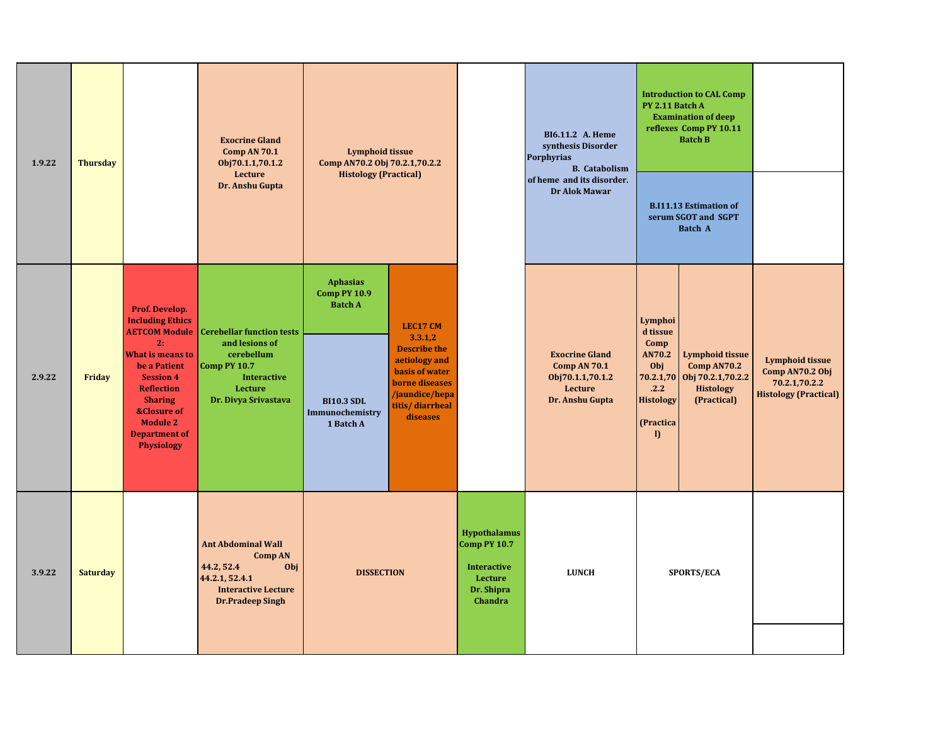| 1.9.22 | <b>Thursday</b> | <b>Exocrine Gland</b><br><b>Lymphoid tissue</b><br>Comp AN 70.1<br>Comp AN70.2 Obj 70.2.1,70.2.2<br>Obj70.1.1,70.1.2<br>Lecture<br><b>Histology (Practical)</b>                                                                                                  |                                                                                                                                           |                                                                                                               |                                                                                                                                                         | BI6.11.2 A. Heme<br>synthesis Disorder<br><b>Porphyrias</b><br><b>B.</b> Catabolism<br>of heme and its disorder. |                                                                                                | <b>Introduction to CAL Comp</b><br>PY 2.11 Batch A<br><b>Examination of deep</b><br>reflexes Comp PY 10.11<br><b>Batch B</b> |                                                                                                         |                                                                                            |
|--------|-----------------|------------------------------------------------------------------------------------------------------------------------------------------------------------------------------------------------------------------------------------------------------------------|-------------------------------------------------------------------------------------------------------------------------------------------|---------------------------------------------------------------------------------------------------------------|---------------------------------------------------------------------------------------------------------------------------------------------------------|------------------------------------------------------------------------------------------------------------------|------------------------------------------------------------------------------------------------|------------------------------------------------------------------------------------------------------------------------------|---------------------------------------------------------------------------------------------------------|--------------------------------------------------------------------------------------------|
|        |                 |                                                                                                                                                                                                                                                                  | Dr. Anshu Gupta                                                                                                                           |                                                                                                               |                                                                                                                                                         |                                                                                                                  | Dr Alok Mawar                                                                                  | <b>B.I11.13 Estimation of</b><br>serum SGOT and SGPT<br><b>Batch A</b>                                                       |                                                                                                         |                                                                                            |
| 2.9.22 | Friday          | Prof. Develop.<br><b>Including Ethics</b><br><b>AETCOM Module</b><br>2:<br><b>What is means to</b><br>be a Patient<br><b>Session 4</b><br><b>Reflection</b><br><b>Sharing</b><br><b>&amp;Closure of</b><br><b>Module 2</b><br><b>Department of</b><br>Physiology | <b>Cerebellar function tests</b><br>and lesions of<br>cerebellum<br>Comp PY 10.7<br><b>Interactive</b><br>Lecture<br>Dr. Divya Srivastava | <b>Aphasias</b><br><b>Comp PY 10.9</b><br><b>Batch A</b><br><b>BI10.3 SDL</b><br>Immunochemistry<br>1 Batch A | <b>LEC17 CM</b><br>3.3.1,2<br><b>Describe the</b><br>aetiology and<br>basis of water<br>borne diseases<br>/jaundice/hepa<br>titis/diarrheal<br>diseases |                                                                                                                  | <b>Exocrine Gland</b><br>Comp AN 70.1<br>Obj70.1.1,70.1.2<br><b>Lecture</b><br>Dr. Anshu Gupta | Lymphoi<br>d tissue<br>Comp<br>AN70.2<br>Obj<br>.2.2<br><b>Histology</b><br>(Practica<br>$\mathbf{D}$                        | <b>Lymphoid tissue</b><br>Comp AN70.2<br>70.2.1,70 Obj 70.2.1,70.2.2<br><b>Histology</b><br>(Practical) | <b>Lymphoid tissue</b><br>Comp AN70.2 Obj<br>70.2.1,70.2.2<br><b>Histology (Practical)</b> |
| 3.9.22 | <b>Saturday</b> |                                                                                                                                                                                                                                                                  | <b>Ant Abdominal Wall</b><br>Comp AN<br>44.2, 52.4<br>Obj<br>44.2.1, 52.4.1<br><b>Interactive Lecture</b><br><b>Dr.Pradeep Singh</b>      | <b>DISSECTION</b>                                                                                             |                                                                                                                                                         | <b>Hypothalamus</b><br><b>Comp PY 10.7</b><br><b>Interactive</b><br>Lecture<br>Dr. Shipra<br>Chandra             | <b>LUNCH</b>                                                                                   |                                                                                                                              | SPORTS/ECA                                                                                              |                                                                                            |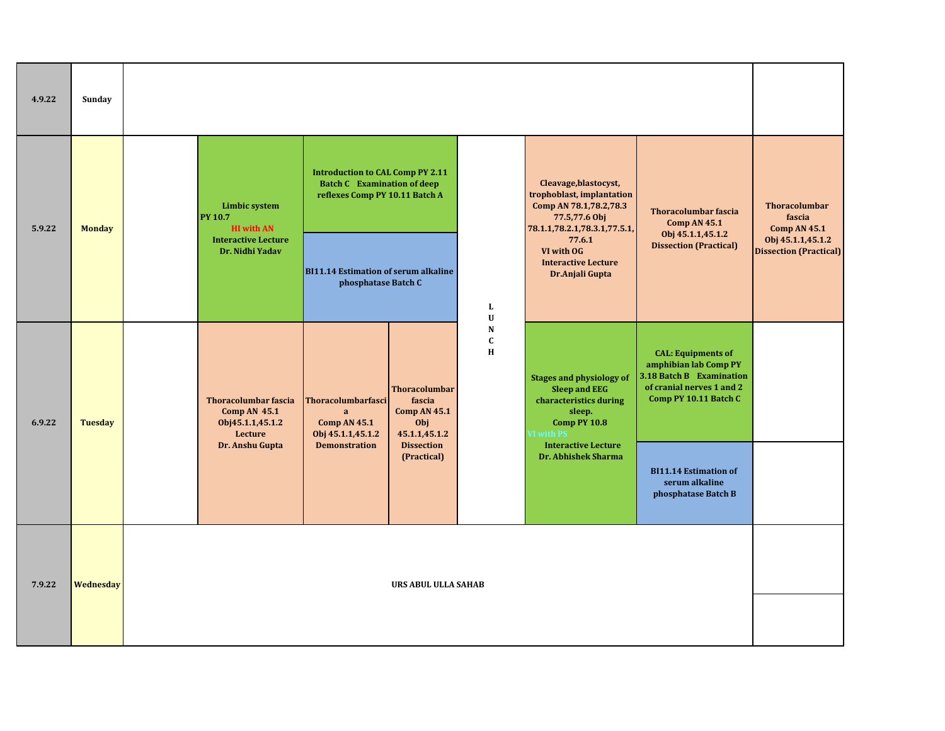| 4.9.22 | Sunday         |                                                                                   |                                                                                                                 |                                                                               |                              |                                                                                                                                  |                                                                                                                                      |                                                       |
|--------|----------------|-----------------------------------------------------------------------------------|-----------------------------------------------------------------------------------------------------------------|-------------------------------------------------------------------------------|------------------------------|----------------------------------------------------------------------------------------------------------------------------------|--------------------------------------------------------------------------------------------------------------------------------------|-------------------------------------------------------|
| 5.9.22 | <b>Monday</b>  | <b>Limbic system</b><br><b>PY 10.7</b><br><b>HI</b> with AN                       | <b>Introduction to CAL Comp PY 2.11</b><br><b>Batch C</b> Examination of deep<br>reflexes Comp PY 10.11 Batch A |                                                                               |                              | Cleavage, blastocyst,<br>trophoblast, implantation<br>Comp AN 78.1,78.2,78.3<br>77.5,77.6 Obj<br>78.1.1,78.2.1,78.3.1,77.5.1,    | <b>Thoracolumbar fascia</b><br>Comp AN 45.1<br>Obj 45.1.1,45.1.2                                                                     | <b>Thoracolumbar</b><br>fascia<br><b>Comp AN 45.1</b> |
|        |                | <b>Interactive Lecture</b><br>Dr. Nidhi Yadav                                     | <b>BI11.14 Estimation of serum alkaline</b><br>phosphatase Batch C                                              |                                                                               | $\mathbf L$<br>$\mathbf U$   | 77.6.1<br>VI with OG<br><b>Interactive Lecture</b><br>Dr.Anjali Gupta                                                            | <b>Dissection (Practical)</b>                                                                                                        | Obj 45.1.1,45.1.2<br><b>Dissection (Practical)</b>    |
| 6.9.22 | <b>Tuesday</b> | <b>Thoracolumbar fascia</b><br><b>Comp AN 45.1</b><br>Obj45.1.1,45.1.2<br>Lecture | <b>Thoracolumbarfasci</b><br>$\mathbf{a}$<br><b>Comp AN 45.1</b><br>Obj 45.1.1,45.1.2                           | <b>Thoracolumbar</b><br>fascia<br><b>Comp AN 45.1</b><br>Obj<br>45.1.1,45.1.2 | N<br>$\mathbf{C}$<br>$\bf H$ | <b>Stages and physiology of</b><br><b>Sleep and EEG</b><br>characteristics during<br>sleep.<br><b>Comp PY 10.8</b><br>VI with PS | <b>CAL: Equipments of</b><br>amphibian lab Comp PY<br>3.18 Batch B Examination<br>of cranial nerves 1 and 2<br>Comp PY 10.11 Batch C |                                                       |
|        |                | Dr. Anshu Gupta                                                                   | <b>Demonstration</b>                                                                                            | <b>Dissection</b><br>(Practical)                                              |                              | <b>Interactive Lecture</b><br>Dr. Abhishek Sharma                                                                                | <b>BI11.14 Estimation of</b><br>serum alkaline<br>phosphatase Batch B                                                                |                                                       |
| 7.9.22 | Wednesday      |                                                                                   |                                                                                                                 | URS ABUL ULLA SAHAB                                                           |                              |                                                                                                                                  |                                                                                                                                      |                                                       |
|        |                |                                                                                   |                                                                                                                 |                                                                               |                              |                                                                                                                                  |                                                                                                                                      |                                                       |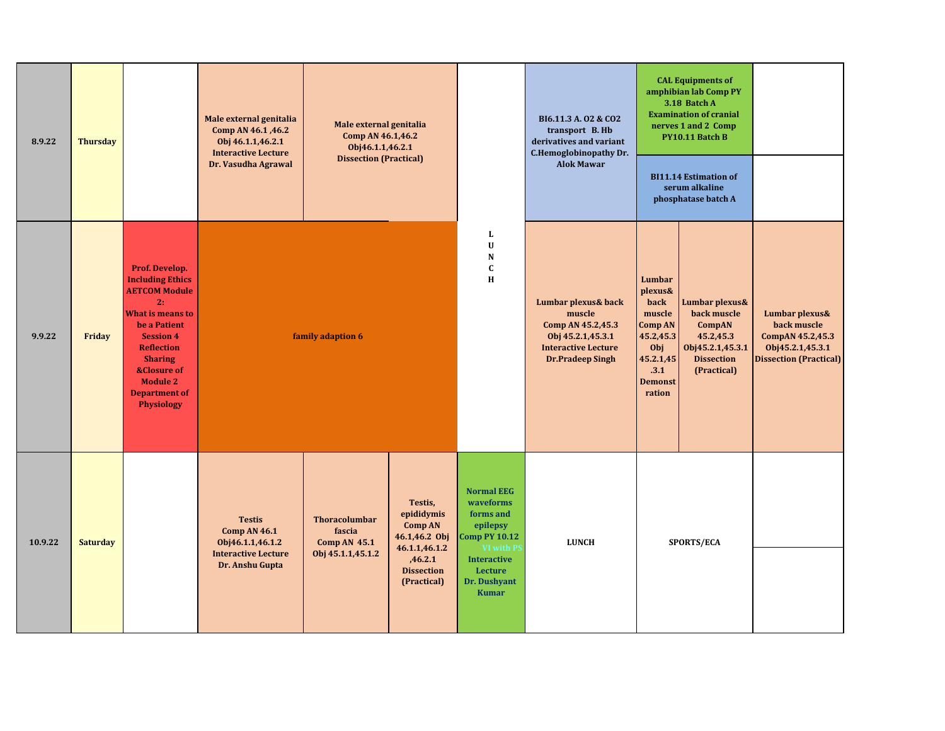| 8.9.22  | <b>Thursday</b> |                                                                                                                                                                                                                                                                         | Male external genitalia<br>Comp AN 46.1, 46.2<br>Obj 46.1.1,46.2.1<br><b>Interactive Lecture</b><br>Dr. Vasudha Agrawal | Male external genitalia<br>Comp AN 46.1,46.2<br>Obj46.1.1,46.2.1<br><b>Dissection (Practical)</b> |                                                                                                                          |                                                                                                                                                               | BI6.11.3 A. 02 & CO2<br>transport B. Hb<br>derivatives and variant<br>C.Hemoglobinopathy Dr.<br><b>Alok Mawar</b>                | <b>CAL Equipments of</b><br>amphibian lab Comp PY<br>3.18 Batch A<br><b>Examination of cranial</b><br>nerves 1 and 2 Comp<br>PY10.11 Batch B<br><b>BI11.14 Estimation of</b><br>serum alkaline<br>phosphatase batch A |                                                                                                              |                                                                                                        |
|---------|-----------------|-------------------------------------------------------------------------------------------------------------------------------------------------------------------------------------------------------------------------------------------------------------------------|-------------------------------------------------------------------------------------------------------------------------|---------------------------------------------------------------------------------------------------|--------------------------------------------------------------------------------------------------------------------------|---------------------------------------------------------------------------------------------------------------------------------------------------------------|----------------------------------------------------------------------------------------------------------------------------------|-----------------------------------------------------------------------------------------------------------------------------------------------------------------------------------------------------------------------|--------------------------------------------------------------------------------------------------------------|--------------------------------------------------------------------------------------------------------|
| 9.9.22  | Friday          | Prof. Develop.<br><b>Including Ethics</b><br><b>AETCOM Module</b><br>2:<br><b>What is means to</b><br>be a Patient<br><b>Session 4</b><br><b>Reflection</b><br><b>Sharing</b><br><b>&amp;Closure of</b><br><b>Module 2</b><br><b>Department of</b><br><b>Physiology</b> |                                                                                                                         | family adaption 6                                                                                 |                                                                                                                          | L<br>U<br>${\bf N}$<br>$\mathbf C$<br>$\bf H$                                                                                                                 | Lumbar plexus& back<br>muscle<br>Comp AN 45.2,45.3<br>Obj 45.2.1,45.3.1<br><b>Interactive Lecture</b><br><b>Dr.Pradeep Singh</b> | Lumbar<br>plexus&<br>back<br>muscle<br>Comp AN<br>45.2,45.3<br>Obj<br>45.2.1,45<br>.3.1<br><b>Demonst</b><br>ration                                                                                                   | Lumbar plexus&<br>back muscle<br>CompAN<br>45.2,45.3<br>Obj45.2.1,45.3.1<br><b>Dissection</b><br>(Practical) | Lumbar plexus&<br>back muscle<br>CompAN 45.2,45.3<br>Obj45.2.1,45.3.1<br><b>Dissection (Practical)</b> |
| 10.9.22 | <b>Saturday</b> |                                                                                                                                                                                                                                                                         | <b>Testis</b><br><b>Comp AN 46.1</b><br>Obj46.1.1,46.1.2<br><b>Interactive Lecture</b><br>Dr. Anshu Gupta               | <b>Thoracolumbar</b><br>fascia<br>Comp AN $45.1$<br>Obj 45.1.1,45.1.2                             | Testis,<br>epididymis<br><b>Comp AN</b><br>46.1,46.2 Obj<br>46.1.1,46.1.2<br>,46.2.1<br><b>Dissection</b><br>(Practical) | <b>Normal EEG</b><br>waveforms<br>forms and<br>epilepsy<br><b>Comp PY 10.12</b><br>VI with P<br><b>Interactive</b><br>Lecture<br>Dr. Dushyant<br><b>Kumar</b> | <b>LUNCH</b>                                                                                                                     |                                                                                                                                                                                                                       | <b>SPORTS/ECA</b>                                                                                            |                                                                                                        |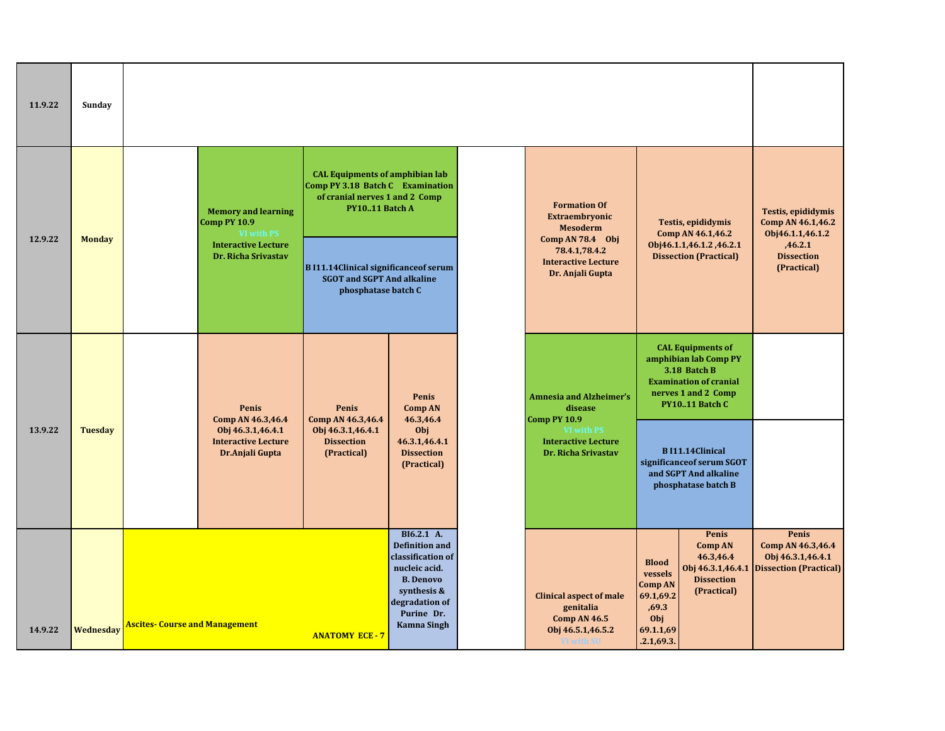| 11.9.22 | Sunday         |                                       |                                                                                                                             |                                                                                                                                                                                                                                            |                                                                                                                                                                    |                                                                                                                                                   |                                                                                                   |                                                                                                                                                                                                                                                     |                                                                                                                   |
|---------|----------------|---------------------------------------|-----------------------------------------------------------------------------------------------------------------------------|--------------------------------------------------------------------------------------------------------------------------------------------------------------------------------------------------------------------------------------------|--------------------------------------------------------------------------------------------------------------------------------------------------------------------|---------------------------------------------------------------------------------------------------------------------------------------------------|---------------------------------------------------------------------------------------------------|-----------------------------------------------------------------------------------------------------------------------------------------------------------------------------------------------------------------------------------------------------|-------------------------------------------------------------------------------------------------------------------|
| 12.9.22 | <b>Monday</b>  |                                       | <b>Memory and learning</b><br><b>Comp PY 10.9</b><br><b>VI with PS</b><br><b>Interactive Lecture</b><br>Dr. Richa Srivastav | <b>CAL Equipments of amphibian lab</b><br>Comp PY 3.18 Batch C Examination<br>of cranial nerves 1 and 2 Comp<br>PY1011 Batch A<br><b>BI11.14Clinical significance of serum</b><br><b>SGOT and SGPT And alkaline</b><br>phosphatase batch C |                                                                                                                                                                    | <b>Formation Of</b><br>Extraembryonic<br><b>Mesoderm</b><br>Comp AN 78.4 Obj<br>78.4.1,78.4.2<br><b>Interactive Lecture</b><br>Dr. Anjali Gupta   |                                                                                                   | Testis, epididymis<br>Comp AN 46.1,46.2<br>Obj46.1.1,46.1.2,46.2.1<br><b>Dissection (Practical)</b>                                                                                                                                                 | <b>Testis, epididymis</b><br>Comp AN 46.1,46.2<br>Obj46.1.1,46.1.2<br>,46.2.1<br><b>Dissection</b><br>(Practical) |
| 13.9.22 | <b>Tuesday</b> |                                       | Penis<br>Comp AN 46.3,46.4<br>Obj 46.3.1,46.4.1<br><b>Interactive Lecture</b><br>Dr.Anjali Gupta                            | Penis<br>Comp AN 46.3,46.4<br>Obj 46.3.1,46.4.1<br><b>Dissection</b><br>(Practical)                                                                                                                                                        | Penis<br><b>Comp AN</b><br>46.3,46.4<br>Obj<br>46.3.1,46.4.1<br><b>Dissection</b><br>(Practical)                                                                   | <b>Amnesia and Alzheimer's</b><br>disease<br><b>Comp PY 10.9</b><br><b>VI with PS</b><br><b>Interactive Lecture</b><br><b>Dr. Richa Srivastav</b> |                                                                                                   | <b>CAL Equipments of</b><br>amphibian lab Comp PY<br>3.18 Batch B<br><b>Examination of cranial</b><br>nerves 1 and 2 Comp<br>PY1011 Batch C<br><b>BI11.14Clinical</b><br>significance of serum SGOT<br>and SGPT And alkaline<br>phosphatase batch B |                                                                                                                   |
| 14.9.22 | Wednesday      | <b>Ascites- Course and Management</b> |                                                                                                                             | <b>ANATOMY ECE - 7</b>                                                                                                                                                                                                                     | BI6.2.1 A.<br><b>Definition and</b><br>classification of<br>nucleic acid.<br><b>B.</b> Denovo<br>synthesis &<br>degradation of<br>Purine Dr.<br><b>Kamna Singh</b> | <b>Clinical aspect of male</b><br>genitalia<br><b>Comp AN 46.5</b><br>Obj 46.5.1,46.5.2                                                           | <b>Blood</b><br>vessels<br><b>Comp AN</b><br>69.1,69.2<br>,69.3<br>Obj<br>69.1.1,69<br>.2.1,69.3. | Penis<br><b>Comp AN</b><br>46.3,46.4<br>Obj 46.3.1,46.4.1<br><b>Dissection</b><br>(Practical)                                                                                                                                                       | Penis<br>Comp AN 46.3,46.4<br>Obj 46.3.1,46.4.1<br><b>Dissection (Practical)</b>                                  |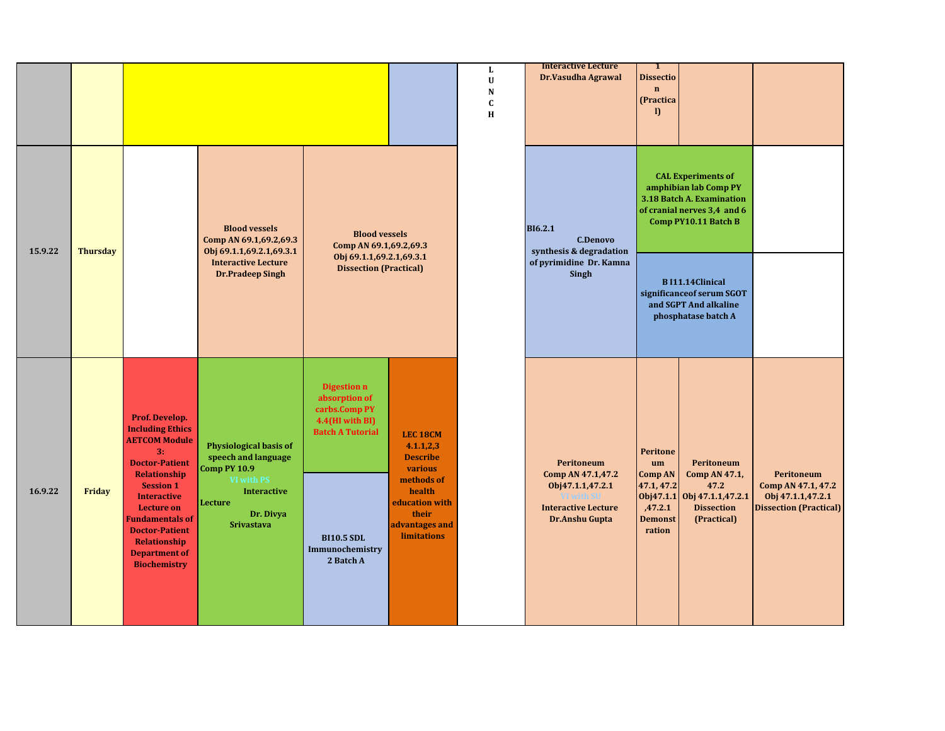|         |                 |                                                                                                                                                                                               |                                                                               |                                                                                                    |                                                                                         | ${\bf L}$<br>$\mathbf U$<br>${\bf N}$<br>$\mathbf c$<br>$\bf H$ | <b>Interactive Lecture</b><br>Dr.Vasudha Agrawal                                                           | $\mathbf{1}$<br><b>Dissectio</b><br>$\mathbf{n}$<br>(Practica<br>$\mathbf{D}$    |                                                                                                                                        |                                                                                        |
|---------|-----------------|-----------------------------------------------------------------------------------------------------------------------------------------------------------------------------------------------|-------------------------------------------------------------------------------|----------------------------------------------------------------------------------------------------|-----------------------------------------------------------------------------------------|-----------------------------------------------------------------|------------------------------------------------------------------------------------------------------------|----------------------------------------------------------------------------------|----------------------------------------------------------------------------------------------------------------------------------------|----------------------------------------------------------------------------------------|
| 15.9.22 | <b>Thursday</b> |                                                                                                                                                                                               | <b>Blood vessels</b><br>Comp AN 69.1,69.2,69.3<br>Obj 69.1.1,69.2.1,69.3.1    | <b>Blood vessels</b><br>Comp AN 69.1,69.2,69.3                                                     |                                                                                         |                                                                 | <b>BI6.2.1</b><br><b>C.Denovo</b><br>synthesis & degradation                                               |                                                                                  | <b>CAL Experiments of</b><br>amphibian lab Comp PY<br>3.18 Batch A. Examination<br>of cranial nerves 3,4 and 6<br>Comp PY10.11 Batch B |                                                                                        |
|         |                 |                                                                                                                                                                                               | <b>Interactive Lecture</b><br><b>Dr.Pradeep Singh</b>                         | Obj 69.1.1,69.2.1,69.3.1<br><b>Dissection (Practical)</b>                                          |                                                                                         |                                                                 | of pyrimidine Dr. Kamna<br>Singh                                                                           |                                                                                  | <b>BI11.14Clinical</b><br>significance of serum SGOT<br>and SGPT And alkaline<br>phosphatase batch A                                   |                                                                                        |
|         |                 | Prof. Develop.<br><b>Including Ethics</b><br><b>AETCOM Module</b><br>3:<br><b>Doctor-Patient</b>                                                                                              | <b>Physiological basis of</b><br>speech and language<br><b>Comp PY 10.9</b>   | <b>Digestion n</b><br>absorption of<br>carbs.Comp PY<br>4.4(HI with BI)<br><b>Batch A Tutorial</b> | <b>LEC 18CM</b><br>4.1.1,2,3<br><b>Describe</b><br>various                              |                                                                 | Peritoneum                                                                                                 | Peritone<br>um                                                                   | Peritoneum                                                                                                                             |                                                                                        |
| 16.9.22 | Friday          | Relationship<br><b>Session 1</b><br><b>Interactive</b><br><b>Lecture on</b><br><b>Fundamentals of</b><br><b>Doctor-Patient</b><br>Relationship<br><b>Department of</b><br><b>Biochemistry</b> | VI with PS<br><b>Interactive</b><br>Lecture<br>Dr. Divya<br><b>Srivastava</b> | <b>BI10.5 SDL</b><br>Immunochemistry<br>2 Batch A                                                  | methods of<br>health<br>education with<br>their<br>advantages and<br><b>limitations</b> |                                                                 | Comp AN 47.1,47.2<br>Obj47.1.1,47.2.1<br><b>VI with SU</b><br><b>Interactive Lecture</b><br>Dr.Anshu Gupta | <b>Comp AN</b><br>47.1, 47.2<br>0bj47.1.1<br>,47.2.1<br><b>Demonst</b><br>ration | Comp AN 47.1,<br>47.2<br>Obj 47.1.1,47.2.1<br><b>Dissection</b><br>(Practical)                                                         | Peritoneum<br>Comp AN 47.1, 47.2<br>Obj 47.1.1,47.2.1<br><b>Dissection (Practical)</b> |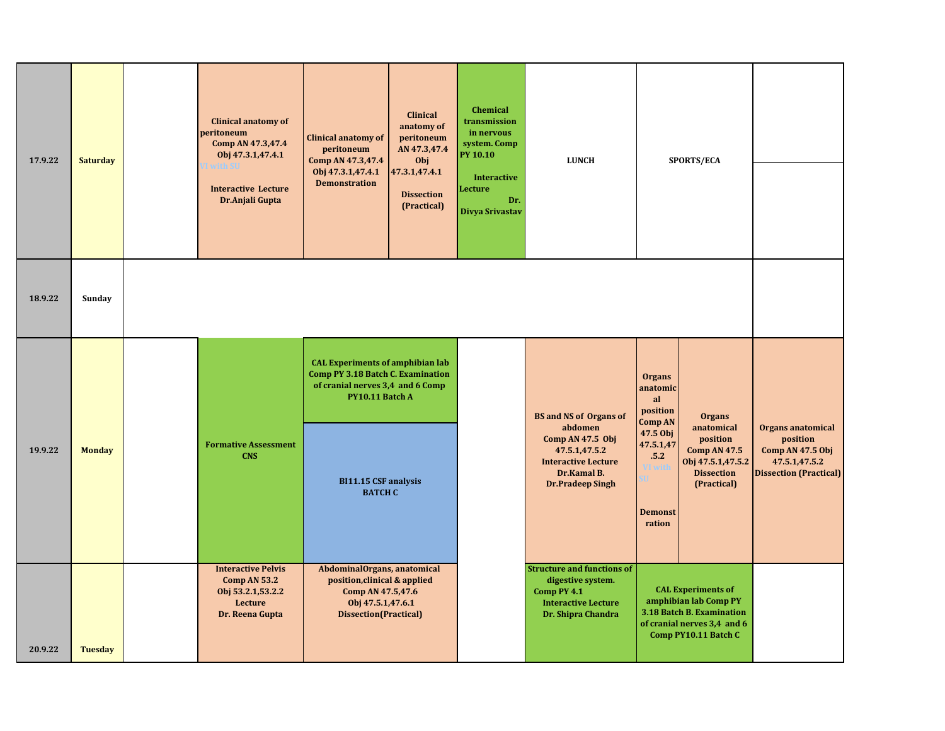| 17.9.22 | <b>Saturday</b> | <b>Clinical anatomy of</b><br>peritoneum<br>Comp AN 47.3,47.4<br>Obj 47.3.1,47.4.1<br>with SU<br><b>Interactive Lecture</b><br>Dr.Anjali Gupta | Clinical anatomy of<br>peritoneum<br>Comp AN 47.3,47.4<br>Obj 47.3.1,47.4.1<br><b>Demonstration</b>                                        | Clinical<br>anatomy of<br>peritoneum<br>AN 47.3,47.4<br>Obj<br>47.3.1,47.4.1<br><b>Dissection</b><br>(Practical) | <b>Chemical</b><br>transmission<br>in nervous<br>system. Comp<br><b>PY 10.10</b><br><b>Interactive</b><br>Lecture<br>Dr.<br>Divya Srivastav | <b>LUNCH</b>                                                                                                              |                                                               | SPORTS/ECA                                                                                                                             |                                                                                                     |
|---------|-----------------|------------------------------------------------------------------------------------------------------------------------------------------------|--------------------------------------------------------------------------------------------------------------------------------------------|------------------------------------------------------------------------------------------------------------------|---------------------------------------------------------------------------------------------------------------------------------------------|---------------------------------------------------------------------------------------------------------------------------|---------------------------------------------------------------|----------------------------------------------------------------------------------------------------------------------------------------|-----------------------------------------------------------------------------------------------------|
| 18.9.22 | Sunday          |                                                                                                                                                |                                                                                                                                            |                                                                                                                  |                                                                                                                                             |                                                                                                                           |                                                               |                                                                                                                                        |                                                                                                     |
|         |                 |                                                                                                                                                | <b>CAL Experiments of amphibian lab</b><br><b>Comp PY 3.18 Batch C. Examination</b><br>of cranial nerves 3,4 and 6 Comp<br>PY10.11 Batch A |                                                                                                                  |                                                                                                                                             | <b>BS and NS of Organs of</b>                                                                                             | <b>Organs</b><br>anatomic<br>al<br>position<br><b>Comp AN</b> | <b>Organs</b>                                                                                                                          |                                                                                                     |
| 19.9.22 | <b>Monday</b>   | <b>Formative Assessment</b><br><b>CNS</b>                                                                                                      | BI11.15 CSF analysis<br><b>BATCH C</b>                                                                                                     |                                                                                                                  |                                                                                                                                             | abdomen<br>Comp AN $47.5$ Obj<br>47.5.1,47.5.2<br><b>Interactive Lecture</b><br>Dr.Kamal B.<br><b>Dr.Pradeep Singh</b>    | 47.5 Obj<br>47.5.1,47<br>.5.2<br><b>Demonst</b><br>ration     | anatomical<br>position<br><b>Comp AN 47.5</b><br>Obj 47.5.1,47.5.2<br><b>Dissection</b><br>(Practical)                                 | Organs anatomical<br>position<br>Comp AN 47.5 Obj<br>47.5.1,47.5.2<br><b>Dissection (Practical)</b> |
| 20.9.22 | <b>Tuesday</b>  | <b>Interactive Pelvis</b><br>Comp AN 53.2<br>Obj 53.2.1,53.2.2<br>Lecture<br>Dr. Reena Gupta                                                   | AbdominalOrgans, anatomical<br>position, clinical & applied<br>Comp AN 47.5,47.6<br>Obj 47.5.1,47.6.1<br><b>Dissection</b> (Practical)     |                                                                                                                  |                                                                                                                                             | <b>Structure and functions of</b><br>digestive system.<br>Comp PY 4.1<br><b>Interactive Lecture</b><br>Dr. Shipra Chandra |                                                               | <b>CAL Experiments of</b><br>amphibian lab Comp PY<br>3.18 Batch B. Examination<br>of cranial nerves 3,4 and 6<br>Comp PY10.11 Batch C |                                                                                                     |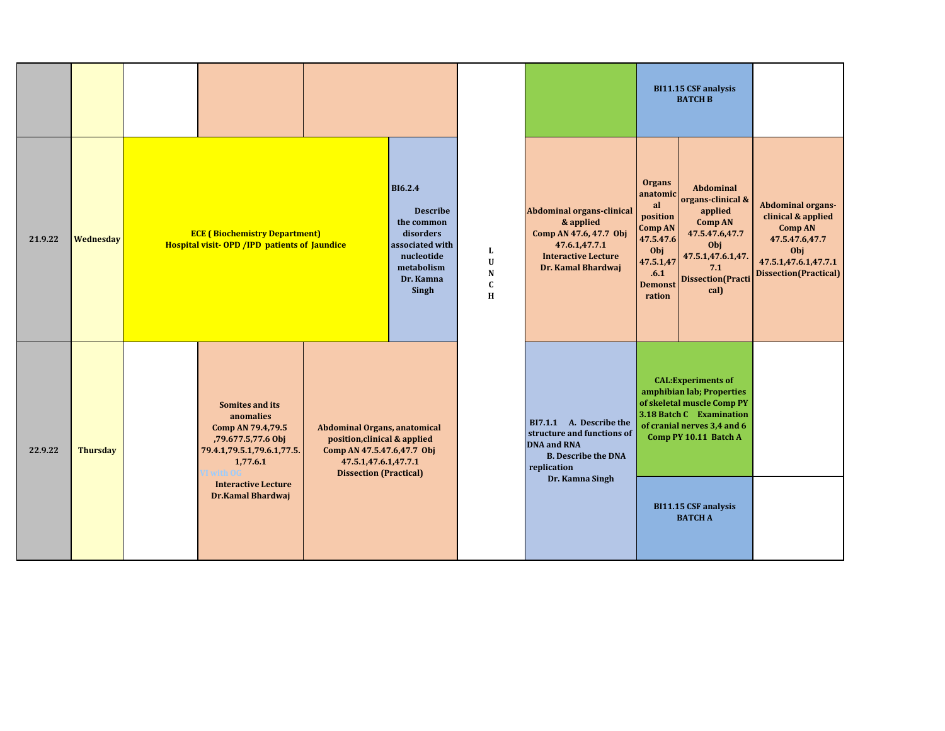|         |                 |                                                                                                                                                                                   |                                                                                                                                                     |                                                                                                                                   |                                         |                                                                                                                                              |                                                                                                                                    | BI11.15 CSF analysis<br><b>BATCH B</b>                                                                                                                                                                                     |                                                                                                                                     |
|---------|-----------------|-----------------------------------------------------------------------------------------------------------------------------------------------------------------------------------|-----------------------------------------------------------------------------------------------------------------------------------------------------|-----------------------------------------------------------------------------------------------------------------------------------|-----------------------------------------|----------------------------------------------------------------------------------------------------------------------------------------------|------------------------------------------------------------------------------------------------------------------------------------|----------------------------------------------------------------------------------------------------------------------------------------------------------------------------------------------------------------------------|-------------------------------------------------------------------------------------------------------------------------------------|
| 21.9.22 | Wednesday       | <b>ECE (Biochemistry Department)</b><br><b>Hospital visit-OPD / IPD patients of Jaundice</b>                                                                                      |                                                                                                                                                     | <b>BI6.2.4</b><br><b>Describe</b><br>the common<br>disorders<br>associated with<br>nucleotide<br>metabolism<br>Dr. Kamna<br>Singh | L<br>$\mathbf U$<br>${\bf N}$<br>C<br>H | <b>Abdominal organs-clinical</b><br>& applied<br>Comp AN 47.6, 47.7 Obj<br>47.6.1,47.7.1<br><b>Interactive Lecture</b><br>Dr. Kamal Bhardwaj | <b>Organs</b><br>anatomic<br>al<br>position<br><b>Comp AN</b><br>47.5.47.6<br>Obj<br>47.5.1,47<br>.6.1<br><b>Demonst</b><br>ration | <b>Abdominal</b><br>organs-clinical &<br>applied<br><b>Comp AN</b><br>47.5.47.6,47.7<br>Obj<br>47.5.1,47.6.1,47<br>7.1<br><b>Dissection</b> (Practi<br>cal)                                                                | Abdominal organs-<br>clinical & applied<br><b>Comp AN</b><br>47.5.47.6,47.7<br>Obj<br>47.5.1,47.6.1,47.7.1<br>Dissection(Practical) |
| 22.9.22 | <b>Thursday</b> | Somites and its<br>anomalies<br>Comp AN 79.4,79.5<br>,79.677.5,77.6 Obj<br>79.4.1,79.5.1,79.6.1,77.5.<br>1,77.6.1<br>I with OG<br><b>Interactive Lecture</b><br>Dr.Kamal Bhardwaj | Abdominal Organs, anatomical<br>position, clinical & applied<br>Comp AN 47.5.47.6,47.7 Obj<br>47.5.1,47.6.1,47.7.1<br><b>Dissection (Practical)</b> |                                                                                                                                   |                                         | BI7.1.1 A. Describe the<br>structure and functions of<br><b>DNA and RNA</b><br><b>B.</b> Describe the DNA<br>replication<br>Dr. Kamna Singh  |                                                                                                                                    | <b>CAL:</b> Experiments of<br>amphibian lab; Properties<br>of skeletal muscle Comp PY<br>3.18 Batch C Examination<br>of cranial nerves 3,4 and 6<br>Comp PY 10.11 Batch A<br><b>BI11.15 CSF analysis</b><br><b>BATCH A</b> |                                                                                                                                     |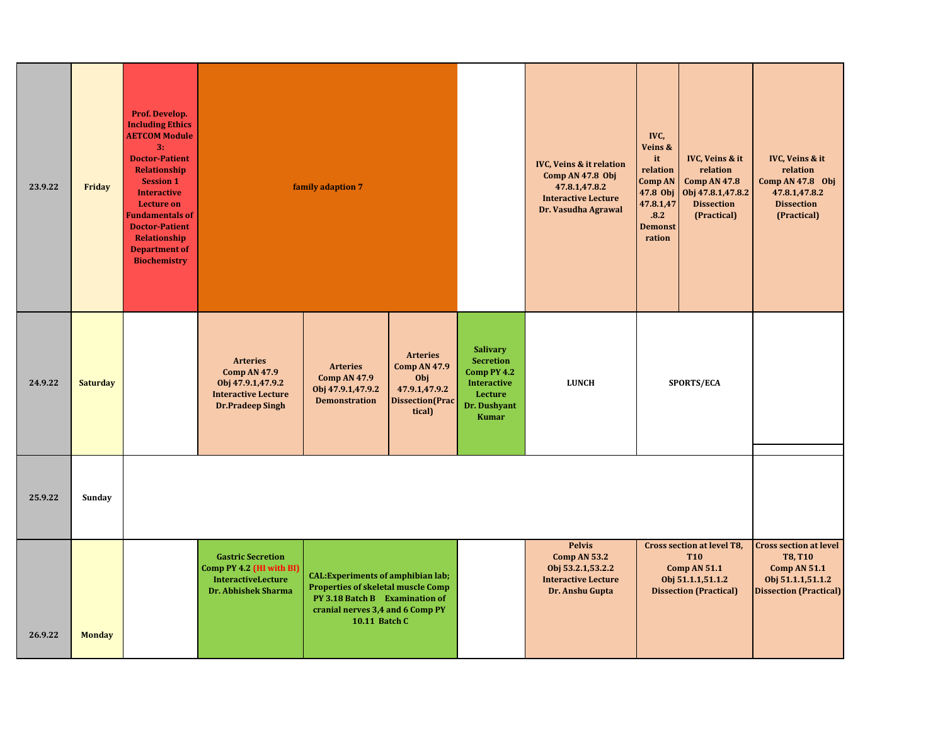| 23.9.22 | Friday          | Prof. Develop.<br><b>Including Ethics</b><br><b>AETCOM Module</b><br>3:<br><b>Doctor-Patient</b><br>Relationship<br><b>Session 1</b><br><b>Interactive</b><br><b>Lecture on</b><br><b>Fundamentals of</b><br><b>Doctor-Patient</b><br><b>Relationship</b><br><b>Department of</b><br><b>Biochemistry</b> |                                                                                                                      | family adaption 7                                                                                                                                                             |                                                                                                     |                                                                                                                     | <b>IVC, Veins &amp; it relation</b><br>Comp AN 47.8 Obj<br>47.8.1,47.8.2<br><b>Interactive Lecture</b><br>Dr. Vasudha Agrawal | IVC,<br>Veins &<br>it<br>relation<br>Comp AN<br>47.8.1,47<br>.8.2<br><b>Demonst</b><br>ration | IVC, Veins & it<br>relation<br><b>Comp AN 47.8</b><br>47.8 Obj   Obj 47.8.1,47.8.2<br><b>Dissection</b><br>(Practical)       | IVC, Veins & it<br>relation<br>Comp AN 47.8 Obj<br>47.8.1,47.8.2<br><b>Dissection</b><br>(Practical)                         |
|---------|-----------------|----------------------------------------------------------------------------------------------------------------------------------------------------------------------------------------------------------------------------------------------------------------------------------------------------------|----------------------------------------------------------------------------------------------------------------------|-------------------------------------------------------------------------------------------------------------------------------------------------------------------------------|-----------------------------------------------------------------------------------------------------|---------------------------------------------------------------------------------------------------------------------|-------------------------------------------------------------------------------------------------------------------------------|-----------------------------------------------------------------------------------------------|------------------------------------------------------------------------------------------------------------------------------|------------------------------------------------------------------------------------------------------------------------------|
| 24.9.22 | <b>Saturday</b> |                                                                                                                                                                                                                                                                                                          | <b>Arteries</b><br><b>Comp AN 47.9</b><br>Obj 47.9.1,47.9.2<br><b>Interactive Lecture</b><br><b>Dr.Pradeep Singh</b> | <b>Arteries</b><br><b>Comp AN 47.9</b><br>Obj 47.9.1,47.9.2<br><b>Demonstration</b>                                                                                           | <b>Arteries</b><br><b>Comp AN 47.9</b><br>Obj<br>47.9.1,47.9.2<br><b>Dissection</b> (Prac<br>tical) | <b>Salivary</b><br><b>Secretion</b><br>Comp PY 4.2<br><b>Interactive</b><br>Lecture<br>Dr. Dushyant<br><b>Kumar</b> | <b>LUNCH</b>                                                                                                                  |                                                                                               | <b>SPORTS/ECA</b>                                                                                                            |                                                                                                                              |
| 25.9.22 | Sunday          |                                                                                                                                                                                                                                                                                                          |                                                                                                                      |                                                                                                                                                                               |                                                                                                     |                                                                                                                     |                                                                                                                               |                                                                                               |                                                                                                                              |                                                                                                                              |
| 26.9.22 | <b>Monday</b>   |                                                                                                                                                                                                                                                                                                          | <b>Gastric Secretion</b><br>Comp PY 4.2 (HI with BI)<br><b>InteractiveLecture</b><br><b>Dr. Abhishek Sharma</b>      | <b>CAL:</b> Experiments of amphibian lab;<br><b>Properties of skeletal muscle Comp</b><br>PY 3.18 Batch B Examination of<br>cranial nerves 3,4 and 6 Comp PY<br>10.11 Batch C |                                                                                                     |                                                                                                                     | <b>Pelvis</b><br>Comp AN 53.2<br>Obj 53.2.1,53.2.2<br><b>Interactive Lecture</b><br>Dr. Anshu Gupta                           |                                                                                               | <b>Cross section at level T8,</b><br><b>T10</b><br><b>Comp AN 51.1</b><br>Obj 51.1.1,51.1.2<br><b>Dissection (Practical)</b> | <b>Cross section at level</b><br><b>T8, T10</b><br><b>Comp AN 51.1</b><br>Obj 51.1.1,51.1.2<br><b>Dissection (Practical)</b> |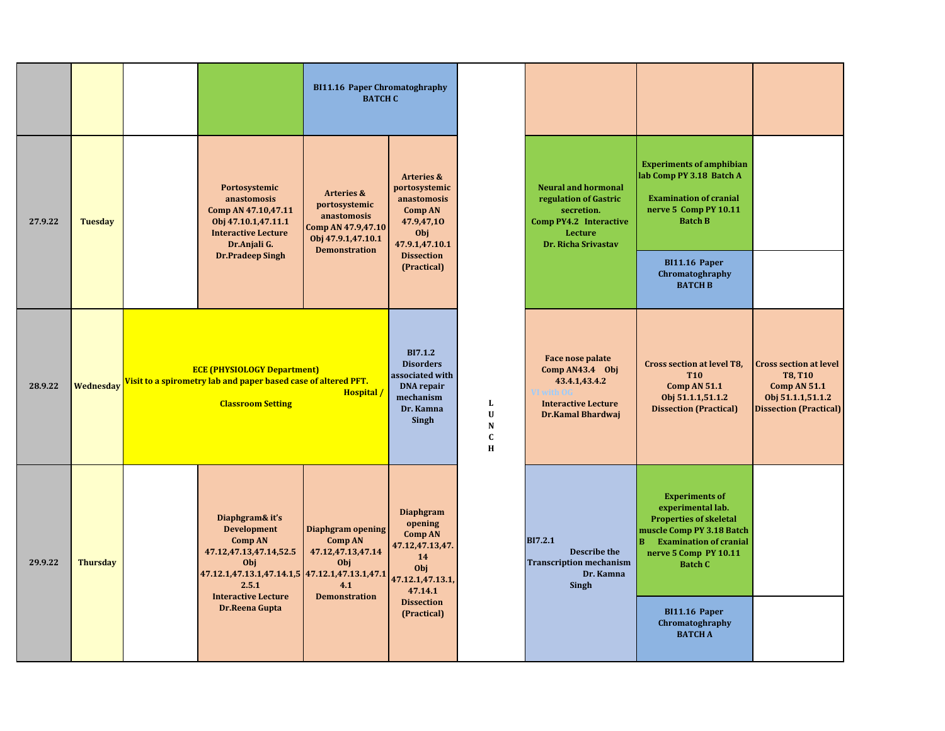|         |                 |                                                                                                                                                                                   | <b>BI11.16 Paper Chromatoghraphy</b><br><b>BATCH C</b>                                                                    |                                                                                                                                   |                                            |                                                                                                                                      |                                                                                                                                                                                           |                                                                                                                              |
|---------|-----------------|-----------------------------------------------------------------------------------------------------------------------------------------------------------------------------------|---------------------------------------------------------------------------------------------------------------------------|-----------------------------------------------------------------------------------------------------------------------------------|--------------------------------------------|--------------------------------------------------------------------------------------------------------------------------------------|-------------------------------------------------------------------------------------------------------------------------------------------------------------------------------------------|------------------------------------------------------------------------------------------------------------------------------|
| 27.9.22 | <b>Tuesday</b>  | Portosystemic<br>anastomosis<br>Comp AN 47.10,47.11<br>Obj 47.10.1,47.11.1<br><b>Interactive Lecture</b><br>Dr.Anjali G.                                                          | <b>Arteries &amp;</b><br>portosystemic<br>anastomosis<br>Comp AN 47.9,47.10<br>Obj 47.9.1,47.10.1<br><b>Demonstration</b> | <b>Arteries &amp;</b><br>portosystemic<br>anastomosis<br><b>Comp AN</b><br>47.9,47,10<br>Obj<br>47.9.1,47.10.1                    |                                            | <b>Neural and hormonal</b><br>regulation of Gastric<br>secretion.<br>Comp PY4.2 Interactive<br><b>Lecture</b><br>Dr. Richa Srivastav | <b>Experiments of amphibian</b><br>lab Comp PY 3.18 Batch A<br><b>Examination of cranial</b><br>nerve 5 Comp PY 10.11<br><b>Batch B</b>                                                   |                                                                                                                              |
|         |                 | <b>Dr.Pradeep Singh</b>                                                                                                                                                           |                                                                                                                           | <b>Dissection</b><br>(Practical)                                                                                                  |                                            |                                                                                                                                      | BI11.16 Paper<br>Chromatoghraphy<br><b>BATCH B</b>                                                                                                                                        |                                                                                                                              |
| 28.9.22 | Wednesday       | <b>ECE (PHYSIOLOGY Department)</b><br>Visit to a spirometry lab and paper based case of altered PFT.<br><b>Classroom Setting</b>                                                  | Hospital /                                                                                                                | <b>BI7.1.2</b><br><b>Disorders</b><br>associated with<br><b>DNA</b> repair<br>mechanism<br>Dr. Kamna<br>Singh                     | L<br>$\mathbf U$<br>N<br>$\mathbf{C}$<br>H | Face nose palate<br>Comp AN43.4 Obj<br>43.4.1,43.4.2<br><b>Interactive Lecture</b><br><b>Dr.Kamal Bhardwaj</b>                       | <b>Cross section at level T8,</b><br><b>T10</b><br>Comp AN 51.1<br>Obj 51.1.1,51.1.2<br><b>Dissection (Practical)</b>                                                                     | <b>Cross section at level</b><br><b>T8, T10</b><br><b>Comp AN 51.1</b><br>Obj 51.1.1,51.1.2<br><b>Dissection (Practical)</b> |
| 29.9.22 | <b>Thursday</b> | Diaphgram& it's<br><b>Development</b><br><b>Comp AN</b><br>47.12,47.13,47.14,52.5<br>Obj<br>47.12.1,47.13.1,47.14.1,5 47.12.1,47.13.1,47.1<br>2.5.1<br><b>Interactive Lecture</b> | Diaphgram opening<br><b>Comp AN</b><br>47.12,47.13,47.14<br>Obj<br>4.1<br><b>Demonstration</b>                            | <b>Diaphgram</b><br>opening<br><b>Comp AN</b><br>47.12,47.13,47.<br>14<br>Obj<br>47.12.1,47.13.1,<br>47.14.1<br><b>Dissection</b> |                                            | <b>BI7.2.1</b><br><b>Describe the</b><br><b>Transcription mechanism</b><br>Dr. Kamna<br><b>Singh</b>                                 | <b>Experiments of</b><br>experimental lab.<br><b>Properties of skeletal</b><br>muscle Comp PY 3.18 Batch<br><b>Examination of cranial</b><br>B<br>nerve 5 Comp PY 10.11<br><b>Batch C</b> |                                                                                                                              |
|         |                 | Dr.Reena Gupta                                                                                                                                                                    |                                                                                                                           | (Practical)                                                                                                                       |                                            |                                                                                                                                      | <b>BI11.16 Paper</b><br>Chromatoghraphy<br><b>BATCH A</b>                                                                                                                                 |                                                                                                                              |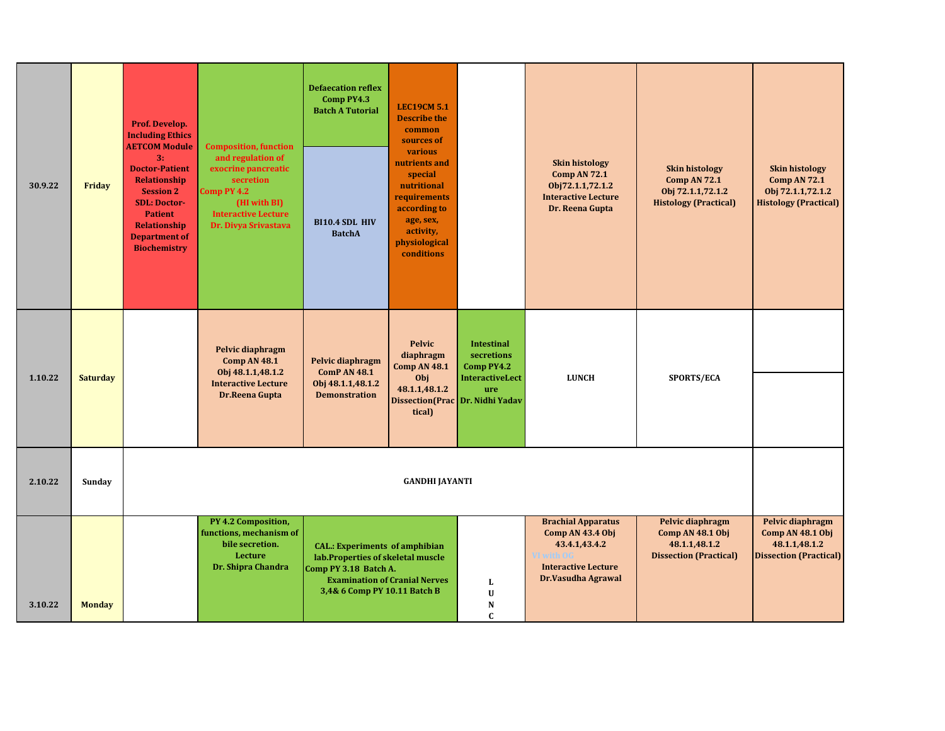| 30.9.22 | Friday          | Prof. Develop.<br><b>Including Ethics</b><br><b>AETCOM Module</b><br>3:<br><b>Doctor-Patient</b><br><b>Relationship</b><br><b>Session 2</b><br><b>SDL: Doctor-</b><br><b>Patient</b><br><b>Relationship</b><br><b>Department of</b><br><b>Biochemistry</b> | <b>Composition, function</b><br>and regulation of<br>exocrine pancreatic<br>secretion<br>Comp PY 4.2<br>(HI with BI)<br><b>Interactive Lecture</b><br>Dr. Divya Srivastava | <b>Defaecation reflex</b><br>Comp PY4.3<br><b>Batch A Tutorial</b><br>BI10.4 SDL HIV<br><b>BatchA</b>                               | <b>LEC19CM 5.1</b><br><b>Describe the</b><br>common<br>sources of<br>various<br>nutrients and<br>special<br>nutritional<br>requirements<br>according to<br>age, sex,<br>activity,<br>physiological<br>conditions |                                                                                | <b>Skin histology</b><br>Comp AN 72.1<br>Obj72.1.1,72.1.2<br><b>Interactive Lecture</b><br>Dr. Reena Gupta                       | <b>Skin histology</b><br><b>Comp AN 72.1</b><br>Obj 72.1.1,72.1.2<br><b>Histology (Practical)</b> | <b>Skin histology</b><br><b>Comp AN 72.1</b><br>Obj 72.1.1,72.1.2<br><b>Histology (Practical)</b> |
|---------|-----------------|------------------------------------------------------------------------------------------------------------------------------------------------------------------------------------------------------------------------------------------------------------|----------------------------------------------------------------------------------------------------------------------------------------------------------------------------|-------------------------------------------------------------------------------------------------------------------------------------|------------------------------------------------------------------------------------------------------------------------------------------------------------------------------------------------------------------|--------------------------------------------------------------------------------|----------------------------------------------------------------------------------------------------------------------------------|---------------------------------------------------------------------------------------------------|---------------------------------------------------------------------------------------------------|
| 1.10.22 | <b>Saturday</b> |                                                                                                                                                                                                                                                            | Pelvic diaphragm<br><b>Comp AN 48.1</b><br>Obj 48.1.1,48.1.2<br><b>Interactive Lecture</b><br>Dr.Reena Gupta                                                               | Pelvic diaphragm<br><b>ComP AN 48.1</b><br>Obj 48.1.1,48.1.2<br><b>Demonstration</b>                                                | <b>Pelvic</b><br>diaphragm<br><b>Comp AN 48.1</b><br>Obj<br>48.1.1,48.1.2<br>Dissection(Prac Dr. Nidhi Yadav<br>tical)                                                                                           | <b>Intestinal</b><br>secretions<br>Comp PY4.2<br><b>InteractiveLect</b><br>ure | <b>LUNCH</b>                                                                                                                     | SPORTS/ECA                                                                                        |                                                                                                   |
| 2.10.22 | Sunday          |                                                                                                                                                                                                                                                            |                                                                                                                                                                            |                                                                                                                                     | <b>GANDHI JAYANTI</b>                                                                                                                                                                                            |                                                                                |                                                                                                                                  |                                                                                                   |                                                                                                   |
| 3.10.22 | <b>Monday</b>   |                                                                                                                                                                                                                                                            | PY 4.2 Composition,<br>functions, mechanism of<br>bile secretion.<br><b>Lecture</b><br>Dr. Shipra Chandra                                                                  | <b>CAL.: Experiments of amphibian</b><br>lab.Properties of skeletal muscle<br>Comp PY 3.18 Batch A.<br>3,4& 6 Comp PY 10.11 Batch B | <b>Examination of Cranial Nerves</b>                                                                                                                                                                             | L<br>$\mathbf U$<br>N<br>$\mathbf{C}$                                          | <b>Brachial Apparatus</b><br>Comp AN 43.4 Obj<br>43.4.1,43.4.2<br>/I with O6<br><b>Interactive Lecture</b><br>Dr.Vasudha Agrawal | Pelvic diaphragm<br>Comp AN 48.1 Obj<br>48.1.1,48.1.2<br><b>Dissection (Practical)</b>            | Pelvic diaphragm<br>Comp AN 48.1 Obj<br>48.1.1,48.1.2<br><b>Dissection (Practical)</b>            |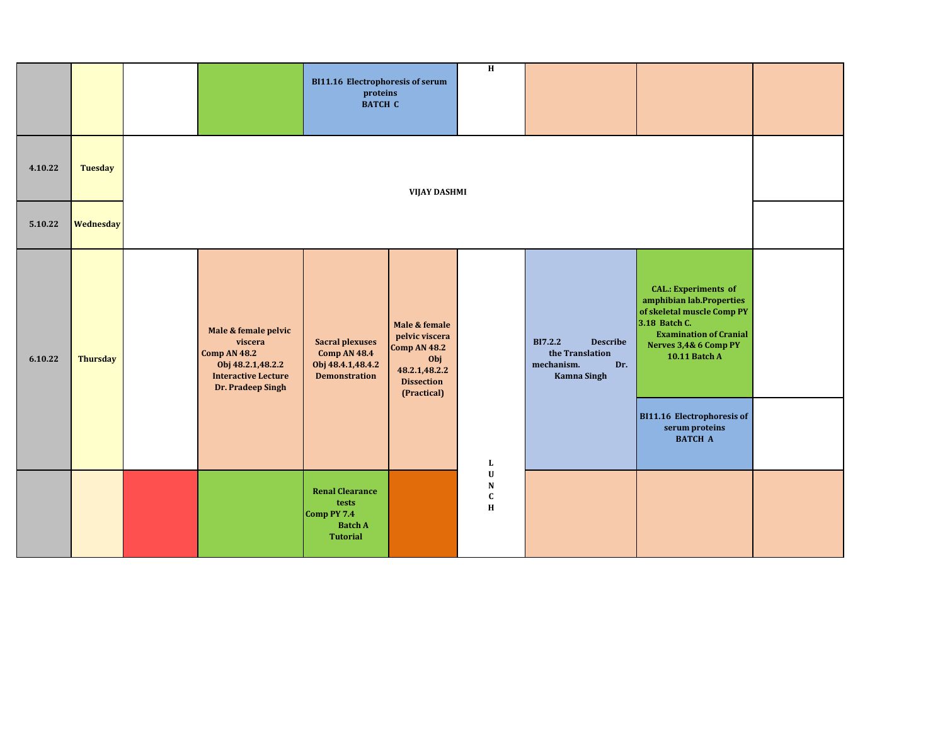|         |                  |                                                                                                                                | <b>BI11.16 Electrophoresis of serum</b><br>proteins<br><b>BATCH C</b>                      |                                                                                                                    | $\overline{H}$                               |                                                                                                 |                                                                                                                                                                                          |  |
|---------|------------------|--------------------------------------------------------------------------------------------------------------------------------|--------------------------------------------------------------------------------------------|--------------------------------------------------------------------------------------------------------------------|----------------------------------------------|-------------------------------------------------------------------------------------------------|------------------------------------------------------------------------------------------------------------------------------------------------------------------------------------------|--|
| 4.10.22 | <b>Tuesday</b>   |                                                                                                                                |                                                                                            | <b>VIJAY DASHMI</b>                                                                                                |                                              |                                                                                                 |                                                                                                                                                                                          |  |
| 5.10.22 | <b>Wednesday</b> |                                                                                                                                |                                                                                            |                                                                                                                    |                                              |                                                                                                 |                                                                                                                                                                                          |  |
| 6.10.22 | <b>Thursday</b>  | Male & female pelvic<br>viscera<br><b>Comp AN 48.2</b><br>Obj 48.2.1,48.2.2<br><b>Interactive Lecture</b><br>Dr. Pradeep Singh | <b>Sacral plexuses</b><br><b>Comp AN 48.4</b><br>Obj 48.4.1,48.4.2<br><b>Demonstration</b> | Male & female<br>pelvic viscera<br><b>Comp AN 48.2</b><br>Obj<br>48.2.1,48.2.2<br><b>Dissection</b><br>(Practical) |                                              | <b>BI7.2.2</b><br><b>Describe</b><br>the Translation<br>Dr.<br>mechanism.<br><b>Kamna Singh</b> | <b>CAL.: Experiments of</b><br>amphibian lab.Properties<br>of skeletal muscle Comp PY<br>3.18 Batch C.<br><b>Examination of Cranial</b><br>Nerves 3,4& 6 Comp PY<br><b>10.11 Batch A</b> |  |
|         |                  |                                                                                                                                |                                                                                            |                                                                                                                    | $\mathbf{L}$                                 |                                                                                                 | <b>BI11.16 Electrophoresis of</b><br>serum proteins<br><b>BATCH A</b>                                                                                                                    |  |
|         |                  |                                                                                                                                | <b>Renal Clearance</b><br>tests<br>Comp PY 7.4<br><b>Batch A</b><br><b>Tutorial</b>        |                                                                                                                    | $\mathbf U$<br>${\bf N}$<br>$\mathbf c$<br>H |                                                                                                 |                                                                                                                                                                                          |  |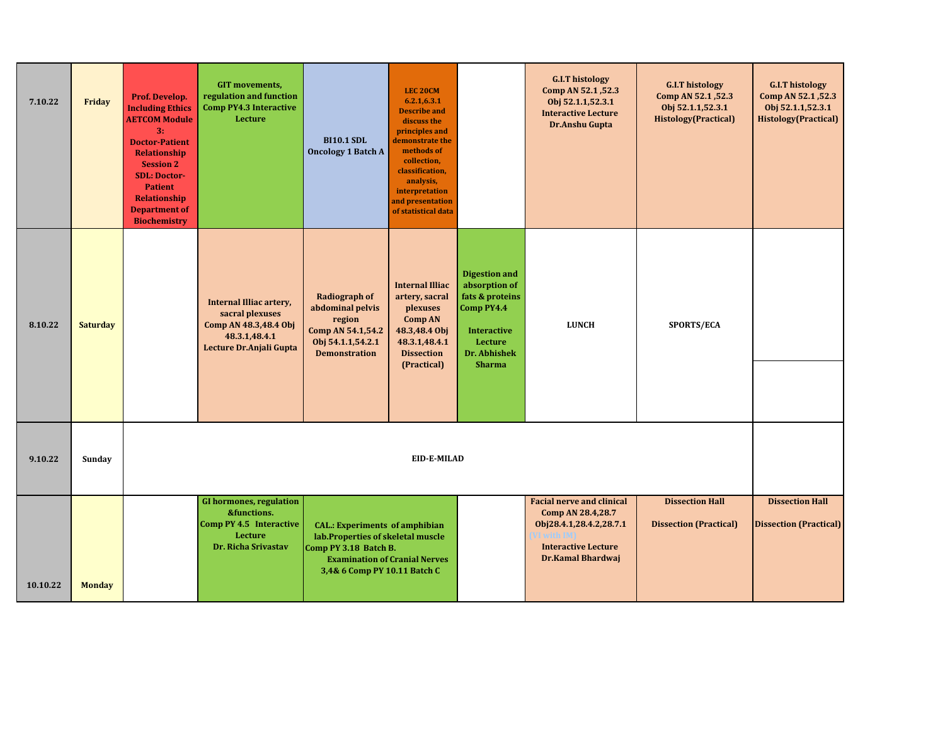| 7.10.22  | Friday          | Prof. Develop.<br><b>Including Ethics</b><br><b>AETCOM Module</b><br>3:<br><b>Doctor-Patient</b><br><b>Relationship</b><br><b>Session 2</b><br><b>SDL: Doctor-</b><br><b>Patient</b><br>Relationship<br><b>Department of</b><br><b>Biochemistry</b> | <b>GIT</b> movements,<br>regulation and function<br><b>Comp PY4.3 Interactive</b><br>Lecture                    | <b>BI10.1 SDL</b><br><b>Oncology 1 Batch A</b>                                                                                       | LEC <sub>20CM</sub><br>6.2.1, 6.3.1<br><b>Describe and</b><br>discuss the<br>principles and<br>demonstrate the<br>methods of<br>collection,<br>classification,<br>analysis,<br>interpretation<br>and presentation<br>of statistical data |                                                                                                                                          | <b>G.I.T histology</b><br>Comp AN 52.1, 52.3<br>Obj 52.1.1,52.3.1<br><b>Interactive Lecture</b><br>Dr.Anshu Gupta                   | <b>G.I.T histology</b><br>Comp AN 52.1, 52.3<br>Obj 52.1.1,52.3.1<br><b>Histology</b> (Practical) | <b>G.I.T histology</b><br>Comp AN 52.1, 52.3<br>Obj 52.1.1,52.3.1<br><b>Histology</b> (Practical) |
|----------|-----------------|-----------------------------------------------------------------------------------------------------------------------------------------------------------------------------------------------------------------------------------------------------|-----------------------------------------------------------------------------------------------------------------|--------------------------------------------------------------------------------------------------------------------------------------|------------------------------------------------------------------------------------------------------------------------------------------------------------------------------------------------------------------------------------------|------------------------------------------------------------------------------------------------------------------------------------------|-------------------------------------------------------------------------------------------------------------------------------------|---------------------------------------------------------------------------------------------------|---------------------------------------------------------------------------------------------------|
| 8.10.22  | <b>Saturday</b> |                                                                                                                                                                                                                                                     | Internal Illiac artery,<br>sacral plexuses<br>Comp AN 48.3,48.4 Obj<br>48.3.1,48.4.1<br>Lecture Dr.Anjali Gupta | <b>Radiograph of</b><br>abdominal pelvis<br>region<br>Comp AN 54.1,54.2<br>Obj 54.1.1,54.2.1<br><b>Demonstration</b>                 | <b>Internal Illiac</b><br>artery, sacral<br>plexuses<br><b>Comp AN</b><br>48.3,48.4 Obj<br>48.3.1,48.4.1<br><b>Dissection</b><br>(Practical)                                                                                             | <b>Digestion and</b><br>absorption of<br>fats & proteins<br>Comp PY4.4<br><b>Interactive</b><br>Lecture<br>Dr. Abhishek<br><b>Sharma</b> | <b>LUNCH</b>                                                                                                                        | SPORTS/ECA                                                                                        |                                                                                                   |
| 9.10.22  | Sunday          |                                                                                                                                                                                                                                                     |                                                                                                                 |                                                                                                                                      | EID-E-MILAD                                                                                                                                                                                                                              |                                                                                                                                          |                                                                                                                                     |                                                                                                   |                                                                                                   |
| 10.10.22 | <b>Monday</b>   |                                                                                                                                                                                                                                                     | <b>GI hormones, regulation</b><br>&functions.<br>Comp PY 4.5 Interactive<br>Lecture<br>Dr. Richa Srivastav      | <b>CAL.: Experiments of amphibian</b><br>lab. Properties of skeletal muscle<br>Comp PY 3.18 Batch B.<br>3,4& 6 Comp PY 10.11 Batch C | <b>Examination of Cranial Nerves</b>                                                                                                                                                                                                     |                                                                                                                                          | <b>Facial nerve and clinical</b><br>Comp AN 28.4,28.7<br>Obj28.4.1,28.4.2,28.7.1<br><b>Interactive Lecture</b><br>Dr.Kamal Bhardwaj | <b>Dissection Hall</b><br><b>Dissection (Practical)</b>                                           | <b>Dissection Hall</b><br><b>Dissection (Practical)</b>                                           |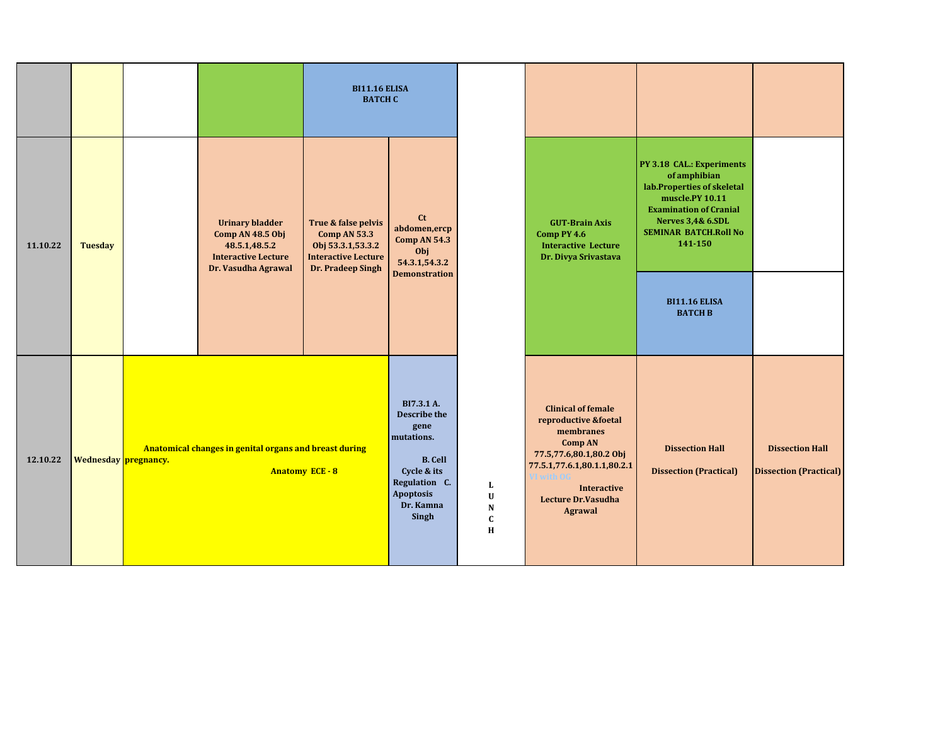|          |                |                      |                                                                                                                  | <b>BI11.16 ELISA</b><br><b>BATCH C</b>                                                                      |                                                                                                                                              |                                                          |                                                                                                                                                                                                                              |                                                                                                                                                                                                        |                                                         |
|----------|----------------|----------------------|------------------------------------------------------------------------------------------------------------------|-------------------------------------------------------------------------------------------------------------|----------------------------------------------------------------------------------------------------------------------------------------------|----------------------------------------------------------|------------------------------------------------------------------------------------------------------------------------------------------------------------------------------------------------------------------------------|--------------------------------------------------------------------------------------------------------------------------------------------------------------------------------------------------------|---------------------------------------------------------|
| 11.10.22 | <b>Tuesday</b> |                      | <b>Urinary bladder</b><br>Comp AN 48.5 Obj<br>48.5.1,48.5.2<br><b>Interactive Lecture</b><br>Dr. Vasudha Agrawal | True & false pelvis<br>Comp AN 53.3<br>Obj 53.3.1,53.3.2<br><b>Interactive Lecture</b><br>Dr. Pradeep Singh | $ct$<br>abdomen, ercp<br><b>Comp AN 54.3</b><br>Obj<br>54.3.1,54.3.2<br><b>Demonstration</b>                                                 |                                                          | <b>GUT-Brain Axis</b><br>Comp PY 4.6<br><b>Interactive Lecture</b><br>Dr. Divya Srivastava                                                                                                                                   | PY 3.18 CAL.: Experiments<br>of amphibian<br>lab.Properties of skeletal<br>muscle.PY 10.11<br><b>Examination of Cranial</b><br><b>Nerves 3,4&amp; 6.SDL</b><br><b>SEMINAR BATCH.Roll No</b><br>141-150 |                                                         |
|          |                |                      |                                                                                                                  |                                                                                                             |                                                                                                                                              |                                                          |                                                                                                                                                                                                                              | <b>BI11.16 ELISA</b><br><b>BATCH B</b>                                                                                                                                                                 |                                                         |
| 12.10.22 |                | Wednesday pregnancy. | Anatomical changes in genital organs and breast during                                                           | <b>Anatomy ECE - 8</b>                                                                                      | BI7.3.1 A.<br>Describe the<br>gene<br>mutations.<br><b>B.</b> Cell<br>Cycle & its<br>Regulation C.<br><b>Apoptosis</b><br>Dr. Kamna<br>Singh | L<br>$\mathbf U$<br>${\bf N}$<br>$\mathbf{C}$<br>$\bf H$ | <b>Clinical of female</b><br>reproductive &foetal<br>membranes<br><b>Comp AN</b><br>77.5,77.6,80.1,80.2 Obj<br>77.5.1,77.6.1,80.1.1,80.2.1<br>/I with O<br><b>Interactive</b><br><b>Lecture Dr.Vasudha</b><br><b>Agrawal</b> | <b>Dissection Hall</b><br><b>Dissection (Practical)</b>                                                                                                                                                | <b>Dissection Hall</b><br><b>Dissection (Practical)</b> |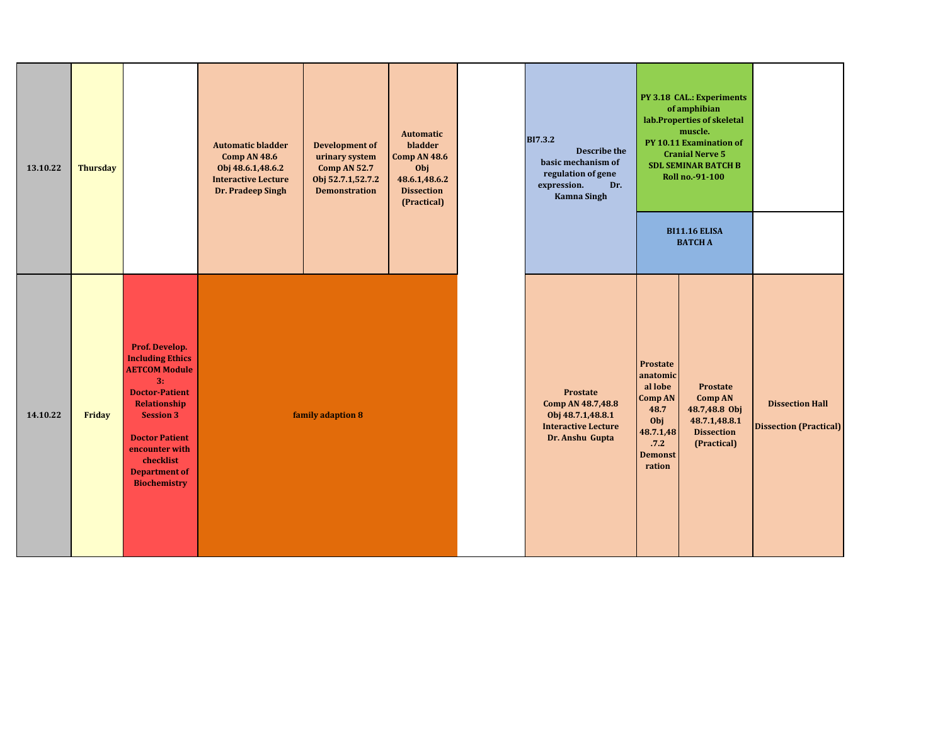| 13.10.22 | <b>Thursday</b> |                                                                                                                                                                                                                                             | <b>Automatic bladder</b><br>Comp AN 48.6<br>Obj 48.6.1,48.6.2<br><b>Interactive Lecture</b><br>Dr. Pradeep Singh | <b>Development of</b><br>urinary system<br><b>Comp AN 52.7</b><br>Obj 52.7.1,52.7.2<br><b>Demonstration</b> | <b>Automatic</b><br>bladder<br>Comp AN 48.6<br>Obj<br>48.6.1,48.6.2<br><b>Dissection</b><br>(Practical) | <b>BI7.3.2</b><br><b>Describe the</b><br>basic mechanism of<br>regulation of gene<br>expression.<br>Dr.<br><b>Kamna Singh</b> |                                                                                                            | PY 3.18 CAL.: Experiments<br>of amphibian<br>lab.Properties of skeletal<br>muscle.<br>PY 10.11 Examination of<br><b>Cranial Nerve 5</b><br><b>SDL SEMINAR BATCH B</b><br>Roll no.-91-100<br><b>BI11.16 ELISA</b><br><b>BATCH A</b> |                                                         |
|----------|-----------------|---------------------------------------------------------------------------------------------------------------------------------------------------------------------------------------------------------------------------------------------|------------------------------------------------------------------------------------------------------------------|-------------------------------------------------------------------------------------------------------------|---------------------------------------------------------------------------------------------------------|-------------------------------------------------------------------------------------------------------------------------------|------------------------------------------------------------------------------------------------------------|------------------------------------------------------------------------------------------------------------------------------------------------------------------------------------------------------------------------------------|---------------------------------------------------------|
| 14.10.22 | Friday          | Prof. Develop.<br><b>Including Ethics</b><br><b>AETCOM Module</b><br>3:<br><b>Doctor-Patient</b><br>Relationship<br><b>Session 3</b><br><b>Doctor Patient</b><br>encounter with<br>checklist<br><b>Department of</b><br><b>Biochemistry</b> |                                                                                                                  | family adaption 8                                                                                           |                                                                                                         | <b>Prostate</b><br>Comp AN 48.7,48.8<br>Obj 48.7.1,48.8.1<br><b>Interactive Lecture</b><br>Dr. Anshu Gupta                    | Prostate<br>anatomic<br>al lobe<br>Comp AN<br>48.7<br>Obj<br>48.7.1,48<br>.7.2<br><b>Demonst</b><br>ration | <b>Prostate</b><br><b>Comp AN</b><br>48.7,48.8 Obj<br>48.7.1,48.8.1<br><b>Dissection</b><br>(Practical)                                                                                                                            | <b>Dissection Hall</b><br><b>Dissection (Practical)</b> |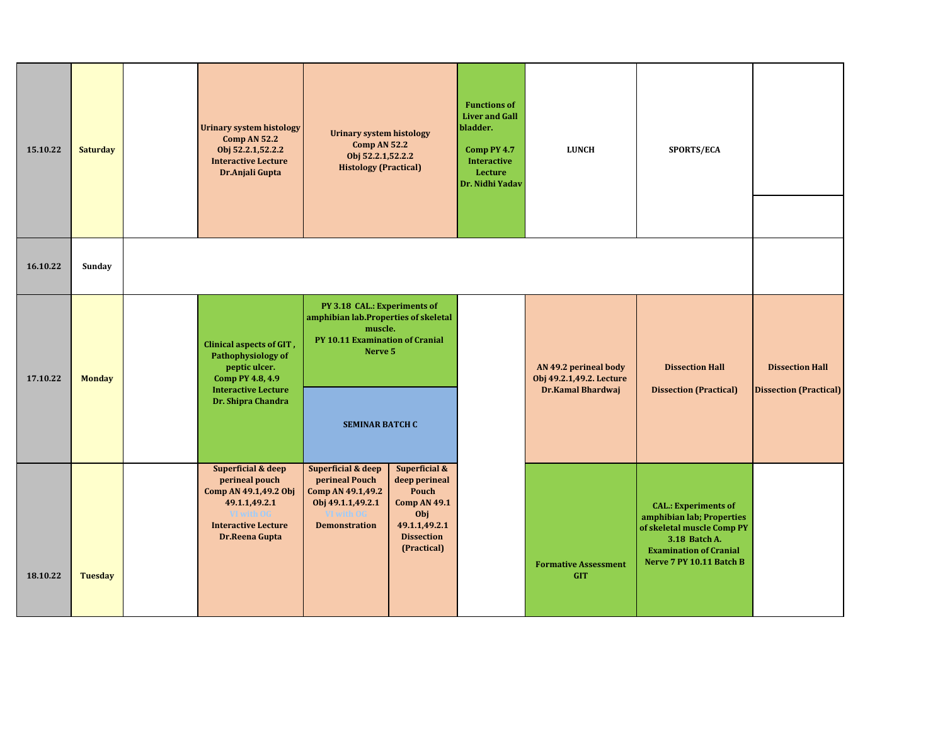| 15.10.22 | <b>Saturday</b> | <b>Urinary system histology</b><br>Comp AN 52.2<br>Obj 52.2.1,52.2.2<br><b>Interactive Lecture</b><br>Dr.Anjali Gupta                                   | <b>Urinary system histology</b><br><b>Comp AN 52.2</b><br>Obj 52.2.1,52.2.2<br><b>Histology (Practical)</b>                                             |                                                                                                                            | <b>Functions of</b><br><b>Liver and Gall</b><br>bladder.<br>Comp PY 4.7<br><b>Interactive</b><br>Lecture<br>Dr. Nidhi Yadav | <b>LUNCH</b>                                                           | SPORTS/ECA                                                                                                                                                           |                                                         |
|----------|-----------------|---------------------------------------------------------------------------------------------------------------------------------------------------------|---------------------------------------------------------------------------------------------------------------------------------------------------------|----------------------------------------------------------------------------------------------------------------------------|-----------------------------------------------------------------------------------------------------------------------------|------------------------------------------------------------------------|----------------------------------------------------------------------------------------------------------------------------------------------------------------------|---------------------------------------------------------|
| 16.10.22 | Sunday          |                                                                                                                                                         |                                                                                                                                                         |                                                                                                                            |                                                                                                                             |                                                                        |                                                                                                                                                                      |                                                         |
| 17.10.22 | <b>Monday</b>   | <b>Clinical aspects of GIT,</b><br>Pathophysiology of<br>peptic ulcer.<br>Comp PY 4.8, 4.9<br><b>Interactive Lecture</b><br>Dr. Shipra Chandra          | PY 3.18 CAL.: Experiments of<br>amphibian lab.Properties of skeletal<br>muscle.<br>PY 10.11 Examination of Cranial<br>Nerve 5<br><b>SEMINAR BATCH C</b> |                                                                                                                            |                                                                                                                             | AN 49.2 perineal body<br>Obj 49.2.1,49.2. Lecture<br>Dr.Kamal Bhardwaj | <b>Dissection Hall</b><br><b>Dissection (Practical)</b>                                                                                                              | <b>Dissection Hall</b><br><b>Dissection (Practical)</b> |
| 18.10.22 | <b>Tuesday</b>  | <b>Superficial &amp; deep</b><br>perineal pouch<br>Comp AN 49.1,49.2 Obj<br>49.1.1,49.2.1<br>VI with OG<br><b>Interactive Lecture</b><br>Dr.Reena Gupta | <b>Superficial &amp; deep</b><br>perineal Pouch<br>Comp AN 49.1,49.2<br>Obj 49.1.1,49.2.1<br><b>Demonstration</b>                                       | Superficial &<br>deep perineal<br>Pouch<br><b>Comp AN 49.1</b><br>Obj<br>49.1.1,49.2.1<br><b>Dissection</b><br>(Practical) |                                                                                                                             | <b>Formative Assessment</b><br><b>GIT</b>                              | <b>CAL.: Experiments of</b><br>amphibian lab; Properties<br>of skeletal muscle Comp PY<br>3.18 Batch A.<br><b>Examination of Cranial</b><br>Nerve 7 PY 10.11 Batch B |                                                         |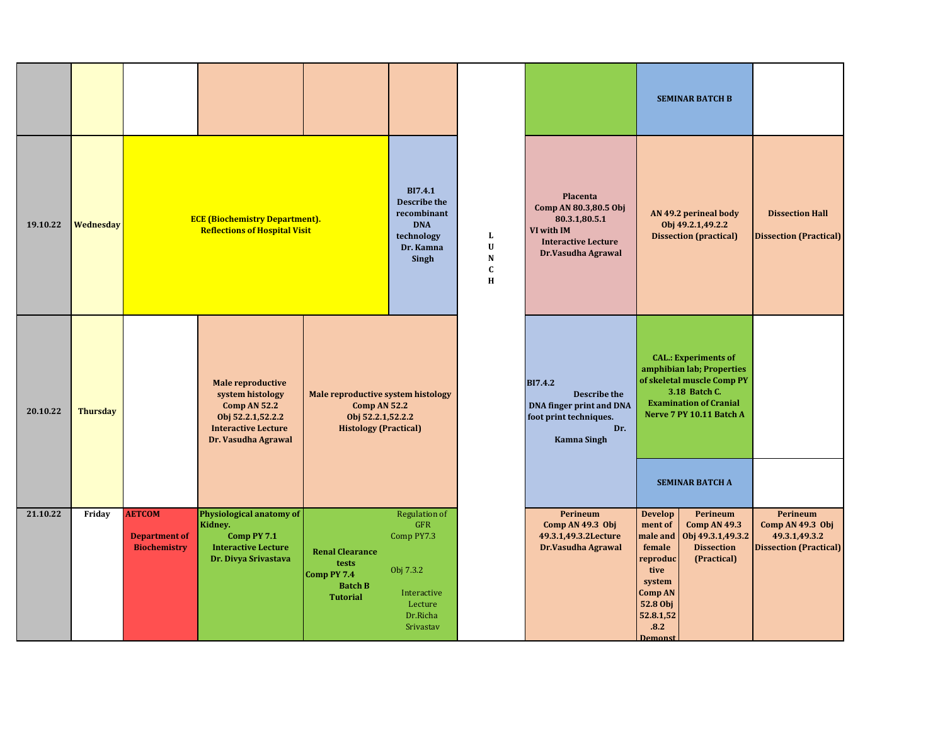|          |                 |                                                              |                                                                                                                                        |                                                                                                                |                                                                                                                  |                                            |                                                                                                                          | <b>SEMINAR BATCH B</b>                                                                                                                                                                                                                         |                                                                                |
|----------|-----------------|--------------------------------------------------------------|----------------------------------------------------------------------------------------------------------------------------------------|----------------------------------------------------------------------------------------------------------------|------------------------------------------------------------------------------------------------------------------|--------------------------------------------|--------------------------------------------------------------------------------------------------------------------------|------------------------------------------------------------------------------------------------------------------------------------------------------------------------------------------------------------------------------------------------|--------------------------------------------------------------------------------|
| 19.10.22 | Wednesday       |                                                              | <b>ECE (Biochemistry Department).</b><br><b>Reflections of Hospital Visit</b>                                                          |                                                                                                                | BI7.4.1<br><b>Describe the</b><br>recombinant<br><b>DNA</b><br>technology<br>Dr. Kamna<br>Singh                  | L<br>$\mathbf U$<br>N<br>$\mathbf{C}$<br>H | Placenta<br>Comp AN 80.3,80.5 Obj<br>80.3.1,80.5.1<br>VI with IM<br><b>Interactive Lecture</b><br>Dr.Vasudha Agrawal     | AN 49.2 perineal body<br>Obj 49.2.1,49.2.2<br><b>Dissection (practical)</b>                                                                                                                                                                    | <b>Dissection Hall</b><br><b>Dissection (Practical)</b>                        |
| 20.10.22 | <b>Thursday</b> |                                                              | <b>Male reproductive</b><br>system histology<br>Comp AN 52.2<br>Obj 52.2.1,52.2.2<br><b>Interactive Lecture</b><br>Dr. Vasudha Agrawal | Male reproductive system histology<br><b>Comp AN 52.2</b><br>Obj 52.2.1,52.2.2<br><b>Histology (Practical)</b> |                                                                                                                  |                                            | <b>BI7.4.2</b><br><b>Describe the</b><br>DNA finger print and DNA<br>foot print techniques.<br>Dr.<br><b>Kamna Singh</b> | <b>CAL.: Experiments of</b><br>amphibian lab; Properties<br>of skeletal muscle Comp PY<br>3.18 Batch C.<br><b>Examination of Cranial</b><br>Nerve 7 PY 10.11 Batch A                                                                           |                                                                                |
|          |                 |                                                              |                                                                                                                                        |                                                                                                                |                                                                                                                  |                                            |                                                                                                                          | <b>SEMINAR BATCH A</b>                                                                                                                                                                                                                         |                                                                                |
| 21.10.22 | Friday          | <b>AETCOM</b><br><b>Department of</b><br><b>Biochemistry</b> | Physiological anatomy of<br>Kidney.<br>Comp PY 7.1<br><b>Interactive Lecture</b><br>Dr. Divya Srivastava                               | <b>Renal Clearance</b><br>tests<br>Comp PY 7.4<br><b>Batch B</b><br><b>Tutorial</b>                            | <b>Regulation of</b><br><b>GFR</b><br>Comp PY7.3<br>Obj 7.3.2<br>Interactive<br>Lecture<br>Dr.Richa<br>Srivastav |                                            | Perineum<br>Comp AN 49.3 Obj<br>49.3.1,49.3.2Lecture<br>Dr.Vasudha Agrawal                                               | <b>Develop</b><br>Perineum<br>ment of<br><b>Comp AN 49.3</b><br>male and<br>Obj 49.3.1,49.3.2<br><b>Dissection</b><br>female<br>reproduc<br>(Practical)<br>tive<br>system<br><b>Comp AN</b><br>52.8 Obj<br>52.8.1,52<br>.8.2<br><b>Demonst</b> | Perineum<br>Comp AN 49.3 Obj<br>49.3.1,49.3.2<br><b>Dissection (Practical)</b> |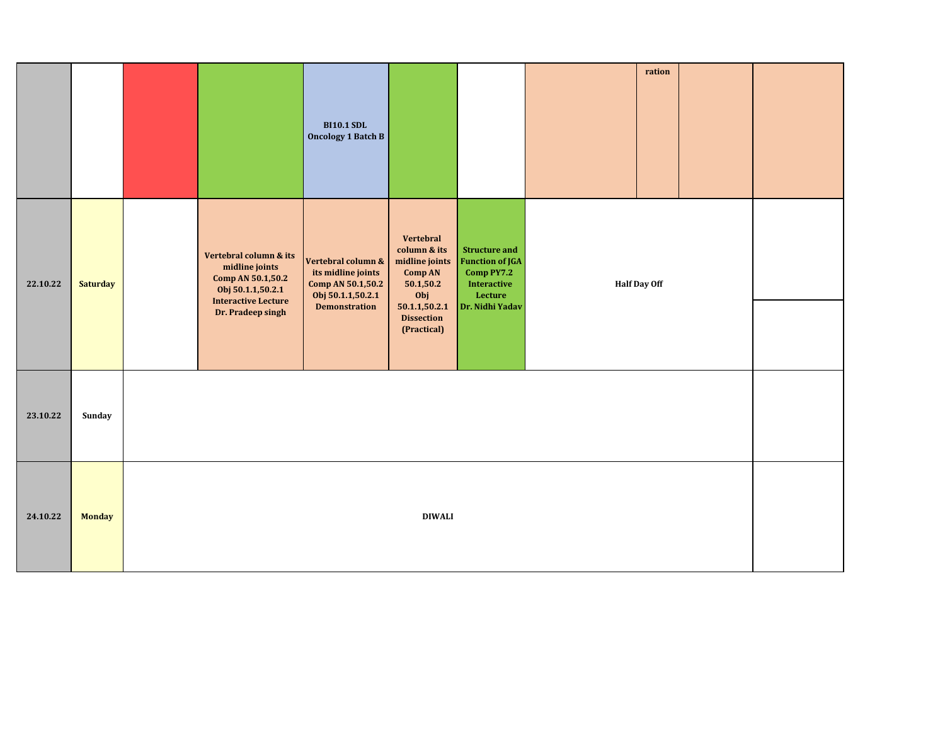|          |                 |                                                                                                                                       | <b>BI10.1 SDL</b><br>Oncology 1 Batch B                                                                    |                                                                                                                                 |                                                                                                                  |                     | ration |  |  |
|----------|-----------------|---------------------------------------------------------------------------------------------------------------------------------------|------------------------------------------------------------------------------------------------------------|---------------------------------------------------------------------------------------------------------------------------------|------------------------------------------------------------------------------------------------------------------|---------------------|--------|--|--|
| 22.10.22 | <b>Saturday</b> | Vertebral column & its<br>midline joints<br>Comp AN 50.1,50.2<br>Obj 50.1.1,50.2.1<br><b>Interactive Lecture</b><br>Dr. Pradeep singh | Vertebral column &<br>its midline joints<br>Comp AN 50.1,50.2<br>Obj 50.1.1,50.2.1<br><b>Demonstration</b> | Vertebral<br>column & its<br>midline joints<br>Comp AN<br>50.1,50.2<br>Obj<br>50.1.1,50.2.1<br><b>Dissection</b><br>(Practical) | <b>Structure and</b><br><b>Function of JGA</b><br>Comp PY7.2<br><b>Interactive</b><br>Lecture<br>Dr. Nidhi Yadav | <b>Half Day Off</b> |        |  |  |
| 23.10.22 | Sunday          |                                                                                                                                       |                                                                                                            |                                                                                                                                 |                                                                                                                  |                     |        |  |  |
| 24.10.22 | <b>Monday</b>   |                                                                                                                                       |                                                                                                            | <b>DIWALI</b>                                                                                                                   |                                                                                                                  |                     |        |  |  |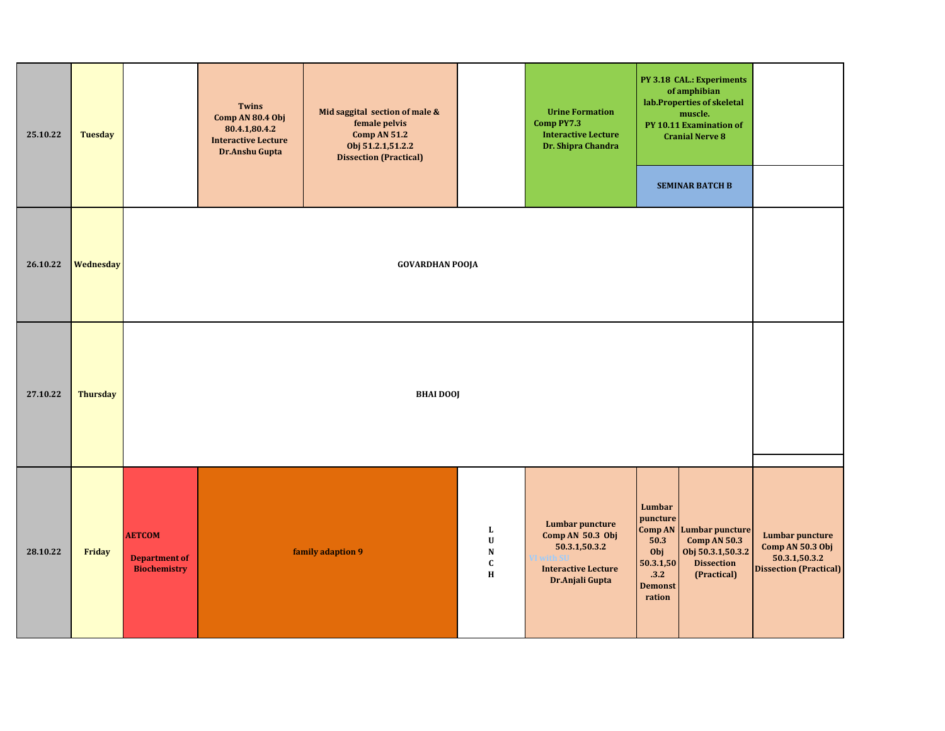| 25.10.22 | <b>Tuesday</b>  |                                                              | <b>Twins</b><br>Comp AN 80.4 Obj<br>80.4.1,80.4.2<br><b>Interactive Lecture</b><br>Dr.Anshu Gupta | Mid saggital section of male &<br>female pelvis<br><b>Comp AN 51.2</b><br>Obj 51.2.1,51.2.2<br><b>Dissection (Practical)</b> |                                                      | <b>Urine Formation</b><br>Comp PY7.3<br><b>Interactive Lecture</b><br>Dr. Shipra Chandra                     |                                                                                    | PY 3.18 CAL.: Experiments<br>of amphibian<br>lab.Properties of skeletal<br>muscle.<br>PY 10.11 Examination of<br><b>Cranial Nerve 8</b> |                                                                                              |
|----------|-----------------|--------------------------------------------------------------|---------------------------------------------------------------------------------------------------|------------------------------------------------------------------------------------------------------------------------------|------------------------------------------------------|--------------------------------------------------------------------------------------------------------------|------------------------------------------------------------------------------------|-----------------------------------------------------------------------------------------------------------------------------------------|----------------------------------------------------------------------------------------------|
|          |                 |                                                              |                                                                                                   |                                                                                                                              |                                                      |                                                                                                              |                                                                                    | <b>SEMINAR BATCH B</b>                                                                                                                  |                                                                                              |
| 26.10.22 | Wednesday       |                                                              |                                                                                                   | <b>GOVARDHAN POOJA</b>                                                                                                       |                                                      |                                                                                                              |                                                                                    |                                                                                                                                         |                                                                                              |
| 27.10.22 | <b>Thursday</b> |                                                              |                                                                                                   | <b>BHAI DOOJ</b>                                                                                                             |                                                      |                                                                                                              |                                                                                    |                                                                                                                                         |                                                                                              |
| 28.10.22 | Friday          | <b>AETCOM</b><br><b>Department of</b><br><b>Biochemistry</b> |                                                                                                   | family adaption 9                                                                                                            | $\mathbf{L}$<br>$\mathbf U$<br>N<br>$\mathbf c$<br>H | <b>Lumbar puncture</b><br>Comp AN 50.3 Obj<br>50.3.1,50.3.2<br><b>Interactive Lecture</b><br>Dr.Anjali Gupta | Lumbar<br>puncture<br>50.3<br>Obj<br>50.3.1,50<br>.3.2<br><b>Demonst</b><br>ration | <b>Comp AN Lumbar puncture</b><br><b>Comp AN 50.3</b><br>Obj 50.3.1,50.3.2<br><b>Dissection</b><br>(Practical)                          | <b>Lumbar puncture</b><br>Comp AN 50.3 Obj<br>50.3.1,50.3.2<br><b>Dissection (Practical)</b> |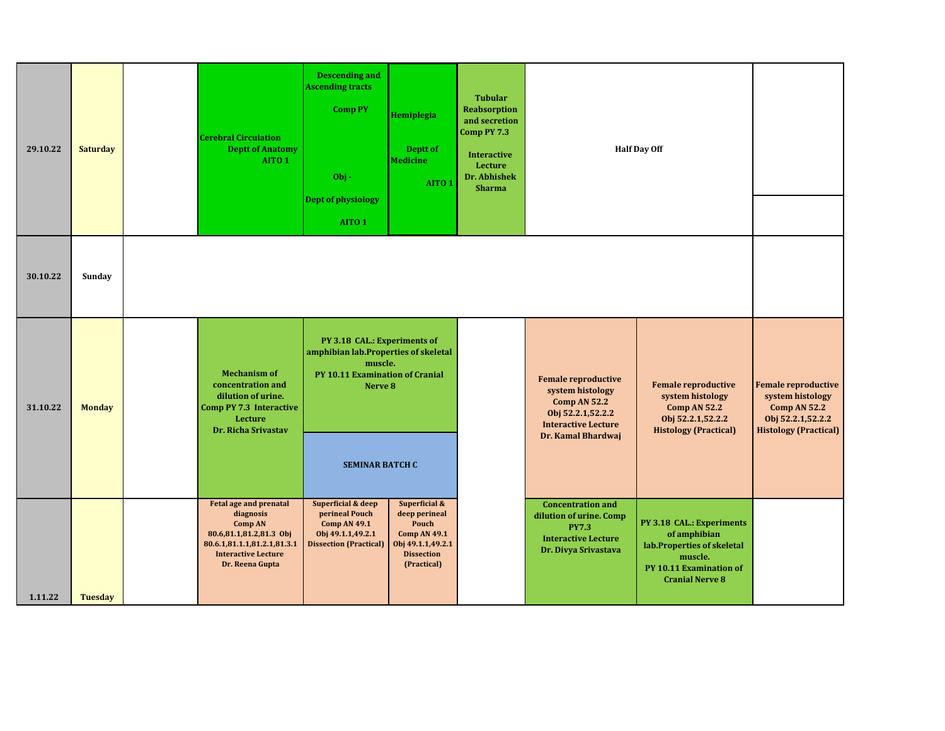| 29.10.22 | <b>Saturday</b> | <b>Cerebral Circulation</b><br><b>Deptt of Anatomy</b><br>AITO <sub>1</sub>                                                                                             | <b>Descending and</b><br><b>Ascending tracts</b><br><b>Comp PY</b><br>Obj-<br>Dept of physiology<br>AITO <sub>1</sub>                                   | Hemiplegia<br>Deptt of<br><b>Medicine</b><br>AITO <sub>1</sub>                                                          | <b>Tubular</b><br><b>Reabsorption</b><br>and secretion<br>Comp PY 7.3<br><b>Interactive</b><br>Lecture<br>Dr. Abhishek<br><b>Sharma</b> |                                                                                                                                                | <b>Half Day Off</b>                                                                                                                     |                                                                                                                            |
|----------|-----------------|-------------------------------------------------------------------------------------------------------------------------------------------------------------------------|---------------------------------------------------------------------------------------------------------------------------------------------------------|-------------------------------------------------------------------------------------------------------------------------|-----------------------------------------------------------------------------------------------------------------------------------------|------------------------------------------------------------------------------------------------------------------------------------------------|-----------------------------------------------------------------------------------------------------------------------------------------|----------------------------------------------------------------------------------------------------------------------------|
| 30.10.22 | Sunday          |                                                                                                                                                                         |                                                                                                                                                         |                                                                                                                         |                                                                                                                                         |                                                                                                                                                |                                                                                                                                         |                                                                                                                            |
| 31.10.22 | <b>Monday</b>   | <b>Mechanism of</b><br>concentration and<br>dilution of urine.<br>Comp PY 7.3 Interactive<br>Lecture<br><b>Dr. Richa Srivastav</b>                                      | PY 3.18 CAL.: Experiments of<br>amphibian lab.Properties of skeletal<br>muscle.<br>PY 10.11 Examination of Cranial<br>Nerve 8<br><b>SEMINAR BATCH C</b> |                                                                                                                         |                                                                                                                                         | <b>Female reproductive</b><br>system histology<br><b>Comp AN 52.2</b><br>Obj 52.2.1,52.2.2<br><b>Interactive Lecture</b><br>Dr. Kamal Bhardwaj | <b>Female reproductive</b><br>system histology<br><b>Comp AN 52.2</b><br>Obj 52.2.1,52.2.2<br><b>Histology (Practical)</b>              | <b>Female reproductive</b><br>system histology<br><b>Comp AN 52.2</b><br>Obj 52.2.1,52.2.2<br><b>Histology (Practical)</b> |
| 1.11.22  | Tuesday         | <b>Fetal age and prenatal</b><br>diagnosis<br><b>Comp AN</b><br>80.6,81.1,81.2,81.3 Obj<br>80.6.1,81.1.1,81.2.1,81.3.1<br><b>Interactive Lecture</b><br>Dr. Reena Gupta | <b>Superficial &amp; deep</b><br>perineal Pouch<br><b>Comp AN 49.1</b><br>Obj 49.1.1,49.2.1<br><b>Dissection (Practical)</b>                            | Superficial &<br>deep perineal<br>Pouch<br><b>Comp AN 49.1</b><br>Obj 49.1.1,49.2.1<br><b>Dissection</b><br>(Practical) |                                                                                                                                         | <b>Concentration and</b><br>dilution of urine. Comp<br><b>PY7.3</b><br><b>Interactive Lecture</b><br>Dr. Divya Srivastava                      | PY 3.18 CAL.: Experiments<br>of amphibian<br>lab.Properties of skeletal<br>muscle.<br>PY 10.11 Examination of<br><b>Cranial Nerve 8</b> |                                                                                                                            |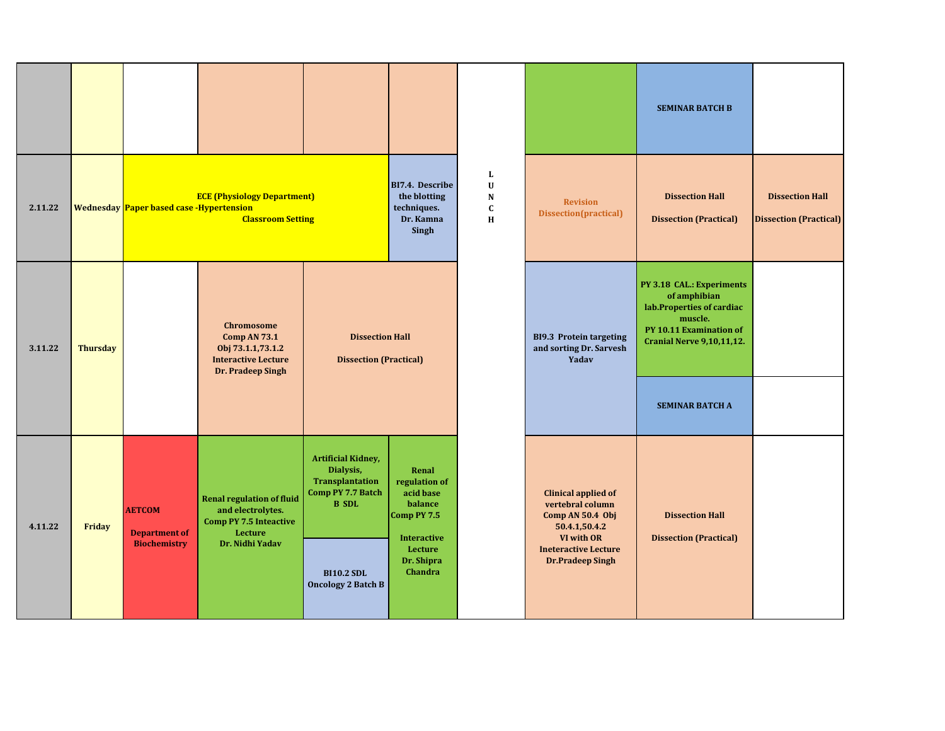|         |                 |                                          |                                                                                                                  |                                                                                                       |                                                                                     |                                                              |                                                                                                   | <b>SEMINAR BATCH B</b>                                                                                                                           |                                                         |
|---------|-----------------|------------------------------------------|------------------------------------------------------------------------------------------------------------------|-------------------------------------------------------------------------------------------------------|-------------------------------------------------------------------------------------|--------------------------------------------------------------|---------------------------------------------------------------------------------------------------|--------------------------------------------------------------------------------------------------------------------------------------------------|---------------------------------------------------------|
| 2.11.22 |                 | Wednesday Paper based case -Hypertension | <b>ECE (Physiology Department)</b><br><b>Classroom Setting</b>                                                   |                                                                                                       | BI7.4. Describe<br>the blotting<br>techniques.<br>Dr. Kamna<br>Singh                | $\mathbf{L}$<br>$\mathbf U$<br>${\bf N}$<br>$\mathbf c$<br>H | <b>Revision</b><br>Dissection(practical)                                                          | <b>Dissection Hall</b><br><b>Dissection (Practical)</b>                                                                                          | <b>Dissection Hall</b><br><b>Dissection (Practical)</b> |
| 3.11.22 | <b>Thursday</b> |                                          | <b>Chromosome</b><br><b>Comp AN 73.1</b><br>Obj 73.1.1,73.1.2<br><b>Interactive Lecture</b><br>Dr. Pradeep Singh | <b>Dissection Hall</b><br><b>Dissection (Practical)</b>                                               |                                                                                     |                                                              | <b>BI9.3 Protein targeting</b><br>and sorting Dr. Sarvesh<br>Yadav                                | PY 3.18 CAL.: Experiments<br>of amphibian<br>lab.Properties of cardiac<br>muscle.<br>PY 10.11 Examination of<br><b>Cranial Nerve 9,10,11,12.</b> |                                                         |
|         |                 |                                          |                                                                                                                  |                                                                                                       |                                                                                     |                                                              |                                                                                                   | <b>SEMINAR BATCH A</b>                                                                                                                           |                                                         |
| 4.11.22 | Friday          | <b>AETCOM</b><br><b>Department of</b>    | <b>Renal regulation of fluid</b><br>and electrolytes.<br><b>Comp PY 7.5 Inteactive</b><br><b>Lecture</b>         | <b>Artificial Kidney,</b><br>Dialysis,<br>Transplantation<br><b>Comp PY 7.7 Batch</b><br><b>B</b> SDL | Renal<br>regulation of<br>acid base<br>balance<br>Comp PY 7.5<br><b>Interactive</b> |                                                              | <b>Clinical applied of</b><br>vertebral column<br>Comp AN 50.4 Obj<br>50.4.1,50.4.2<br>VI with OR | <b>Dissection Hall</b><br><b>Dissection (Practical)</b>                                                                                          |                                                         |
|         |                 | <b>Biochemistry</b>                      | Dr. Nidhi Yadav                                                                                                  | <b>BI10.2 SDL</b><br><b>Oncology 2 Batch B</b>                                                        | Lecture<br>Dr. Shipra<br>Chandra                                                    |                                                              | <b>Ineteractive Lecture</b><br><b>Dr.Pradeep Singh</b>                                            |                                                                                                                                                  |                                                         |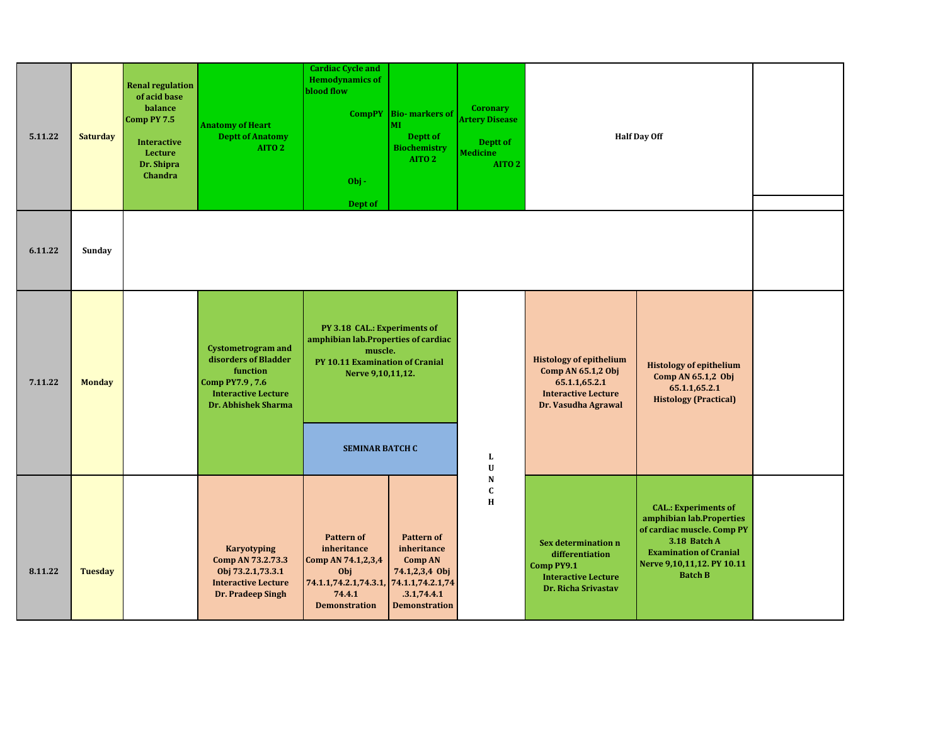| 5.11.22 | <b>Saturday</b> | <b>Renal regulation</b><br>of acid base<br>balance<br>Comp PY 7.5<br><b>Interactive</b><br>Lecture<br>Dr. Shipra<br>Chandra | <b>Anatomy of Heart</b><br><b>Deptt of Anatomy</b><br>AITO <sub>2</sub>                                                                      | <b>Cardiac Cycle and</b><br><b>Hemodynamics of</b><br>blood flow<br><b>CompPY</b><br>$Obj -$<br>Dept of                                   | <b>Bio-markers of</b><br>MI<br>Deptt of<br><b>Biochemistry</b><br>AITO <sub>2</sub>                         | <b>Coronary</b><br><b>Artery Disease</b><br>Deptt of<br><b>Medicine</b><br>AITO <sub>2</sub> |                                                                                                                            | <b>Half Day Off</b>                                                                                                                                                                    |  |
|---------|-----------------|-----------------------------------------------------------------------------------------------------------------------------|----------------------------------------------------------------------------------------------------------------------------------------------|-------------------------------------------------------------------------------------------------------------------------------------------|-------------------------------------------------------------------------------------------------------------|----------------------------------------------------------------------------------------------|----------------------------------------------------------------------------------------------------------------------------|----------------------------------------------------------------------------------------------------------------------------------------------------------------------------------------|--|
| 6.11.22 | Sunday          |                                                                                                                             |                                                                                                                                              |                                                                                                                                           |                                                                                                             |                                                                                              |                                                                                                                            |                                                                                                                                                                                        |  |
| 7.11.22 | <b>Monday</b>   |                                                                                                                             | <b>Cystometrogram and</b><br>disorders of Bladder<br>function<br>Comp PY7.9, 7.6<br><b>Interactive Lecture</b><br><b>Dr. Abhishek Sharma</b> | PY 3.18 CAL.: Experiments of<br>amphibian lab. Properties of cardiac<br>muscle.<br>PY 10.11 Examination of Cranial<br>Nerve 9,10,11,12.   |                                                                                                             |                                                                                              | <b>Histology of epithelium</b><br>Comp AN 65.1,2 Obj<br>65.1.1,65.2.1<br><b>Interactive Lecture</b><br>Dr. Vasudha Agrawal | <b>Histology of epithelium</b><br>Comp AN 65.1,2 Obj<br>65.1.1,65.2.1<br><b>Histology (Practical)</b>                                                                                  |  |
|         |                 |                                                                                                                             |                                                                                                                                              | <b>SEMINAR BATCH C</b>                                                                                                                    |                                                                                                             | L<br>$\mathbf U$                                                                             |                                                                                                                            |                                                                                                                                                                                        |  |
| 8.11.22 | <b>Tuesday</b>  |                                                                                                                             | <b>Karyotyping</b><br>Comp AN 73.2.73.3<br>Obj 73.2.1,73.3.1<br><b>Interactive Lecture</b><br>Dr. Pradeep Singh                              | <b>Pattern of</b><br>inheritance<br>Comp AN 74.1,2,3,4<br>Obj<br>74.1.1,74.2.1,74.3.1, 74.1.1,74.2.1,74<br>74.4.1<br><b>Demonstration</b> | <b>Pattern of</b><br>inheritance<br><b>Comp AN</b><br>74.1,2,3,4 Obj<br>.3.1,74.4.1<br><b>Demonstration</b> | N<br>$\mathbf c$<br>H                                                                        | Sex determination n<br>differentiation<br>Comp PY9.1<br><b>Interactive Lecture</b><br>Dr. Richa Srivastav                  | <b>CAL.: Experiments of</b><br>amphibian lab.Properties<br>of cardiac muscle. Comp PY<br>3.18 Batch A<br><b>Examination of Cranial</b><br>Nerve 9,10,11,12. PY 10.11<br><b>Batch B</b> |  |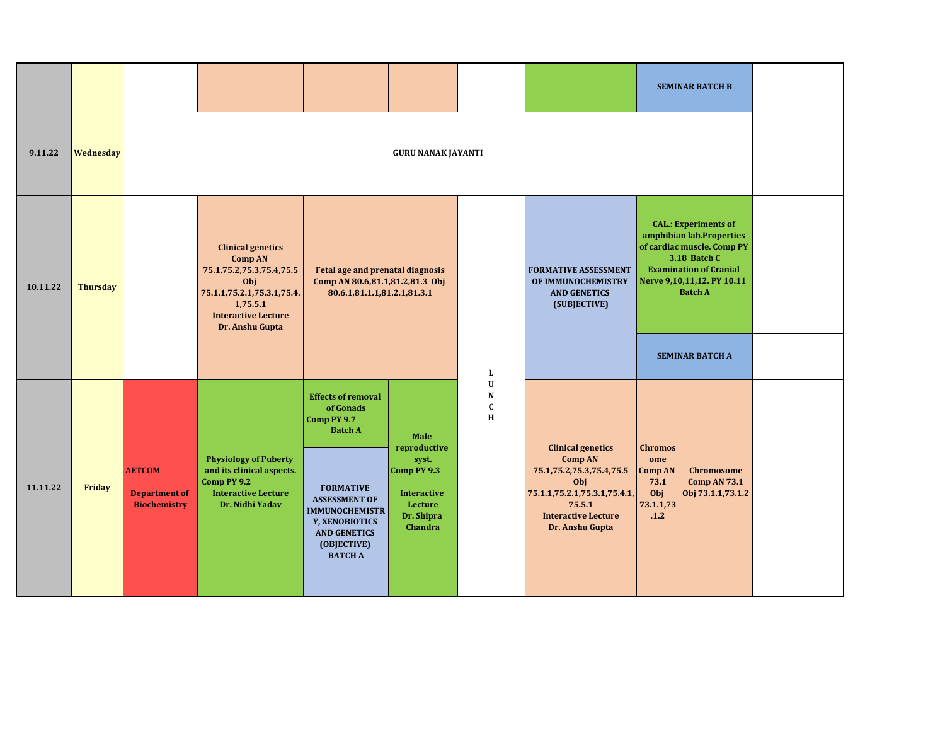|          |                 |                                                              |                                                                                                                                                                          |                                                                                                                                                                                                                        |                                                                                                        |                                                         |                                                                                                                                                                              |                                                                      | <b>SEMINAR BATCH B</b>                                                                                                                                                                 |  |
|----------|-----------------|--------------------------------------------------------------|--------------------------------------------------------------------------------------------------------------------------------------------------------------------------|------------------------------------------------------------------------------------------------------------------------------------------------------------------------------------------------------------------------|--------------------------------------------------------------------------------------------------------|---------------------------------------------------------|------------------------------------------------------------------------------------------------------------------------------------------------------------------------------|----------------------------------------------------------------------|----------------------------------------------------------------------------------------------------------------------------------------------------------------------------------------|--|
| 9.11.22  | Wednesday       |                                                              |                                                                                                                                                                          |                                                                                                                                                                                                                        | <b>GURU NANAK JAYANTI</b>                                                                              |                                                         |                                                                                                                                                                              |                                                                      |                                                                                                                                                                                        |  |
| 10.11.22 | <b>Thursday</b> |                                                              | <b>Clinical genetics</b><br><b>Comp AN</b><br>75.1,75.2,75.3,75.4,75.5<br>Obj<br>75.1.1,75.2.1,75.3.1,75.4.<br>1,75.5.1<br><b>Interactive Lecture</b><br>Dr. Anshu Gupta | Fetal age and prenatal diagnosis<br>Comp AN 80.6,81.1,81.2,81.3 Obj<br>80.6.1,81.1.1,81.2.1,81.3.1                                                                                                                     |                                                                                                        |                                                         | <b>FORMATIVE ASSESSMENT</b><br>OF IMMUNOCHEMISTRY<br><b>AND GENETICS</b><br>(SUBJECTIVE)                                                                                     |                                                                      | <b>CAL.: Experiments of</b><br>amphibian lab.Properties<br>of cardiac muscle. Comp PY<br>3.18 Batch C<br><b>Examination of Cranial</b><br>Nerve 9,10,11,12. PY 10.11<br><b>Batch A</b> |  |
|          |                 |                                                              |                                                                                                                                                                          |                                                                                                                                                                                                                        |                                                                                                        | Г                                                       |                                                                                                                                                                              |                                                                      | <b>SEMINAR BATCH A</b>                                                                                                                                                                 |  |
| 11.11.22 | Friday          | <b>AETCOM</b><br><b>Department of</b><br><b>Biochemistry</b> | <b>Physiology of Puberty</b><br>and its clinical aspects.<br>Comp PY 9.2<br><b>Interactive Lecture</b><br>Dr. Nidhi Yadav                                                | <b>Effects of removal</b><br>of Gonads<br>Comp PY 9.7<br><b>Batch A</b><br><b>FORMATIVE</b><br><b>ASSESSMENT OF</b><br><b>IMMUNOCHEMISTR</b><br>Y, XENOBIOTICS<br><b>AND GENETICS</b><br>(OBJECTIVE)<br><b>BATCH A</b> | Male<br>reproductive<br>syst.<br>Comp PY 9.3<br><b>Interactive</b><br>Lecture<br>Dr. Shipra<br>Chandra | $\mathbf U$<br>${\bf N}$<br>$\mathbf c$<br>$\, {\bf H}$ | <b>Clinical genetics</b><br><b>Comp AN</b><br>75.1, 75.2, 75.3, 75.4, 75.5<br>Obj<br>75.1.1,75.2.1,75.3.1,75.4.1,<br>75.5.1<br><b>Interactive Lecture</b><br>Dr. Anshu Gupta | <b>Chromos</b><br>ome<br>Comp AN<br>73.1<br>Obj<br>73.1.1,73<br>.1.2 | <b>Chromosome</b><br><b>Comp AN 73.1</b><br>Obj 73.1.1,73.1.2                                                                                                                          |  |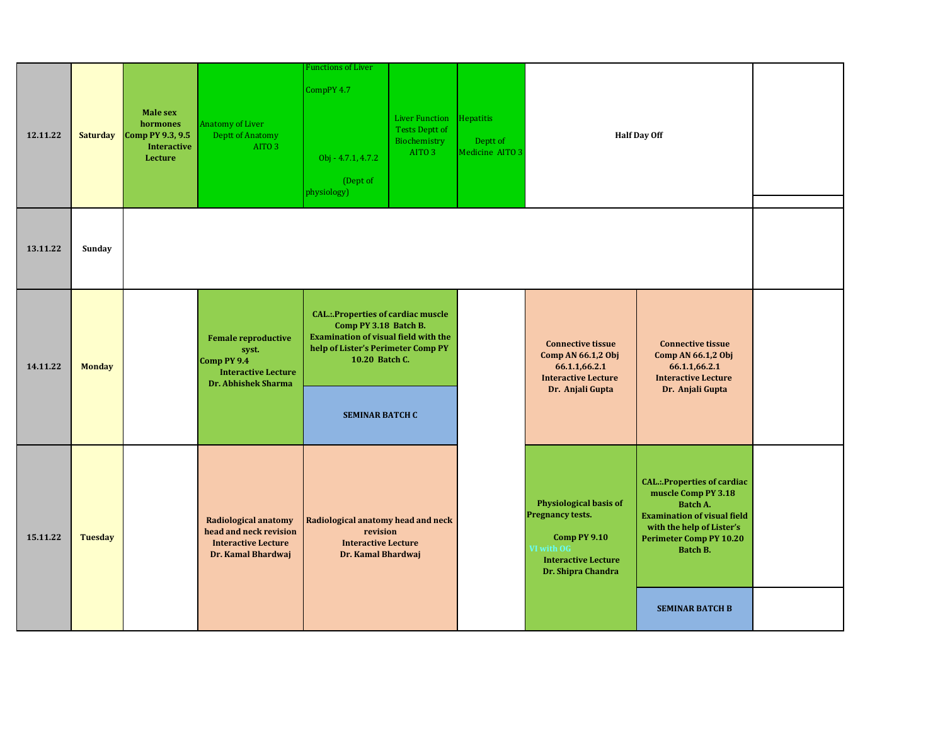| 12.11.22 | <b>Saturday</b> | Male sex<br>hormones<br>Comp PY 9.3, 9.5<br><b>Interactive</b><br>Lecture | Anatomy of Liver<br><b>Deptt of Anatomy</b><br>AITO <sub>3</sub>                                               | unctions of Liver<br>CompPY 4.7<br>Obj - 4.7.1, 4.7.2<br>(Dept of<br>physiology)                                                                                                                    | <b>Liver Function</b><br><b>Tests Deptt of</b><br>Biochemistry<br>AITO <sub>3</sub> | Hepatitis<br>Deptt of<br>Medicine AITO 3 |                                                                                                                                                   | <b>Half Day Off</b>                                                                                                                                                                           |  |
|----------|-----------------|---------------------------------------------------------------------------|----------------------------------------------------------------------------------------------------------------|-----------------------------------------------------------------------------------------------------------------------------------------------------------------------------------------------------|-------------------------------------------------------------------------------------|------------------------------------------|---------------------------------------------------------------------------------------------------------------------------------------------------|-----------------------------------------------------------------------------------------------------------------------------------------------------------------------------------------------|--|
| 13.11.22 | Sunday          |                                                                           |                                                                                                                |                                                                                                                                                                                                     |                                                                                     |                                          |                                                                                                                                                   |                                                                                                                                                                                               |  |
| 14.11.22 | <b>Monday</b>   |                                                                           | <b>Female reproductive</b><br>syst.<br>Comp PY 9.4<br><b>Interactive Lecture</b><br><b>Dr. Abhishek Sharma</b> | <b>CAL.:.Properties of cardiac muscle</b><br>Comp PY 3.18 Batch B.<br><b>Examination of visual field with the</b><br>help of Lister's Perimeter Comp PY<br>10.20 Batch C.<br><b>SEMINAR BATCH C</b> |                                                                                     |                                          | <b>Connective tissue</b><br>Comp AN 66.1,2 Obj<br>66.1.1,66.2.1<br><b>Interactive Lecture</b><br>Dr. Anjali Gupta                                 | <b>Connective tissue</b><br>Comp AN 66.1,2 Obj<br>66.1.1,66.2.1<br><b>Interactive Lecture</b><br>Dr. Anjali Gupta                                                                             |  |
| 15.11.22 | <b>Tuesday</b>  |                                                                           | <b>Radiological anatomy</b><br>head and neck revision<br><b>Interactive Lecture</b><br>Dr. Kamal Bhardwaj      | Radiological anatomy head and neck<br>revision<br><b>Interactive Lecture</b><br>Dr. Kamal Bhardwaj                                                                                                  |                                                                                     |                                          | <b>Physiological basis of</b><br><b>Pregnancy tests.</b><br><b>Comp PY 9.10</b><br>VI with OG<br><b>Interactive Lecture</b><br>Dr. Shipra Chandra | <b>CAL.:.Properties of cardiac</b><br>muscle Comp PY 3.18<br><b>Batch A.</b><br><b>Examination of visual field</b><br>with the help of Lister's<br><b>Perimeter Comp PY 10.20</b><br>Batch B. |  |
|          |                 |                                                                           |                                                                                                                |                                                                                                                                                                                                     |                                                                                     |                                          |                                                                                                                                                   | <b>SEMINAR BATCH B</b>                                                                                                                                                                        |  |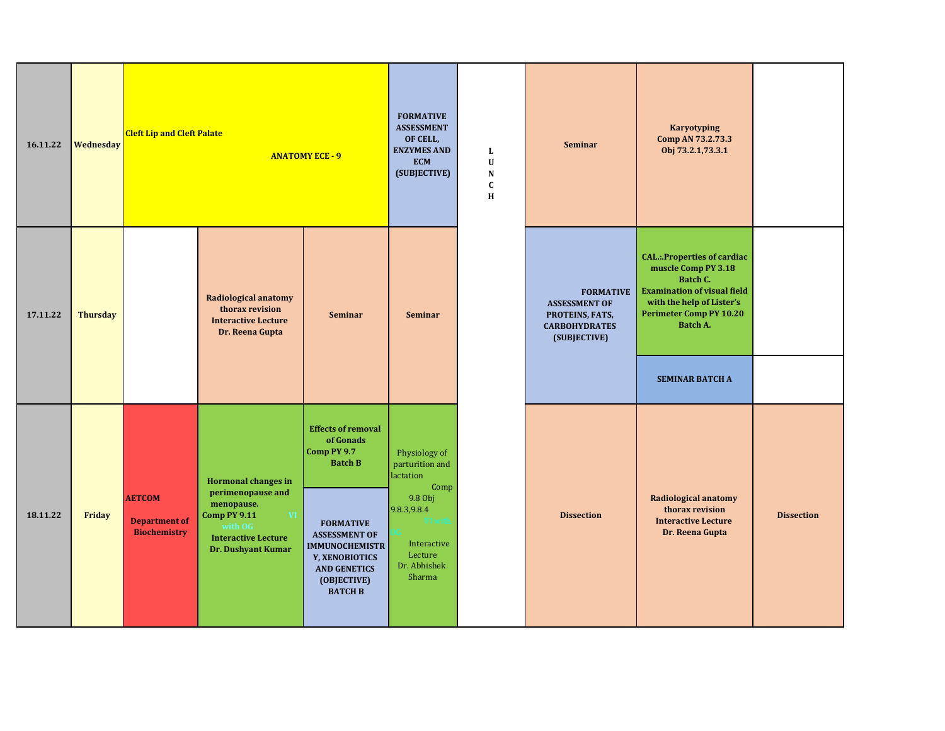| 16.11.22 | Wednesday       | <b>Cleft Lip and Cleft Palate</b>                            |                                                                                                                                                            | <b>ANATOMY ECE - 9</b>                                                                                                                                                                                                 | <b>FORMATIVE</b><br><b>ASSESSMENT</b><br>OF CELL,<br><b>ENZYMES AND</b><br><b>ECM</b><br>(SUBJECTIVE)                                          | L<br>$\mathbf U$<br>${\bf N}$<br>$\mathbf c$<br>H | <b>Seminar</b>                                                                                      | Karyotyping<br>Comp AN 73.2.73.3<br>Obj 73.2.1,73.3.1                                                                                                                                                            |                   |
|----------|-----------------|--------------------------------------------------------------|------------------------------------------------------------------------------------------------------------------------------------------------------------|------------------------------------------------------------------------------------------------------------------------------------------------------------------------------------------------------------------------|------------------------------------------------------------------------------------------------------------------------------------------------|---------------------------------------------------|-----------------------------------------------------------------------------------------------------|------------------------------------------------------------------------------------------------------------------------------------------------------------------------------------------------------------------|-------------------|
| 17.11.22 | <b>Thursday</b> |                                                              | Radiological anatomy<br>thorax revision<br><b>Interactive Lecture</b><br>Dr. Reena Gupta                                                                   | <b>Seminar</b>                                                                                                                                                                                                         | Seminar                                                                                                                                        |                                                   | <b>FORMATIVE</b><br><b>ASSESSMENT OF</b><br>PROTEINS, FATS,<br><b>CARBOHYDRATES</b><br>(SUBJECTIVE) | <b>CAL.:.Properties of cardiac</b><br>muscle Comp PY 3.18<br>Batch C.<br><b>Examination of visual field</b><br>with the help of Lister's<br><b>Perimeter Comp PY 10.20</b><br>Batch A.<br><b>SEMINAR BATCH A</b> |                   |
| 18.11.22 | Friday          | <b>AETCOM</b><br><b>Department of</b><br><b>Biochemistry</b> | <b>Hormonal changes in</b><br>perimenopause and<br>menopause.<br><b>Comp PY 9.11</b><br>V<br>with $0G$<br><b>Interactive Lecture</b><br>Dr. Dushyant Kumar | <b>Effects of removal</b><br>of Gonads<br>Comp PY 9.7<br><b>Batch B</b><br><b>FORMATIVE</b><br><b>ASSESSMENT OF</b><br><b>IMMUNOCHEMISTR</b><br>Y, XENOBIOTICS<br><b>AND GENETICS</b><br>(OBJECTIVE)<br><b>BATCH B</b> | Physiology of<br>parturition and<br>lactation<br>Comp<br>9.8 Obj<br>9.8.3, 9.8.4<br>VI wit<br>Interactive<br>Lecture<br>Dr. Abhishek<br>Sharma |                                                   | <b>Dissection</b>                                                                                   | <b>Radiological anatomy</b><br>thorax revision<br><b>Interactive Lecture</b><br>Dr. Reena Gupta                                                                                                                  | <b>Dissection</b> |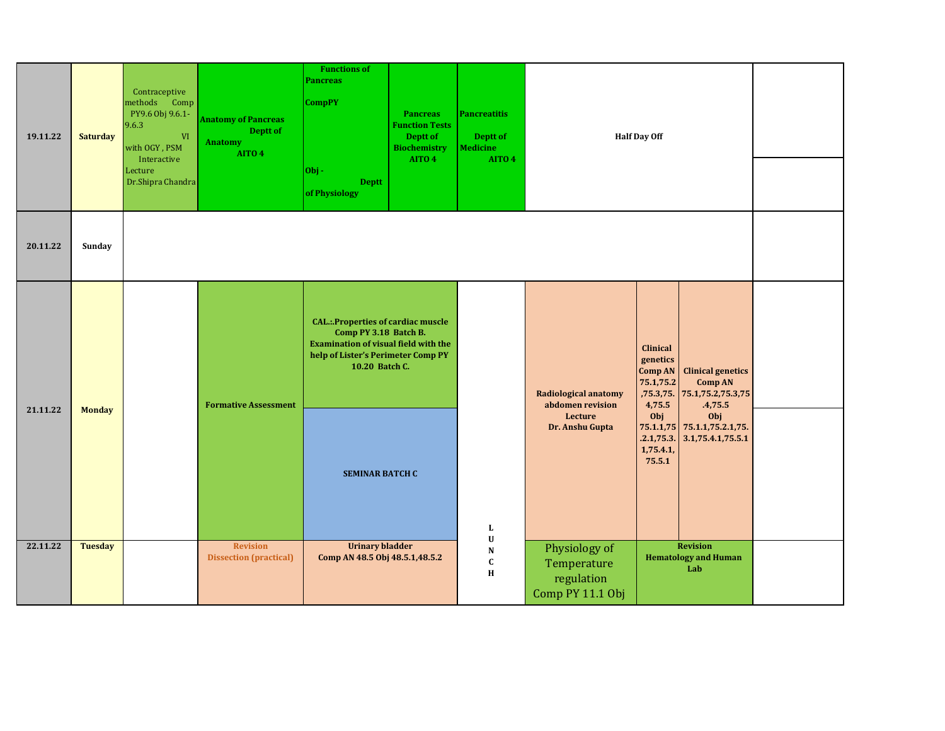| 19.11.22 | <b>Saturday</b> | Contraceptive<br>methods Comp<br>PY9.6 Obj 9.6.1-<br>9.6.3<br><b>VI</b><br>with OGY, PSM<br>Interactive<br>Lecture<br>Dr.Shipra Chandra | <b>Anatomy of Pancreas</b><br>Deptt of<br>Anatomy<br>AITO 4 | <b>Functions of</b><br><b>Pancreas</b><br><b>CompPY</b><br><b>Pancreas</b><br><b>Function Tests</b><br>Deptt of<br><b>Biochemistry</b><br>AITO 4<br>$ 0b $ -<br><b>Deptt</b><br>of Physiology | <b>Pancreatitis</b><br>Deptt of<br><b>Medicine</b><br>AITO 4 |                                                                | <b>Half Day Off</b>                                                                                                                                          |  |
|----------|-----------------|-----------------------------------------------------------------------------------------------------------------------------------------|-------------------------------------------------------------|-----------------------------------------------------------------------------------------------------------------------------------------------------------------------------------------------|--------------------------------------------------------------|----------------------------------------------------------------|--------------------------------------------------------------------------------------------------------------------------------------------------------------|--|
| 20.11.22 | Sunday          |                                                                                                                                         |                                                             |                                                                                                                                                                                               |                                                              |                                                                |                                                                                                                                                              |  |
|          |                 |                                                                                                                                         | <b>Formative Assessment</b>                                 | <b>CAL.:.Properties of cardiac muscle</b><br>Comp PY 3.18 Batch B.<br><b>Examination of visual field with the</b><br>help of Lister's Perimeter Comp PY<br>10.20 Batch C.                     |                                                              | <b>Radiological anatomy</b><br>abdomen revision                | <b>Clinical</b><br>genetics<br><b>Clinical genetics</b><br><b>Comp AN</b><br>75.1,75.2<br><b>Comp AN</b><br>,75.3,75. 75.1,75.2,75.3,75<br>4,75.5<br>.4,75.5 |  |
| 21.11.22 | <b>Monday</b>   |                                                                                                                                         |                                                             | <b>SEMINAR BATCH C</b>                                                                                                                                                                        | L                                                            | Lecture<br>Dr. Anshu Gupta                                     | Obj<br>Obj<br>75.1.1,75 75.1.1,75.2.1,75.<br>.2.1,75.3.<br>3.1,75.4.1,75.5.1<br>1,75.4.1,<br>75.5.1                                                          |  |
| 22.11.22 | <b>Tuesday</b>  |                                                                                                                                         | <b>Revision</b><br><b>Dissection (practical)</b>            | <b>Urinary bladder</b><br>Comp AN 48.5 Obj 48.5.1,48.5.2                                                                                                                                      | $\mathbf U$<br>${\bf N}$<br>$\mathbf{C}$<br>$\mathbf H$      | Physiology of<br>Temperature<br>regulation<br>Comp PY 11.1 Obj | <b>Revision</b><br><b>Hematology and Human</b><br>Lab                                                                                                        |  |

11.1.1-11.1.3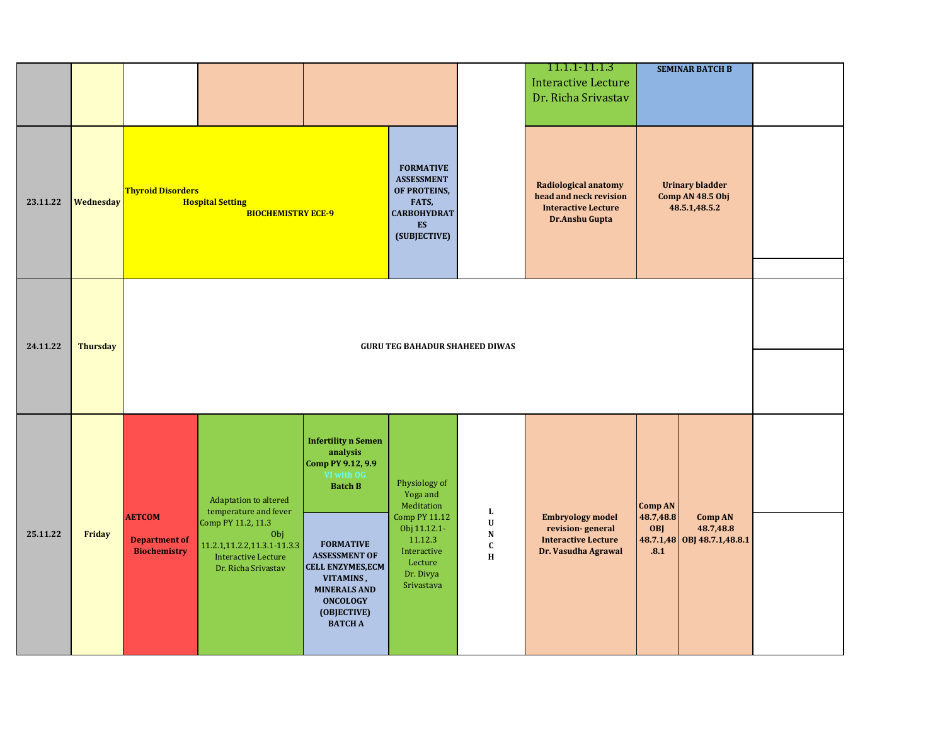|          |                 |                                             |                                                                                         |                                                                                                                                                              |                                                                                                                   |                                           | 11.1.1-11.1.3<br><b>Interactive Lecture</b><br>Dr. Richa Srivastav                             | <b>SEMINAR BATCH B</b>                                         |  |
|----------|-----------------|---------------------------------------------|-----------------------------------------------------------------------------------------|--------------------------------------------------------------------------------------------------------------------------------------------------------------|-------------------------------------------------------------------------------------------------------------------|-------------------------------------------|------------------------------------------------------------------------------------------------|----------------------------------------------------------------|--|
| 23.11.22 | Wednesday       | <b>Thyroid Disorders</b>                    | <b>Hospital Setting</b><br><b>BIOCHEMISTRY ECE-9</b>                                    |                                                                                                                                                              | <b>FORMATIVE</b><br><b>ASSESSMENT</b><br>OF PROTEINS,<br>FATS,<br><b>CARBOHYDRAT</b><br><b>ES</b><br>(SUBJECTIVE) |                                           | Radiological anatomy<br>head and neck revision<br><b>Interactive Lecture</b><br>Dr.Anshu Gupta | <b>Urinary bladder</b><br>Comp AN 48.5 Obj<br>48.5.1,48.5.2    |  |
| 24.11.22 | <b>Thursday</b> |                                             |                                                                                         |                                                                                                                                                              | <b>GURU TEG BAHADUR SHAHEED DIWAS</b>                                                                             |                                           |                                                                                                |                                                                |  |
|          |                 |                                             |                                                                                         |                                                                                                                                                              |                                                                                                                   |                                           |                                                                                                |                                                                |  |
|          |                 | <b>AETCOM</b>                               | Adaptation to altered<br>temperature and fever<br>Comp PY 11.2, 11.3                    | <b>Infertility n Semen</b><br>analysis<br>Comp PY 9.12, 9.9<br>VI with OG<br><b>Batch B</b>                                                                  | Physiology of<br>Yoga and<br>Meditation<br><b>Comp PY 11.12</b>                                                   | L<br>$\ensuremath{\mathbf{U}}$            | <b>Embryology model</b>                                                                        | <b>Comp AN</b><br>48.7,48.8<br>Comp AN                         |  |
| 25.11.22 | Friday          | <b>Department of</b><br><b>Biochemistry</b> | Obj<br>11.2.1,11.2.2,11.3.1-11.3.3<br><b>Interactive Lecture</b><br>Dr. Richa Srivastav | <b>FORMATIVE</b><br><b>ASSESSMENT OF</b><br><b>CELL ENZYMES, ECM</b><br>VITAMINS,<br><b>MINERALS AND</b><br><b>ONCOLOGY</b><br>(OBJECTIVE)<br><b>BATCH A</b> | Obj 11.12.1-<br>11.12.3<br>Interactive<br>Lecture<br>Dr. Divya<br>Srivastava                                      | ${\bf N}$<br>$\mathbf{C}$<br>$\, {\bf H}$ | revision-general<br><b>Interactive Lecture</b><br>Dr. Vasudha Agrawal                          | 48.7,48.8<br><b>OBJ</b><br>48.7.1,48 OBJ 48.7.1,48.8.1<br>.8.1 |  |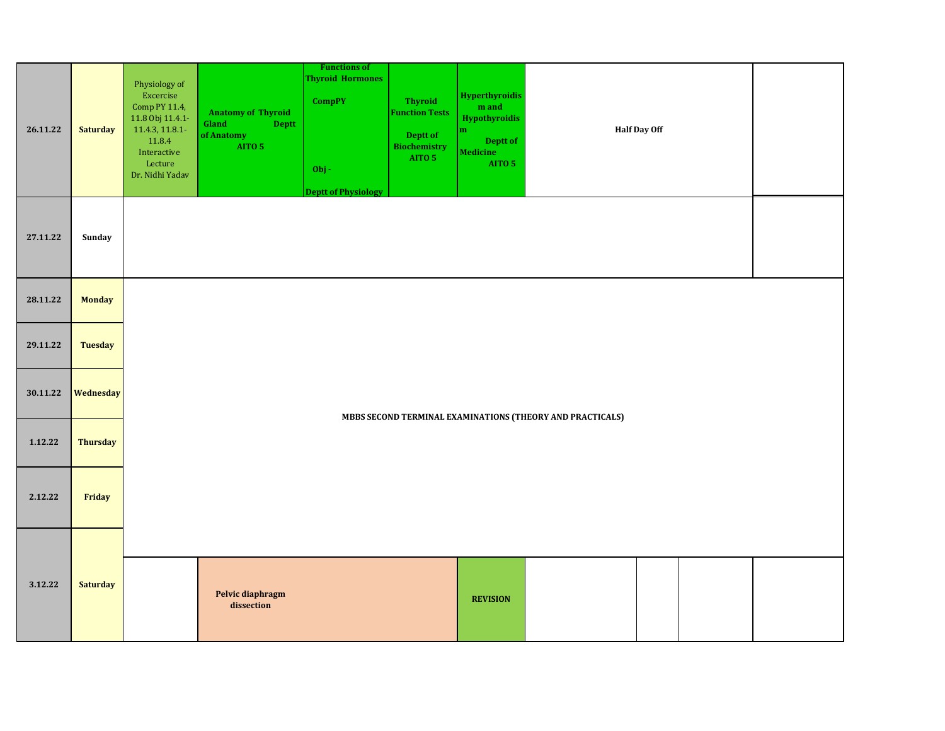| 26.11.22 | <b>Saturday</b> | Physiology of<br>Excercise<br>Comp PY 11.4,<br>11.8 Obj 11.4.1-<br>11.4.3, 11.8.1-<br>11.8.4<br>Interactive<br>Lecture<br>Dr. Nidhi Yadav | <b>Anatomy of Thyroid</b><br>Gland<br><b>Deptt</b><br>of Anatomy<br>AITO 5 | <b>Functions of</b><br><b>Thyroid Hormones</b><br><b>CompPY</b><br>$Obj -$<br><b>Deptt of Physiology</b> | <b>Thyroid</b><br><b>Function Tests</b><br>Deptt of<br><b>Biochemistry</b><br>AITO 5 | <b>Hyperthyroidis</b><br>$\mathbf m$ and<br><b>Hypothyroidis</b><br>$\mathbf m$<br>Deptt of<br>Medicine<br>AITO 5 |                                                           | <b>Half Day Off</b> |  |
|----------|-----------------|-------------------------------------------------------------------------------------------------------------------------------------------|----------------------------------------------------------------------------|----------------------------------------------------------------------------------------------------------|--------------------------------------------------------------------------------------|-------------------------------------------------------------------------------------------------------------------|-----------------------------------------------------------|---------------------|--|
| 27.11.22 | Sunday          |                                                                                                                                           |                                                                            |                                                                                                          |                                                                                      |                                                                                                                   |                                                           |                     |  |
| 28.11.22 | <b>Monday</b>   |                                                                                                                                           |                                                                            |                                                                                                          |                                                                                      |                                                                                                                   |                                                           |                     |  |
| 29.11.22 | <b>Tuesday</b>  |                                                                                                                                           |                                                                            |                                                                                                          |                                                                                      |                                                                                                                   |                                                           |                     |  |
| 30.11.22 | Wednesday       |                                                                                                                                           |                                                                            |                                                                                                          |                                                                                      |                                                                                                                   |                                                           |                     |  |
| 1.12.22  | <b>Thursday</b> |                                                                                                                                           |                                                                            |                                                                                                          |                                                                                      |                                                                                                                   | MBBS SECOND TERMINAL EXAMINATIONS (THEORY AND PRACTICALS) |                     |  |
| 2.12.22  | Friday          |                                                                                                                                           |                                                                            |                                                                                                          |                                                                                      |                                                                                                                   |                                                           |                     |  |
| 3.12.22  | <b>Saturday</b> |                                                                                                                                           | Pelvic diaphragm<br>dissection                                             |                                                                                                          |                                                                                      | <b>REVISION</b>                                                                                                   |                                                           |                     |  |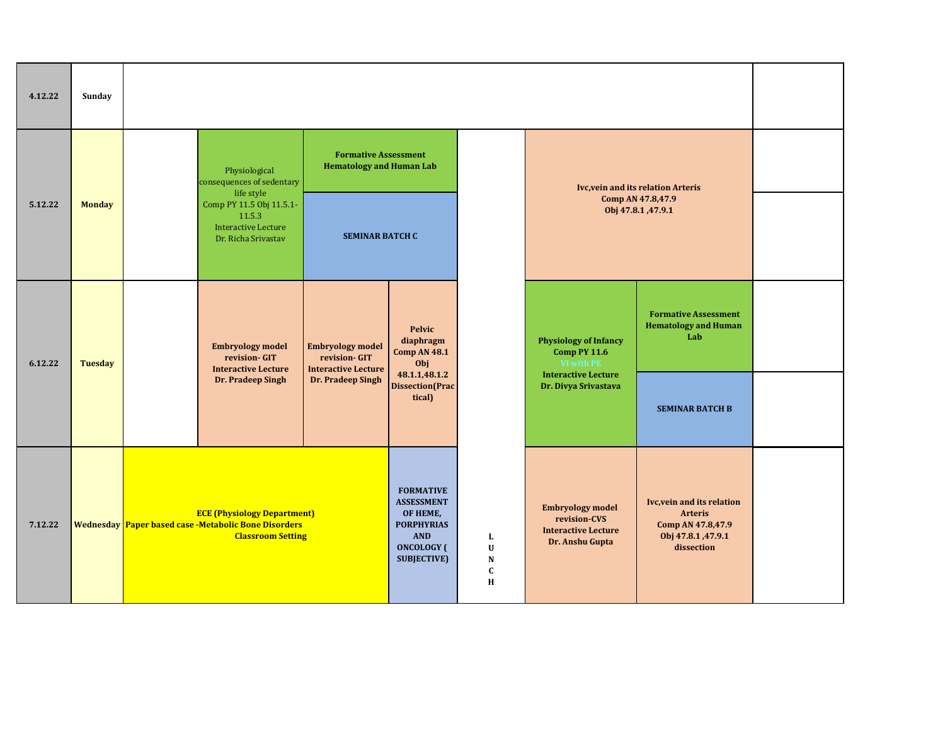| 4.12.22 | Sunday         |                                                                                                                        |                                                                        |                                                                                                                                 |                                                   |                                                                                          |                                                                                                       |  |
|---------|----------------|------------------------------------------------------------------------------------------------------------------------|------------------------------------------------------------------------|---------------------------------------------------------------------------------------------------------------------------------|---------------------------------------------------|------------------------------------------------------------------------------------------|-------------------------------------------------------------------------------------------------------|--|
|         |                | Physiological<br>consequences of sedentary<br>life style                                                               | <b>Formative Assessment</b><br><b>Hematology and Human Lab</b>         |                                                                                                                                 |                                                   |                                                                                          | <b>Ivc, vein and its relation Arteris</b>                                                             |  |
| 5.12.22 | <b>Monday</b>  | Comp PY 11.5 Obj 11.5.1-<br>11.5.3<br><b>Interactive Lecture</b><br>Dr. Richa Srivastav                                | <b>SEMINAR BATCH C</b>                                                 |                                                                                                                                 |                                                   |                                                                                          | Comp AN 47.8,47.9<br>Obj 47.8.1, 47.9.1                                                               |  |
| 6.12.22 | <b>Tuesday</b> | <b>Embryology model</b><br>revision- GIT<br><b>Interactive Lecture</b>                                                 | <b>Embryology model</b><br>revision- GIT<br><b>Interactive Lecture</b> | <b>Pelvic</b><br>diaphragm<br><b>Comp AN 48.1</b><br>Obj                                                                        |                                                   | <b>Physiology of Infancy</b><br><b>Comp PY 11.6</b><br>VI with PE                        | <b>Formative Assessment</b><br><b>Hematology and Human</b><br>Lab                                     |  |
|         |                | Dr. Pradeep Singh                                                                                                      | Dr. Pradeep Singh                                                      | 48.1.1,48.1.2<br><b>Dissection</b> (Prac<br>tical)                                                                              |                                                   | <b>Interactive Lecture</b><br>Dr. Divya Srivastava                                       | <b>SEMINAR BATCH B</b>                                                                                |  |
| 7.12.22 |                | <b>ECE (Physiology Department)</b><br>Wednesday Paper based case -Metabolic Bone Disorders<br><b>Classroom Setting</b> |                                                                        | <b>FORMATIVE</b><br><b>ASSESSMENT</b><br>OF HEME,<br><b>PORPHYRIAS</b><br><b>AND</b><br><b>ONCOLOGY</b> (<br><b>SUBJECTIVE)</b> | L<br>$\mathbf U$<br>${\bf N}$<br>$\mathbf c$<br>Н | <b>Embryology model</b><br>revision-CVS<br><b>Interactive Lecture</b><br>Dr. Anshu Gupta | Ivc, vein and its relation<br><b>Arteris</b><br>Comp AN 47.8,47.9<br>Obj 47.8.1, 47.9.1<br>dissection |  |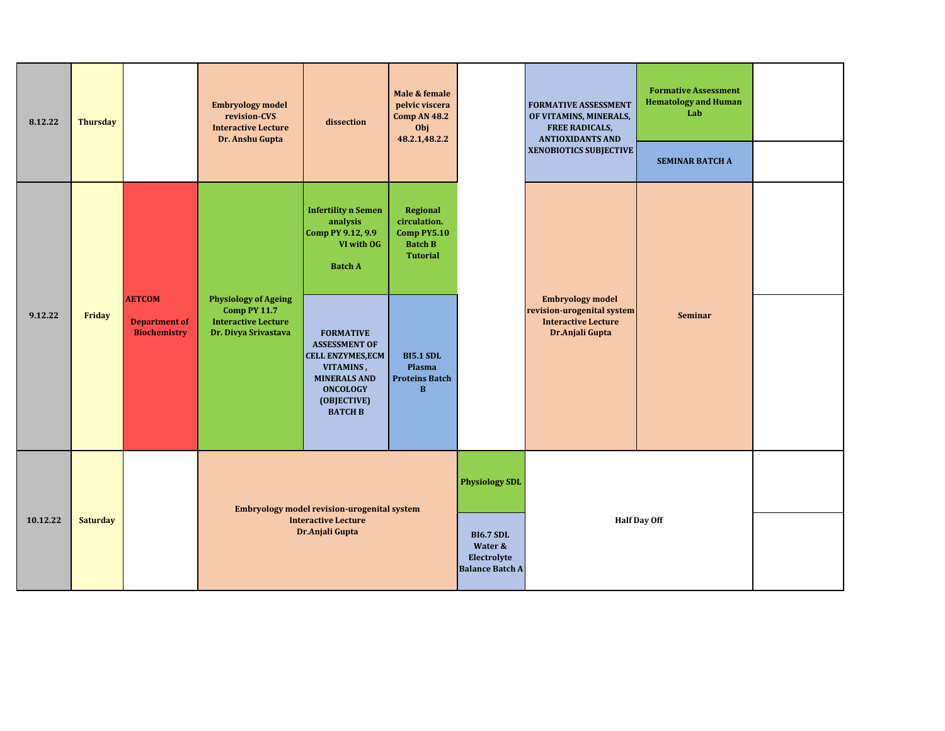| 8.12.22  | <b>Thursday</b> |                                                              | <b>Embryology model</b><br>revision-CVS<br><b>Interactive Lecture</b><br>Dr. Anshu Gupta                 | dissection                                                                                                                                                   | Male & female<br>pelvic viscera<br><b>Comp AN 48.2</b><br>Obj<br>48.2.1,48.2.2 |                                                                                               | <b>FORMATIVE ASSESSMENT</b><br>OF VITAMINS, MINERALS,<br><b>FREE RADICALS,</b><br><b>ANTIOXIDANTS AND</b><br><b>XENOBIOTICS SUBJECTIVE</b> | <b>Formative Assessment</b><br><b>Hematology and Human</b><br>Lab<br><b>SEMINAR BATCH A</b> |  |
|----------|-----------------|--------------------------------------------------------------|----------------------------------------------------------------------------------------------------------|--------------------------------------------------------------------------------------------------------------------------------------------------------------|--------------------------------------------------------------------------------|-----------------------------------------------------------------------------------------------|--------------------------------------------------------------------------------------------------------------------------------------------|---------------------------------------------------------------------------------------------|--|
|          |                 |                                                              |                                                                                                          | <b>Infertility n Semen</b><br>analysis<br>Comp PY 9.12, 9.9<br>VI with OG<br><b>Batch A</b>                                                                  | Regional<br>circulation.<br>Comp PY5.10<br><b>Batch B</b><br><b>Tutorial</b>   |                                                                                               |                                                                                                                                            |                                                                                             |  |
| 9.12.22  | Friday          | <b>AETCOM</b><br><b>Department of</b><br><b>Biochemistry</b> | <b>Physiology of Ageing</b><br><b>Comp PY 11.7</b><br><b>Interactive Lecture</b><br>Dr. Divya Srivastava | <b>FORMATIVE</b><br><b>ASSESSMENT OF</b><br><b>CELL ENZYMES, ECM</b><br>VITAMINS,<br><b>MINERALS AND</b><br><b>ONCOLOGY</b><br>(OBJECTIVE)<br><b>BATCH B</b> | <b>BI5.1 SDL</b><br>Plasma<br><b>Proteins Batch</b><br>$\bf{B}$                |                                                                                               | <b>Embryology model</b><br>revision-urogenital system<br><b>Interactive Lecture</b><br>Dr.Anjali Gupta                                     | <b>Seminar</b>                                                                              |  |
| 10.12.22 | <b>Saturday</b> |                                                              |                                                                                                          | <b>Embryology model revision-urogenital system</b><br><b>Interactive Lecture</b><br>Dr.Anjali Gupta                                                          |                                                                                | <b>Physiology SDL</b><br><b>BI6.7 SDL</b><br>Water &<br>Electrolyte<br><b>Balance Batch A</b> |                                                                                                                                            | <b>Half Day Off</b>                                                                         |  |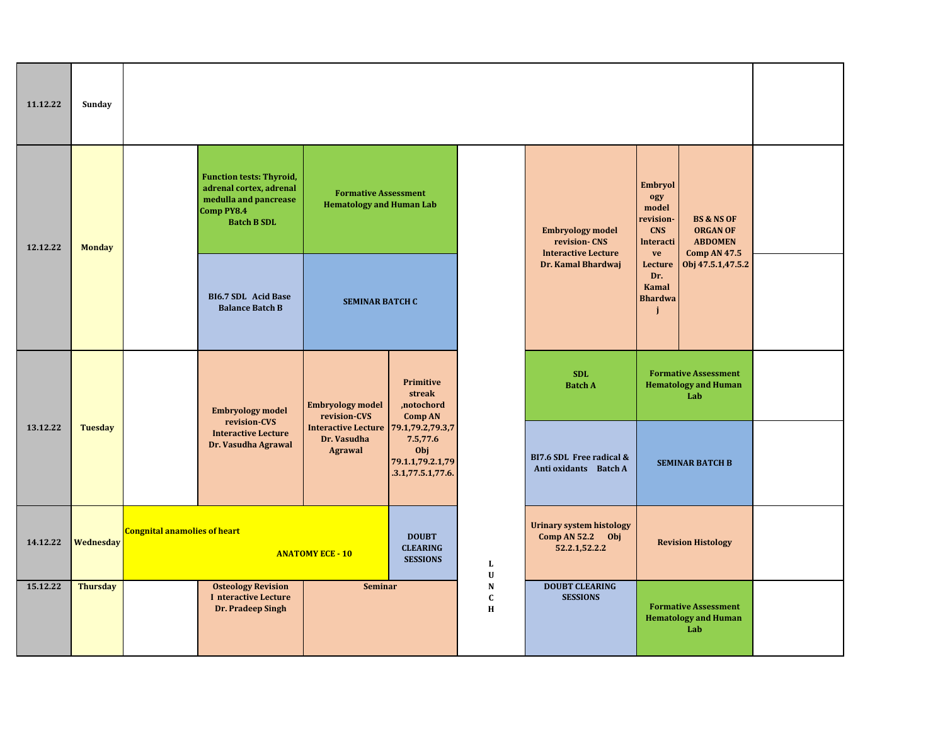| 11.12.22 | Sunday          |                                     |                                                                                                                         |                                                                       |                                                          |                           |                                                                        |                                                                                     |                                                                                   |  |
|----------|-----------------|-------------------------------------|-------------------------------------------------------------------------------------------------------------------------|-----------------------------------------------------------------------|----------------------------------------------------------|---------------------------|------------------------------------------------------------------------|-------------------------------------------------------------------------------------|-----------------------------------------------------------------------------------|--|
| 12.12.22 | <b>Monday</b>   |                                     | <b>Function tests: Thyroid,</b><br>adrenal cortex, adrenal<br>medulla and pancrease<br>Comp PY8.4<br><b>Batch B SDL</b> | <b>Formative Assessment</b><br><b>Hematology and Human Lab</b>        |                                                          |                           | <b>Embryology model</b><br>revision-CNS                                | <b>Embryol</b><br>ogy<br>model<br>revision-<br><b>CNS</b><br><b>Interacti</b><br>ve | <b>BS &amp; NS OF</b><br><b>ORGAN OF</b><br><b>ABDOMEN</b><br><b>Comp AN 47.5</b> |  |
|          |                 |                                     | <b>BI6.7 SDL Acid Base</b><br><b>Balance Batch B</b>                                                                    | <b>SEMINAR BATCH C</b>                                                |                                                          |                           | <b>Interactive Lecture</b><br>Dr. Kamal Bhardwaj                       |                                                                                     | Obj 47.5.1,47.5.2<br>Lecture<br>Dr.<br><b>Kamal</b><br><b>Bhardwa</b>             |  |
|          |                 |                                     | <b>Embryology model</b><br>revision-CVS                                                                                 | <b>Embryology model</b><br>revision-CVS                               | Primitive<br>streak<br>,notochord<br><b>Comp AN</b>      |                           | <b>SDL</b><br><b>Batch A</b>                                           |                                                                                     | <b>Formative Assessment</b><br><b>Hematology and Human</b><br>Lab                 |  |
| 13.12.22 | <b>Tuesday</b>  |                                     | <b>Interactive Lecture</b><br>Dr. Vasudha Agrawal                                                                       | Interactive Lecture 79.1,79.2,79.3,7<br>Dr. Vasudha<br><b>Agrawal</b> | 7.5,77.6<br>Obj<br>79.1.1,79.2.1,79<br>.3.1,77.5.1,77.6. |                           | BI7.6 SDL Free radical &<br>Anti oxidants Batch A                      |                                                                                     | <b>SEMINAR BATCH B</b>                                                            |  |
| 14.12.22 | Wednesday       | <b>Congnital anamolies of heart</b> |                                                                                                                         | <b>ANATOMY ECE - 10</b>                                               | <b>DOUBT</b><br><b>CLEARING</b><br><b>SESSIONS</b>       | L<br>$\mathbf U$          | <b>Urinary system histology</b><br>Comp AN $52.2$ Obj<br>52.2.1,52.2.2 | <b>Revision Histology</b>                                                           |                                                                                   |  |
| 15.12.22 | <b>Thursday</b> |                                     | <b>Osteology Revision</b><br>I nteractive Lecture<br>Dr. Pradeep Singh                                                  | <b>Seminar</b>                                                        |                                                          | ${\bf N}$<br>C<br>$\bf H$ | <b>DOUBT CLEARING</b><br><b>SESSIONS</b>                               |                                                                                     | <b>Formative Assessment</b><br><b>Hematology and Human</b><br>Lab                 |  |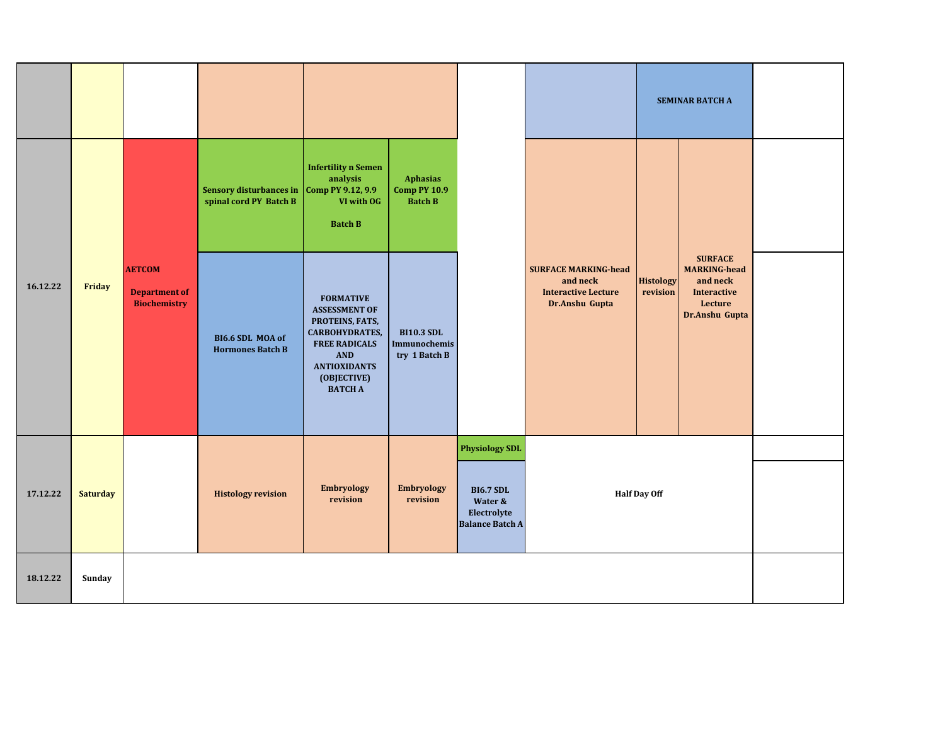|          |                 |                                                              |                                                                     |                                                                                                                                                                                    |                                                    |                                                                      |                                                                                         |                              | <b>SEMINAR BATCH A</b>                                                                               |  |
|----------|-----------------|--------------------------------------------------------------|---------------------------------------------------------------------|------------------------------------------------------------------------------------------------------------------------------------------------------------------------------------|----------------------------------------------------|----------------------------------------------------------------------|-----------------------------------------------------------------------------------------|------------------------------|------------------------------------------------------------------------------------------------------|--|
|          |                 |                                                              | Sensory disturbances in Comp PY 9.12, 9.9<br>spinal cord PY Batch B | <b>Infertility n Semen</b><br>analysis<br>VI with OG<br><b>Batch B</b>                                                                                                             | Aphasias<br><b>Comp PY 10.9</b><br><b>Batch B</b>  |                                                                      |                                                                                         |                              |                                                                                                      |  |
| 16.12.22 | Friday          | <b>AETCOM</b><br><b>Department of</b><br><b>Biochemistry</b> | BI6.6 SDL MOA of<br><b>Hormones Batch B</b>                         | <b>FORMATIVE</b><br><b>ASSESSMENT OF</b><br>PROTEINS, FATS,<br><b>CARBOHYDRATES,</b><br><b>FREE RADICALS</b><br><b>AND</b><br><b>ANTIOXIDANTS</b><br>(OBJECTIVE)<br><b>BATCH A</b> | <b>BI10.3 SDL</b><br>Immunochemis<br>try 1 Batch B |                                                                      | <b>SURFACE MARKING-head</b><br>and neck<br><b>Interactive Lecture</b><br>Dr.Anshu Gupta | <b>Histology</b><br>revision | <b>SURFACE</b><br><b>MARKING-head</b><br>and neck<br><b>Interactive</b><br>Lecture<br>Dr.Anshu Gupta |  |
|          |                 |                                                              |                                                                     |                                                                                                                                                                                    |                                                    | <b>Physiology SDL</b>                                                |                                                                                         |                              |                                                                                                      |  |
| 17.12.22 | <b>Saturday</b> |                                                              | <b>Histology revision</b>                                           | <b>Embryology</b><br>revision                                                                                                                                                      | <b>Embryology</b><br>revision                      | <b>BI6.7 SDL</b><br>Water &<br>Electrolyte<br><b>Balance Batch A</b> |                                                                                         | <b>Half Day Off</b>          |                                                                                                      |  |
| 18.12.22 | Sunday          |                                                              |                                                                     |                                                                                                                                                                                    |                                                    |                                                                      |                                                                                         |                              |                                                                                                      |  |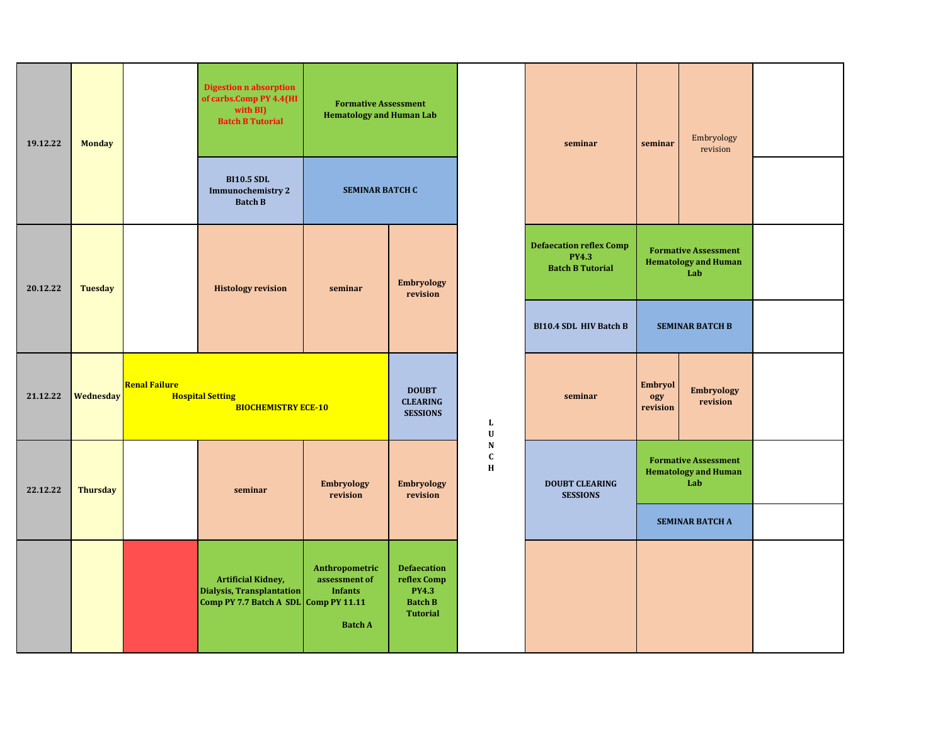| 19.12.22 | <b>Monday</b>   |                      | <b>Digestion n absorption</b><br>of carbs.Comp PY 4.4(HI<br>with BI)<br><b>Batch B Tutorial</b> | <b>Formative Assessment</b><br><b>Hematology and Human Lab</b>      |                                                                                        |                                         | seminar                                                                   | seminar                    | Embryology<br>revision                                            |  |
|----------|-----------------|----------------------|-------------------------------------------------------------------------------------------------|---------------------------------------------------------------------|----------------------------------------------------------------------------------------|-----------------------------------------|---------------------------------------------------------------------------|----------------------------|-------------------------------------------------------------------|--|
|          |                 |                      | <b>BI10.5 SDL</b><br><b>Immunochemistry 2</b><br><b>Batch B</b>                                 | <b>SEMINAR BATCH C</b>                                              |                                                                                        |                                         |                                                                           |                            |                                                                   |  |
| 20.12.22 | <b>Tuesday</b>  |                      | <b>Histology revision</b>                                                                       | seminar                                                             | <b>Embryology</b><br>revision                                                          |                                         | <b>Defaecation reflex Comp</b><br><b>PY4.3</b><br><b>Batch B Tutorial</b> |                            | <b>Formative Assessment</b><br><b>Hematology and Human</b><br>Lab |  |
|          |                 |                      |                                                                                                 |                                                                     |                                                                                        |                                         | <b>BI10.4 SDL HIV Batch B</b>                                             |                            | <b>SEMINAR BATCH B</b>                                            |  |
| 21.12.22 | Wednesday       | <b>Renal Failure</b> | <b>Hospital Setting</b><br><b>BIOCHEMISTRY ECE-10</b>                                           |                                                                     | <b>DOUBT</b><br><b>CLEARING</b><br><b>SESSIONS</b>                                     | L<br>$\mathbf U$                        | seminar                                                                   | Embryol<br>ogy<br>revision | <b>Embryology</b><br>revision                                     |  |
| 22.12.22 | <b>Thursday</b> |                      | seminar                                                                                         | <b>Embryology</b><br>revision                                       | <b>Embryology</b><br>revision                                                          | ${\bf N}$<br>$\mathbf C$<br>$\mathbf H$ | <b>DOUBT CLEARING</b><br><b>SESSIONS</b>                                  |                            | <b>Formative Assessment</b><br><b>Hematology and Human</b><br>Lab |  |
|          |                 |                      |                                                                                                 |                                                                     |                                                                                        |                                         |                                                                           |                            | <b>SEMINAR BATCH A</b>                                            |  |
|          |                 |                      | <b>Artificial Kidney,</b><br>Dialysis, Transplantation<br>Comp PY 7.7 Batch A SDL Comp PY 11.11 | Anthropometric<br>assessment of<br><b>Infants</b><br><b>Batch A</b> | <b>Defaecation</b><br>reflex Comp<br><b>PY4.3</b><br><b>Batch B</b><br><b>Tutorial</b> |                                         |                                                                           |                            |                                                                   |  |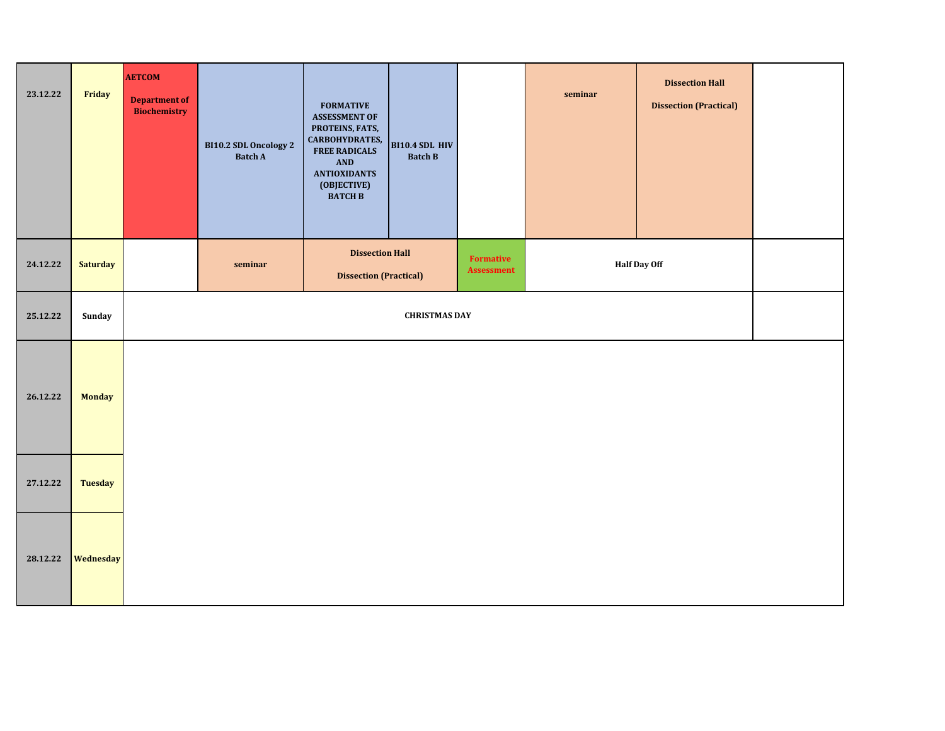| 23.12.22 | Friday          | <b>AETCOM</b><br><b>Department of</b><br><b>Biochemistry</b> | BI10.2 SDL Oncology 2<br><b>Batch A</b> | <b>FORMATIVE</b><br><b>ASSESSMENT OF</b><br>PROTEINS, FATS,<br>CARBOHYDRATES,<br><b>FREE RADICALS</b><br>AND<br><b>ANTIOXIDANTS</b><br>(OBJECTIVE)<br><b>BATCH B</b> | <b>BI10.4 SDL HIV</b><br><b>Batch B</b> |                                | seminar | <b>Dissection Hall</b><br><b>Dissection (Practical)</b> |  |
|----------|-----------------|--------------------------------------------------------------|-----------------------------------------|----------------------------------------------------------------------------------------------------------------------------------------------------------------------|-----------------------------------------|--------------------------------|---------|---------------------------------------------------------|--|
| 24.12.22 | <b>Saturday</b> |                                                              | seminar                                 | <b>Dissection Hall</b><br><b>Dissection (Practical)</b>                                                                                                              |                                         | Formative<br><b>Assessment</b> |         | <b>Half Day Off</b>                                     |  |
| 25.12.22 | Sunday          |                                                              |                                         |                                                                                                                                                                      | <b>CHRISTMAS DAY</b>                    |                                |         |                                                         |  |
| 26.12.22 | <b>Monday</b>   |                                                              |                                         |                                                                                                                                                                      |                                         |                                |         |                                                         |  |
| 27.12.22 | <b>Tuesday</b>  |                                                              |                                         |                                                                                                                                                                      |                                         |                                |         |                                                         |  |
| 28.12.22 | Wednesday       |                                                              |                                         |                                                                                                                                                                      |                                         |                                |         |                                                         |  |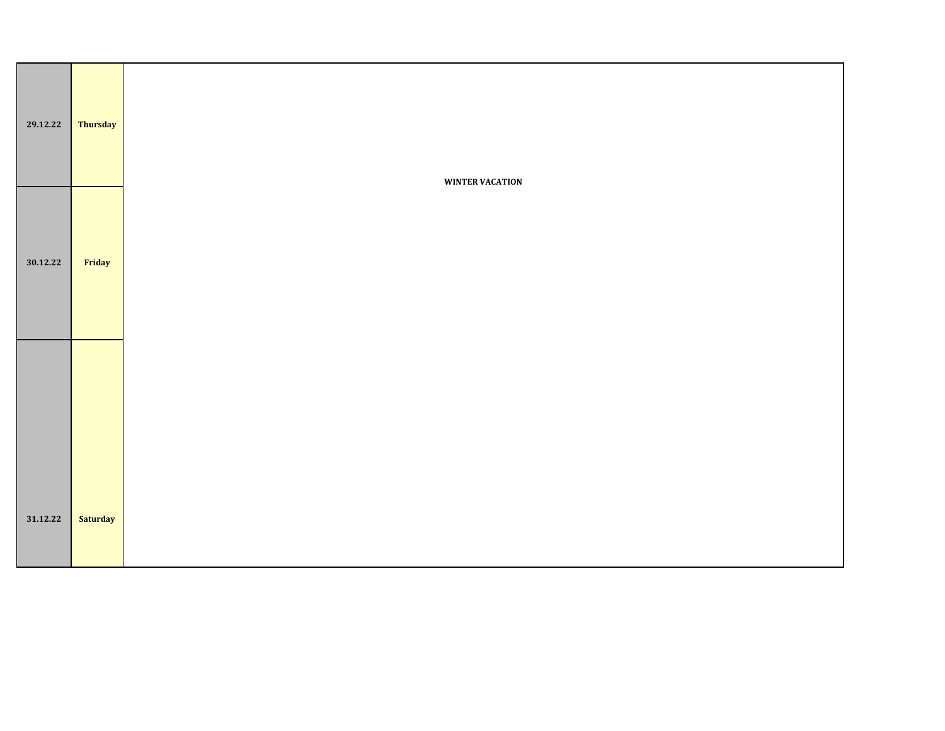| 29.12.22 | <b>Thursday</b> | <b>WINTER VACATION</b> |
|----------|-----------------|------------------------|
| 30.12.22 | Friday          |                        |
|          |                 |                        |
| 31.12.22 | <b>Saturday</b> |                        |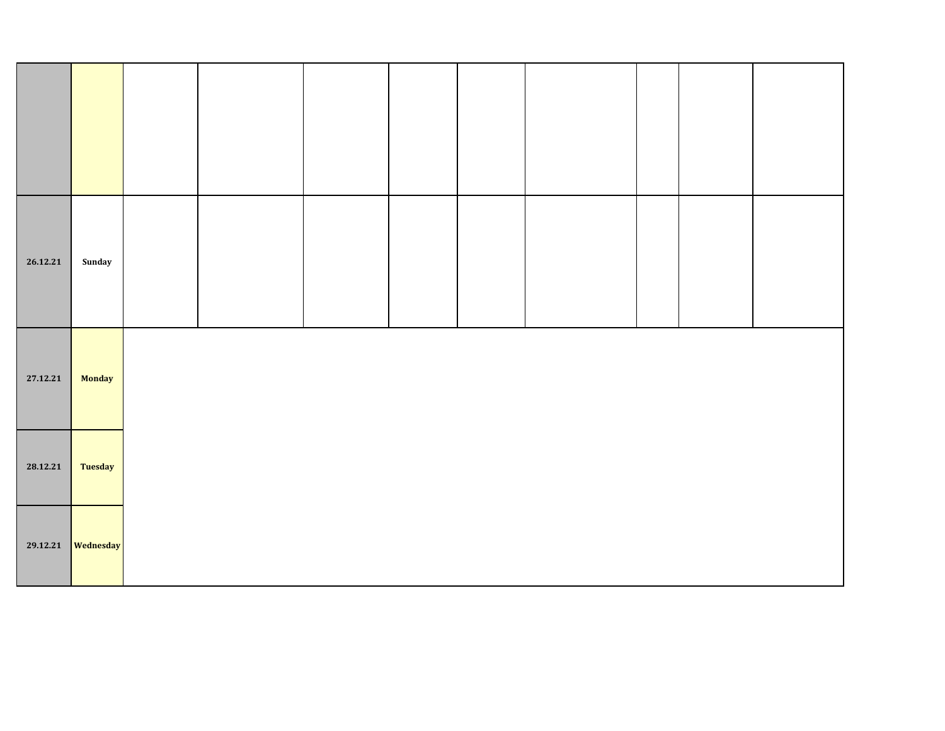| 26.12.21 | Sunday        |  |  |  |  |  |
|----------|---------------|--|--|--|--|--|
| 27.12.21 | <b>Monday</b> |  |  |  |  |  |
| 28.12.21 | Tuesday       |  |  |  |  |  |
| 29.12.21 | Wednesday     |  |  |  |  |  |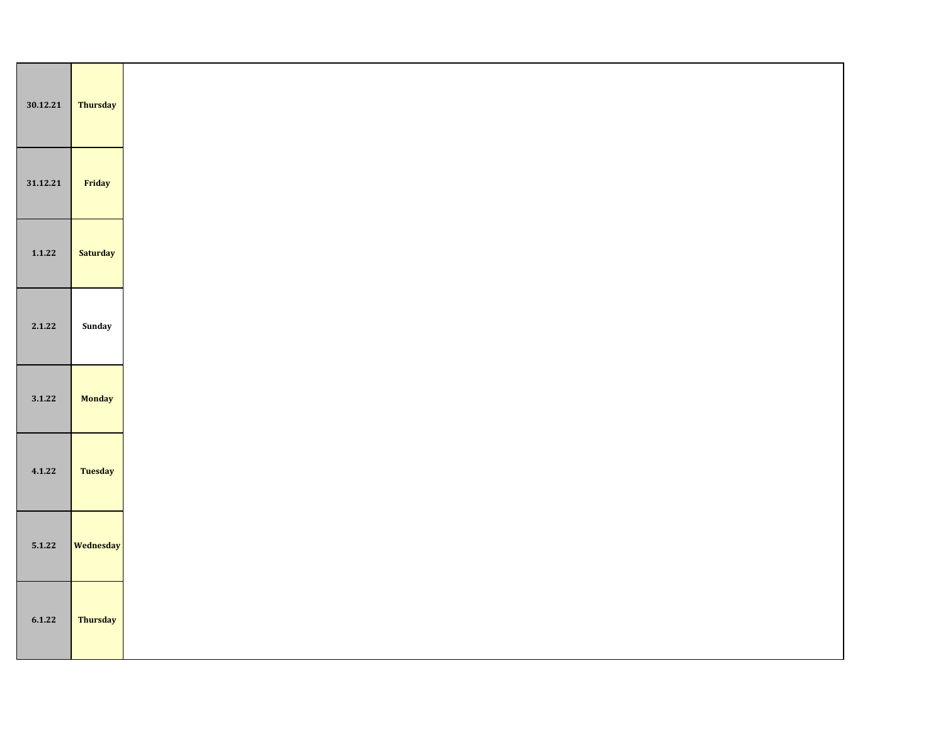| 30.12.21 | Thursday        |
|----------|-----------------|
| 31.12.21 | Friday          |
| 1.1.22   | <b>Saturday</b> |
| 2.1.22   | Sunday          |
| 3.1.22   | <b>Monday</b>   |
| 4.1.22   | <b>Tuesday</b>  |
| 5.1.22   | Wednesday       |
| 6.1.22   | Thursday        |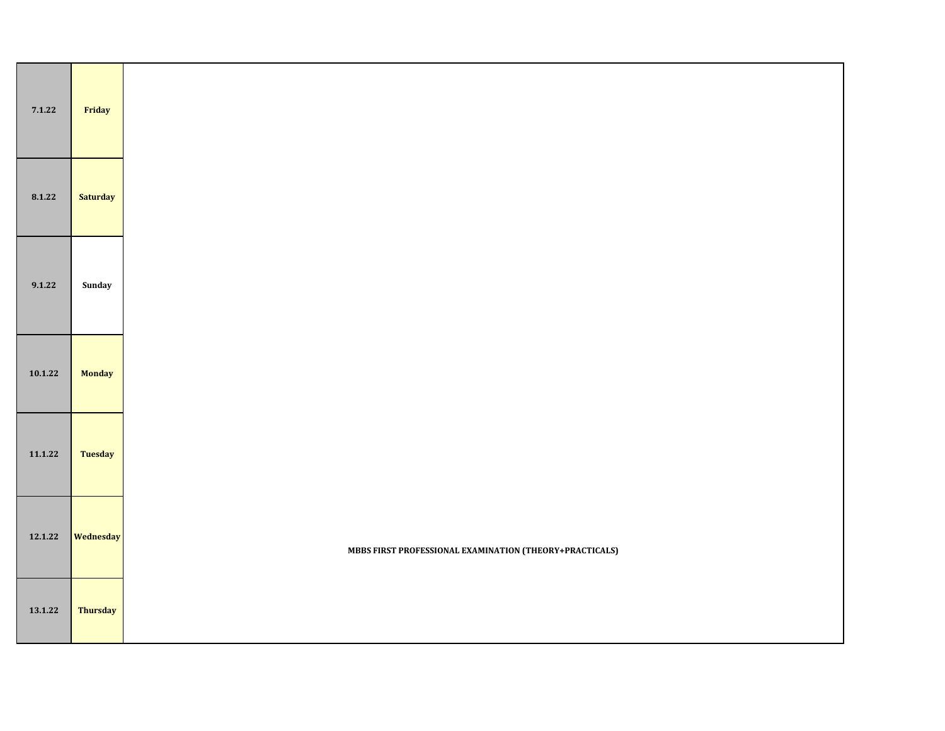| 7.1.22  | Friday         |                                                         |
|---------|----------------|---------------------------------------------------------|
| 8.1.22  | Saturday       |                                                         |
| 9.1.22  | Sunday         |                                                         |
| 10.1.22 | Monday         |                                                         |
| 11.1.22 | <b>Tuesday</b> |                                                         |
| 12.1.22 | Wednesday      | MBBS FIRST PROFESSIONAL EXAMINATION (THEORY+PRACTICALS) |
| 13.1.22 | Thursday       |                                                         |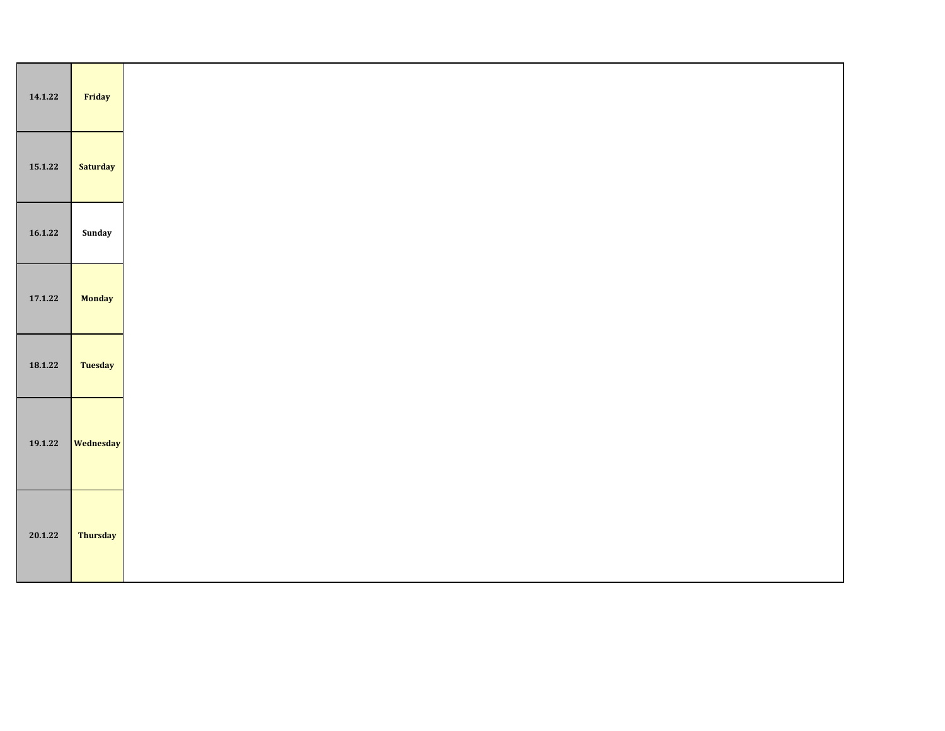| 14.1.22 | Friday          |
|---------|-----------------|
| 15.1.22 | <b>Saturday</b> |
| 16.1.22 | Sunday          |
| 17.1.22 | <b>Monday</b>   |
| 18.1.22 | <b>Tuesday</b>  |
| 19.1.22 | Wednesday       |
| 20.1.22 | <b>Thursday</b> |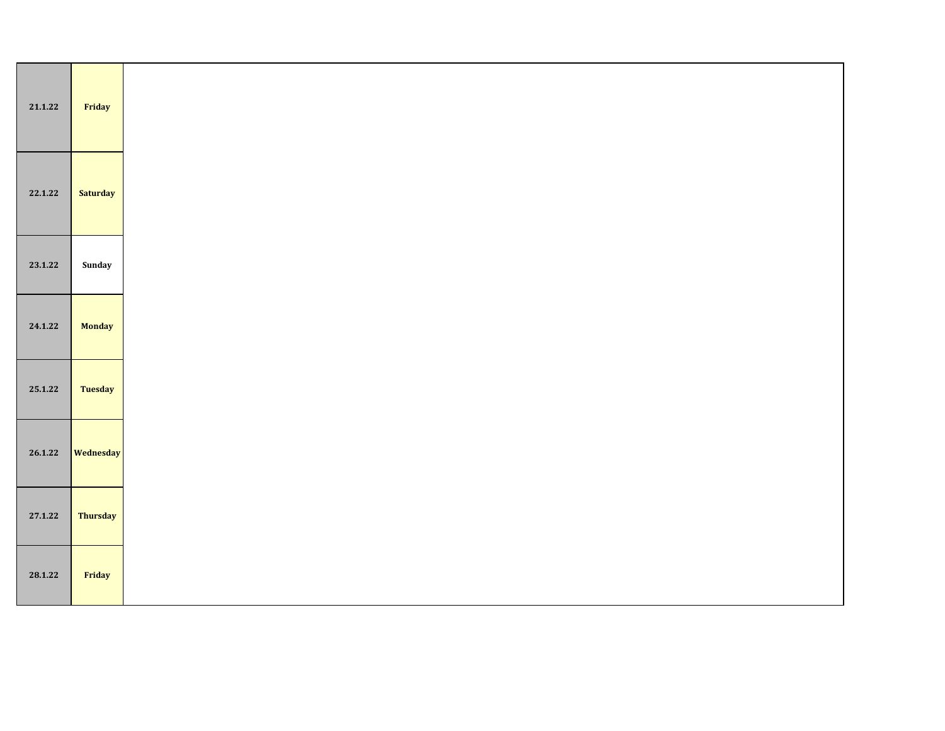| 21.1.22 | Friday          |
|---------|-----------------|
| 22.1.22 | <b>Saturday</b> |
| 23.1.22 | Sunday          |
| 24.1.22 | <b>Monday</b>   |
| 25.1.22 | Tuesday         |
| 26.1.22 | Wednesday       |
| 27.1.22 | Thursday        |
| 28.1.22 | Friday          |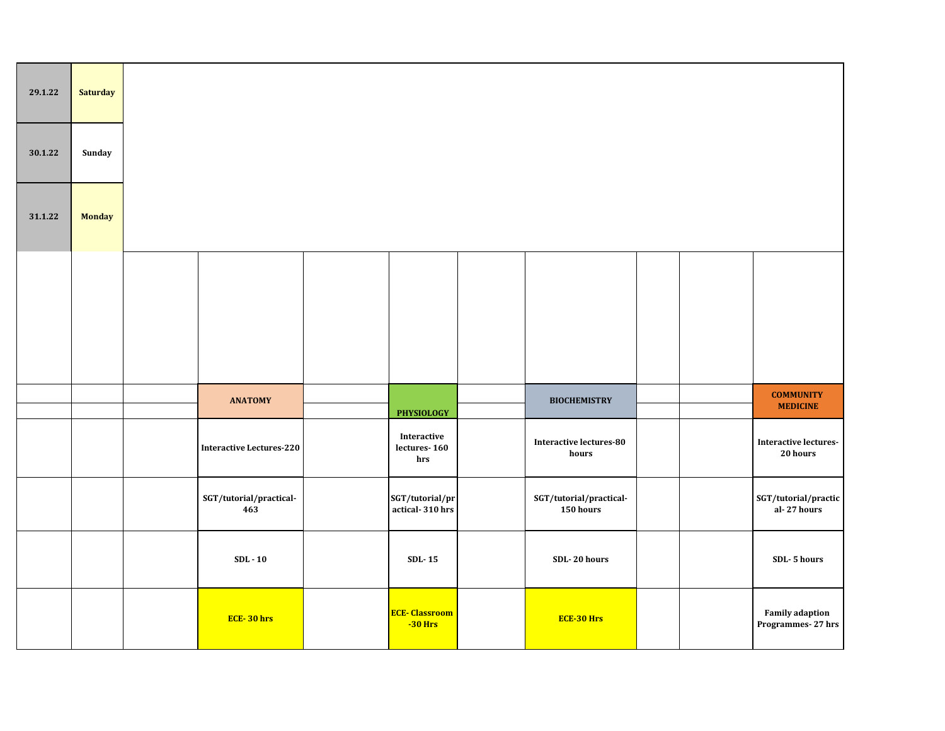| 29.1.22 | <b>Saturday</b> |                                 |                                         |                                      |  |                                             |
|---------|-----------------|---------------------------------|-----------------------------------------|--------------------------------------|--|---------------------------------------------|
| 30.1.22 | Sunday          |                                 |                                         |                                      |  |                                             |
| 31.1.22 | <b>Monday</b>   |                                 |                                         |                                      |  |                                             |
|         |                 |                                 |                                         |                                      |  |                                             |
|         |                 |                                 |                                         |                                      |  |                                             |
|         |                 | <b>ANATOMY</b>                  | <b>PHYSIOLOGY</b>                       | <b>BIOCHEMISTRY</b>                  |  | <b>COMMUNITY</b><br><b>MEDICINE</b>         |
|         |                 | <b>Interactive Lectures-220</b> | Interactive<br>lectures- $160\,$<br>hrs | Interactive lectures-80<br>hours     |  | <b>Interactive lectures-</b><br>20 hours    |
|         |                 | SGT/tutorial/practical-<br>463  | SGT/tutorial/pr<br>actical-310 hrs      | SGT/tutorial/practical-<br>150 hours |  | SGT/tutorial/practic<br>al-27 hours         |
|         |                 | $SDL - 10$                      | $SDL-15$                                | SDL-20 hours                         |  | SDL-5 hours                                 |
|         |                 | ECE-30 hrs                      | <b>ECE-Classroom</b><br>$-30$ Hrs       | <b>ECE-30 Hrs</b>                    |  | <b>Family adaption</b><br>Programmes-27 hrs |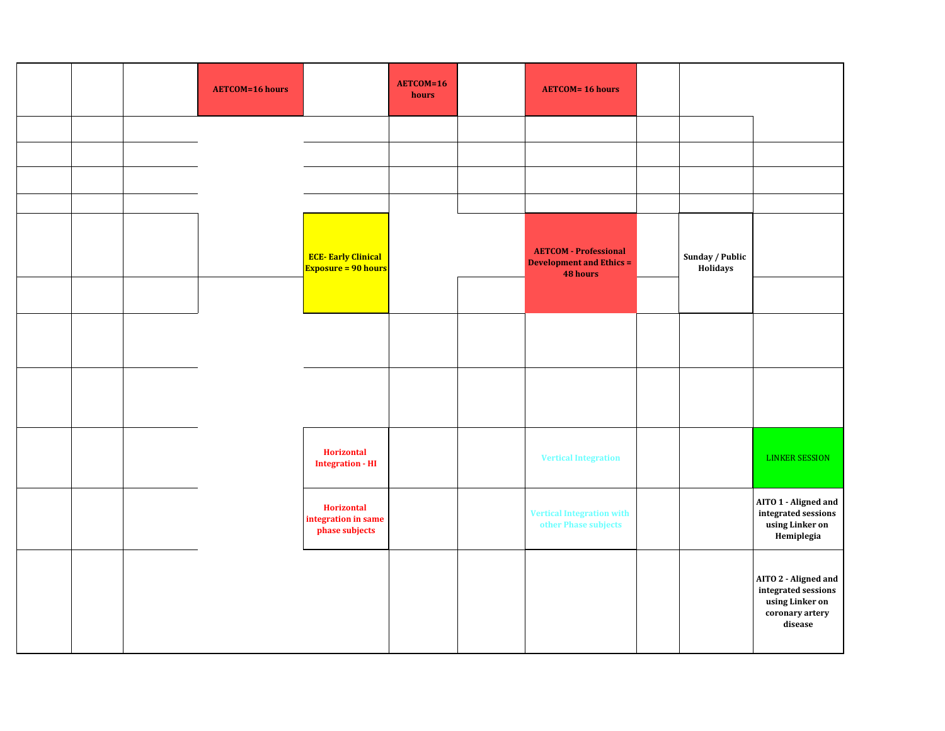|  | <b>AETCOM=16 hours</b> |                                                            | AETCOM=16<br>hours | <b>AETCOM= 16 hours</b>                                                     |                             |                                                                                              |
|--|------------------------|------------------------------------------------------------|--------------------|-----------------------------------------------------------------------------|-----------------------------|----------------------------------------------------------------------------------------------|
|  |                        |                                                            |                    |                                                                             |                             |                                                                                              |
|  |                        |                                                            |                    |                                                                             |                             |                                                                                              |
|  |                        |                                                            |                    |                                                                             |                             |                                                                                              |
|  |                        |                                                            |                    |                                                                             |                             |                                                                                              |
|  |                        | <b>ECE-Early Clinical</b><br><b>Exposure = 90 hours</b>    |                    | <b>AETCOM</b> - Professional<br><b>Development and Ethics =</b><br>48 hours | Sunday / Public<br>Holidays |                                                                                              |
|  |                        |                                                            |                    |                                                                             |                             |                                                                                              |
|  |                        |                                                            |                    |                                                                             |                             |                                                                                              |
|  |                        |                                                            |                    |                                                                             |                             |                                                                                              |
|  |                        | <b>Horizontal</b><br><b>Integration - HI</b>               |                    | <b>Vertical Integration</b>                                                 |                             | <b>LINKER SESSION</b>                                                                        |
|  |                        | <b>Horizontal</b><br>integration in same<br>phase subjects |                    | <b>Vertical Integration with</b><br>other Phase subjects                    |                             | AITO 1 - Aligned and<br>integrated sessions<br>using Linker on<br>Hemiplegia                 |
|  |                        |                                                            |                    |                                                                             |                             | AITO 2 - Aligned and<br>integrated sessions<br>using Linker on<br>coronary artery<br>disease |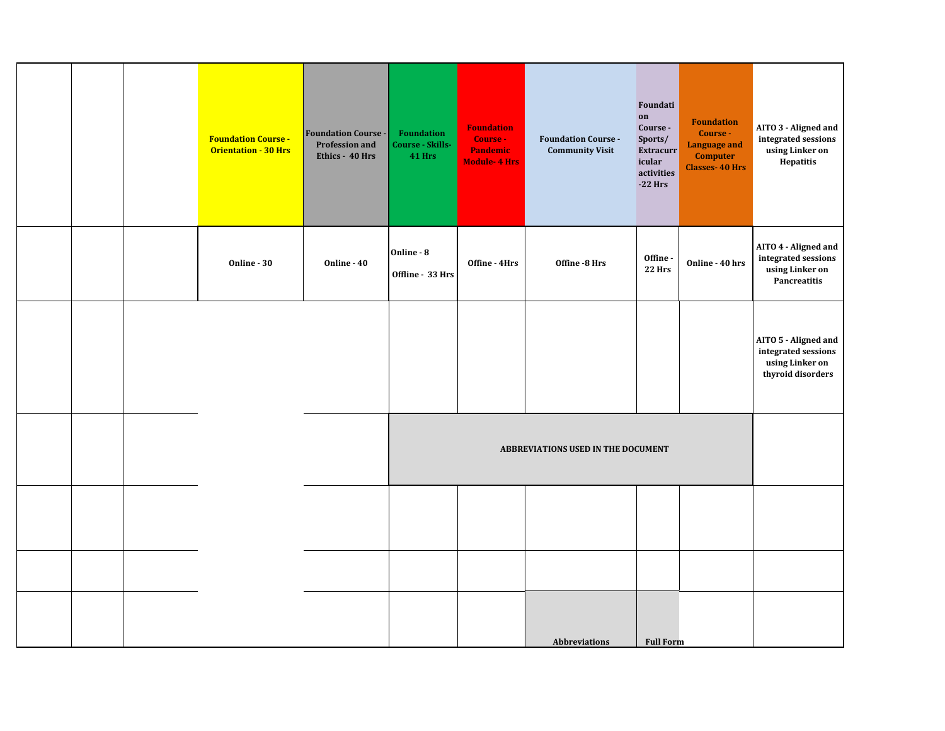|  | <b>Foundation Course -</b><br><b>Orientation - 30 Hrs</b> | <b>Foundation Course -</b><br><b>Profession and</b><br>Ethics - 40 Hrs | <b>Foundation</b><br>Course - Skills-<br><b>41 Hrs</b> | <b>Foundation</b><br>Course -<br>Pandemic<br><b>Module-4 Hrs</b> | <b>Foundation Course -</b><br><b>Community Visit</b> | Foundati<br>on<br>Course -<br>Sports/<br><b>Extracurr</b><br>icular<br>activities<br>$-22$ Hrs | <b>Foundation</b><br>Course -<br>Language and<br><b>Computer</b><br><b>Classes-40 Hrs</b> | AITO 3 - Aligned and<br>integrated sessions<br>using Linker on<br>Hepatitis         |
|--|-----------------------------------------------------------|------------------------------------------------------------------------|--------------------------------------------------------|------------------------------------------------------------------|------------------------------------------------------|------------------------------------------------------------------------------------------------|-------------------------------------------------------------------------------------------|-------------------------------------------------------------------------------------|
|  | Online - 30                                               | Online - 40                                                            | Online - 8<br>Offline - 33 Hrs                         | Offine - 4Hrs                                                    | Offine -8 Hrs                                        | Offine-<br><b>22 Hrs</b>                                                                       | Online - 40 hrs                                                                           | AITO 4 - Aligned and<br>integrated sessions<br>using Linker on<br>Pancreatitis      |
|  |                                                           |                                                                        |                                                        |                                                                  |                                                      |                                                                                                |                                                                                           | AITO 5 - Aligned and<br>integrated sessions<br>using Linker on<br>thyroid disorders |
|  |                                                           |                                                                        |                                                        |                                                                  |                                                      |                                                                                                |                                                                                           |                                                                                     |
|  |                                                           |                                                                        |                                                        |                                                                  |                                                      |                                                                                                |                                                                                           |                                                                                     |
|  |                                                           |                                                                        |                                                        |                                                                  |                                                      |                                                                                                |                                                                                           |                                                                                     |
|  |                                                           |                                                                        |                                                        |                                                                  | <b>Abbreviations</b>                                 | <b>Full Form</b>                                                                               |                                                                                           |                                                                                     |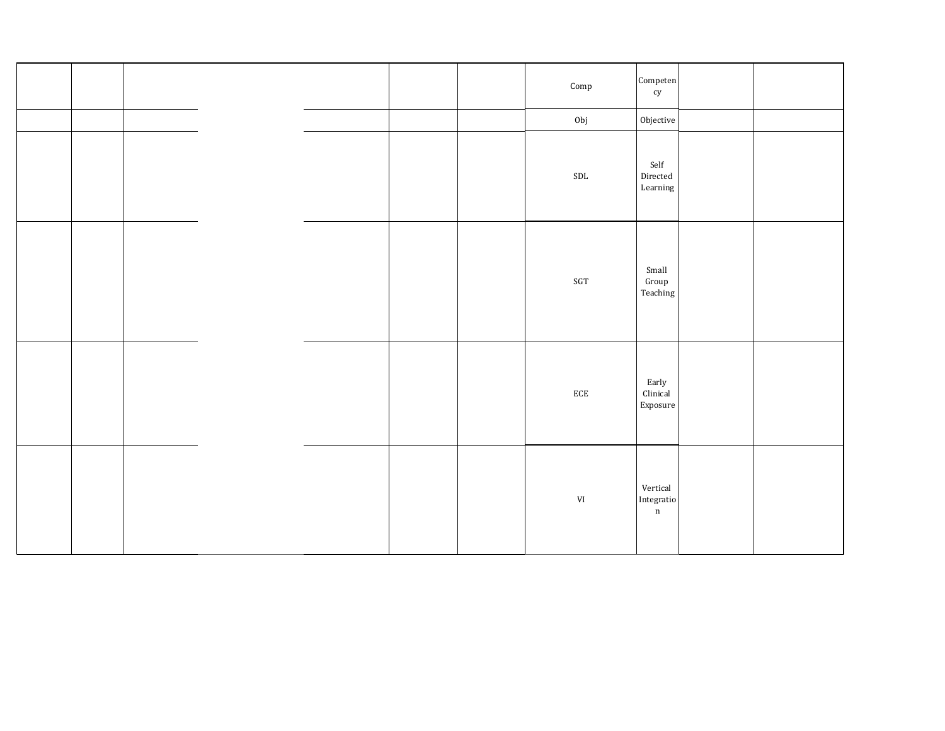|  |  | $\operatorname{Comp}$ | $\mbox{Competen}$<br>${\rm cy}$                                         |  |
|--|--|-----------------------|-------------------------------------------------------------------------|--|
|  |  | Obj                   | ${\rm Objective}$                                                       |  |
|  |  | $\operatorname{SDL}$  | Self<br>$\rm{Directed}$<br>$\mbox{Learning}$                            |  |
|  |  | $\operatorname{SGT}$  | Small<br>$\mbox{Group}$<br>$\operatorname{\mathsf{Teaching}}$           |  |
|  |  | $\rm ECE$             | Early<br>${\rm Clinical}$<br>Exposure                                   |  |
|  |  | $\mbox{VI}$           | $\mbox{Vertical}$<br>$\label{eq:Intergratio} Integratio$<br>$\mathbf n$ |  |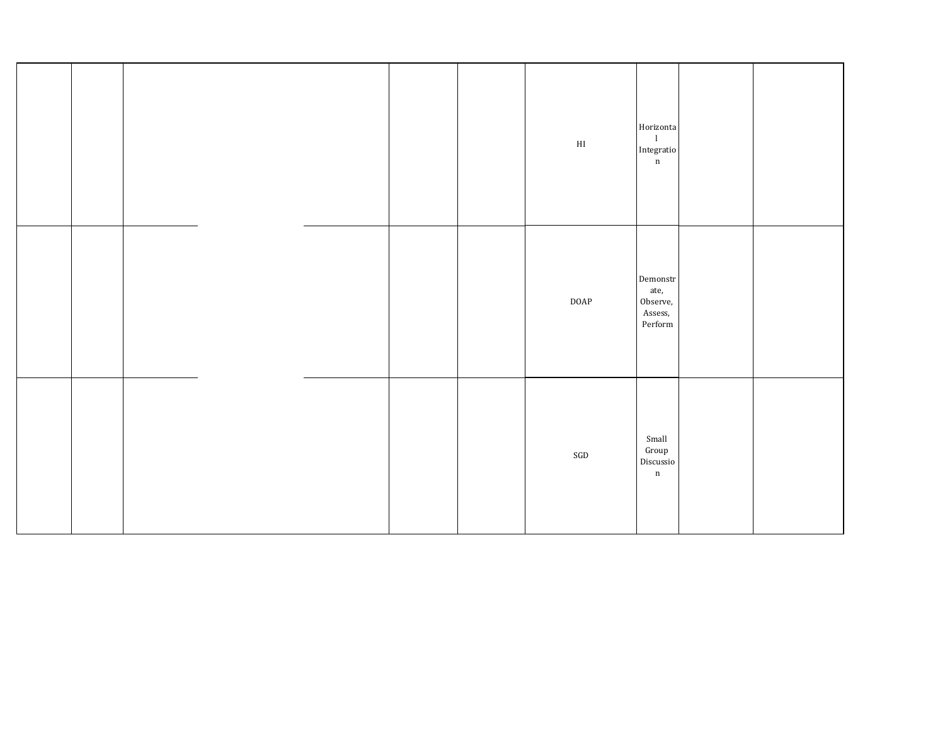|  |  |  | $\mathop{\rm HI}\nolimits$ | Horizonta<br>$\mathbf{I}$<br>Integratio<br>$\mathbf n$                              |  |
|--|--|--|----------------------------|-------------------------------------------------------------------------------------|--|
|  |  |  | DOAP                       | $\mbox{Demonstr}$<br>ate,<br>Observe,<br>Assess,<br>$\ensuremath{\mathsf{Perform}}$ |  |
|  |  |  | $\operatorname{SGD}$       | Small<br>$\operatorname{Group}$<br>Discussio<br>$\mathbf n$                         |  |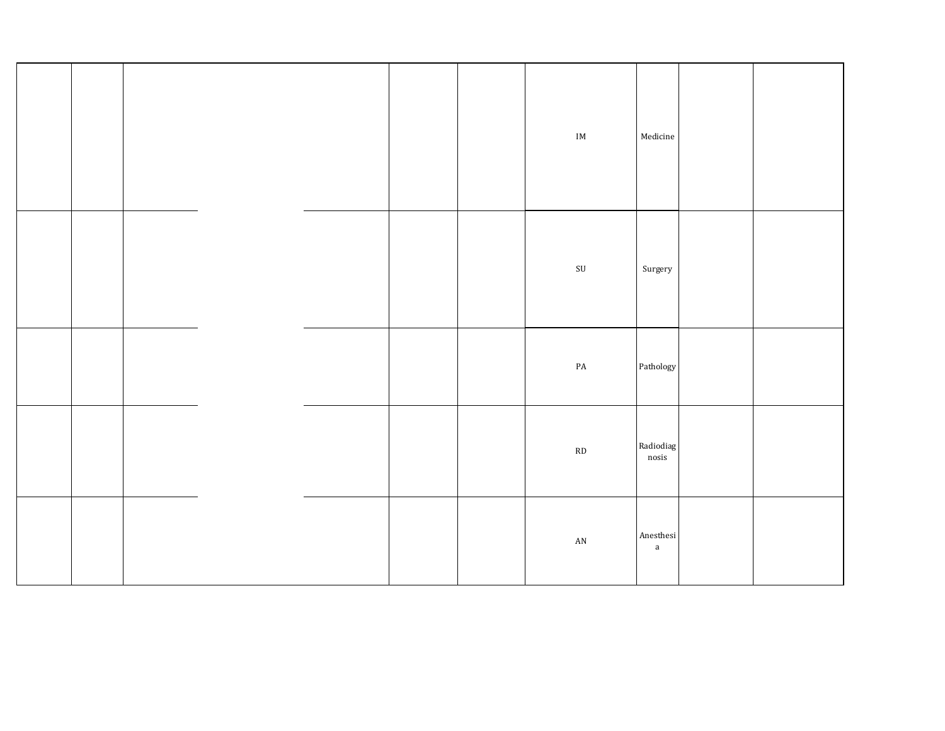|  |  |  | $\mathop{\text{IM}}\nolimits$ | $\textsf{Medicine}$                 |  |
|--|--|--|-------------------------------|-------------------------------------|--|
|  |  |  | $\ensuremath{\mathrm{SU}}$    | Surgery                             |  |
|  |  |  | $\mathbf{PA}$                 | Pathology                           |  |
|  |  |  | $\mathbf{R}\mathbf{D}$        | Radiodiag<br>$\operatorname{nosis}$ |  |
|  |  |  | $\mathbf{A}\mathbf{N}$        | Anesthesi<br>$\mathbf{a}$           |  |